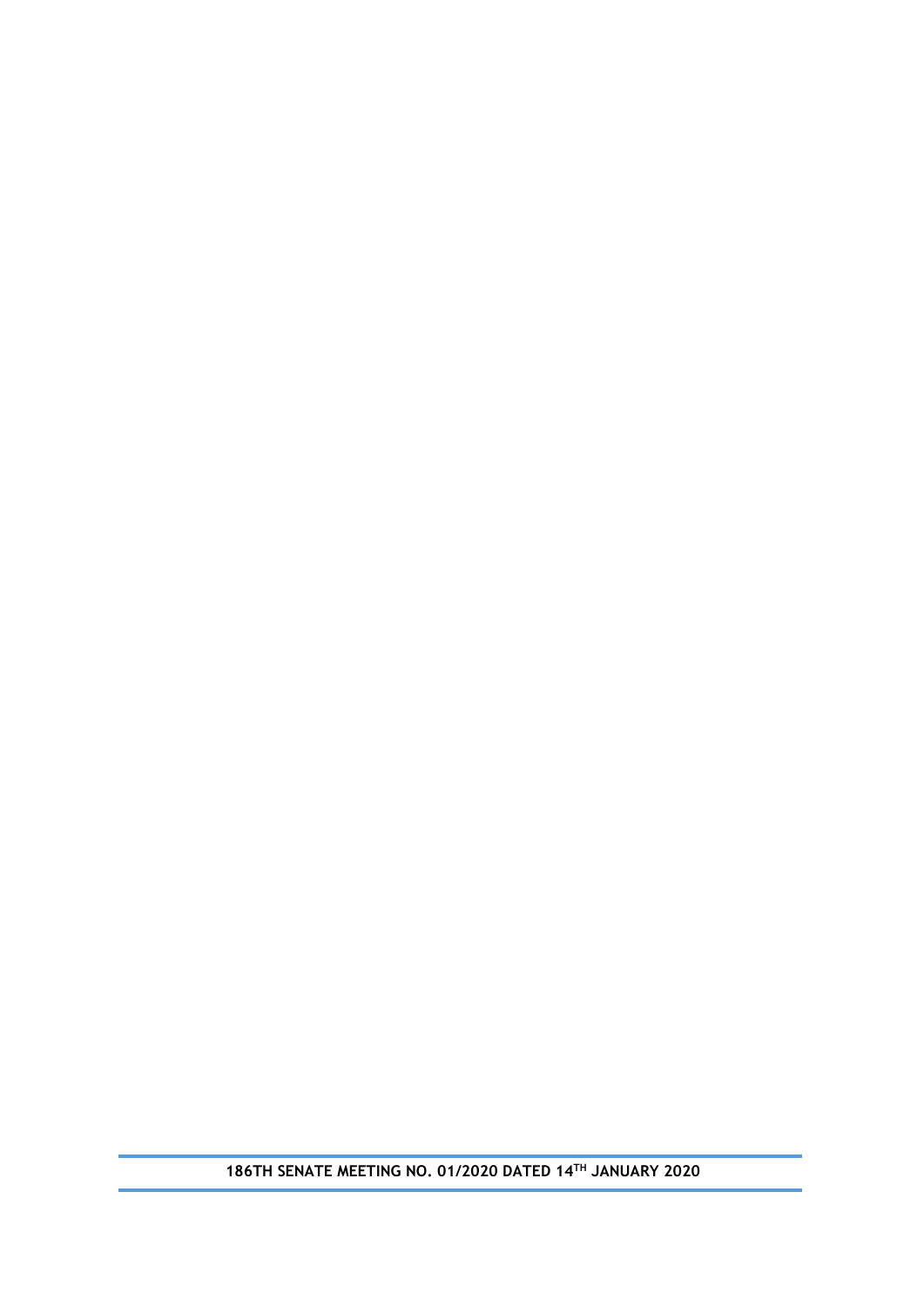**186TH SENATE MEETING NO. 01/2020 DATED 14TH JANUARY 2020**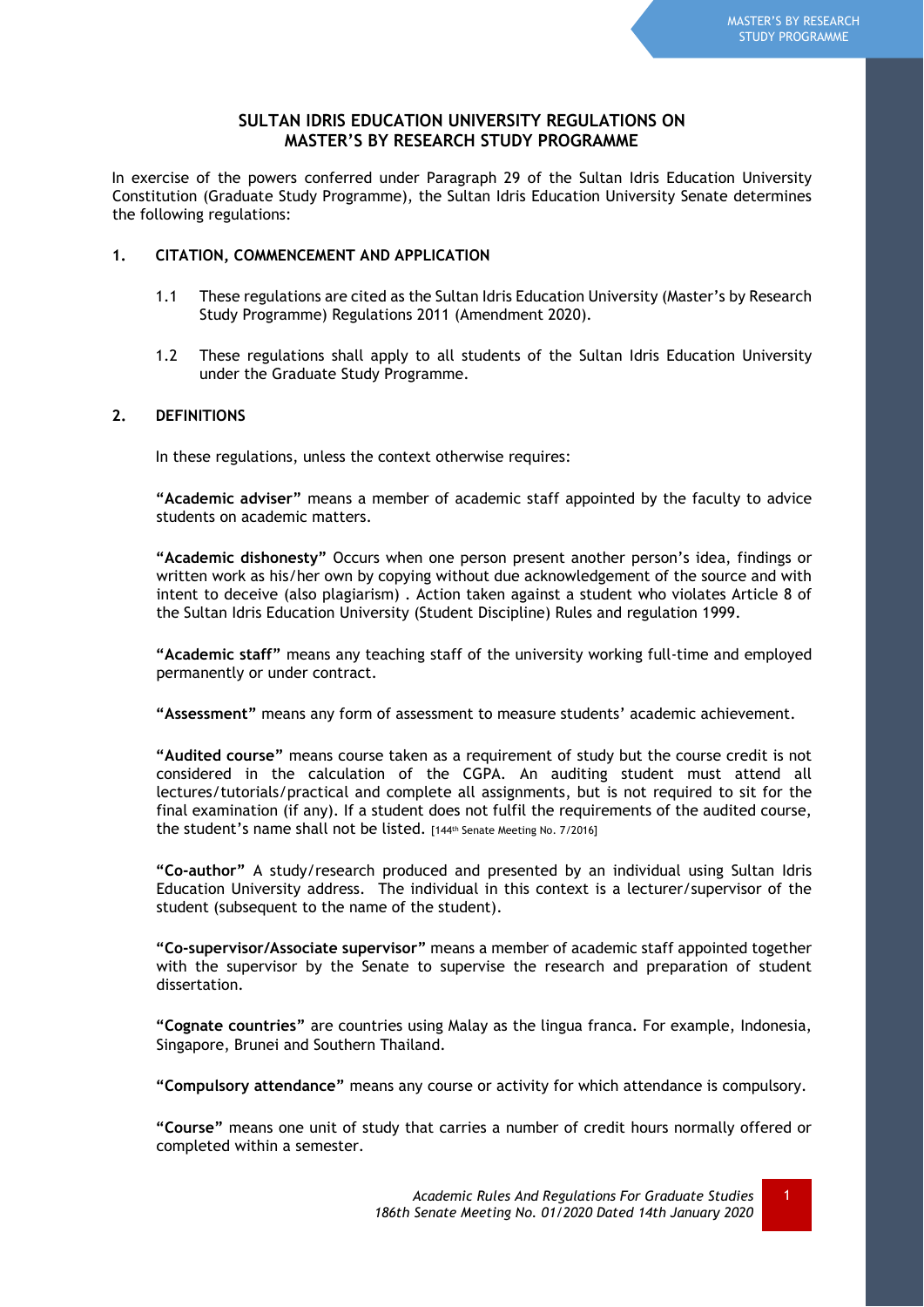### **SULTAN IDRIS EDUCATION UNIVERSITY REGULATIONS ON MASTER'S BY RESEARCH STUDY PROGRAMME**

In exercise of the powers conferred under Paragraph 29 of the Sultan Idris Education University Constitution (Graduate Study Programme), the Sultan Idris Education University Senate determines the following regulations:

## **1. CITATION, COMMENCEMENT AND APPLICATION**

- 1.1 These regulations are cited as the Sultan Idris Education University (Master's by Research Study Programme) Regulations 2011 (Amendment 2020).
- 1.2 These regulations shall apply to all students of the Sultan Idris Education University under the Graduate Study Programme.

### **2. DEFINITIONS**

In these regulations, unless the context otherwise requires:

**"Academic adviser"** means a member of academic staff appointed by the faculty to advice students on academic matters.

**"Academic dishonesty"** Occurs when one person present another person's idea, findings or written work as his/her own by copying without due acknowledgement of the source and with intent to deceive (also plagiarism) . Action taken against a student who violates Article 8 of the Sultan Idris Education University (Student Discipline) Rules and regulation 1999.

**"Academic staff"** means any teaching staff of the university working full-time and employed permanently or under contract.

**"Assessment"** means any form of assessment to measure students' academic achievement.

**"Audited course"** means course taken as a requirement of study but the course credit is not considered in the calculation of the CGPA. An auditing student must attend all lectures/tutorials/practical and complete all assignments, but is not required to sit for the final examination (if any). If a student does not fulfil the requirements of the audited course, the student's name shall not be listed. [144th Senate Meeting No. 7/2016]

**"Co-author"** A study/research produced and presented by an individual using Sultan Idris Education University address. The individual in this context is a lecturer/supervisor of the student (subsequent to the name of the student).

**"Co-supervisor/Associate supervisor"** means a member of academic staff appointed together with the supervisor by the Senate to supervise the research and preparation of student dissertation.

**"Cognate countries"** are countries using Malay as the lingua franca. For example, Indonesia, Singapore, Brunei and Southern Thailand.

**"Compulsory attendance"** means any course or activity for which attendance is compulsory.

**"Course"** means one unit of study that carries a number of credit hours normally offered or completed within a semester.

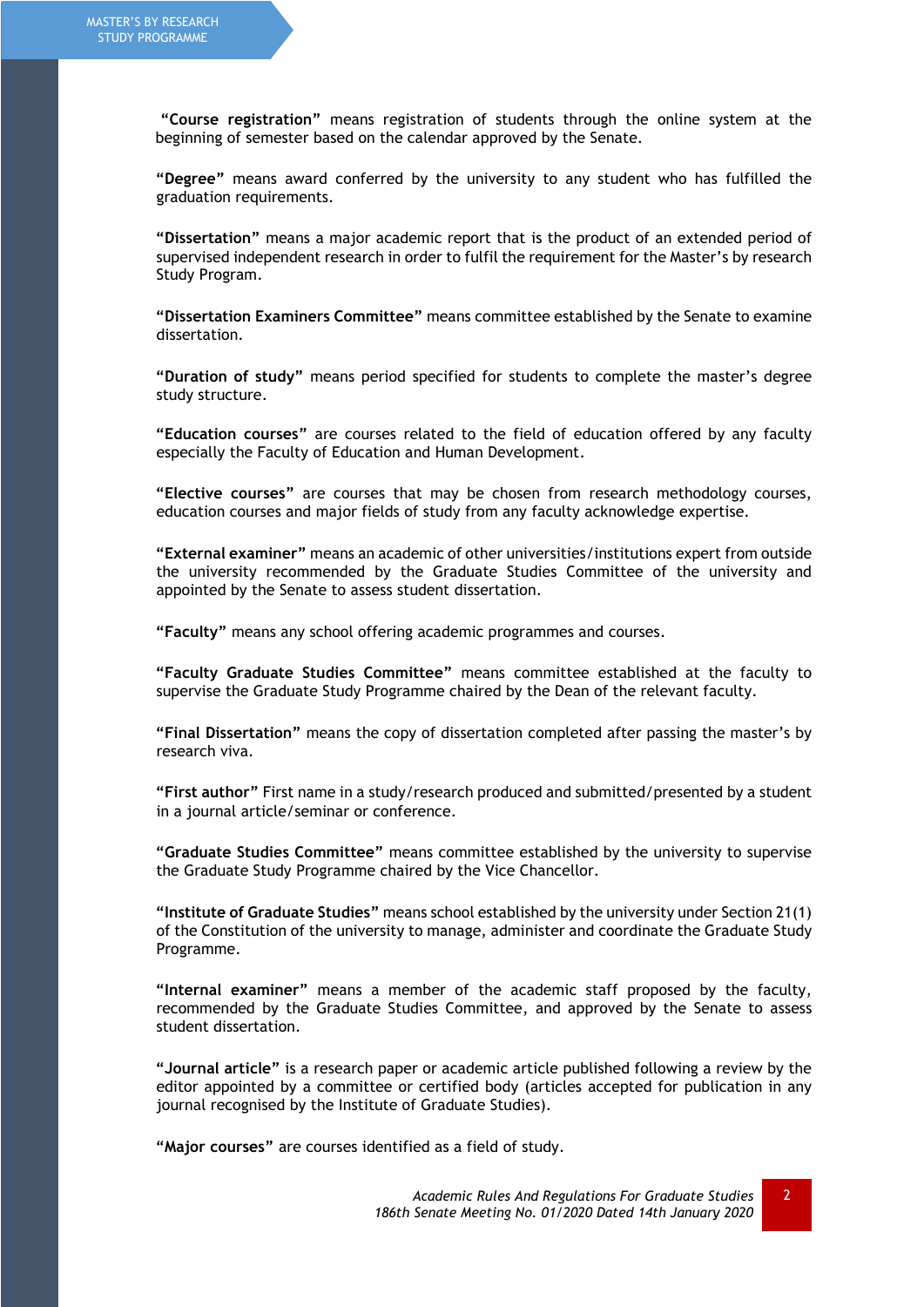**"Course registration"** means registration of students through the online system at the beginning of semester based on the calendar approved by the Senate.

**"Degree"** means award conferred by the university to any student who has fulfilled the graduation requirements.

**"Dissertation"** means a major academic report that is the product of an extended period of supervised independent research in order to fulfil the requirement for the Master's by research Study Program.

**"Dissertation Examiners Committee"** means committee established by the Senate to examine dissertation.

**"Duration of study"** means period specified for students to complete the master's degree study structure.

**"Education courses"** are courses related to the field of education offered by any faculty especially the Faculty of Education and Human Development.

**"Elective courses"** are courses that may be chosen from research methodology courses, education courses and major fields of study from any faculty acknowledge expertise.

**"External examiner"** means an academic of other universities/institutions expert from outside the university recommended by the Graduate Studies Committee of the university and appointed by the Senate to assess student dissertation.

**"Faculty"** means any school offering academic programmes and courses.

**"Faculty Graduate Studies Committee"** means committee established at the faculty to supervise the Graduate Study Programme chaired by the Dean of the relevant faculty.

**"Final Dissertation"** means the copy of dissertation completed after passing the master's by research viva.

**"First author"** First name in a study/research produced and submitted/presented by a student in a journal article/seminar or conference.

**"Graduate Studies Committee"** means committee established by the university to supervise the Graduate Study Programme chaired by the Vice Chancellor.

**"Institute of Graduate Studies"** means school established by the university under Section 21(1) of the Constitution of the university to manage, administer and coordinate the Graduate Study Programme.

**"Internal examiner"** means a member of the academic staff proposed by the faculty, recommended by the Graduate Studies Committee, and approved by the Senate to assess student dissertation.

**"Journal article"** is a research paper or academic article published following a review by the editor appointed by a committee or certified body (articles accepted for publication in any journal recognised by the Institute of Graduate Studies).

**"Major courses"** are courses identified as a field of study.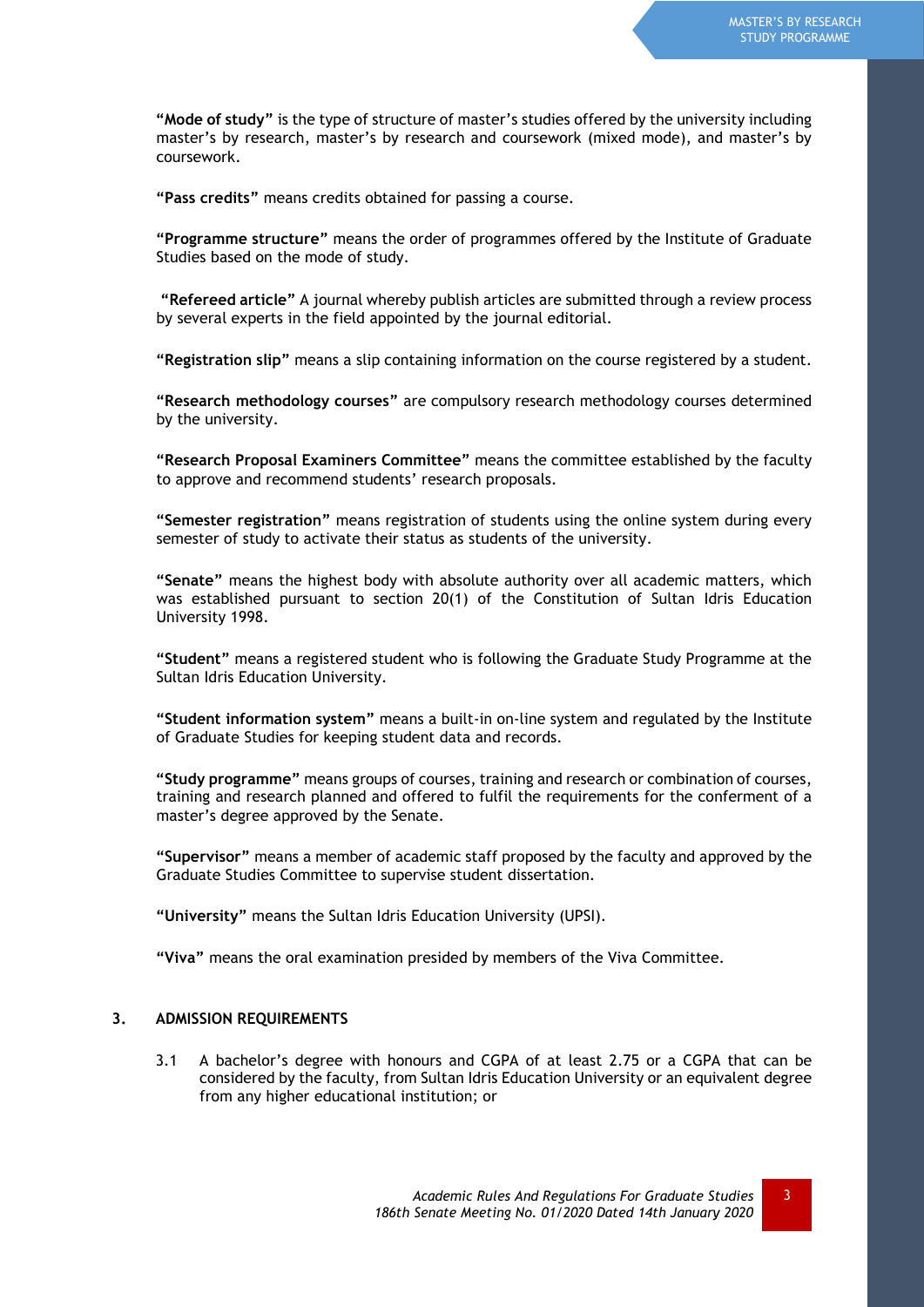**"Mode of study"** is the type of structure of master's studies offered by the university including master's by research, master's by research and coursework (mixed mode), and master's by coursework.

**"Pass credits"** means credits obtained for passing a course.

**"Programme structure"** means the order of programmes offered by the Institute of Graduate Studies based on the mode of study.

**"Refereed article"** A journal whereby publish articles are submitted through a review process by several experts in the field appointed by the journal editorial.

**"Registration slip"** means a slip containing information on the course registered by a student.

**"Research methodology courses"** are compulsory research methodology courses determined by the university.

**"Research Proposal Examiners Committee"** means the committee established by the faculty to approve and recommend students' research proposals.

**"Semester registration"** means registration of students using the online system during every semester of study to activate their status as students of the university.

**"Senate"** means the highest body with absolute authority over all academic matters, which was established pursuant to section 20(1) of the Constitution of Sultan Idris Education University 1998.

**"Student"** means a registered student who is following the Graduate Study Programme at the Sultan Idris Education University.

**"Student information system"** means a built-in on-line system and regulated by the Institute of Graduate Studies for keeping student data and records.

**"Study programme"** means groups of courses, training and research or combination of courses, training and research planned and offered to fulfil the requirements for the conferment of a master's degree approved by the Senate.

**"Supervisor"** means a member of academic staff proposed by the faculty and approved by the Graduate Studies Committee to supervise student dissertation.

**"University"** means the Sultan Idris Education University (UPSI).

**"Viva"** means the oral examination presided by members of the Viva Committee.

#### **3. ADMISSION REQUIREMENTS**

3.1 A bachelor's degree with honours and CGPA of at least 2.75 or a CGPA that can be considered by the faculty, from Sultan Idris Education University or an equivalent degree from any higher educational institution; or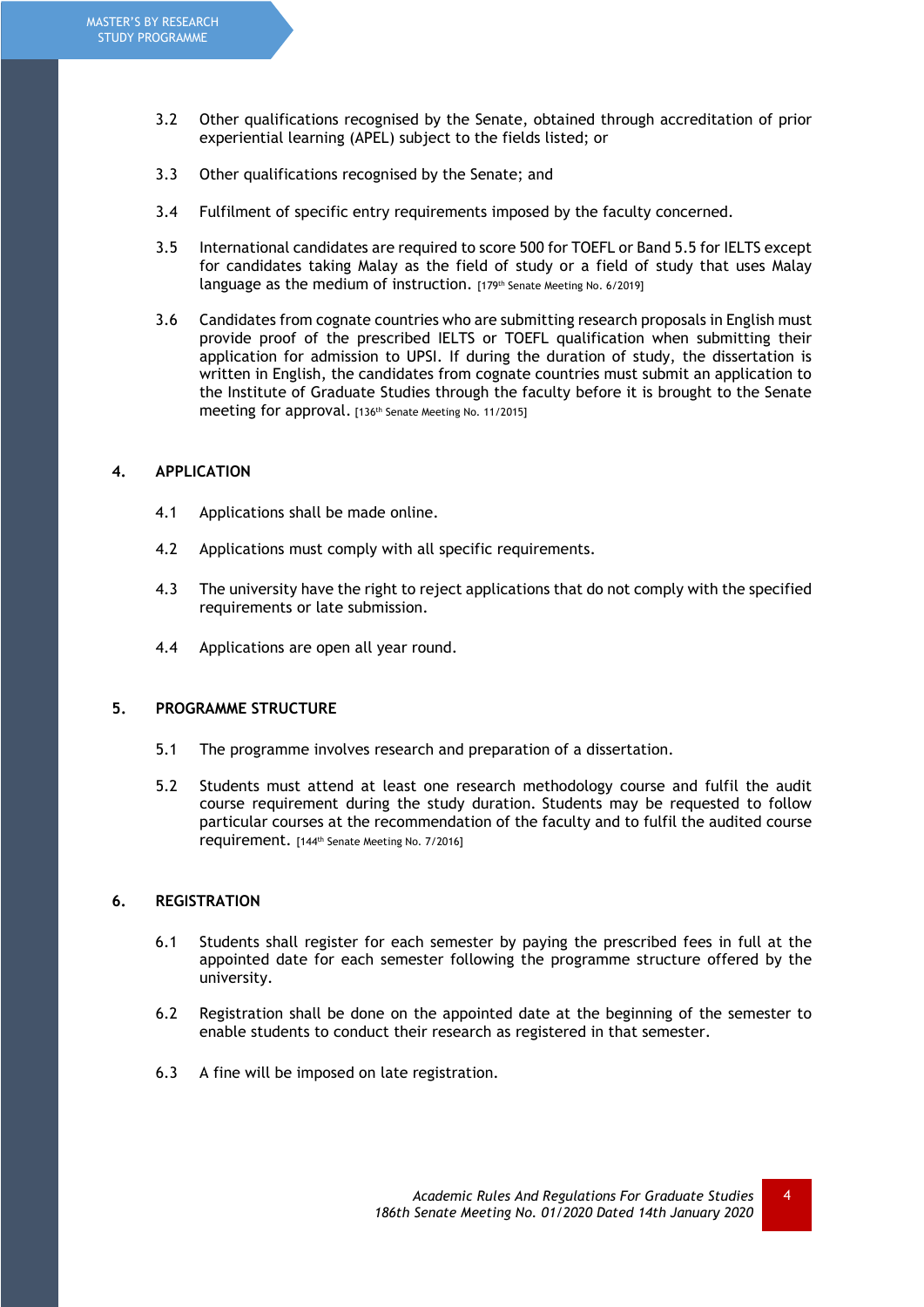- 3.2 Other qualifications recognised by the Senate, obtained through accreditation of prior experiential learning (APEL) subject to the fields listed; or
- 3.3 Other qualifications recognised by the Senate; and
- 3.4 Fulfilment of specific entry requirements imposed by the faculty concerned.
- 3.5 International candidates are required to score 500 for TOEFL or Band 5.5 for IELTS except for candidates taking Malay as the field of study or a field of study that uses Malay language as the medium of instruction. [179th Senate Meeting No. 6/2019]
- 3.6 Candidates from cognate countries who are submitting research proposals in English must provide proof of the prescribed IELTS or TOEFL qualification when submitting their application for admission to UPSI. If during the duration of study, the dissertation is written in English, the candidates from cognate countries must submit an application to the Institute of Graduate Studies through the faculty before it is brought to the Senate meeting for approval. [136<sup>th</sup> Senate Meeting No. 11/2015]

### **4. APPLICATION**

- 4.1 Applications shall be made online.
- 4.2 Applications must comply with all specific requirements.
- 4.3 The university have the right to reject applications that do not comply with the specified requirements or late submission.
- 4.4 Applications are open all year round.

## **5. PROGRAMME STRUCTURE**

- 5.1 The programme involves research and preparation of a dissertation.
- 5.2 Students must attend at least one research methodology course and fulfil the audit course requirement during the study duration. Students may be requested to follow particular courses at the recommendation of the faculty and to fulfil the audited course requirement. [144th Senate Meeting No. 7/2016]

#### **6. REGISTRATION**

- 6.1 Students shall register for each semester by paying the prescribed fees in full at the appointed date for each semester following the programme structure offered by the university.
- 6.2 Registration shall be done on the appointed date at the beginning of the semester to enable students to conduct their research as registered in that semester.
- 6.3 A fine will be imposed on late registration.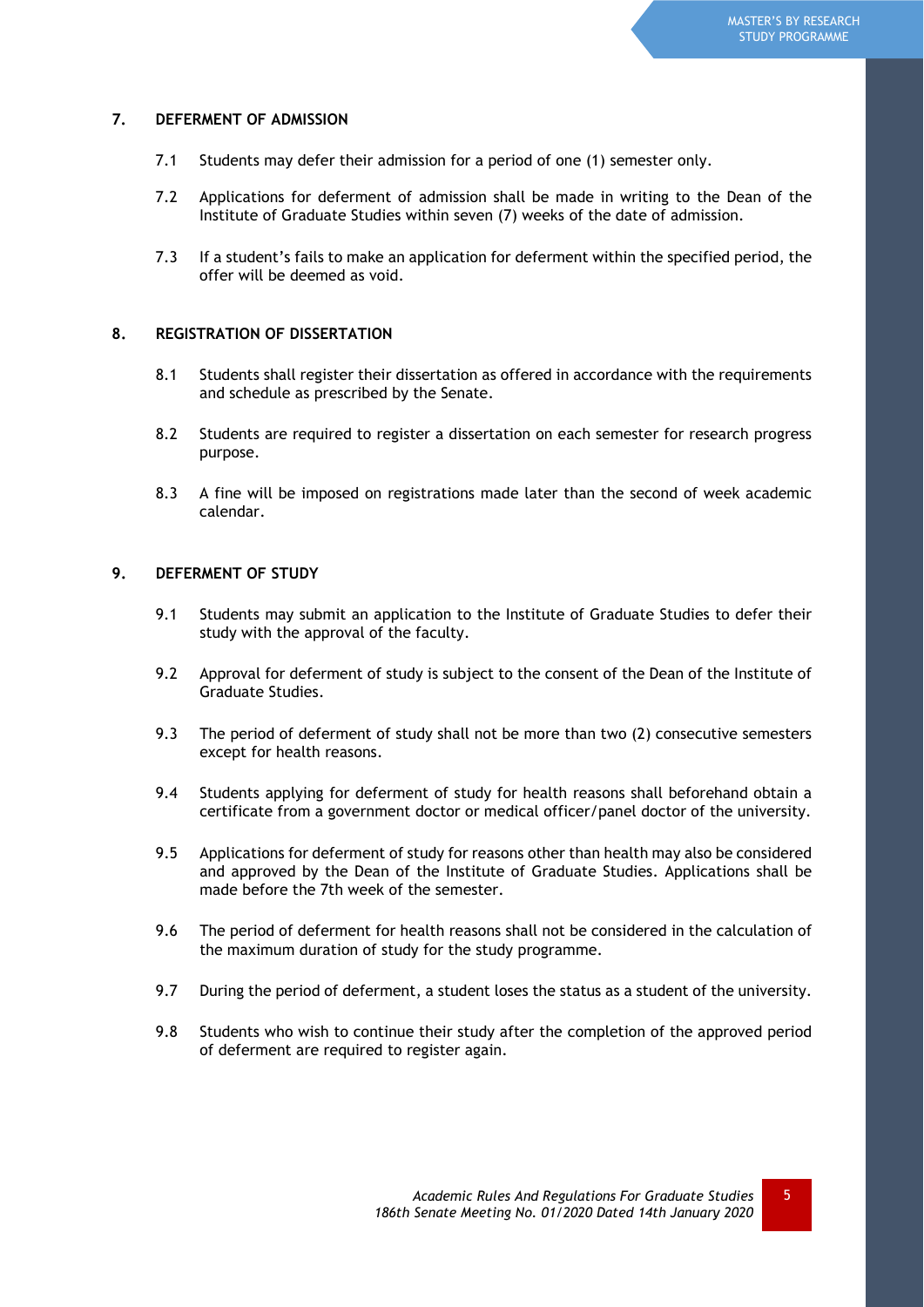### **7. DEFERMENT OF ADMISSION**

- 7.1 Students may defer their admission for a period of one (1) semester only.
- 7.2 Applications for deferment of admission shall be made in writing to the Dean of the Institute of Graduate Studies within seven (7) weeks of the date of admission.
- 7.3 If a student's fails to make an application for deferment within the specified period, the offer will be deemed as void.

#### **8. REGISTRATION OF DISSERTATION**

- 8.1 Students shall register their dissertation as offered in accordance with the requirements and schedule as prescribed by the Senate.
- 8.2 Students are required to register a dissertation on each semester for research progress purpose.
- 8.3 A fine will be imposed on registrations made later than the second of week academic calendar.

### **9. DEFERMENT OF STUDY**

- 9.1 Students may submit an application to the Institute of Graduate Studies to defer their study with the approval of the faculty.
- 9.2 Approval for deferment of study is subject to the consent of the Dean of the Institute of Graduate Studies.
- 9.3 The period of deferment of study shall not be more than two (2) consecutive semesters except for health reasons.
- 9.4 Students applying for deferment of study for health reasons shall beforehand obtain a certificate from a government doctor or medical officer/panel doctor of the university.
- 9.5 Applications for deferment of study for reasons other than health may also be considered and approved by the Dean of the Institute of Graduate Studies. Applications shall be made before the 7th week of the semester.
- 9.6 The period of deferment for health reasons shall not be considered in the calculation of the maximum duration of study for the study programme.
- 9.7 During the period of deferment, a student loses the status as a student of the university.
- 9.8 Students who wish to continue their study after the completion of the approved period of deferment are required to register again.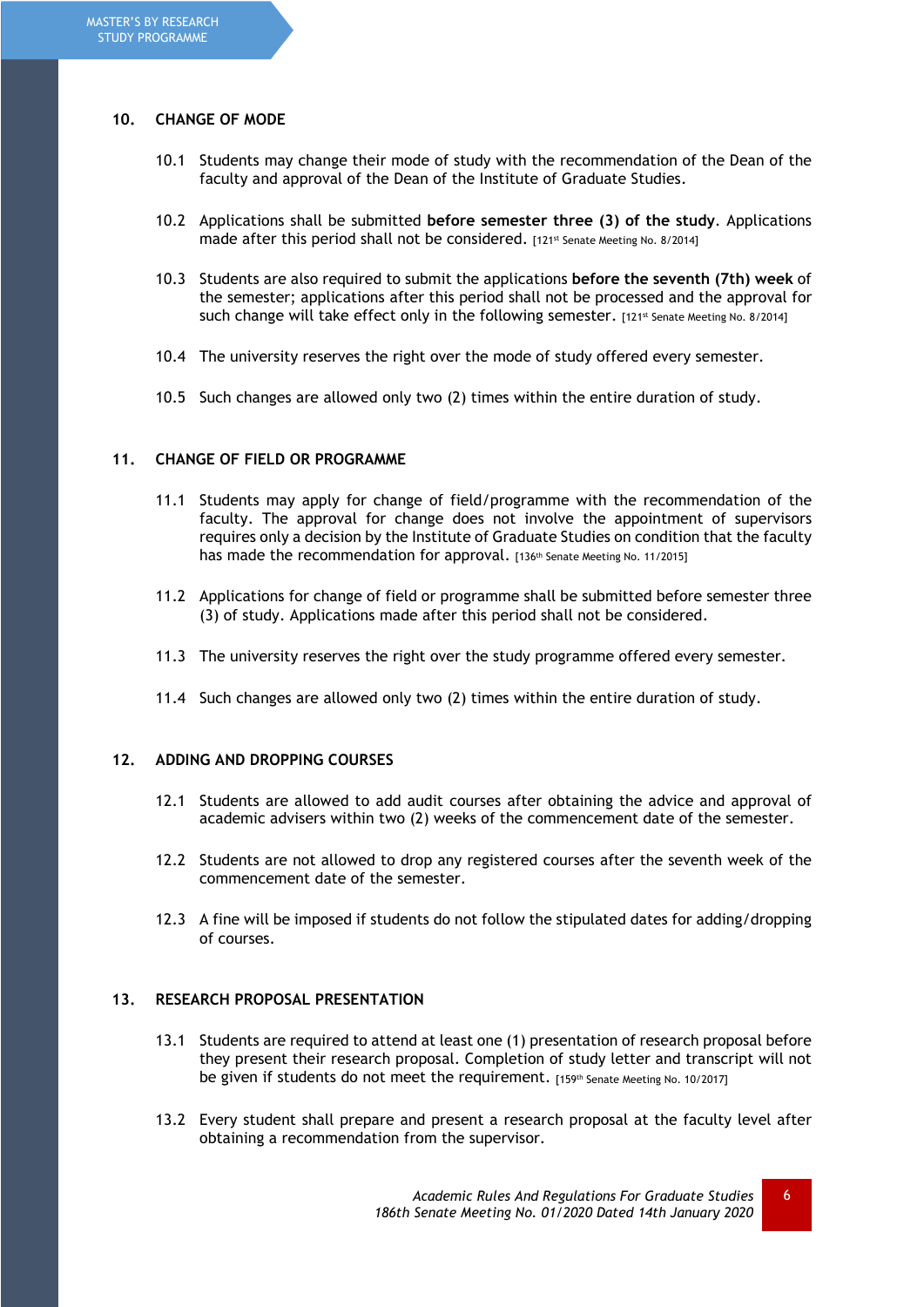## **10. CHANGE OF MODE**

- 10.1 Students may change their mode of study with the recommendation of the Dean of the faculty and approval of the Dean of the Institute of Graduate Studies.
- 10.2 Applications shall be submitted **before semester three (3) of the study**. Applications made after this period shall not be considered. [121st Senate Meeting No. 8/2014]
- 10.3 Students are also required to submit the applications **before the seventh (7th) week** of the semester; applications after this period shall not be processed and the approval for such change will take effect only in the following semester. [121st Senate Meeting No. 8/2014]
- 10.4 The university reserves the right over the mode of study offered every semester.
- 10.5 Such changes are allowed only two (2) times within the entire duration of study.

## **11. CHANGE OF FIELD OR PROGRAMME**

- 11.1 Students may apply for change of field/programme with the recommendation of the faculty. The approval for change does not involve the appointment of supervisors requires only a decision by the Institute of Graduate Studies on condition that the faculty has made the recommendation for approval. [136<sup>th</sup> Senate Meeting No. 11/2015]
- 11.2 Applications for change of field or programme shall be submitted before semester three (3) of study. Applications made after this period shall not be considered.
- 11.3 The university reserves the right over the study programme offered every semester.
- 11.4 Such changes are allowed only two (2) times within the entire duration of study.

#### **12. ADDING AND DROPPING COURSES**

- 12.1 Students are allowed to add audit courses after obtaining the advice and approval of academic advisers within two (2) weeks of the commencement date of the semester.
- 12.2 Students are not allowed to drop any registered courses after the seventh week of the commencement date of the semester.
- 12.3 A fine will be imposed if students do not follow the stipulated dates for adding/dropping of courses.

## **13. RESEARCH PROPOSAL PRESENTATION**

- 13.1 Students are required to attend at least one (1) presentation of research proposal before they present their research proposal. Completion of study letter and transcript will not be given if students do not meet the requirement. [159th Senate Meeting No. 10/2017]
- 13.2 Every student shall prepare and present a research proposal at the faculty level after obtaining a recommendation from the supervisor.

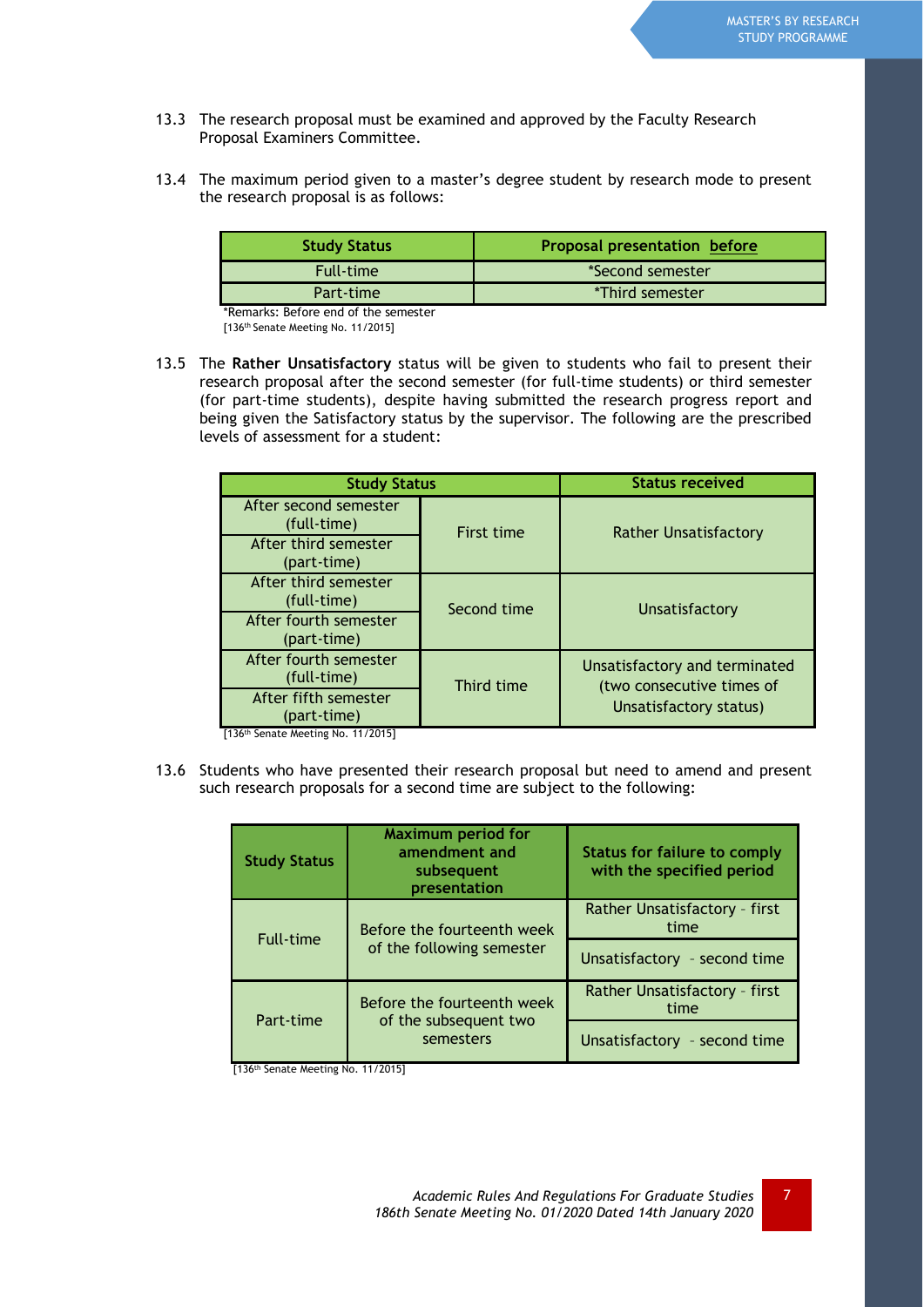- 13.3 The research proposal must be examined and approved by the Faculty Research Proposal Examiners Committee.
- 13.4 The maximum period given to a master's degree student by research mode to present the research proposal is as follows:

| <b>Study Status</b> | <b>Proposal presentation before</b> |
|---------------------|-------------------------------------|
| <b>Full-time</b>    | *Second semester                    |
| Part-time           | *Third semester                     |

\*Remarks: Before end of the semester [136th Senate Meeting No. 11/2015]

13.5 The **Rather Unsatisfactory** status will be given to students who fail to present their research proposal after the second semester (for full-time students) or third semester (for part-time students), despite having submitted the research progress report and being given the Satisfactory status by the supervisor. The following are the prescribed levels of assessment for a student:

| <b>Study Status</b>                  |             | <b>Status received</b>                                     |
|--------------------------------------|-------------|------------------------------------------------------------|
| After second semester<br>(full-time) | First time  | <b>Rather Unsatisfactory</b>                               |
| After third semester<br>(part-time)  |             |                                                            |
| After third semester<br>(full-time)  | Second time | Unsatisfactory                                             |
| After fourth semester<br>(part-time) |             |                                                            |
| After fourth semester<br>(full-time) | Third time  | Unsatisfactory and terminated<br>(two consecutive times of |
| After fifth semester<br>(part-time)  |             | Unsatisfactory status)                                     |

[136th Senate Meeting No. 11/2015]

13.6 Students who have presented their research proposal but need to amend and present such research proposals for a second time are subject to the following:

| <b>Study Status</b>                             | <b>Maximum period for</b><br>amendment and<br>subsequent<br>presentation | <b>Status for failure to comply</b><br>with the specified period |
|-------------------------------------------------|--------------------------------------------------------------------------|------------------------------------------------------------------|
| <b>Full-time</b>                                | Before the fourteenth week                                               | Rather Unsatisfactory - first<br>time                            |
|                                                 | of the following semester                                                | Unsatisfactory - second time                                     |
|                                                 | Before the fourteenth week                                               | Rather Unsatisfactory - first<br>time                            |
| of the subsequent two<br>Part-time<br>semesters |                                                                          | Unsatisfactory - second time                                     |

[136<sup>th</sup> Senate Meeting No. 11/2015]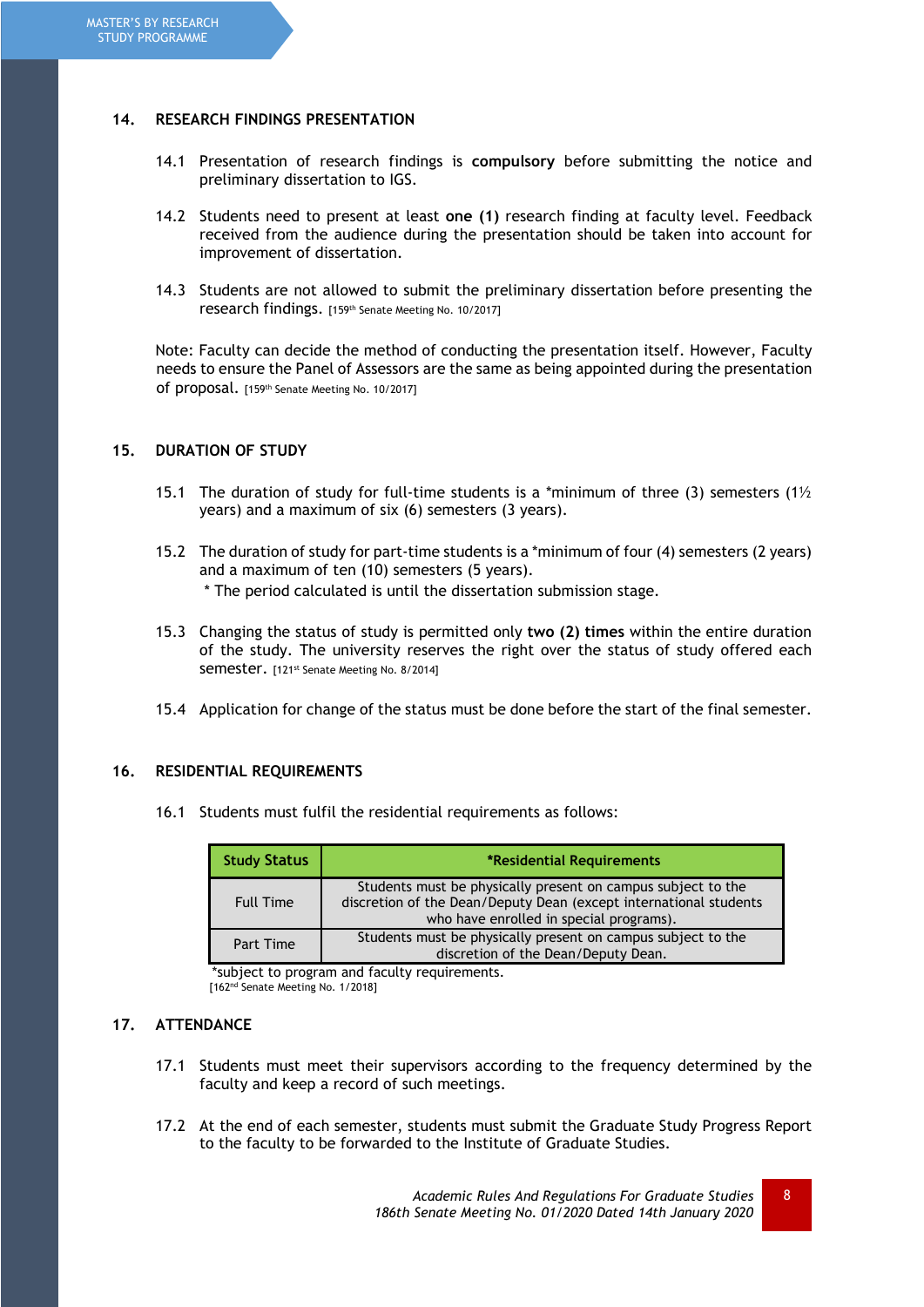### **14. RESEARCH FINDINGS PRESENTATION**

- 14.1 Presentation of research findings is **compulsory** before submitting the notice and preliminary dissertation to IGS.
- 14.2 Students need to present at least **one (1)** research finding at faculty level. Feedback received from the audience during the presentation should be taken into account for improvement of dissertation.
- 14.3 Students are not allowed to submit the preliminary dissertation before presenting the research findings. [159th Senate Meeting No. 10/2017]

Note: Faculty can decide the method of conducting the presentation itself. However, Faculty needs to ensure the Panel of Assessors are the same as being appointed during the presentation of proposal. [159th Senate Meeting No. 10/2017]

### **15. DURATION OF STUDY**

- 15.1 The duration of study for full-time students is a \*minimum of three (3) semesters (1 $\frac{1}{2}$ years) and a maximum of six (6) semesters (3 years).
- 15.2 The duration of study for part-time students is a \*minimum of four (4) semesters (2 years) and a maximum of ten (10) semesters (5 years). \* The period calculated is until the dissertation submission stage.
- 15.3 Changing the status of study is permitted only **two (2) times** within the entire duration of the study. The university reserves the right over the status of study offered each Semester. [121st Senate Meeting No. 8/2014]
- 15.4 Application for change of the status must be done before the start of the final semester.

#### **16. RESIDENTIAL REQUIREMENTS**

16.1 Students must fulfil the residential requirements as follows:

| <b>Study Status</b> | *Residential Requirements                                                                                                                                                    |
|---------------------|------------------------------------------------------------------------------------------------------------------------------------------------------------------------------|
| <b>Full Time</b>    | Students must be physically present on campus subject to the<br>discretion of the Dean/Deputy Dean (except international students<br>who have enrolled in special programs). |
| Part Time           | Students must be physically present on campus subject to the<br>discretion of the Dean/Deputy Dean.                                                                          |

\*subject to program and faculty requirements.

#### [162nd Senate Meeting No. 1/2018]

#### **17. ATTENDANCE**

- 17.1 Students must meet their supervisors according to the frequency determined by the faculty and keep a record of such meetings.
- 17.2 At the end of each semester, students must submit the Graduate Study Progress Report to the faculty to be forwarded to the Institute of Graduate Studies.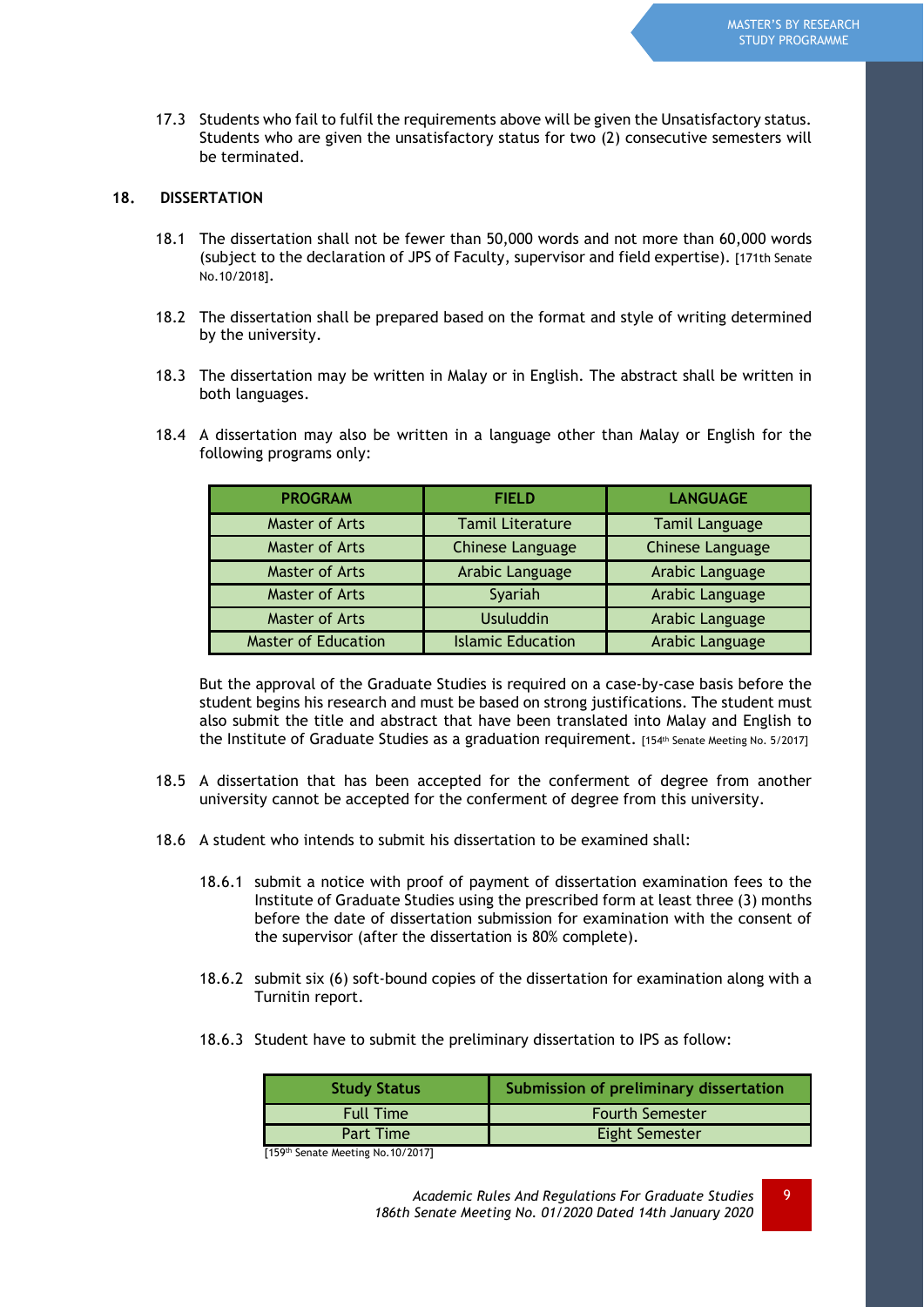17.3 Students who fail to fulfil the requirements above will be given the Unsatisfactory status. Students who are given the unsatisfactory status for two (2) consecutive semesters will be terminated.

## **18. DISSERTATION**

- 18.1 The dissertation shall not be fewer than 50,000 words and not more than 60,000 words (subject to the declaration of JPS of Faculty, supervisor and field expertise). [171th Senate No.10/2018].
- 18.2 The dissertation shall be prepared based on the format and style of writing determined by the university.
- 18.3 The dissertation may be written in Malay or in English. The abstract shall be written in both languages.
- 18.4 A dissertation may also be written in a language other than Malay or English for the following programs only:

| <b>PROGRAM</b>             | <b>FIELD</b>             | <b>LANGUAGE</b>         |
|----------------------------|--------------------------|-------------------------|
| <b>Master of Arts</b>      | <b>Tamil Literature</b>  | <b>Tamil Language</b>   |
| Master of Arts             | <b>Chinese Language</b>  | <b>Chinese Language</b> |
| <b>Master of Arts</b>      | Arabic Language          | Arabic Language         |
| <b>Master of Arts</b>      | Syariah                  | Arabic Language         |
| <b>Master of Arts</b>      | <b>Usuluddin</b>         | Arabic Language         |
| <b>Master of Education</b> | <b>Islamic Education</b> | Arabic Language         |

But the approval of the Graduate Studies is required on a case-by-case basis before the student begins his research and must be based on strong justifications. The student must also submit the title and abstract that have been translated into Malay and English to the Institute of Graduate Studies as a graduation requirement. [154th Senate Meeting No. 5/2017]

- 18.5 A dissertation that has been accepted for the conferment of degree from another university cannot be accepted for the conferment of degree from this university.
- 18.6 A student who intends to submit his dissertation to be examined shall:
	- 18.6.1 submit a notice with proof of payment of dissertation examination fees to the Institute of Graduate Studies using the prescribed form at least three (3) months before the date of dissertation submission for examination with the consent of the supervisor (after the dissertation is 80% complete).
	- 18.6.2 submit six (6) soft-bound copies of the dissertation for examination along with a Turnitin report.
	- 18.6.3 Student have to submit the preliminary dissertation to IPS as follow:

| <b>Study Status</b> | Submission of preliminary dissertation |  |
|---------------------|----------------------------------------|--|
| <b>Full Time</b>    | <b>Fourth Semester</b>                 |  |
| Part Time           | Eight Semester                         |  |
| $P \cdot P \cap P$  |                                        |  |

[159th Senate Meeting No.10/2017]

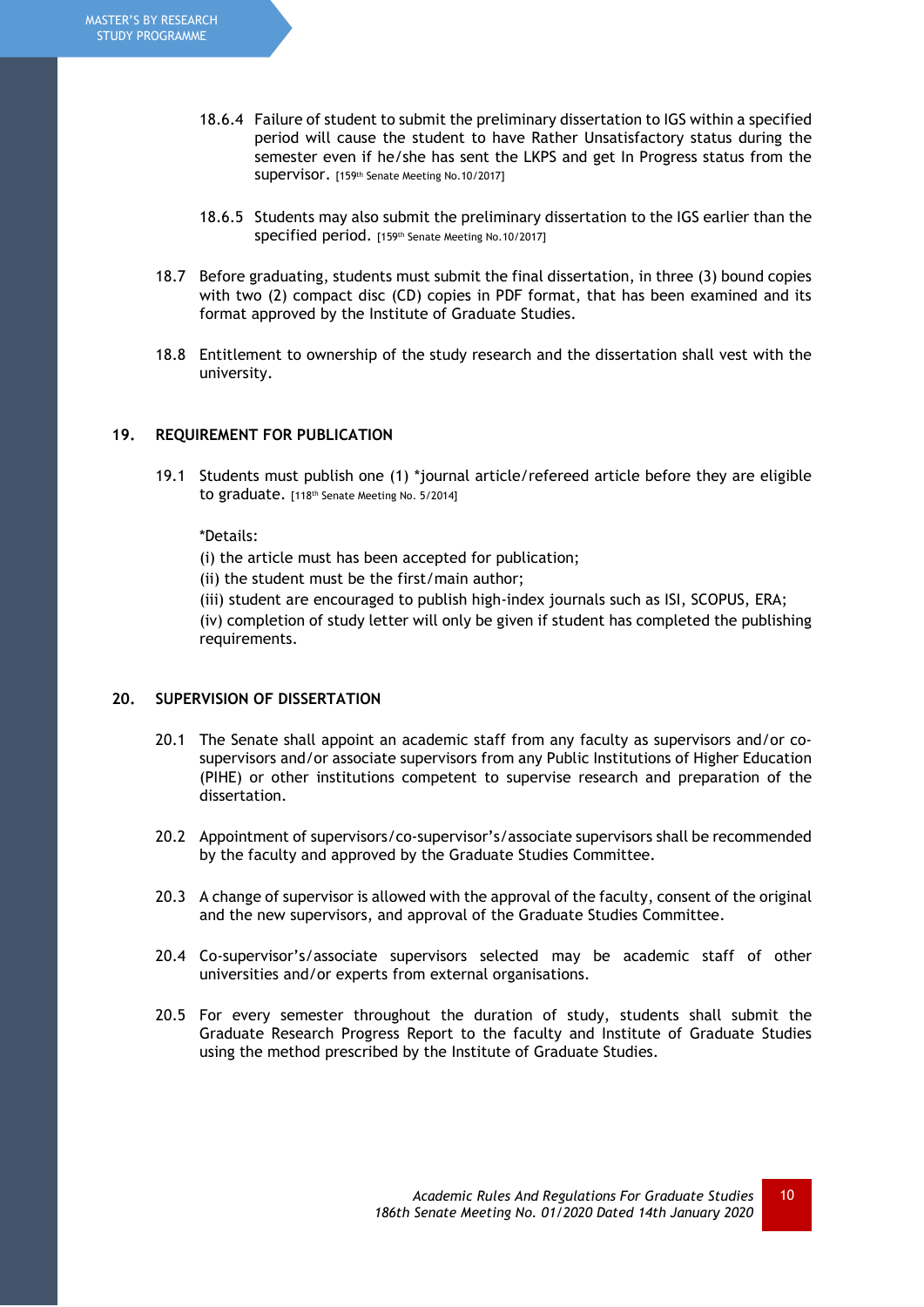- 18.6.4 Failure of student to submit the preliminary dissertation to IGS within a specified period will cause the student to have Rather Unsatisfactory status during the semester even if he/she has sent the LKPS and get In Progress status from the supervisor. [159th Senate Meeting No.10/2017]
- 18.6.5 Students may also submit the preliminary dissertation to the IGS earlier than the Specified period. [159th Senate Meeting No.10/2017]
- 18.7 Before graduating, students must submit the final dissertation, in three (3) bound copies with two (2) compact disc (CD) copies in PDF format, that has been examined and its format approved by the Institute of Graduate Studies.
- 18.8 Entitlement to ownership of the study research and the dissertation shall vest with the university.

### **19. REQUIREMENT FOR PUBLICATION**

19.1 Students must publish one (1) \*journal article/refereed article before they are eligible to graduate. [118<sup>th</sup> Senate Meeting No. 5/2014]

\*Details:

- (i) the article must has been accepted for publication;
- (ii) the student must be the first/main author;
- (iii) student are encouraged to publish high-index journals such as ISI, SCOPUS, ERA;

(iv) completion of study letter will only be given if student has completed the publishing requirements.

### **20. SUPERVISION OF DISSERTATION**

- 20.1 The Senate shall appoint an academic staff from any faculty as supervisors and/or cosupervisors and/or associate supervisors from any Public Institutions of Higher Education (PIHE) or other institutions competent to supervise research and preparation of the dissertation.
- 20.2 Appointment of supervisors/co-supervisor's/associate supervisors shall be recommended by the faculty and approved by the Graduate Studies Committee.
- 20.3 A change of supervisor is allowed with the approval of the faculty, consent of the original and the new supervisors, and approval of the Graduate Studies Committee.
- 20.4 Co-supervisor's/associate supervisors selected may be academic staff of other universities and/or experts from external organisations.
- 20.5 For every semester throughout the duration of study, students shall submit the Graduate Research Progress Report to the faculty and Institute of Graduate Studies using the method prescribed by the Institute of Graduate Studies.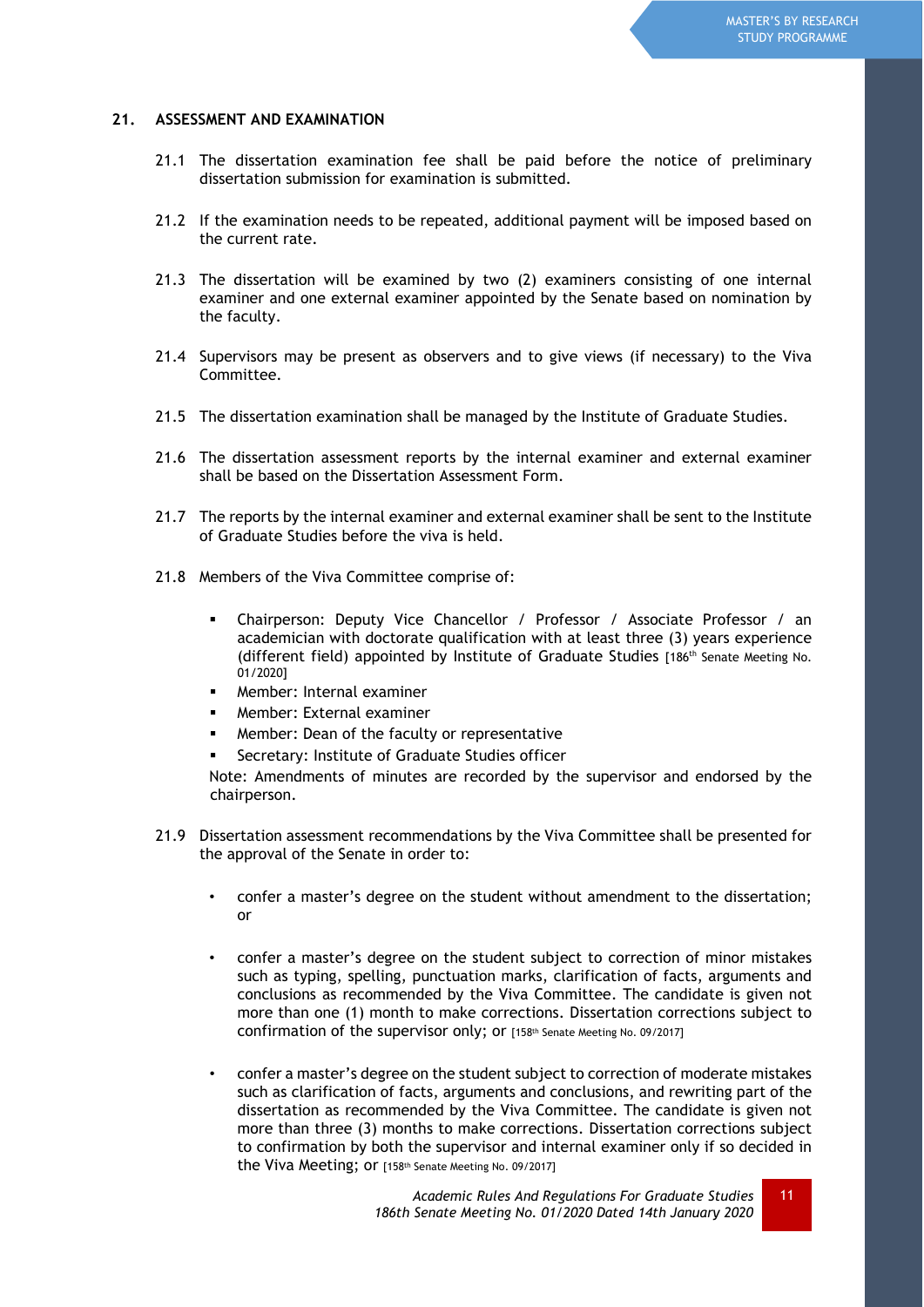#### **21. ASSESSMENT AND EXAMINATION**

- 21.1 The dissertation examination fee shall be paid before the notice of preliminary dissertation submission for examination is submitted.
- 21.2 If the examination needs to be repeated, additional payment will be imposed based on the current rate.
- 21.3 The dissertation will be examined by two (2) examiners consisting of one internal examiner and one external examiner appointed by the Senate based on nomination by the faculty.
- 21.4 Supervisors may be present as observers and to give views (if necessary) to the Viva Committee.
- 21.5 The dissertation examination shall be managed by the Institute of Graduate Studies.
- 21.6 The dissertation assessment reports by the internal examiner and external examiner shall be based on the Dissertation Assessment Form.
- 21.7 The reports by the internal examiner and external examiner shall be sent to the Institute of Graduate Studies before the viva is held.
- 21.8 Members of the Viva Committee comprise of:
	- Chairperson: Deputy Vice Chancellor / Professor / Associate Professor / an academician with doctorate qualification with at least three (3) years experience (different field) appointed by Institute of Graduate Studies [186th Senate Meeting No. 01/2020]
	- Member: Internal examiner
	- Member: External examiner
	- **Member: Dean of the faculty or representative**
	- Secretary: Institute of Graduate Studies officer

Note: Amendments of minutes are recorded by the supervisor and endorsed by the chairperson.

- 21.9 Dissertation assessment recommendations by the Viva Committee shall be presented for the approval of the Senate in order to:
	- confer a master's degree on the student without amendment to the dissertation; or
	- confer a master's degree on the student subject to correction of minor mistakes such as typing, spelling, punctuation marks, clarification of facts, arguments and conclusions as recommended by the Viva Committee. The candidate is given not more than one (1) month to make corrections. Dissertation corrections subject to confirmation of the supervisor only; or [158th Senate Meeting No. 09/2017]
	- confer a master's degree on the student subject to correction of moderate mistakes such as clarification of facts, arguments and conclusions, and rewriting part of the dissertation as recommended by the Viva Committee. The candidate is given not more than three (3) months to make corrections. Dissertation corrections subject to confirmation by both the supervisor and internal examiner only if so decided in the Viva Meeting; or [158th Senate Meeting No. 09/2017]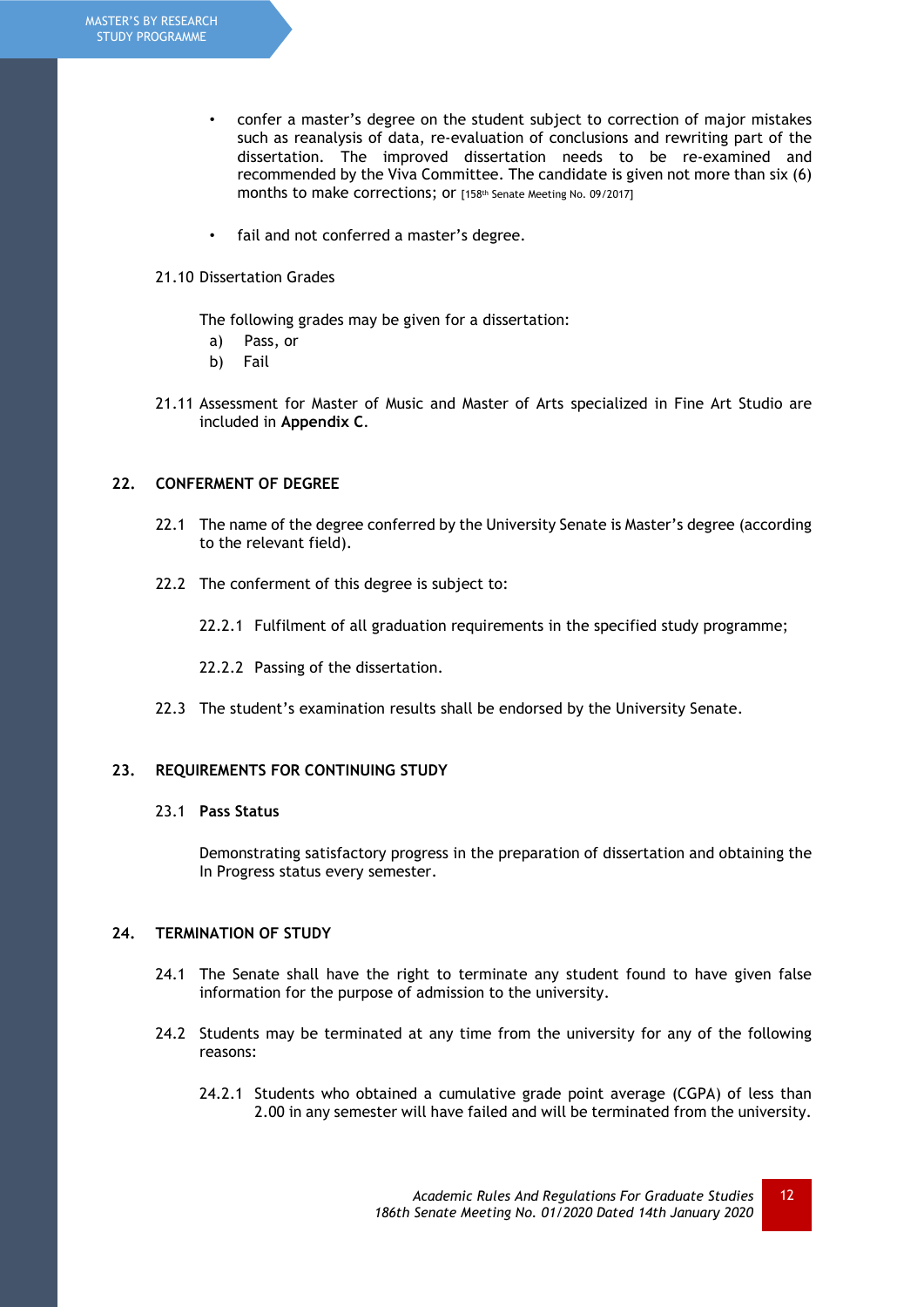- confer a master's degree on the student subject to correction of major mistakes such as reanalysis of data, re-evaluation of conclusions and rewriting part of the dissertation. The improved dissertation needs to be re-examined and recommended by the Viva Committee. The candidate is given not more than six (6) months to make corrections; or [158th Senate Meeting No. 09/2017]
- fail and not conferred a master's degree.
- 21.10 Dissertation Grades

The following grades may be given for a dissertation:

- a) Pass, or
- b) Fail
- 21.11 Assessment for Master of Music and Master of Arts specialized in Fine Art Studio are included in **Appendix C**.

## **22. CONFERMENT OF DEGREE**

- 22.1 The name of the degree conferred by the University Senate is Master's degree (according to the relevant field).
- 22.2 The conferment of this degree is subject to:

22.2.1 Fulfilment of all graduation requirements in the specified study programme;

22.2.2 Passing of the dissertation.

22.3 The student's examination results shall be endorsed by the University Senate.

## **23. REQUIREMENTS FOR CONTINUING STUDY**

### 23.1 **Pass Status**

Demonstrating satisfactory progress in the preparation of dissertation and obtaining the In Progress status every semester.

## **24. TERMINATION OF STUDY**

- 24.1 The Senate shall have the right to terminate any student found to have given false information for the purpose of admission to the university.
- 24.2 Students may be terminated at any time from the university for any of the following reasons:
	- 24.2.1 Students who obtained a cumulative grade point average (CGPA) of less than 2.00 in any semester will have failed and will be terminated from the university.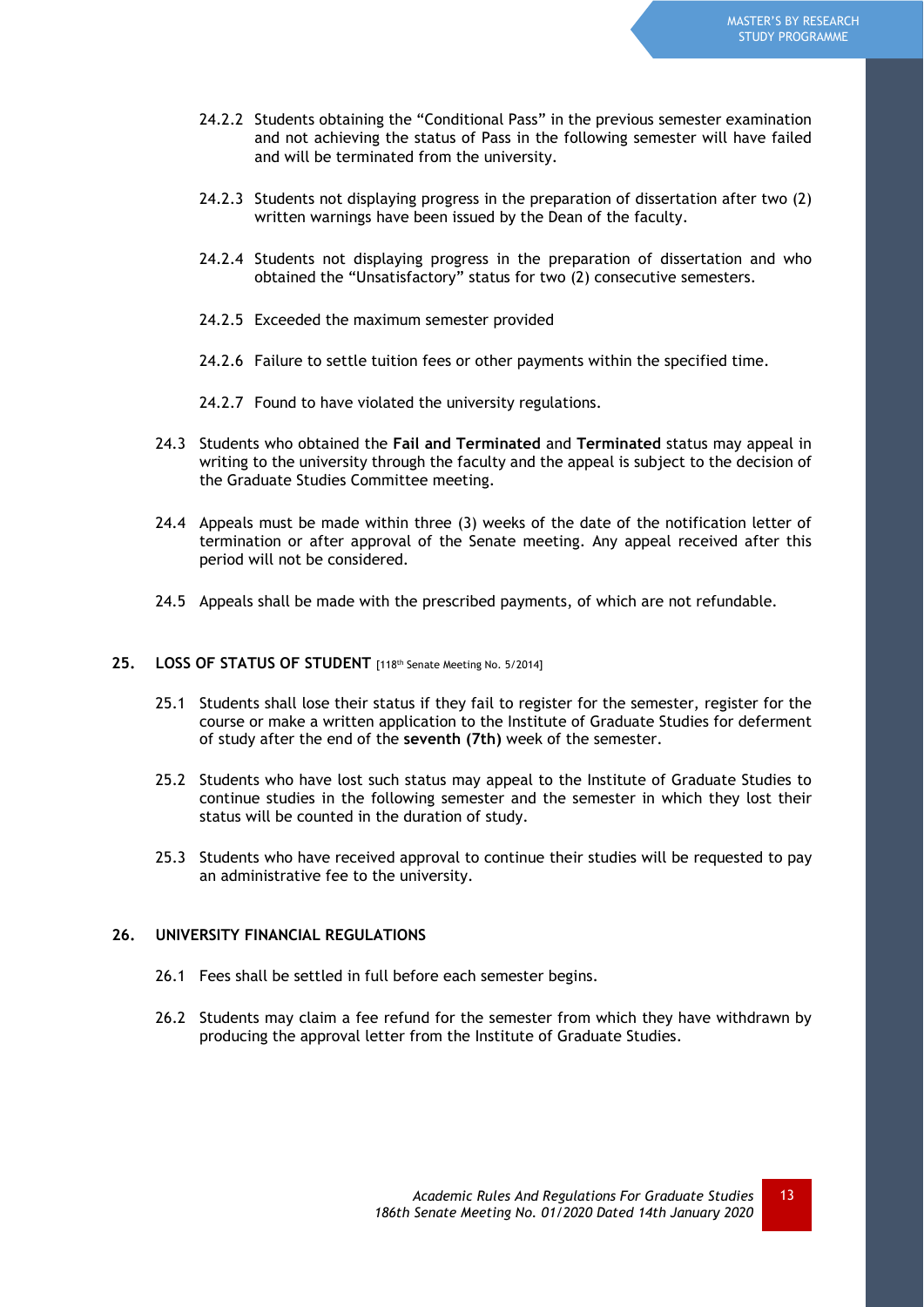- 24.2.2 Students obtaining the "Conditional Pass" in the previous semester examination and not achieving the status of Pass in the following semester will have failed and will be terminated from the university.
- 24.2.3 Students not displaying progress in the preparation of dissertation after two (2) written warnings have been issued by the Dean of the faculty.
- 24.2.4 Students not displaying progress in the preparation of dissertation and who obtained the "Unsatisfactory" status for two (2) consecutive semesters.
- 24.2.5 Exceeded the maximum semester provided
- 24.2.6 Failure to settle tuition fees or other payments within the specified time.
- 24.2.7 Found to have violated the university regulations.
- 24.3 Students who obtained the **Fail and Terminated** and **Terminated** status may appeal in writing to the university through the faculty and the appeal is subject to the decision of the Graduate Studies Committee meeting.
- 24.4 Appeals must be made within three (3) weeks of the date of the notification letter of termination or after approval of the Senate meeting. Any appeal received after this period will not be considered.
- 24.5 Appeals shall be made with the prescribed payments, of which are not refundable.

#### 25. **LOSS OF STATUS OF STUDENT** [118th Senate Meeting No. 5/2014]

- 25.1 Students shall lose their status if they fail to register for the semester, register for the course or make a written application to the Institute of Graduate Studies for deferment of study after the end of the **seventh (7th)** week of the semester.
- 25.2 Students who have lost such status may appeal to the Institute of Graduate Studies to continue studies in the following semester and the semester in which they lost their status will be counted in the duration of study.
- 25.3 Students who have received approval to continue their studies will be requested to pay an administrative fee to the university.

### **26. UNIVERSITY FINANCIAL REGULATIONS**

- 26.1 Fees shall be settled in full before each semester begins.
- 26.2 Students may claim a fee refund for the semester from which they have withdrawn by producing the approval letter from the Institute of Graduate Studies.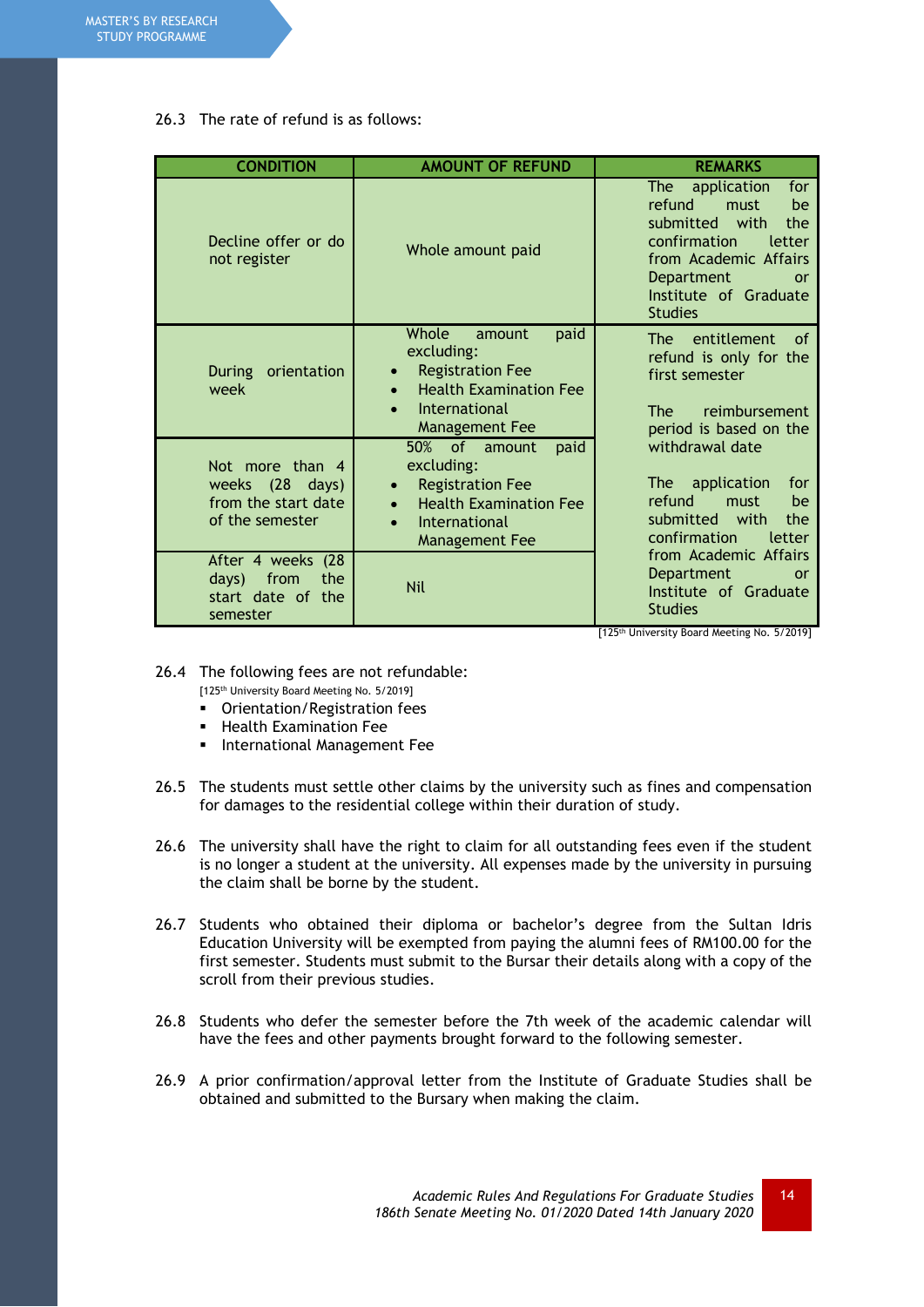## 26.3 The rate of refund is as follows:

| <b>CONDITION</b>                                                             | <b>AMOUNT OF REFUND</b>                                                                                                                         | <b>REMARKS</b>                                                                                                                                                                                        |
|------------------------------------------------------------------------------|-------------------------------------------------------------------------------------------------------------------------------------------------|-------------------------------------------------------------------------------------------------------------------------------------------------------------------------------------------------------|
| Decline offer or do<br>not register                                          | Whole amount paid                                                                                                                               | application<br>for<br>The l<br>refund<br>must<br>be<br>the<br>submitted with<br><b>confirmation</b><br>letter<br>from Academic Affairs<br>Department<br>or<br>Institute of Graduate<br><b>Studies</b> |
| During orientation<br>week                                                   | Whole<br>paid<br>amount<br>excluding:<br><b>Registration Fee</b><br><b>Health Examination Fee</b><br>International<br>Management Fee            | The entitlement<br>of<br>refund is only for the<br>first semester<br>reimbursement<br>The l<br>period is based on the                                                                                 |
| Not more than 4<br>weeks (28 days)<br>from the start date<br>of the semester | 50% of amount<br>paid<br>excluding:<br><b>Registration Fee</b><br><b>Health Examination Fee</b><br>$\bullet$<br>International<br>Management Fee | withdrawal date<br>application<br>for<br>The l<br>refund<br>be<br>must<br>submitted with<br>the<br>confirmation<br>letter                                                                             |
| After 4 weeks (28<br>the<br>days) from<br>start date of the<br>semester      | <b>Nil</b>                                                                                                                                      | from Academic Affairs<br>Department<br>or<br>Institute of Graduate<br><b>Studies</b><br>E43Eth University Reard Heating Ne. E (3040)                                                                  |

[125th University Board Meeting No. 5/2019]

26.4 The following fees are not refundable:

[125th University Board Meeting No. 5/2019]

- **•** Orientation/Registration fees
- **EXAMINATION FREE**
- **International Management Fee**
- 26.5 The students must settle other claims by the university such as fines and compensation for damages to the residential college within their duration of study.
- 26.6 The university shall have the right to claim for all outstanding fees even if the student is no longer a student at the university. All expenses made by the university in pursuing the claim shall be borne by the student.
- 26.7 Students who obtained their diploma or bachelor's degree from the Sultan Idris Education University will be exempted from paying the alumni fees of RM100.00 for the first semester. Students must submit to the Bursar their details along with a copy of the scroll from their previous studies.
- 26.8 Students who defer the semester before the 7th week of the academic calendar will have the fees and other payments brought forward to the following semester.
- 26.9 A prior confirmation/approval letter from the Institute of Graduate Studies shall be obtained and submitted to the Bursary when making the claim.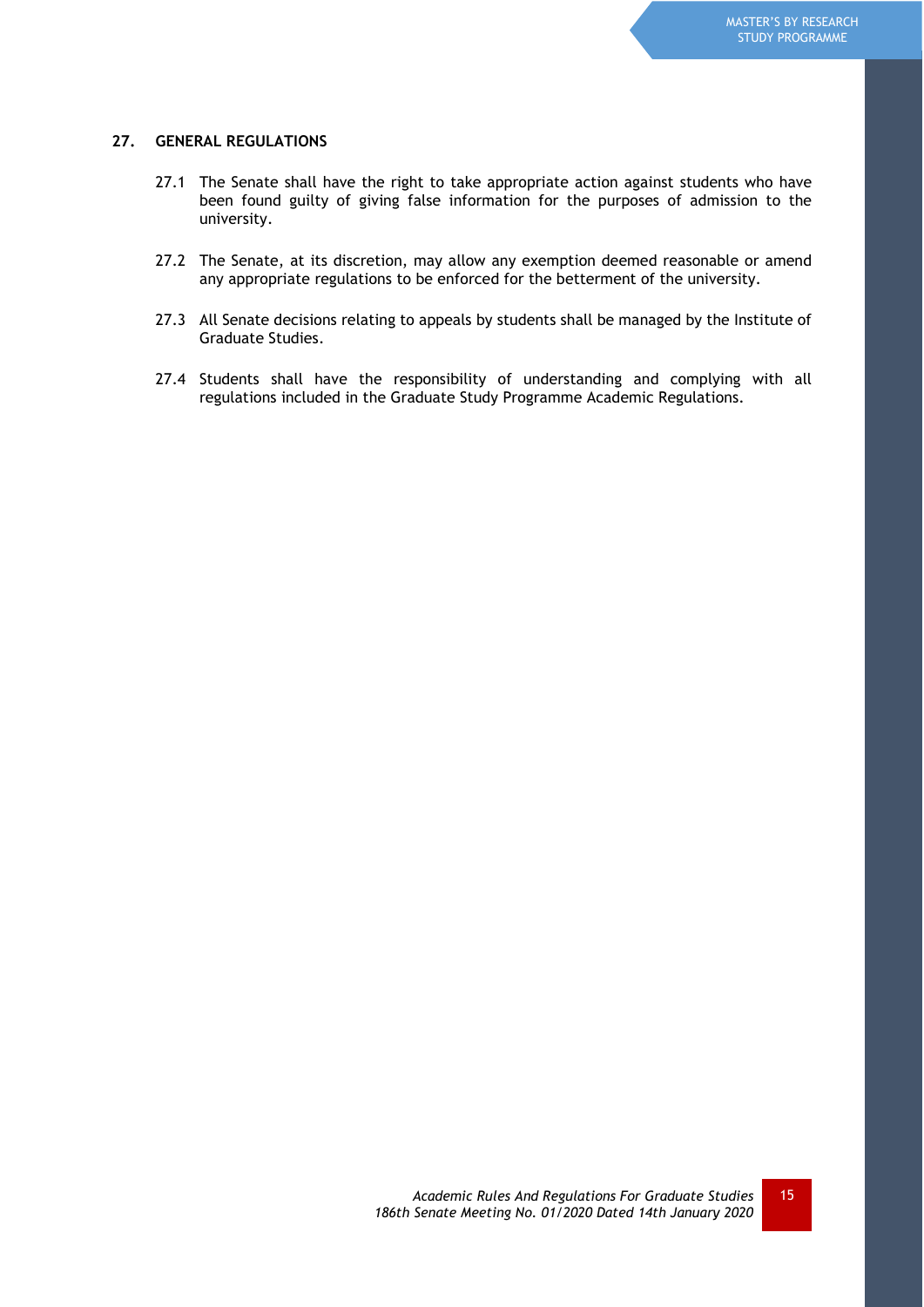### **27. GENERAL REGULATIONS**

- 27.1 The Senate shall have the right to take appropriate action against students who have been found guilty of giving false information for the purposes of admission to the university.
- 27.2 The Senate, at its discretion, may allow any exemption deemed reasonable or amend any appropriate regulations to be enforced for the betterment of the university.
- 27.3 All Senate decisions relating to appeals by students shall be managed by the Institute of Graduate Studies.
- 27.4 Students shall have the responsibility of understanding and complying with all regulations included in the Graduate Study Programme Academic Regulations.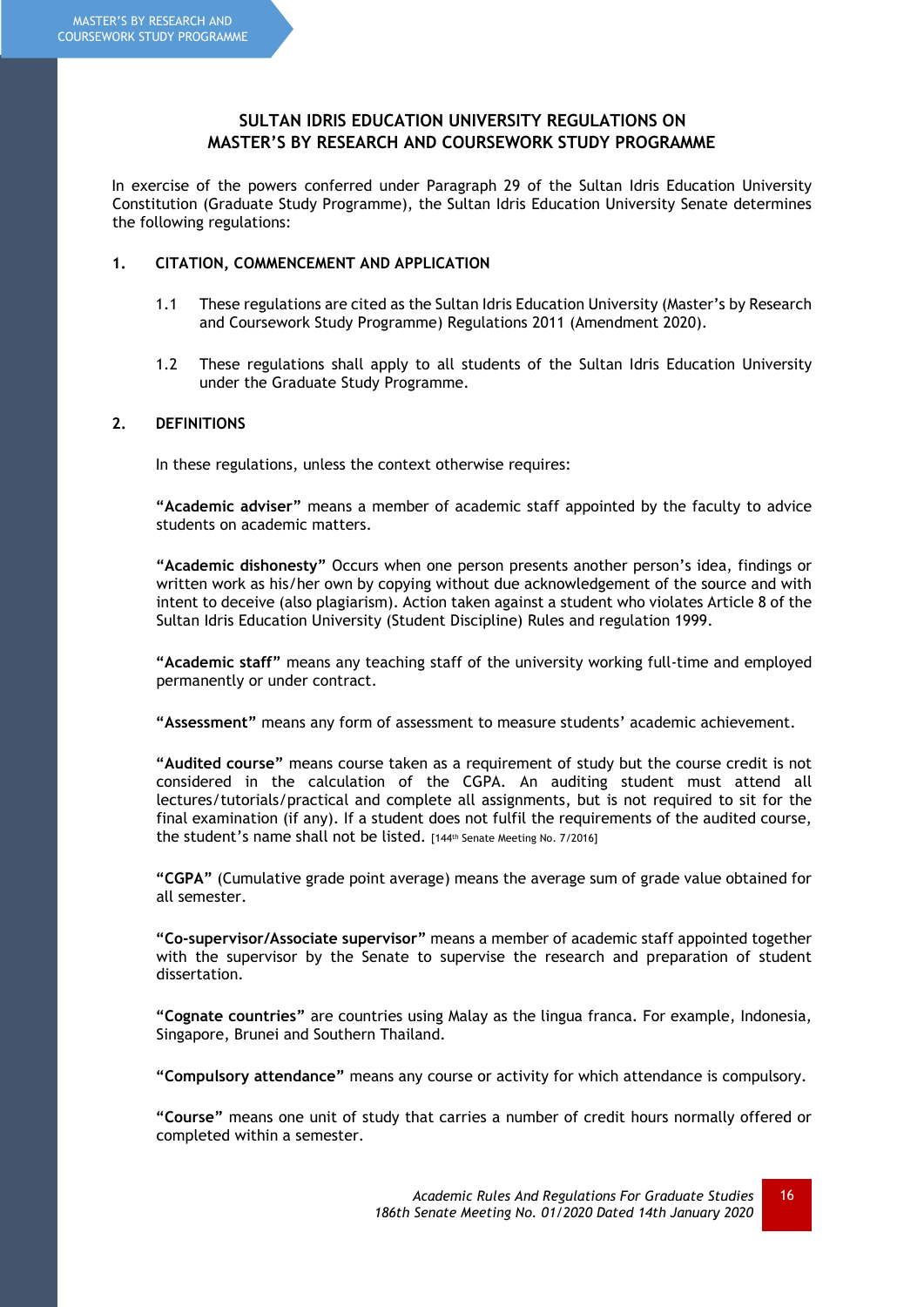# **SULTAN IDRIS EDUCATION UNIVERSITY REGULATIONS ON MASTER'S BY RESEARCH AND COURSEWORK STUDY PROGRAMME**

In exercise of the powers conferred under Paragraph 29 of the Sultan Idris Education University Constitution (Graduate Study Programme), the Sultan Idris Education University Senate determines the following regulations:

## **1. CITATION, COMMENCEMENT AND APPLICATION**

- 1.1 These regulations are cited as the Sultan Idris Education University (Master's by Research and Coursework Study Programme) Regulations 2011 (Amendment 2020).
- 1.2 These regulations shall apply to all students of the Sultan Idris Education University under the Graduate Study Programme.

### **2. DEFINITIONS**

In these regulations, unless the context otherwise requires:

**"Academic adviser"** means a member of academic staff appointed by the faculty to advice students on academic matters.

**"Academic dishonesty"** Occurs when one person presents another person's idea, findings or written work as his/her own by copying without due acknowledgement of the source and with intent to deceive (also plagiarism). Action taken against a student who violates Article 8 of the Sultan Idris Education University (Student Discipline) Rules and regulation 1999.

**"Academic staff"** means any teaching staff of the university working full-time and employed permanently or under contract.

**"Assessment"** means any form of assessment to measure students' academic achievement.

**"Audited course"** means course taken as a requirement of study but the course credit is not considered in the calculation of the CGPA. An auditing student must attend all lectures/tutorials/practical and complete all assignments, but is not required to sit for the final examination (if any). If a student does not fulfil the requirements of the audited course, the student's name shall not be listed. [144th Senate Meeting No. 7/2016]

**"CGPA"** (Cumulative grade point average) means the average sum of grade value obtained for all semester.

**"Co-supervisor/Associate supervisor"** means a member of academic staff appointed together with the supervisor by the Senate to supervise the research and preparation of student dissertation.

**"Cognate countries"** are countries using Malay as the lingua franca. For example, Indonesia, Singapore, Brunei and Southern Thailand.

**"Compulsory attendance"** means any course or activity for which attendance is compulsory.

**"Course"** means one unit of study that carries a number of credit hours normally offered or completed within a semester.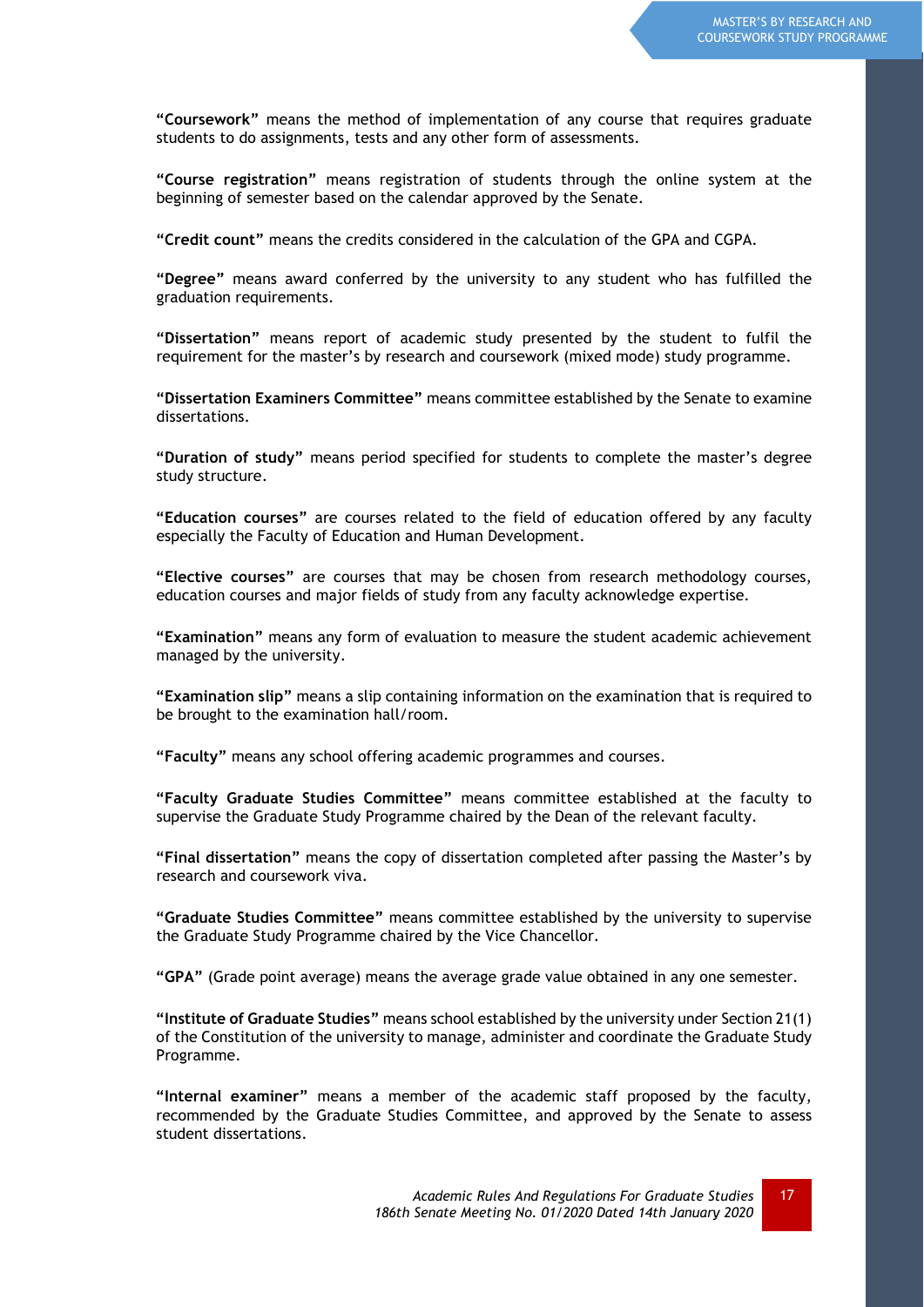**"Coursework"** means the method of implementation of any course that requires graduate students to do assignments, tests and any other form of assessments.

**"Course registration"** means registration of students through the online system at the beginning of semester based on the calendar approved by the Senate.

**"Credit count"** means the credits considered in the calculation of the GPA and CGPA.

**"Degree"** means award conferred by the university to any student who has fulfilled the graduation requirements.

**"Dissertation"** means report of academic study presented by the student to fulfil the requirement for the master's by research and coursework (mixed mode) study programme.

**"Dissertation Examiners Committee"** means committee established by the Senate to examine dissertations.

**"Duration of study"** means period specified for students to complete the master's degree study structure.

**"Education courses"** are courses related to the field of education offered by any faculty especially the Faculty of Education and Human Development.

**"Elective courses"** are courses that may be chosen from research methodology courses, education courses and major fields of study from any faculty acknowledge expertise.

**"Examination"** means any form of evaluation to measure the student academic achievement managed by the university.

**"Examination slip"** means a slip containing information on the examination that is required to be brought to the examination hall/room.

**"Faculty"** means any school offering academic programmes and courses.

**"Faculty Graduate Studies Committee"** means committee established at the faculty to supervise the Graduate Study Programme chaired by the Dean of the relevant faculty.

**"Final dissertation"** means the copy of dissertation completed after passing the Master's by research and coursework viva.

**"Graduate Studies Committee"** means committee established by the university to supervise the Graduate Study Programme chaired by the Vice Chancellor.

**"GPA"** (Grade point average) means the average grade value obtained in any one semester.

**"Institute of Graduate Studies"** means school established by the university under Section 21(1) of the Constitution of the university to manage, administer and coordinate the Graduate Study Programme.

**"Internal examiner"** means a member of the academic staff proposed by the faculty, recommended by the Graduate Studies Committee, and approved by the Senate to assess student dissertations.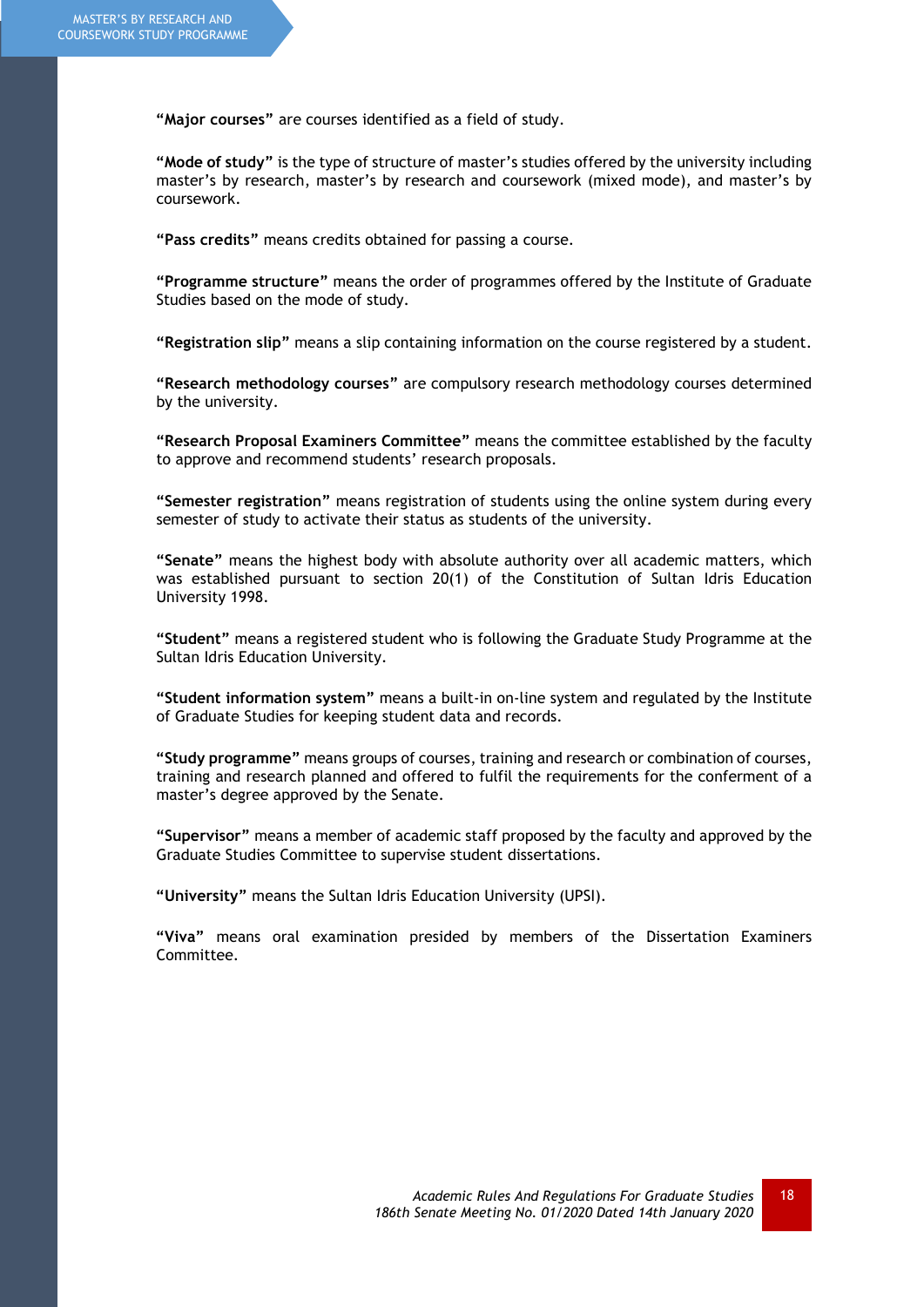**"Major courses"** are courses identified as a field of study.

**"Mode of study"** is the type of structure of master's studies offered by the university including master's by research, master's by research and coursework (mixed mode), and master's by coursework.

**"Pass credits"** means credits obtained for passing a course.

**"Programme structure"** means the order of programmes offered by the Institute of Graduate Studies based on the mode of study.

**"Registration slip"** means a slip containing information on the course registered by a student.

**"Research methodology courses"** are compulsory research methodology courses determined by the university.

**"Research Proposal Examiners Committee"** means the committee established by the faculty to approve and recommend students' research proposals.

**"Semester registration"** means registration of students using the online system during every semester of study to activate their status as students of the university.

**"Senate"** means the highest body with absolute authority over all academic matters, which was established pursuant to section 20(1) of the Constitution of Sultan Idris Education University 1998.

**"Student"** means a registered student who is following the Graduate Study Programme at the Sultan Idris Education University.

**"Student information system"** means a built-in on-line system and regulated by the Institute of Graduate Studies for keeping student data and records.

**"Study programme"** means groups of courses, training and research or combination of courses, training and research planned and offered to fulfil the requirements for the conferment of a master's degree approved by the Senate.

**"Supervisor"** means a member of academic staff proposed by the faculty and approved by the Graduate Studies Committee to supervise student dissertations.

**"University"** means the Sultan Idris Education University (UPSI).

**"Viva"** means oral examination presided by members of the Dissertation Examiners Committee.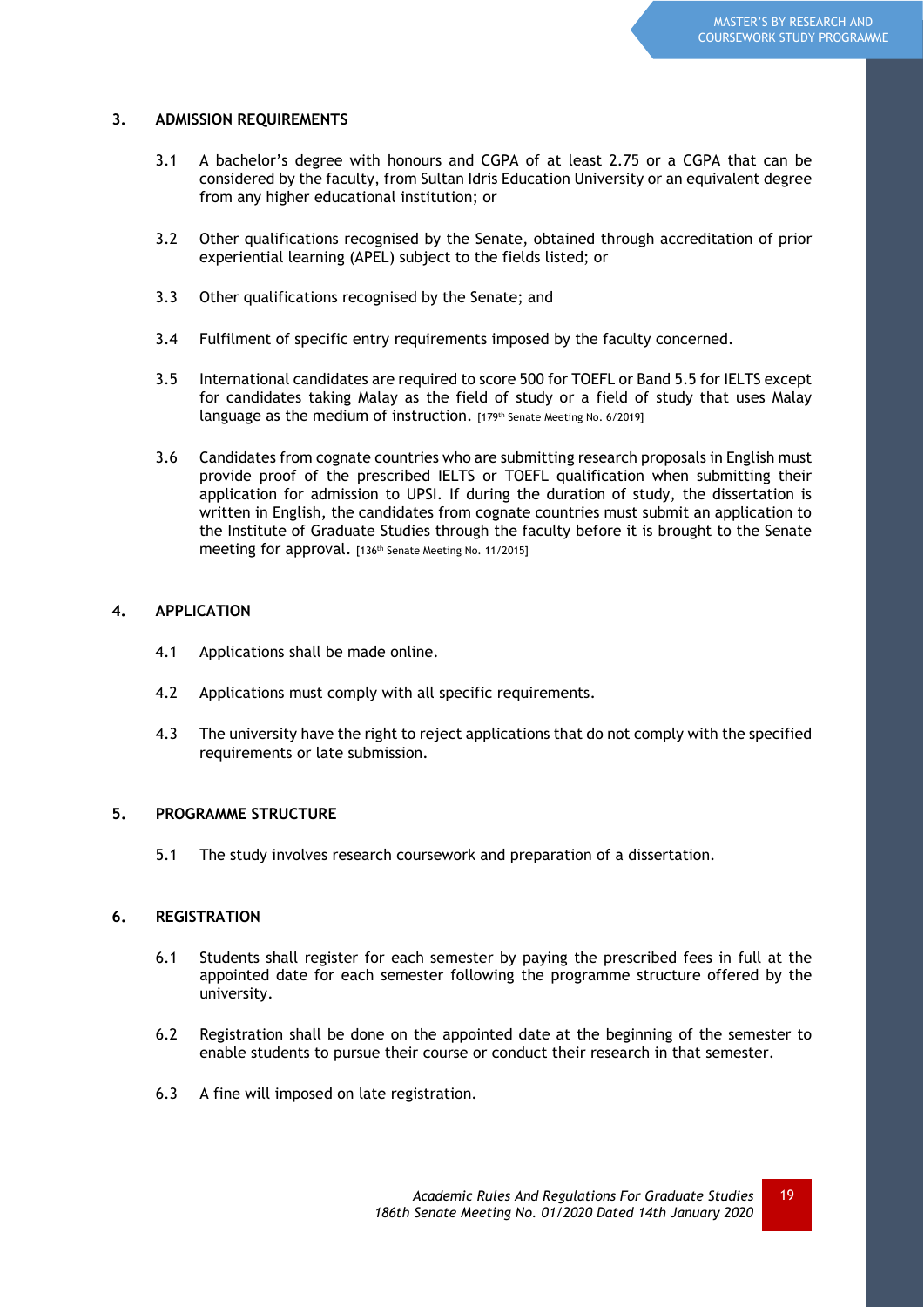### **3. ADMISSION REQUIREMENTS**

- 3.1 A bachelor's degree with honours and CGPA of at least 2.75 or a CGPA that can be considered by the faculty, from Sultan Idris Education University or an equivalent degree from any higher educational institution; or
- 3.2 Other qualifications recognised by the Senate, obtained through accreditation of prior experiential learning (APEL) subject to the fields listed; or
- 3.3 Other qualifications recognised by the Senate; and
- 3.4 Fulfilment of specific entry requirements imposed by the faculty concerned.
- 3.5 International candidates are required to score 500 for TOEFL or Band 5.5 for IELTS except for candidates taking Malay as the field of study or a field of study that uses Malay language as the medium of instruction. [179th Senate Meeting No. 6/2019]
- 3.6 Candidates from cognate countries who are submitting research proposals in English must provide proof of the prescribed IELTS or TOEFL qualification when submitting their application for admission to UPSI. If during the duration of study, the dissertation is written in English, the candidates from cognate countries must submit an application to the Institute of Graduate Studies through the faculty before it is brought to the Senate meeting for approval. [136<sup>th</sup> Senate Meeting No. 11/2015]

### **4. APPLICATION**

- 4.1 Applications shall be made online.
- 4.2 Applications must comply with all specific requirements.
- 4.3 The university have the right to reject applications that do not comply with the specified requirements or late submission.

#### **5. PROGRAMME STRUCTURE**

5.1 The study involves research coursework and preparation of a dissertation.

### **6. REGISTRATION**

- 6.1 Students shall register for each semester by paying the prescribed fees in full at the appointed date for each semester following the programme structure offered by the university.
- 6.2 Registration shall be done on the appointed date at the beginning of the semester to enable students to pursue their course or conduct their research in that semester.
- 6.3 A fine will imposed on late registration.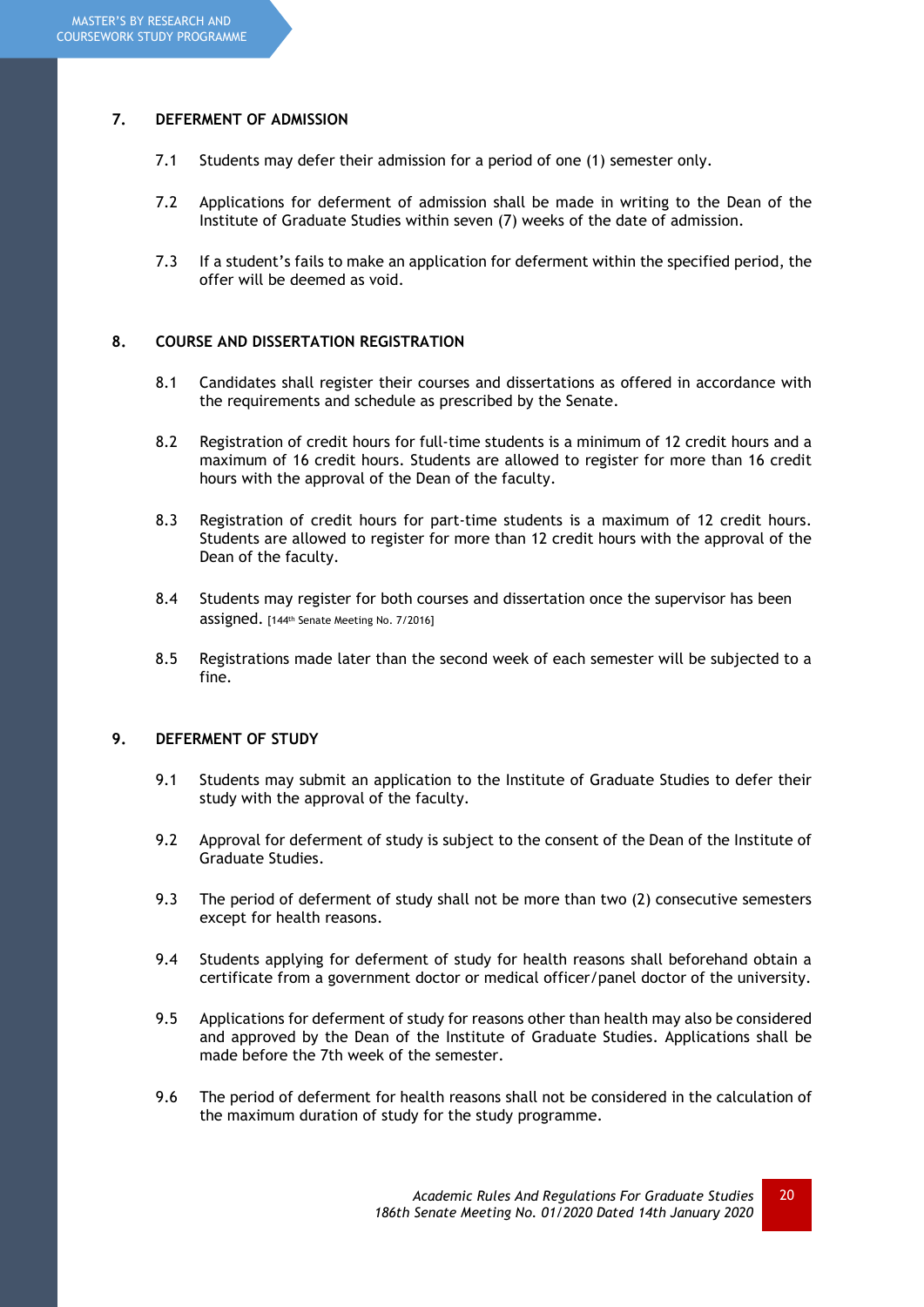# **7. DEFERMENT OF ADMISSION**

- 7.1 Students may defer their admission for a period of one (1) semester only.
- 7.2 Applications for deferment of admission shall be made in writing to the Dean of the Institute of Graduate Studies within seven (7) weeks of the date of admission.
- 7.3 If a student's fails to make an application for deferment within the specified period, the offer will be deemed as void.

## **8. COURSE AND DISSERTATION REGISTRATION**

- 8.1 Candidates shall register their courses and dissertations as offered in accordance with the requirements and schedule as prescribed by the Senate.
- 8.2 Registration of credit hours for full-time students is a minimum of 12 credit hours and a maximum of 16 credit hours. Students are allowed to register for more than 16 credit hours with the approval of the Dean of the faculty.
- 8.3 Registration of credit hours for part-time students is a maximum of 12 credit hours. Students are allowed to register for more than 12 credit hours with the approval of the Dean of the faculty.
- 8.4 Students may register for both courses and dissertation once the supervisor has been assigned. [144th Senate Meeting No. 7/2016]
- 8.5 Registrations made later than the second week of each semester will be subjected to a fine.

# **9. DEFERMENT OF STUDY**

- 9.1 Students may submit an application to the Institute of Graduate Studies to defer their study with the approval of the faculty.
- 9.2 Approval for deferment of study is subject to the consent of the Dean of the Institute of Graduate Studies.
- 9.3 The period of deferment of study shall not be more than two (2) consecutive semesters except for health reasons.
- 9.4 Students applying for deferment of study for health reasons shall beforehand obtain a certificate from a government doctor or medical officer/panel doctor of the university.
- 9.5 Applications for deferment of study for reasons other than health may also be considered and approved by the Dean of the Institute of Graduate Studies. Applications shall be made before the 7th week of the semester.
- 9.6 The period of deferment for health reasons shall not be considered in the calculation of the maximum duration of study for the study programme.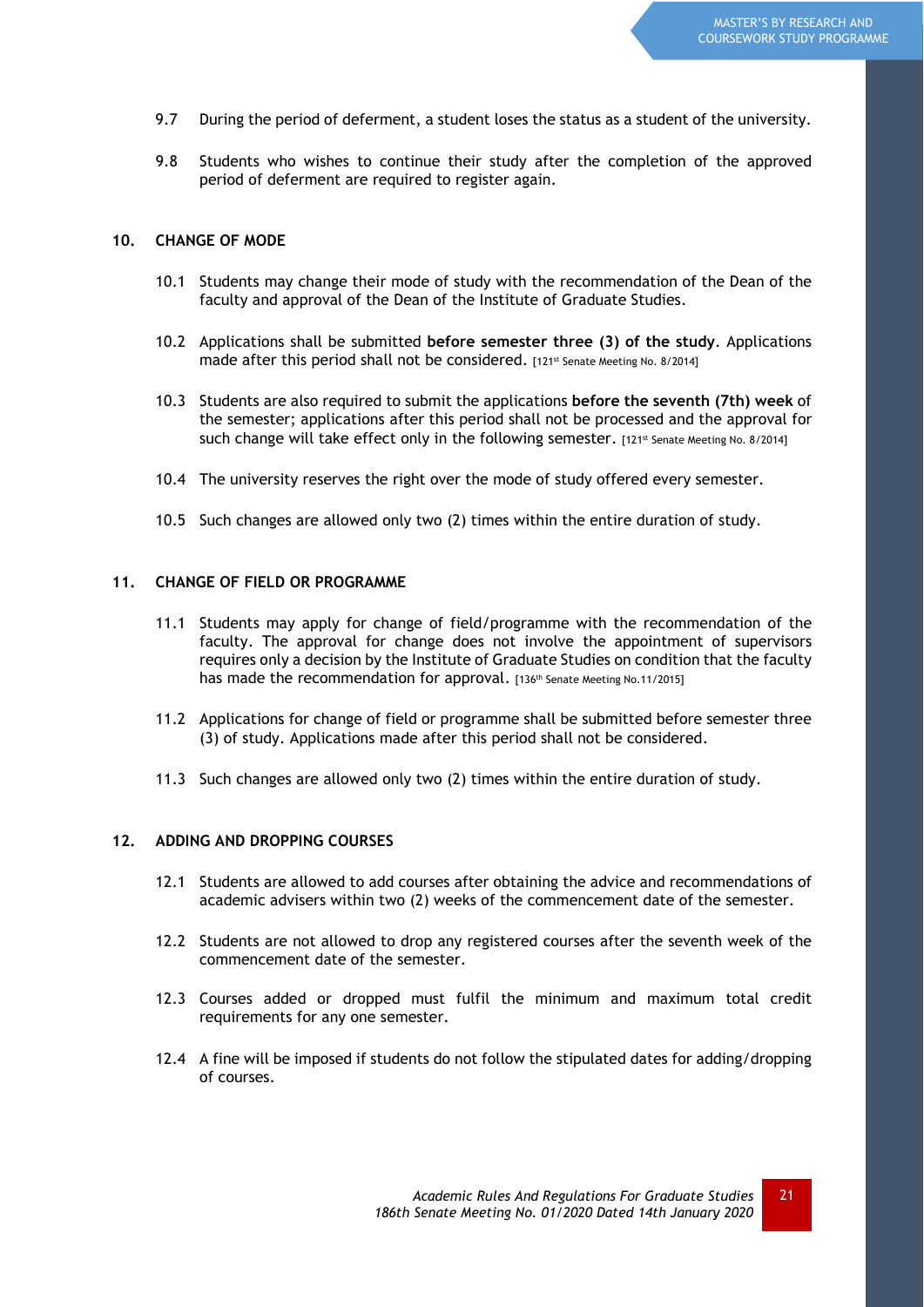- 9.7 During the period of deferment, a student loses the status as a student of the university.
- 9.8 Students who wishes to continue their study after the completion of the approved period of deferment are required to register again.

#### **10. CHANGE OF MODE**

- 10.1 Students may change their mode of study with the recommendation of the Dean of the faculty and approval of the Dean of the Institute of Graduate Studies.
- 10.2 Applications shall be submitted **before semester three (3) of the study**. Applications made after this period shall not be considered. [121st Senate Meeting No. 8/2014]
- 10.3 Students are also required to submit the applications **before the seventh (7th) week** of the semester; applications after this period shall not be processed and the approval for such change will take effect only in the following semester. [121<sup>st</sup> Senate Meeting No. 8/2014]
- 10.4 The university reserves the right over the mode of study offered every semester.
- 10.5 Such changes are allowed only two (2) times within the entire duration of study.

#### **11. CHANGE OF FIELD OR PROGRAMME**

- 11.1 Students may apply for change of field/programme with the recommendation of the faculty. The approval for change does not involve the appointment of supervisors requires only a decision by the Institute of Graduate Studies on condition that the faculty has made the recommendation for approval. [136<sup>th</sup> Senate Meeting No.11/2015]
- 11.2 Applications for change of field or programme shall be submitted before semester three (3) of study. Applications made after this period shall not be considered.
- 11.3 Such changes are allowed only two (2) times within the entire duration of study.

#### **12. ADDING AND DROPPING COURSES**

- 12.1 Students are allowed to add courses after obtaining the advice and recommendations of academic advisers within two (2) weeks of the commencement date of the semester.
- 12.2 Students are not allowed to drop any registered courses after the seventh week of the commencement date of the semester.
- 12.3 Courses added or dropped must fulfil the minimum and maximum total credit requirements for any one semester.
- 12.4 A fine will be imposed if students do not follow the stipulated dates for adding/dropping of courses.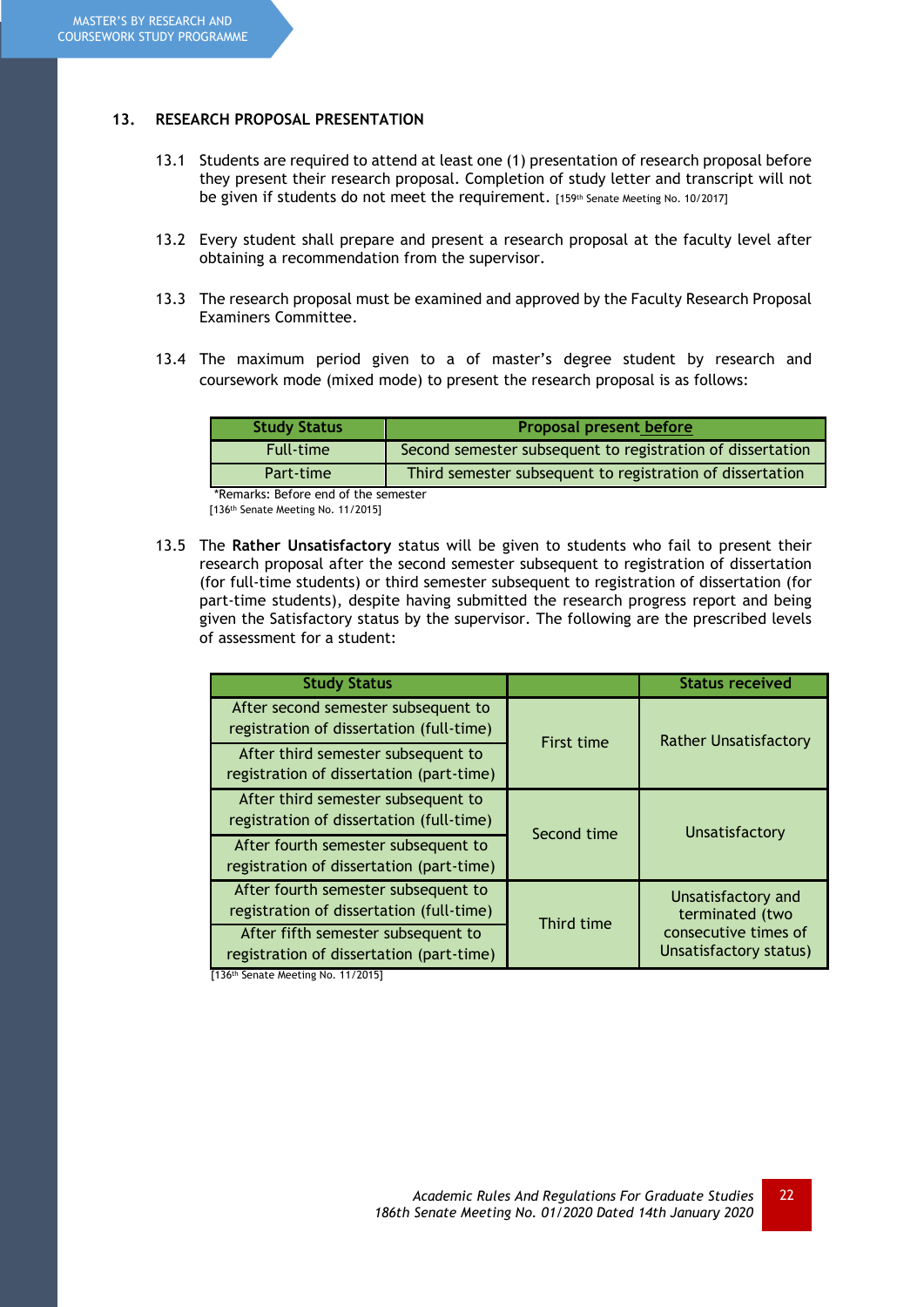## **13. RESEARCH PROPOSAL PRESENTATION**

- 13.1 Students are required to attend at least one (1) presentation of research proposal before they present their research proposal. Completion of study letter and transcript will not be given if students do not meet the requirement. [159th Senate Meeting No. 10/2017]
- 13.2 Every student shall prepare and present a research proposal at the faculty level after obtaining a recommendation from the supervisor.
- 13.3 The research proposal must be examined and approved by the Faculty Research Proposal Examiners Committee.
- 13.4 The maximum period given to a of master's degree student by research and coursework mode (mixed mode) to present the research proposal is as follows:

| <b>Study Status</b>                  | <b>Proposal present before</b>                             |
|--------------------------------------|------------------------------------------------------------|
| Full-time                            | Second semester subsequent to registration of dissertation |
| Part-time                            | Third semester subsequent to registration of dissertation  |
| *Domarket Bafara and of the compator |                                                            |

 \*Remarks: Before end of the semester [136<sup>th</sup> Senate Meeting No. 11/2015]

13.5 The **Rather Unsatisfactory** status will be given to students who fail to present their research proposal after the second semester subsequent to registration of dissertation (for full-time students) or third semester subsequent to registration of dissertation (for part-time students), despite having submitted the research progress report and being given the Satisfactory status by the supervisor. The following are the prescribed levels of assessment for a student:

| <b>Study Status</b>                                                                                                      |             | <b>Status received</b>                         |
|--------------------------------------------------------------------------------------------------------------------------|-------------|------------------------------------------------|
| After second semester subsequent to<br>registration of dissertation (full-time)                                          | First time  | <b>Rather Unsatisfactory</b>                   |
| After third semester subsequent to<br>registration of dissertation (part-time)                                           |             |                                                |
| After third semester subsequent to<br>registration of dissertation (full-time)                                           | Second time | Unsatisfactory                                 |
| After fourth semester subsequent to<br>registration of dissertation (part-time)                                          |             |                                                |
| After fourth semester subsequent to<br>registration of dissertation (full-time)                                          | Third time  | Unsatisfactory and<br>terminated (two          |
| After fifth semester subsequent to<br>registration of dissertation (part-time)<br>$I426th$ Conato Mooting No. $14/20151$ |             | consecutive times of<br>Unsatisfactory status) |

 $[136<sup>th</sup>$  Senate Meeting No. 11/2015]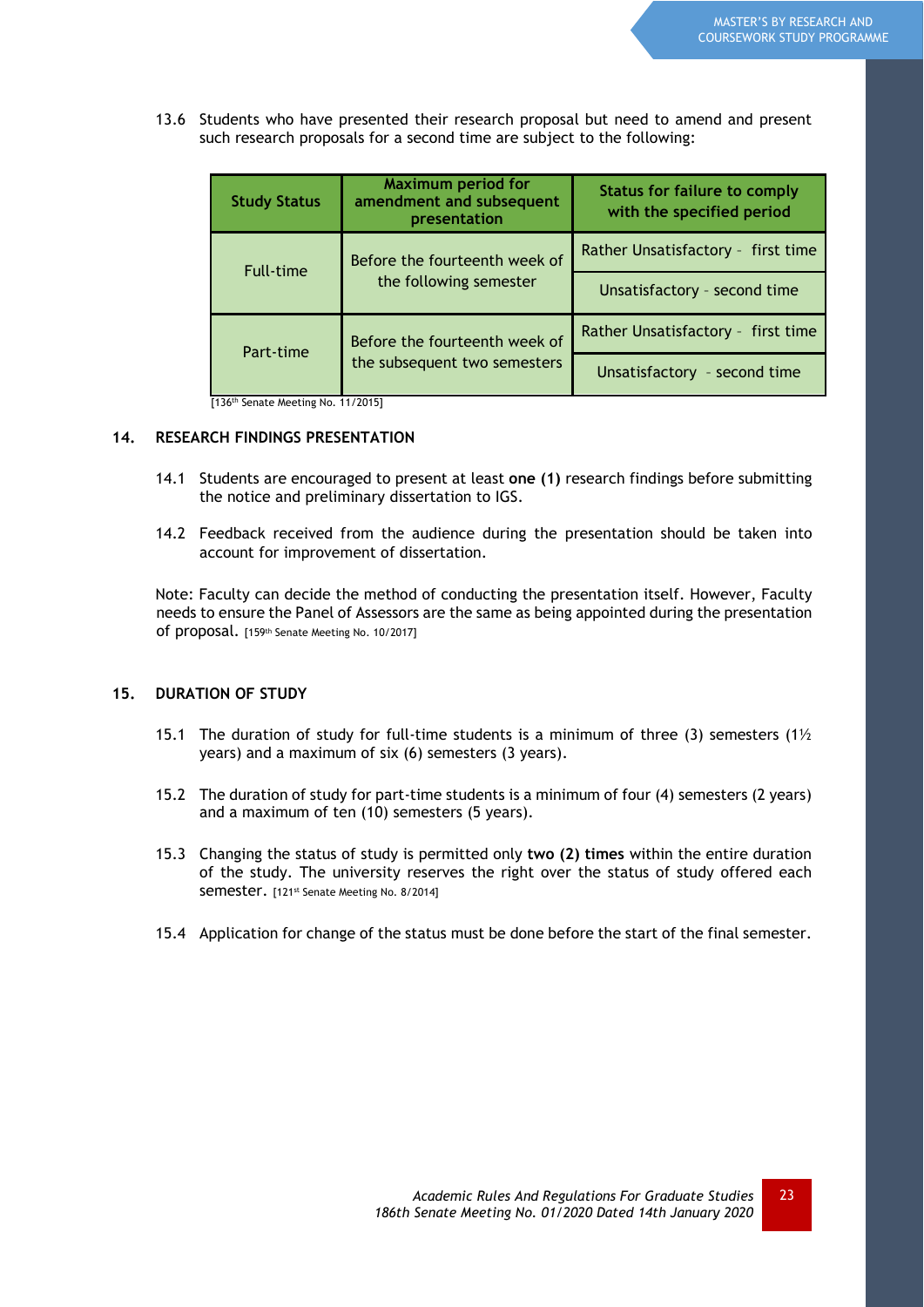13.6 Students who have presented their research proposal but need to amend and present such research proposals for a second time are subject to the following:

| <b>Study Status</b>          | <b>Maximum period for</b><br>amendment and subsequent<br>presentation | <b>Status for failure to comply</b><br>with the specified period |
|------------------------------|-----------------------------------------------------------------------|------------------------------------------------------------------|
| <b>Full-time</b>             | Before the fourteenth week of                                         | Rather Unsatisfactory - first time                               |
|                              | the following semester                                                | Unsatisfactory - second time                                     |
| Part-time                    | Before the fourteenth week of                                         | Rather Unsatisfactory - first time                               |
| the subsequent two semesters |                                                                       | Unsatisfactory - second time                                     |

[136th Senate Meeting No. 11/2015]

#### **14. RESEARCH FINDINGS PRESENTATION**

- 14.1 Students are encouraged to present at least **one (1)** research findings before submitting the notice and preliminary dissertation to IGS.
- 14.2 Feedback received from the audience during the presentation should be taken into account for improvement of dissertation.

Note: Faculty can decide the method of conducting the presentation itself. However, Faculty needs to ensure the Panel of Assessors are the same as being appointed during the presentation of proposal. [159th Senate Meeting No. 10/2017]

#### **15. DURATION OF STUDY**

- 15.1 The duration of study for full-time students is a minimum of three (3) semesters (1 $\frac{1}{2}$ years) and a maximum of six (6) semesters (3 years).
- 15.2 The duration of study for part-time students is a minimum of four (4) semesters (2 years) and a maximum of ten (10) semesters (5 years).
- 15.3 Changing the status of study is permitted only **two (2) times** within the entire duration of the study. The university reserves the right over the status of study offered each Semester. [121st Senate Meeting No. 8/2014]
- 15.4 Application for change of the status must be done before the start of the final semester.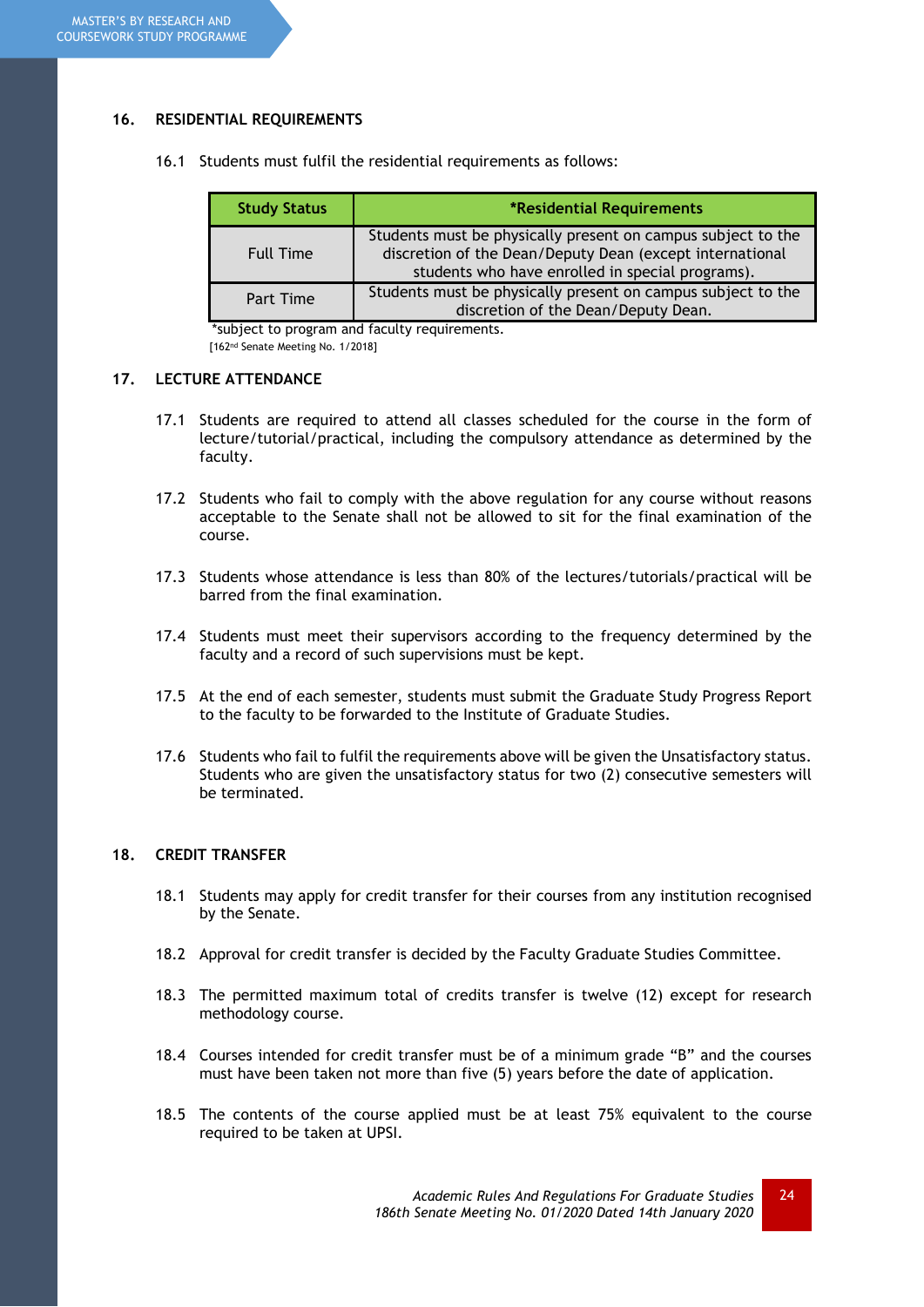## **16. RESIDENTIAL REQUIREMENTS**

#### 16.1 Students must fulfil the residential requirements as follows:

| <b>Study Status</b> | *Residential Requirements                                                                                                                                                    |  |
|---------------------|------------------------------------------------------------------------------------------------------------------------------------------------------------------------------|--|
| <b>Full Time</b>    | Students must be physically present on campus subject to the<br>discretion of the Dean/Deputy Dean (except international<br>students who have enrolled in special programs). |  |
| Part Time           | Students must be physically present on campus subject to the<br>discretion of the Dean/Deputy Dean.                                                                          |  |

\*subject to program and faculty requirements.

[162nd Senate Meeting No. 1/2018]

### **17. LECTURE ATTENDANCE**

- 17.1 Students are required to attend all classes scheduled for the course in the form of lecture/tutorial/practical, including the compulsory attendance as determined by the faculty.
- 17.2 Students who fail to comply with the above regulation for any course without reasons acceptable to the Senate shall not be allowed to sit for the final examination of the course.
- 17.3 Students whose attendance is less than 80% of the lectures/tutorials/practical will be barred from the final examination.
- 17.4 Students must meet their supervisors according to the frequency determined by the faculty and a record of such supervisions must be kept.
- 17.5 At the end of each semester, students must submit the Graduate Study Progress Report to the faculty to be forwarded to the Institute of Graduate Studies.
- 17.6 Students who fail to fulfil the requirements above will be given the Unsatisfactory status. Students who are given the unsatisfactory status for two (2) consecutive semesters will be terminated.

#### **18. CREDIT TRANSFER**

- 18.1 Students may apply for credit transfer for their courses from any institution recognised by the Senate.
- 18.2 Approval for credit transfer is decided by the Faculty Graduate Studies Committee.
- 18.3 The permitted maximum total of credits transfer is twelve (12) except for research methodology course.
- 18.4 Courses intended for credit transfer must be of a minimum grade "B" and the courses must have been taken not more than five (5) years before the date of application.
- 18.5 The contents of the course applied must be at least 75% equivalent to the course required to be taken at UPSI.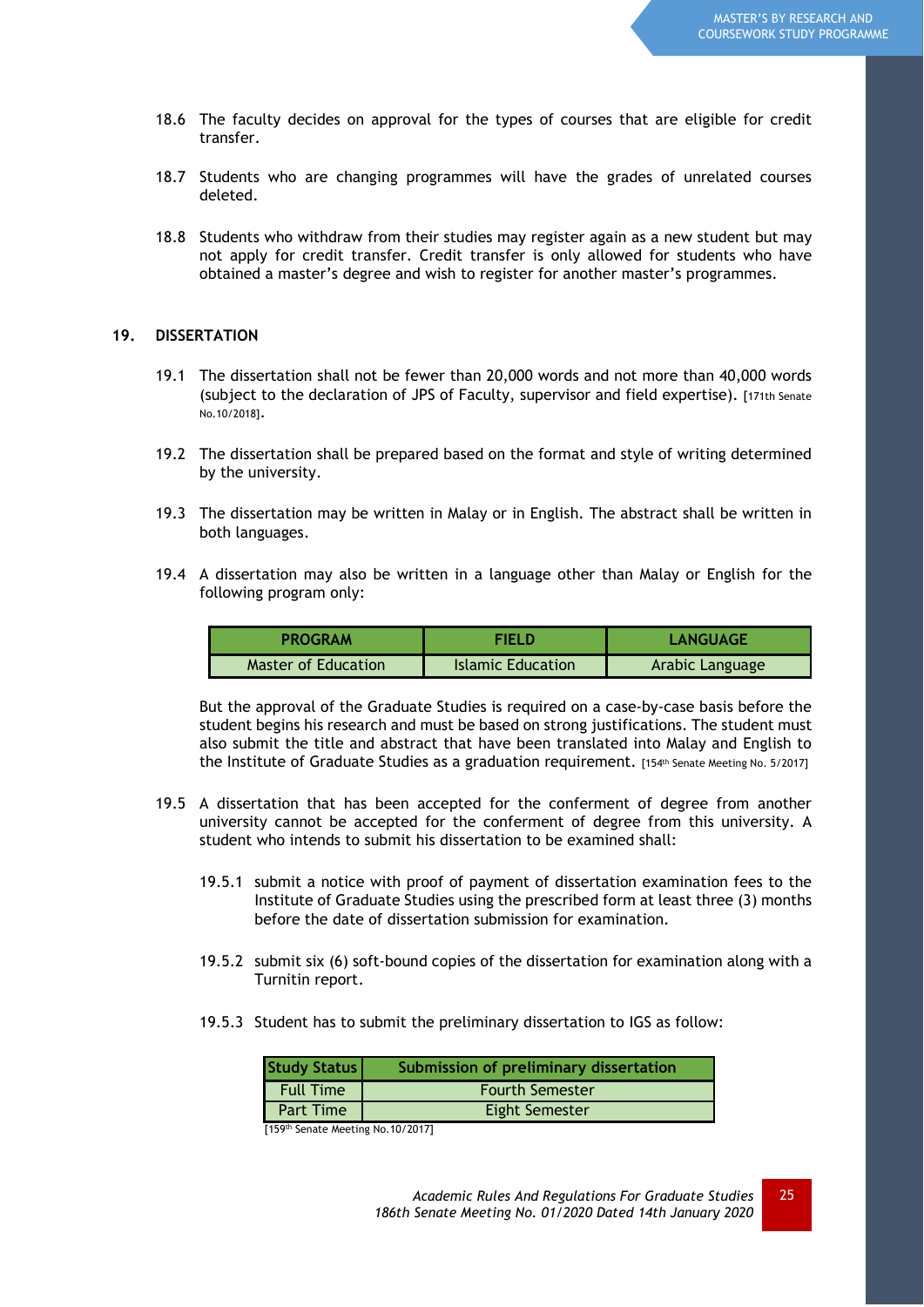- 18.6 The faculty decides on approval for the types of courses that are eligible for credit transfer.
- 18.7 Students who are changing programmes will have the grades of unrelated courses deleted.
- 18.8 Students who withdraw from their studies may register again as a new student but may not apply for credit transfer. Credit transfer is only allowed for students who have obtained a master's degree and wish to register for another master's programmes.

#### **19. DISSERTATION**

- 19.1 The dissertation shall not be fewer than 20,000 words and not more than 40,000 words (subject to the declaration of JPS of Faculty, supervisor and field expertise). [171th Senate No.10/2018].
- 19.2 The dissertation shall be prepared based on the format and style of writing determined by the university.
- 19.3 The dissertation may be written in Malay or in English. The abstract shall be written in both languages.
- 19.4 A dissertation may also be written in a language other than Malay or English for the following program only:

| <b>PROGRAM</b>      | FIELD             | <b>LANGUAGE</b> |
|---------------------|-------------------|-----------------|
| Master of Education | Islamic Education | Arabic Language |

But the approval of the Graduate Studies is required on a case-by-case basis before the student begins his research and must be based on strong justifications. The student must also submit the title and abstract that have been translated into Malay and English to the Institute of Graduate Studies as a graduation requirement. [154<sup>th</sup> Senate Meeting No. 5/2017]

- 19.5 A dissertation that has been accepted for the conferment of degree from another university cannot be accepted for the conferment of degree from this university. A student who intends to submit his dissertation to be examined shall:
	- 19.5.1 submit a notice with proof of payment of dissertation examination fees to the Institute of Graduate Studies using the prescribed form at least three (3) months before the date of dissertation submission for examination.
	- 19.5.2 submit six (6) soft-bound copies of the dissertation for examination along with a Turnitin report.
	- 19.5.3 Student has to submit the preliminary dissertation to IGS as follow:

| <b>Study Status</b> | Submission of preliminary dissertation |
|---------------------|----------------------------------------|
| <b>Full Time</b>    | <b>Fourth Semester</b>                 |
| <b>Part Time</b>    | <b>Eight Semester</b>                  |

[159th Senate Meeting No.10/2017]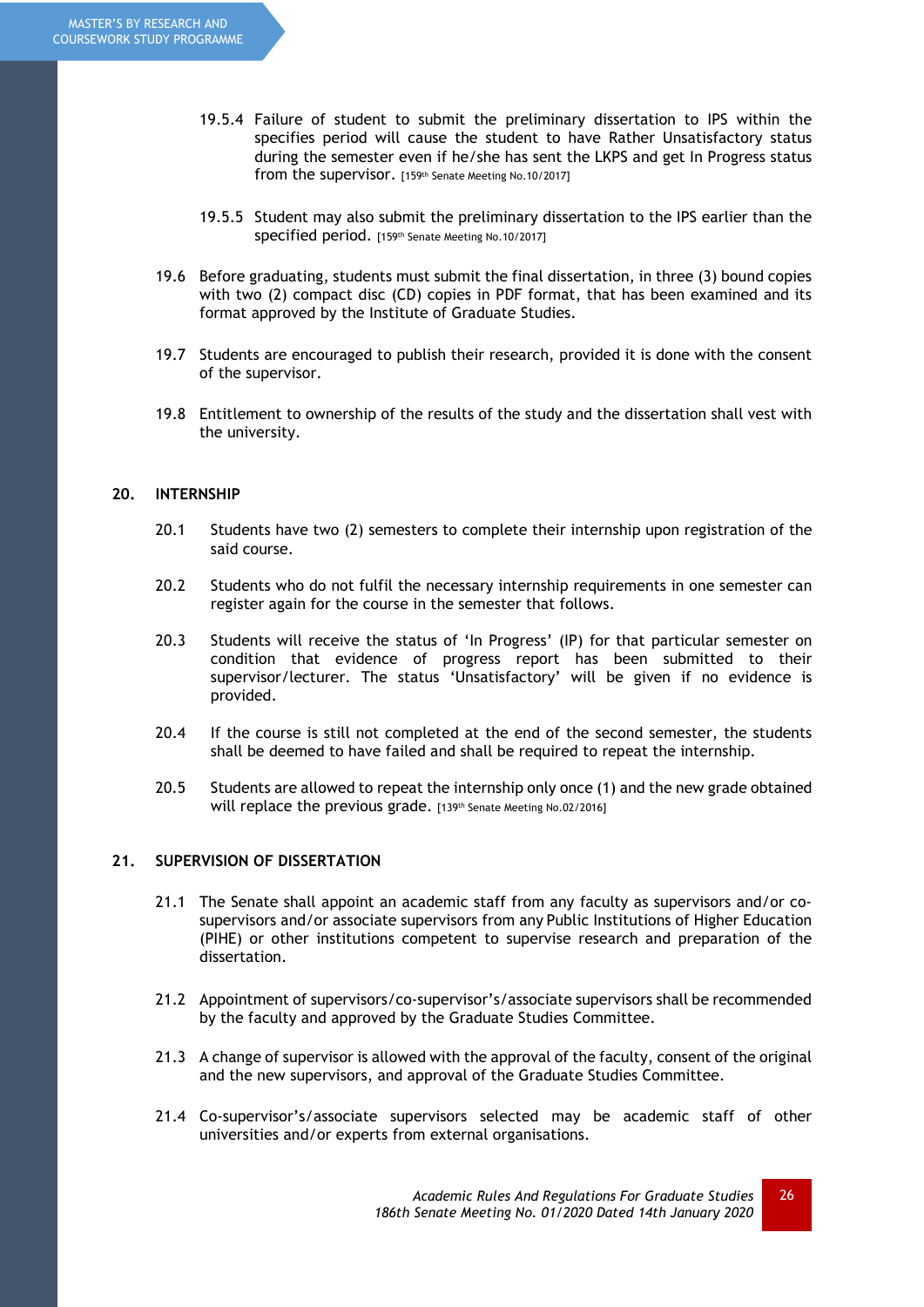- 19.5.4 Failure of student to submit the preliminary dissertation to IPS within the specifies period will cause the student to have Rather Unsatisfactory status during the semester even if he/she has sent the LKPS and get In Progress status from the supervisor. [159th Senate Meeting No.10/2017]
- 19.5.5 Student may also submit the preliminary dissertation to the IPS earlier than the Specified period. [159th Senate Meeting No.10/2017]
- 19.6 Before graduating, students must submit the final dissertation, in three (3) bound copies with two (2) compact disc (CD) copies in PDF format, that has been examined and its format approved by the Institute of Graduate Studies.
- 19.7 Students are encouraged to publish their research, provided it is done with the consent of the supervisor.
- 19.8 Entitlement to ownership of the results of the study and the dissertation shall vest with the university.

### **20. INTERNSHIP**

- 20.1 Students have two (2) semesters to complete their internship upon registration of the said course.
- 20.2 Students who do not fulfil the necessary internship requirements in one semester can register again for the course in the semester that follows.
- 20.3 Students will receive the status of 'In Progress' (IP) for that particular semester on condition that evidence of progress report has been submitted to their supervisor/lecturer. The status 'Unsatisfactory' will be given if no evidence is provided.
- 20.4 If the course is still not completed at the end of the second semester, the students shall be deemed to have failed and shall be required to repeat the internship.
- 20.5 Students are allowed to repeat the internship only once (1) and the new grade obtained will replace the previous grade. [139th Senate Meeting No.02/2016]

#### **21. SUPERVISION OF DISSERTATION**

- 21.1 The Senate shall appoint an academic staff from any faculty as supervisors and/or cosupervisors and/or associate supervisors from any Public Institutions of Higher Education (PIHE) or other institutions competent to supervise research and preparation of the dissertation.
- 21.2 Appointment of supervisors/co-supervisor's/associate supervisors shall be recommended by the faculty and approved by the Graduate Studies Committee.
- 21.3 A change of supervisor is allowed with the approval of the faculty, consent of the original and the new supervisors, and approval of the Graduate Studies Committee.
- 21.4 Co-supervisor's/associate supervisors selected may be academic staff of other universities and/or experts from external organisations.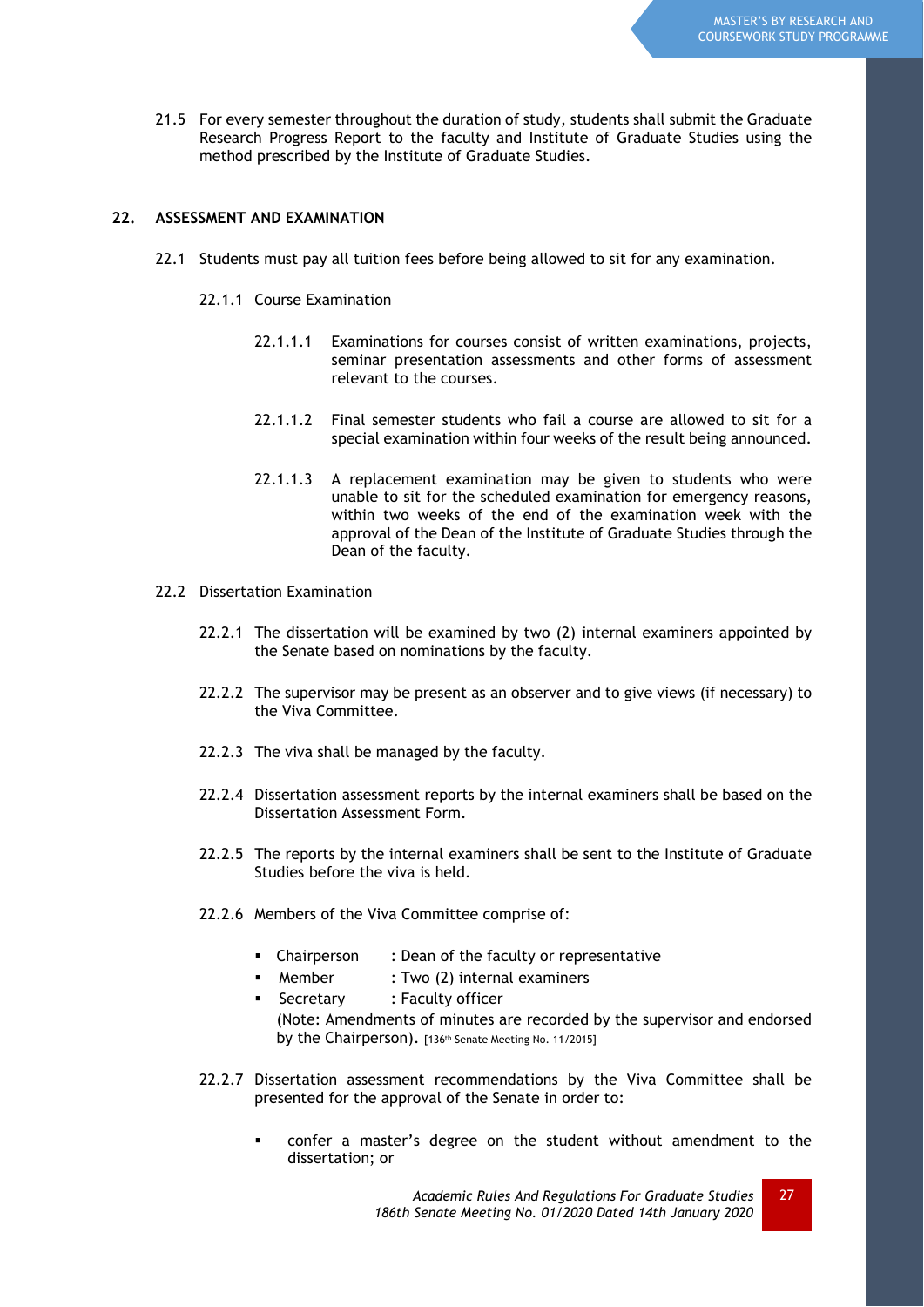21.5 For every semester throughout the duration of study, students shall submit the Graduate Research Progress Report to the faculty and Institute of Graduate Studies using the method prescribed by the Institute of Graduate Studies.

## **22. ASSESSMENT AND EXAMINATION**

- 22.1 Students must pay all tuition fees before being allowed to sit for any examination.
	- 22.1.1 Course Examination
		- 22.1.1.1 Examinations for courses consist of written examinations, projects, seminar presentation assessments and other forms of assessment relevant to the courses.
		- 22.1.1.2 Final semester students who fail a course are allowed to sit for a special examination within four weeks of the result being announced.
		- 22.1.1.3 A replacement examination may be given to students who were unable to sit for the scheduled examination for emergency reasons, within two weeks of the end of the examination week with the approval of the Dean of the Institute of Graduate Studies through the Dean of the faculty.
- 22.2 Dissertation Examination
	- 22.2.1 The dissertation will be examined by two (2) internal examiners appointed by the Senate based on nominations by the faculty.
	- 22.2.2 The supervisor may be present as an observer and to give views (if necessary) to the Viva Committee.
	- 22.2.3 The viva shall be managed by the faculty.
	- 22.2.4 Dissertation assessment reports by the internal examiners shall be based on the Dissertation Assessment Form.
	- 22.2.5 The reports by the internal examiners shall be sent to the Institute of Graduate Studies before the viva is held.
	- 22.2.6 Members of the Viva Committee comprise of:
		- **EXECH** Chairperson : Dean of the faculty or representative
		- **Member** : Two (2) internal examiners
		- Secretary : Faculty officer (Note: Amendments of minutes are recorded by the supervisor and endorsed by the Chairperson). [136th Senate Meeting No. 11/2015]
	- 22.2.7 Dissertation assessment recommendations by the Viva Committee shall be presented for the approval of the Senate in order to:
		- confer a master's degree on the student without amendment to the dissertation; or

*Academic Rules And Regulations For Graduate Studies 186th Senate Meeting No. 01/2020 Dated 14th January 2020*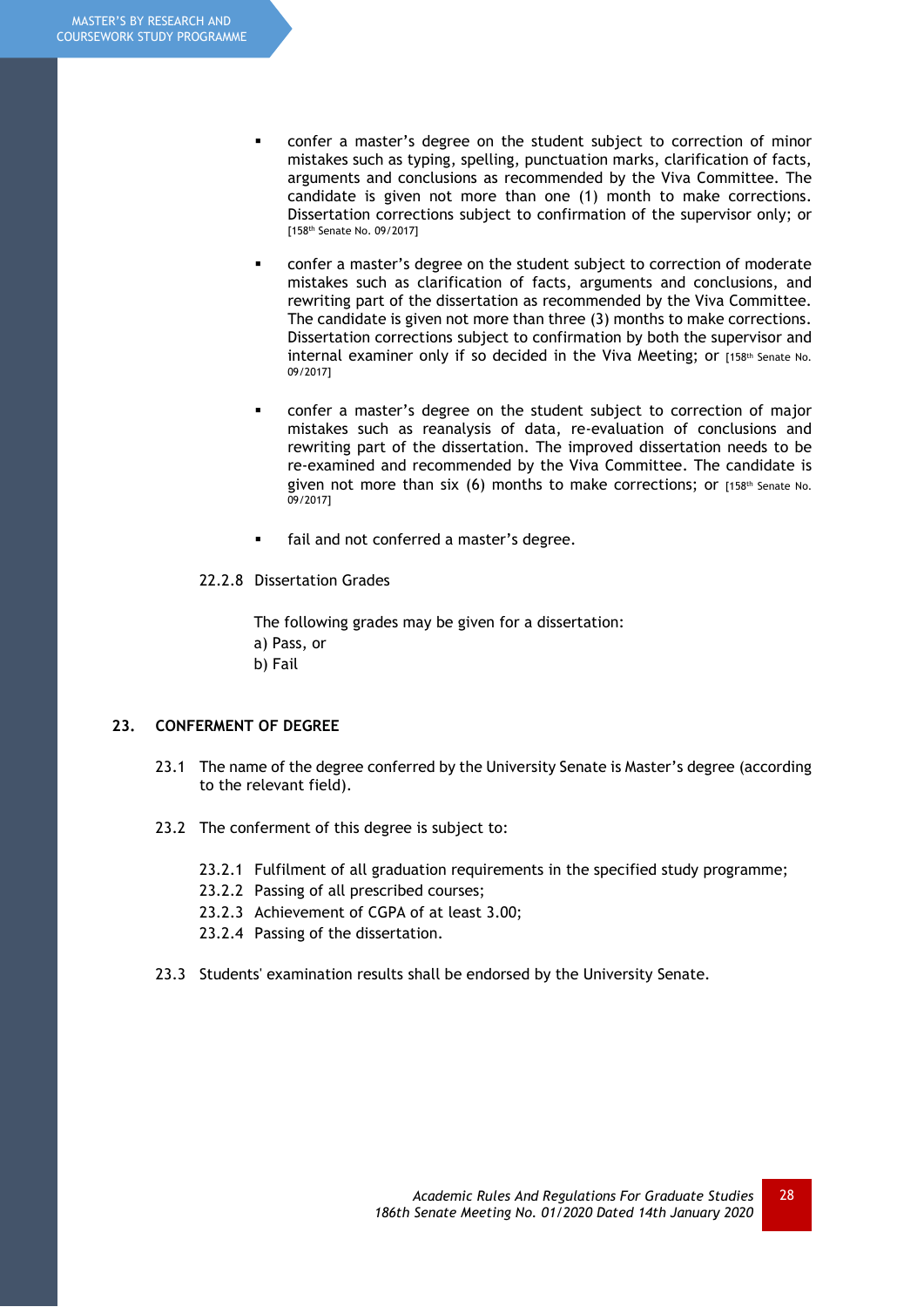- confer a master's degree on the student subject to correction of minor mistakes such as typing, spelling, punctuation marks, clarification of facts, arguments and conclusions as recommended by the Viva Committee. The candidate is given not more than one (1) month to make corrections. Dissertation corrections subject to confirmation of the supervisor only; or [158th Senate No. 09/2017]
- confer a master's degree on the student subject to correction of moderate mistakes such as clarification of facts, arguments and conclusions, and rewriting part of the dissertation as recommended by the Viva Committee. The candidate is given not more than three (3) months to make corrections. Dissertation corrections subject to confirmation by both the supervisor and internal examiner only if so decided in the Viva Meeting; or [158th Senate No. 09/2017]
- confer a master's degree on the student subject to correction of major mistakes such as reanalysis of data, re-evaluation of conclusions and rewriting part of the dissertation. The improved dissertation needs to be re-examined and recommended by the Viva Committee. The candidate is given not more than six (6) months to make corrections; or [158<sup>th</sup> Senate No. 09/2017]
- fail and not conferred a master's degree.

## 22.2.8 Dissertation Grades

The following grades may be given for a dissertation: a) Pass, or b) Fail

## **23. CONFERMENT OF DEGREE**

- 23.1 The name of the degree conferred by the University Senate is Master's degree (according to the relevant field).
- 23.2 The conferment of this degree is subject to:
	- 23.2.1 Fulfilment of all graduation requirements in the specified study programme;
	- 23.2.2 Passing of all prescribed courses;
	- 23.2.3 Achievement of CGPA of at least 3.00;
	- 23.2.4 Passing of the dissertation.
- 23.3 Students' examination results shall be endorsed by the University Senate.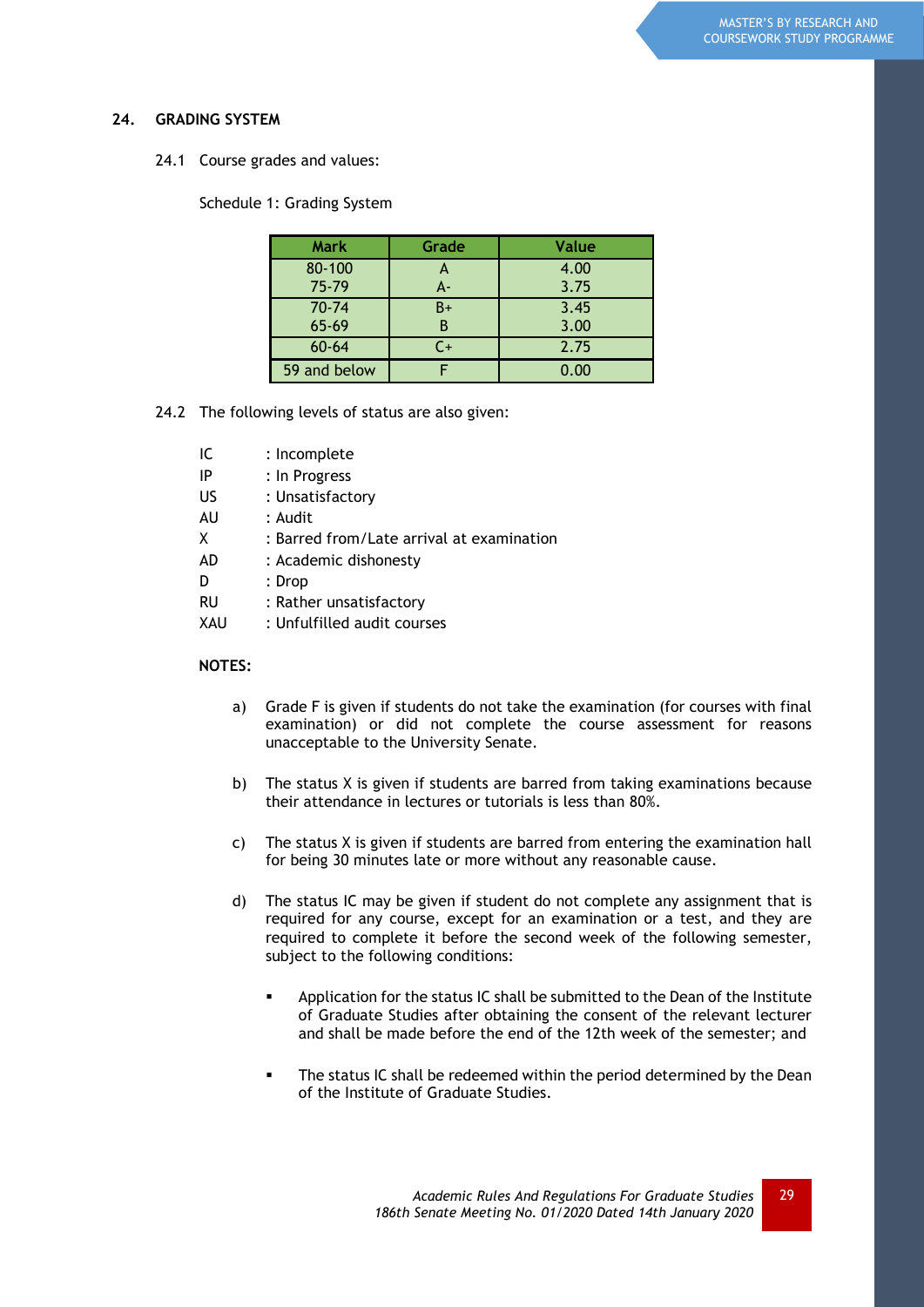### **24. GRADING SYSTEM**

24.1 Course grades and values:

| <b>Mark</b>  | Grade | <b>Value</b> |
|--------------|-------|--------------|
| 80-100       | А     | 4.00         |
| 75-79        | A-    | 3.75         |
| 70-74        | $B+$  | 3.45         |
| 65-69        | В     | 3.00         |
| $60 - 64$    | C+    | 2.75         |
| 59 and below |       | 0.00         |

24.2 The following levels of status are also given:

- IC : Incomplete
- IP : In Progress
- US : Unsatisfactory
- AU : Audit
- X : Barred from/Late arrival at examination
- AD : Academic dishonesty
- D : Drop
- RU : Rather unsatisfactory
- XAU : Unfulfilled audit courses

#### **NOTES:**

- a) Grade F is given if students do not take the examination (for courses with final examination) or did not complete the course assessment for reasons unacceptable to the University Senate.
- b) The status X is given if students are barred from taking examinations because their attendance in lectures or tutorials is less than 80%.
- c) The status X is given if students are barred from entering the examination hall for being 30 minutes late or more without any reasonable cause.
- d) The status IC may be given if student do not complete any assignment that is required for any course, except for an examination or a test, and they are required to complete it before the second week of the following semester, subject to the following conditions:
	- Application for the status IC shall be submitted to the Dean of the Institute of Graduate Studies after obtaining the consent of the relevant lecturer and shall be made before the end of the 12th week of the semester; and
	- **The status IC shall be redeemed within the period determined by the Dean** of the Institute of Graduate Studies.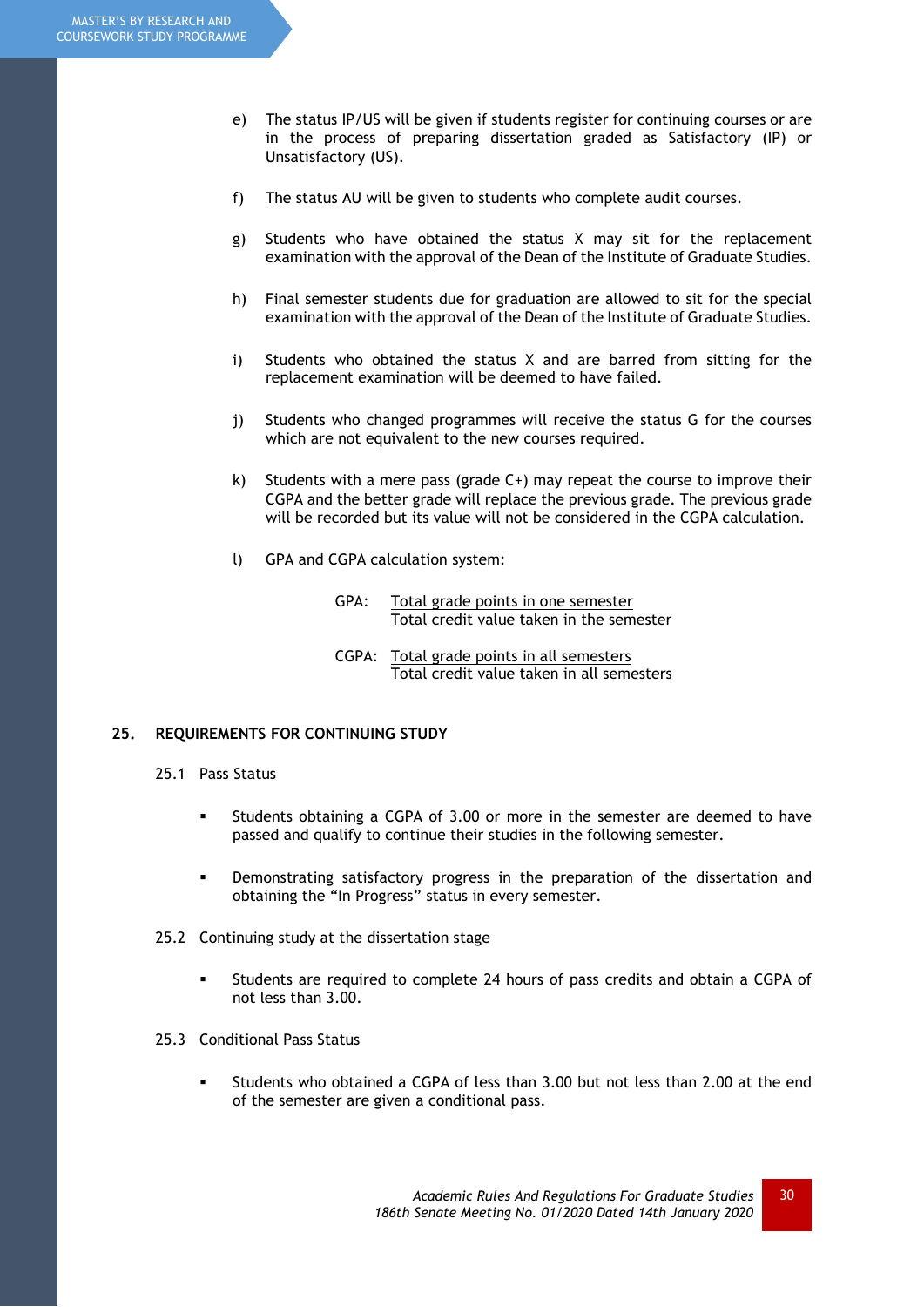- e) The status IP/US will be given if students register for continuing courses or are in the process of preparing dissertation graded as Satisfactory (IP) or Unsatisfactory (US).
- f) The status AU will be given to students who complete audit courses.
- g) Students who have obtained the status X may sit for the replacement examination with the approval of the Dean of the Institute of Graduate Studies.
- h) Final semester students due for graduation are allowed to sit for the special examination with the approval of the Dean of the Institute of Graduate Studies.
- i) Students who obtained the status X and are barred from sitting for the replacement examination will be deemed to have failed.
- j) Students who changed programmes will receive the status G for the courses which are not equivalent to the new courses required.
- k) Students with a mere pass (grade C+) may repeat the course to improve their CGPA and the better grade will replace the previous grade. The previous grade will be recorded but its value will not be considered in the CGPA calculation.
- l) GPA and CGPA calculation system:
	- GPA: Total grade points in one semester Total credit value taken in the semester
	- CGPA: Total grade points in all semesters Total credit value taken in all semesters

#### **25. REQUIREMENTS FOR CONTINUING STUDY**

- 25.1 Pass Status
	- Students obtaining a CGPA of 3.00 or more in the semester are deemed to have passed and qualify to continue their studies in the following semester.
	- Demonstrating satisfactory progress in the preparation of the dissertation and obtaining the "In Progress" status in every semester.
- 25.2 Continuing study at the dissertation stage
	- Students are required to complete 24 hours of pass credits and obtain a CGPA of not less than 3.00.
- 25.3 Conditional Pass Status
	- Students who obtained a CGPA of less than 3.00 but not less than 2.00 at the end of the semester are given a conditional pass.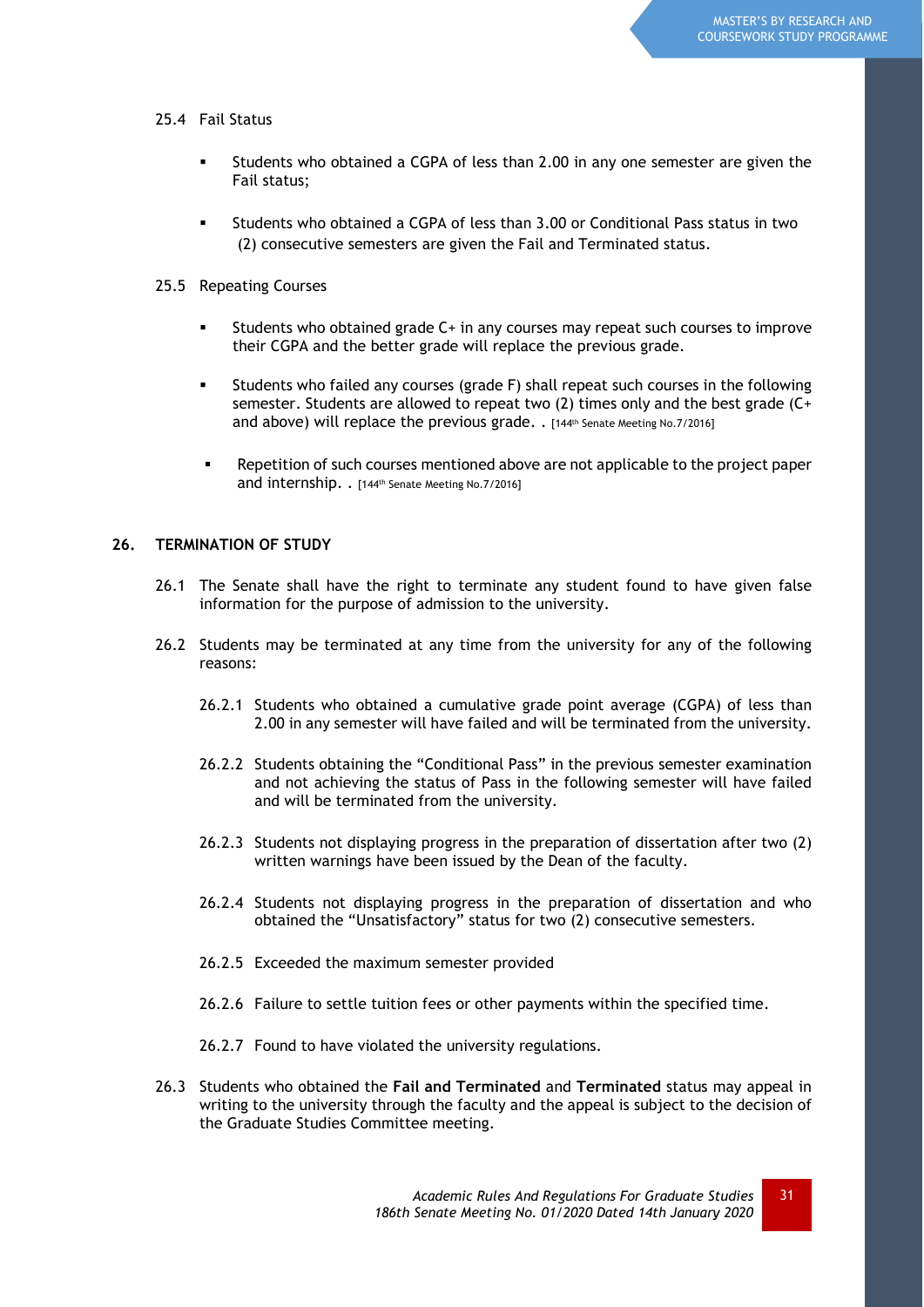#### 25.4 Fail Status

- Students who obtained a CGPA of less than 2.00 in any one semester are given the Fail status;
- Students who obtained a CGPA of less than 3.00 or Conditional Pass status in two (2) consecutive semesters are given the Fail and Terminated status.

#### 25.5 Repeating Courses

- Students who obtained grade C+ in any courses may repeat such courses to improve their CGPA and the better grade will replace the previous grade.
- Students who failed any courses (grade F) shall repeat such courses in the following semester. Students are allowed to repeat two (2) times only and the best grade (C+ and above) will replace the previous grade. . [144th Senate Meeting No.7/2016]
- Repetition of such courses mentioned above are not applicable to the project paper and internship. . [144th Senate Meeting No.7/2016]

### **26. TERMINATION OF STUDY**

- 26.1 The Senate shall have the right to terminate any student found to have given false information for the purpose of admission to the university.
- 26.2 Students may be terminated at any time from the university for any of the following reasons:
	- 26.2.1 Students who obtained a cumulative grade point average (CGPA) of less than 2.00 in any semester will have failed and will be terminated from the university.
	- 26.2.2 Students obtaining the "Conditional Pass" in the previous semester examination and not achieving the status of Pass in the following semester will have failed and will be terminated from the university.
	- 26.2.3 Students not displaying progress in the preparation of dissertation after two (2) written warnings have been issued by the Dean of the faculty.
	- 26.2.4 Students not displaying progress in the preparation of dissertation and who obtained the "Unsatisfactory" status for two (2) consecutive semesters.
	- 26.2.5 Exceeded the maximum semester provided
	- 26.2.6 Failure to settle tuition fees or other payments within the specified time.
	- 26.2.7 Found to have violated the university regulations.
- 26.3 Students who obtained the **Fail and Terminated** and **Terminated** status may appeal in writing to the university through the faculty and the appeal is subject to the decision of the Graduate Studies Committee meeting.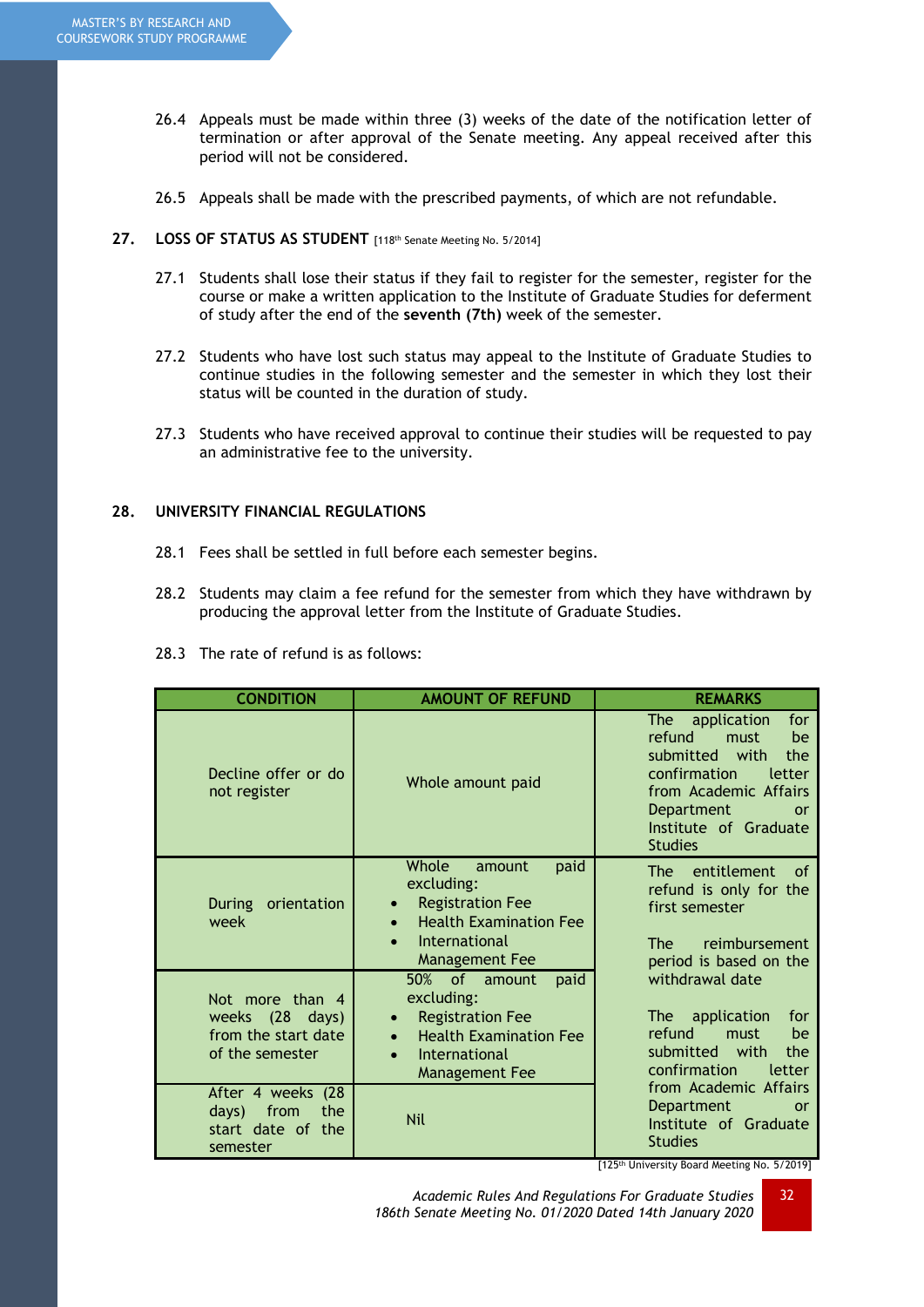- 26.4 Appeals must be made within three (3) weeks of the date of the notification letter of termination or after approval of the Senate meeting. Any appeal received after this period will not be considered.
- 26.5 Appeals shall be made with the prescribed payments, of which are not refundable.
- 27. LOSS OF STATUS AS STUDENT [118th Senate Meeting No. 5/2014]
	- 27.1 Students shall lose their status if they fail to register for the semester, register for the course or make a written application to the Institute of Graduate Studies for deferment of study after the end of the **seventh (7th)** week of the semester.
	- 27.2 Students who have lost such status may appeal to the Institute of Graduate Studies to continue studies in the following semester and the semester in which they lost their status will be counted in the duration of study.
	- 27.3 Students who have received approval to continue their studies will be requested to pay an administrative fee to the university.

### **28. UNIVERSITY FINANCIAL REGULATIONS**

- 28.1 Fees shall be settled in full before each semester begins.
- 28.2 Students may claim a fee refund for the semester from which they have withdrawn by producing the approval letter from the Institute of Graduate Studies.

| <b>CONDITION</b>                                                             | <b>AMOUNT OF REFUND</b>                                                                                                                     | <b>REMARKS</b>                                                                                                                                                                                        |
|------------------------------------------------------------------------------|---------------------------------------------------------------------------------------------------------------------------------------------|-------------------------------------------------------------------------------------------------------------------------------------------------------------------------------------------------------|
| Decline offer or do<br>not register                                          | Whole amount paid                                                                                                                           | for<br>The l<br>application<br>refund<br>must<br>be<br>submitted with<br>the<br><b>confirmation</b><br>letter<br>from Academic Affairs<br>Department<br>or<br>Institute of Graduate<br><b>Studies</b> |
| During orientation<br>week                                                   | Whole<br>paid<br>amount<br>excluding:<br><b>Registration Fee</b><br><b>Health Examination Fee</b><br>International<br><b>Management Fee</b> | entitlement<br>The l<br>of<br>refund is only for the<br>first semester<br>reimbursement<br>The l<br>period is based on the                                                                            |
| Not more than 4<br>weeks (28 days)<br>from the start date<br>of the semester | 50% of amount<br>paid<br>excluding:<br><b>Registration Fee</b><br><b>Health Examination Fee</b><br>International<br><b>Management Fee</b>   | withdrawal date<br>application<br>for<br>The l<br>refund<br>must<br>be<br>submitted with<br>the<br>confirmation<br>letter                                                                             |
| After 4 weeks (28<br>days) from<br>the<br>start date of the<br>semester      | <b>Nil</b>                                                                                                                                  | from Academic Affairs<br>Department<br>or<br>Institute of Graduate<br><b>Studies</b>                                                                                                                  |

28.3 The rate of refund is as follows:

[125<sup>th</sup> University Board Meeting No. 5/2019]

*Academic Rules And Regulations For Graduate Studies 186th Senate Meeting No. 01/2020 Dated 14th January 2020*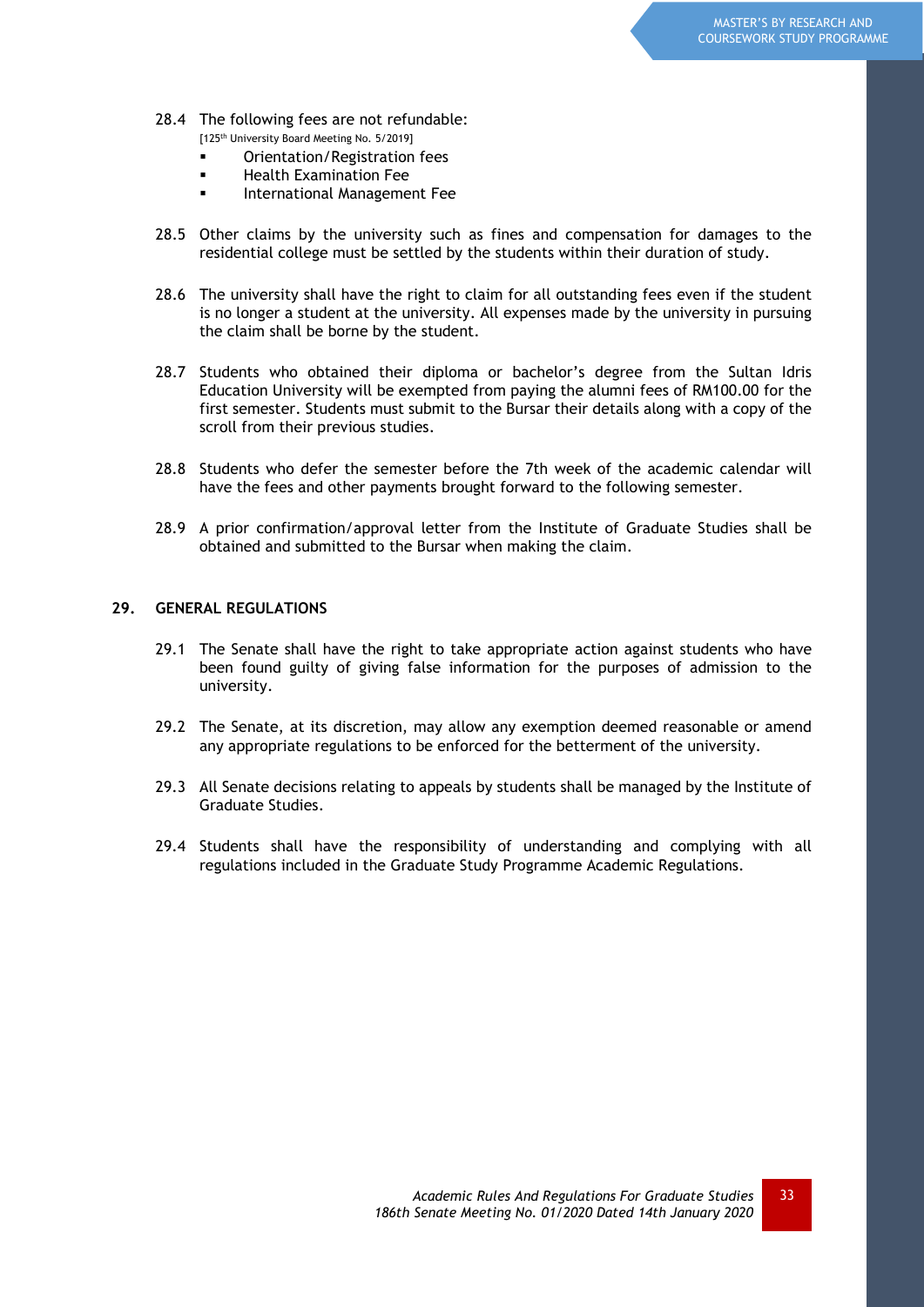- 28.4 The following fees are not refundable: [125<sup>th</sup> University Board Meeting No. 5/2019]
	- **•** Orientation/Registration fees
	- Health Examination Fee
	- International Management Fee
- 28.5 Other claims by the university such as fines and compensation for damages to the residential college must be settled by the students within their duration of study.
- 28.6 The university shall have the right to claim for all outstanding fees even if the student is no longer a student at the university. All expenses made by the university in pursuing the claim shall be borne by the student.
- 28.7 Students who obtained their diploma or bachelor's degree from the Sultan Idris Education University will be exempted from paying the alumni fees of RM100.00 for the first semester. Students must submit to the Bursar their details along with a copy of the scroll from their previous studies.
- 28.8 Students who defer the semester before the 7th week of the academic calendar will have the fees and other payments brought forward to the following semester.
- 28.9 A prior confirmation/approval letter from the Institute of Graduate Studies shall be obtained and submitted to the Bursar when making the claim.

#### **29. GENERAL REGULATIONS**

- 29.1 The Senate shall have the right to take appropriate action against students who have been found guilty of giving false information for the purposes of admission to the university.
- 29.2 The Senate, at its discretion, may allow any exemption deemed reasonable or amend any appropriate regulations to be enforced for the betterment of the university.
- 29.3 All Senate decisions relating to appeals by students shall be managed by the Institute of Graduate Studies.
- 29.4 Students shall have the responsibility of understanding and complying with all regulations included in the Graduate Study Programme Academic Regulations.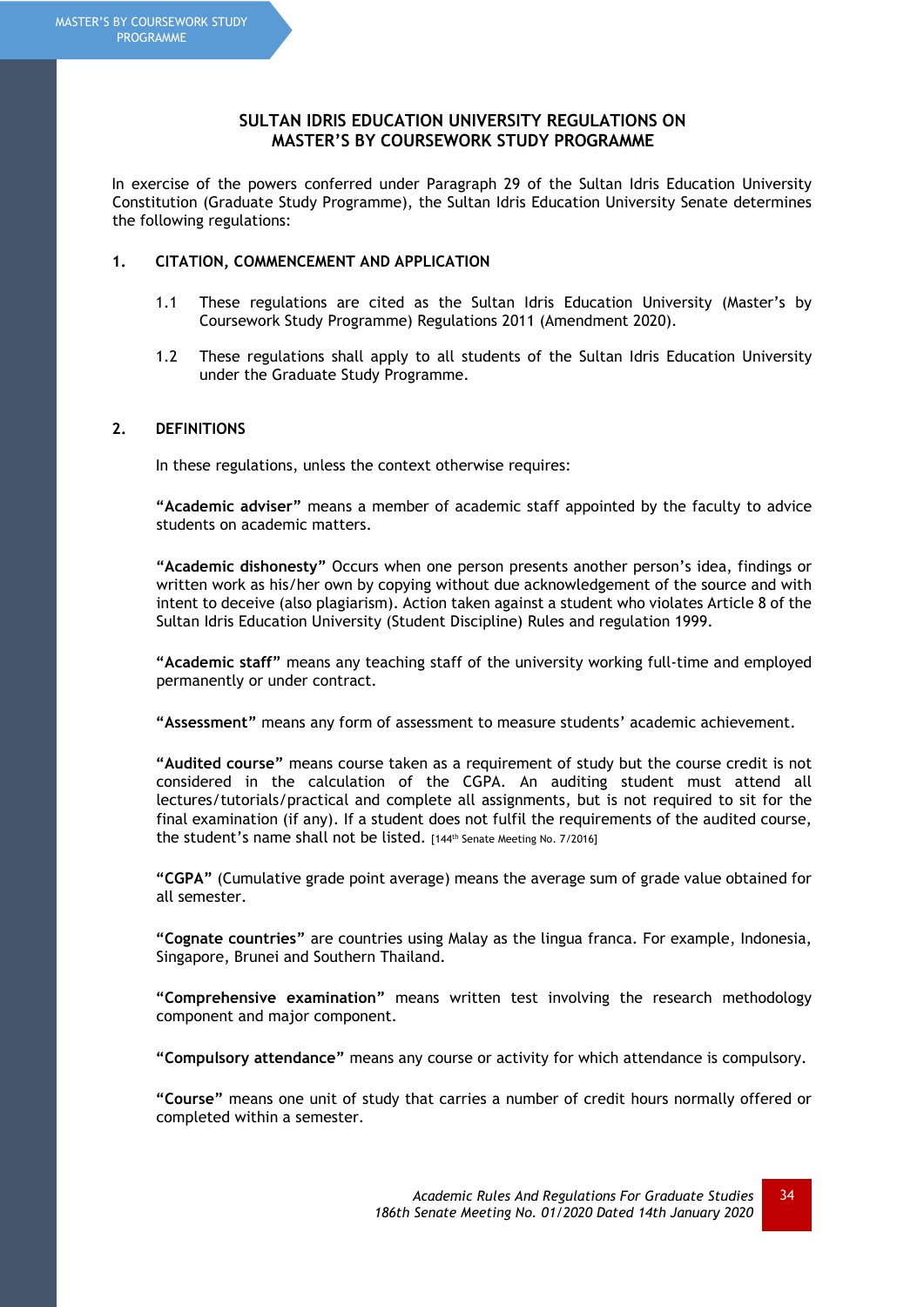# **SULTAN IDRIS EDUCATION UNIVERSITY REGULATIONS ON MASTER'S BY COURSEWORK STUDY PROGRAMME**

In exercise of the powers conferred under Paragraph 29 of the Sultan Idris Education University Constitution (Graduate Study Programme), the Sultan Idris Education University Senate determines the following regulations:

### **1. CITATION, COMMENCEMENT AND APPLICATION**

- 1.1 These regulations are cited as the Sultan Idris Education University (Master's by Coursework Study Programme) Regulations 2011 (Amendment 2020).
- 1.2 These regulations shall apply to all students of the Sultan Idris Education University under the Graduate Study Programme.

### **2. DEFINITIONS**

In these regulations, unless the context otherwise requires:

**"Academic adviser"** means a member of academic staff appointed by the faculty to advice students on academic matters.

**"Academic dishonesty"** Occurs when one person presents another person's idea, findings or written work as his/her own by copying without due acknowledgement of the source and with intent to deceive (also plagiarism). Action taken against a student who violates Article 8 of the Sultan Idris Education University (Student Discipline) Rules and regulation 1999.

**"Academic staff"** means any teaching staff of the university working full-time and employed permanently or under contract.

**"Assessment"** means any form of assessment to measure students' academic achievement.

**"Audited course"** means course taken as a requirement of study but the course credit is not considered in the calculation of the CGPA. An auditing student must attend all lectures/tutorials/practical and complete all assignments, but is not required to sit for the final examination (if any). If a student does not fulfil the requirements of the audited course, the student's name shall not be listed. [144th Senate Meeting No. 7/2016]

**"CGPA"** (Cumulative grade point average) means the average sum of grade value obtained for all semester.

**"Cognate countries"** are countries using Malay as the lingua franca. For example, Indonesia, Singapore, Brunei and Southern Thailand.

**"Comprehensive examination"** means written test involving the research methodology component and major component.

**"Compulsory attendance"** means any course or activity for which attendance is compulsory.

**"Course"** means one unit of study that carries a number of credit hours normally offered or completed within a semester.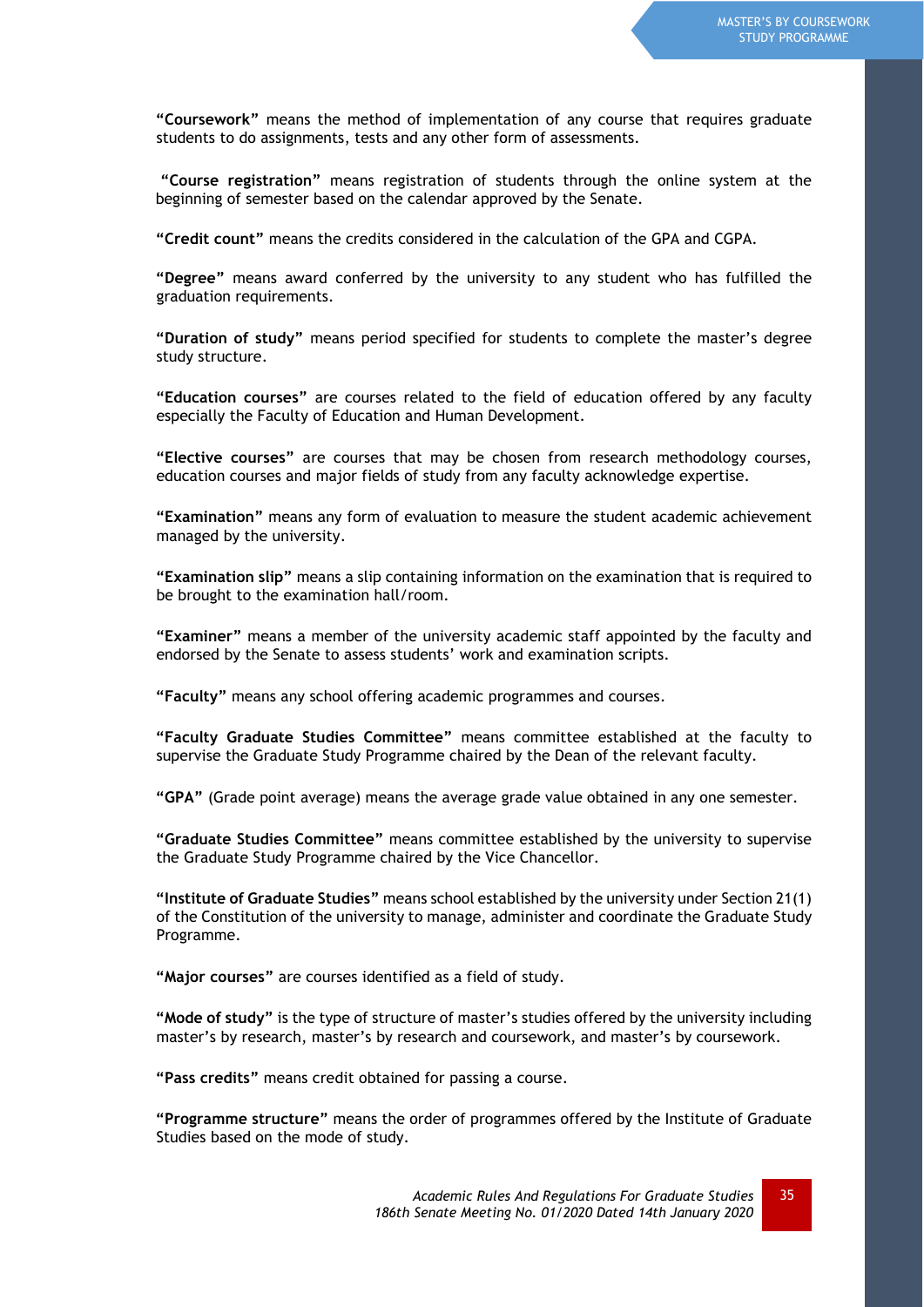**"Coursework"** means the method of implementation of any course that requires graduate students to do assignments, tests and any other form of assessments.

**"Course registration"** means registration of students through the online system at the beginning of semester based on the calendar approved by the Senate.

**"Credit count"** means the credits considered in the calculation of the GPA and CGPA.

**"Degree"** means award conferred by the university to any student who has fulfilled the graduation requirements.

**"Duration of study"** means period specified for students to complete the master's degree study structure.

**"Education courses"** are courses related to the field of education offered by any faculty especially the Faculty of Education and Human Development.

**"Elective courses"** are courses that may be chosen from research methodology courses, education courses and major fields of study from any faculty acknowledge expertise.

**"Examination"** means any form of evaluation to measure the student academic achievement managed by the university.

**"Examination slip"** means a slip containing information on the examination that is required to be brought to the examination hall/room.

**"Examiner"** means a member of the university academic staff appointed by the faculty and endorsed by the Senate to assess students' work and examination scripts.

**"Faculty"** means any school offering academic programmes and courses.

**"Faculty Graduate Studies Committee"** means committee established at the faculty to supervise the Graduate Study Programme chaired by the Dean of the relevant faculty.

**"GPA"** (Grade point average) means the average grade value obtained in any one semester.

**"Graduate Studies Committee"** means committee established by the university to supervise the Graduate Study Programme chaired by the Vice Chancellor.

**"Institute of Graduate Studies"** means school established by the university under Section 21(1) of the Constitution of the university to manage, administer and coordinate the Graduate Study Programme.

**"Major courses"** are courses identified as a field of study.

**"Mode of study"** is the type of structure of master's studies offered by the university including master's by research, master's by research and coursework, and master's by coursework.

**"Pass credits"** means credit obtained for passing a course.

**"Programme structure"** means the order of programmes offered by the Institute of Graduate Studies based on the mode of study.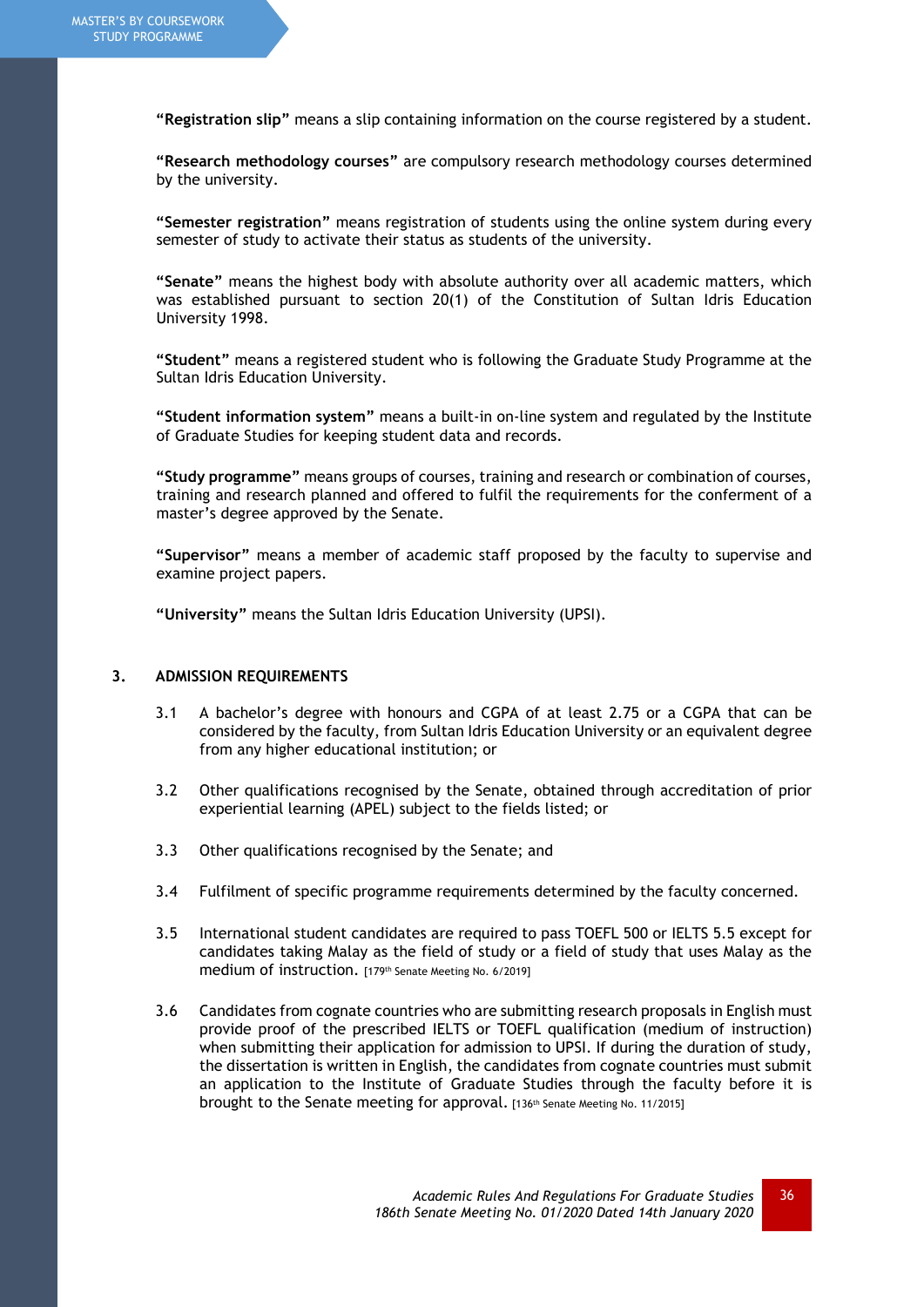**"Registration slip"** means a slip containing information on the course registered by a student.

**"Research methodology courses"** are compulsory research methodology courses determined by the university.

**"Semester registration"** means registration of students using the online system during every semester of study to activate their status as students of the university.

**"Senate"** means the highest body with absolute authority over all academic matters, which was established pursuant to section 20(1) of the Constitution of Sultan Idris Education University 1998.

**"Student"** means a registered student who is following the Graduate Study Programme at the Sultan Idris Education University.

**"Student information system"** means a built-in on-line system and regulated by the Institute of Graduate Studies for keeping student data and records.

**"Study programme"** means groups of courses, training and research or combination of courses, training and research planned and offered to fulfil the requirements for the conferment of a master's degree approved by the Senate.

**"Supervisor"** means a member of academic staff proposed by the faculty to supervise and examine project papers.

**"University"** means the Sultan Idris Education University (UPSI).

# **3. ADMISSION REQUIREMENTS**

- 3.1 A bachelor's degree with honours and CGPA of at least 2.75 or a CGPA that can be considered by the faculty, from Sultan Idris Education University or an equivalent degree from any higher educational institution; or
- 3.2 Other qualifications recognised by the Senate, obtained through accreditation of prior experiential learning (APEL) subject to the fields listed; or
- 3.3 Other qualifications recognised by the Senate; and
- 3.4 Fulfilment of specific programme requirements determined by the faculty concerned.
- 3.5 International student candidates are required to pass TOEFL 500 or IELTS 5.5 except for candidates taking Malay as the field of study or a field of study that uses Malay as the medium of instruction. [179th Senate Meeting No. 6/2019]
- 3.6 Candidates from cognate countries who are submitting research proposals in English must provide proof of the prescribed IELTS or TOEFL qualification (medium of instruction) when submitting their application for admission to UPSI. If during the duration of study, the dissertation is written in English, the candidates from cognate countries must submit an application to the Institute of Graduate Studies through the faculty before it is brought to the Senate meeting for approval. [136th Senate Meeting No. 11/2015]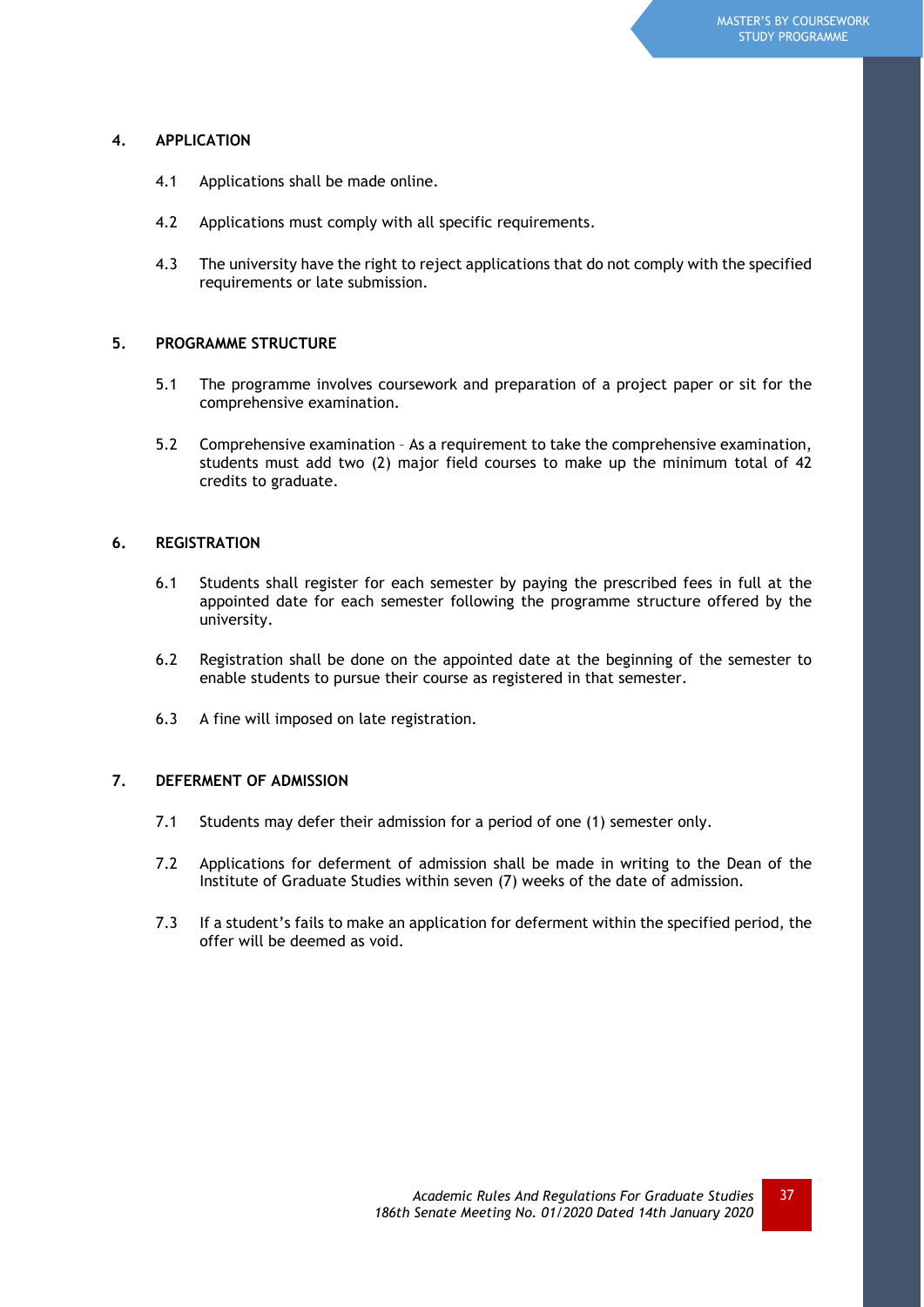# **4. APPLICATION**

- 4.1 Applications shall be made online.
- 4.2 Applications must comply with all specific requirements.
- 4.3 The university have the right to reject applications that do not comply with the specified requirements or late submission.

### **5. PROGRAMME STRUCTURE**

- 5.1 The programme involves coursework and preparation of a project paper or sit for the comprehensive examination.
- 5.2 Comprehensive examination As a requirement to take the comprehensive examination, students must add two (2) major field courses to make up the minimum total of 42 credits to graduate.

## **6. REGISTRATION**

- 6.1 Students shall register for each semester by paying the prescribed fees in full at the appointed date for each semester following the programme structure offered by the university.
- 6.2 Registration shall be done on the appointed date at the beginning of the semester to enable students to pursue their course as registered in that semester.
- 6.3 A fine will imposed on late registration.

#### **7. DEFERMENT OF ADMISSION**

- 7.1 Students may defer their admission for a period of one (1) semester only.
- 7.2 Applications for deferment of admission shall be made in writing to the Dean of the Institute of Graduate Studies within seven (7) weeks of the date of admission.
- 7.3 If a student's fails to make an application for deferment within the specified period, the offer will be deemed as void.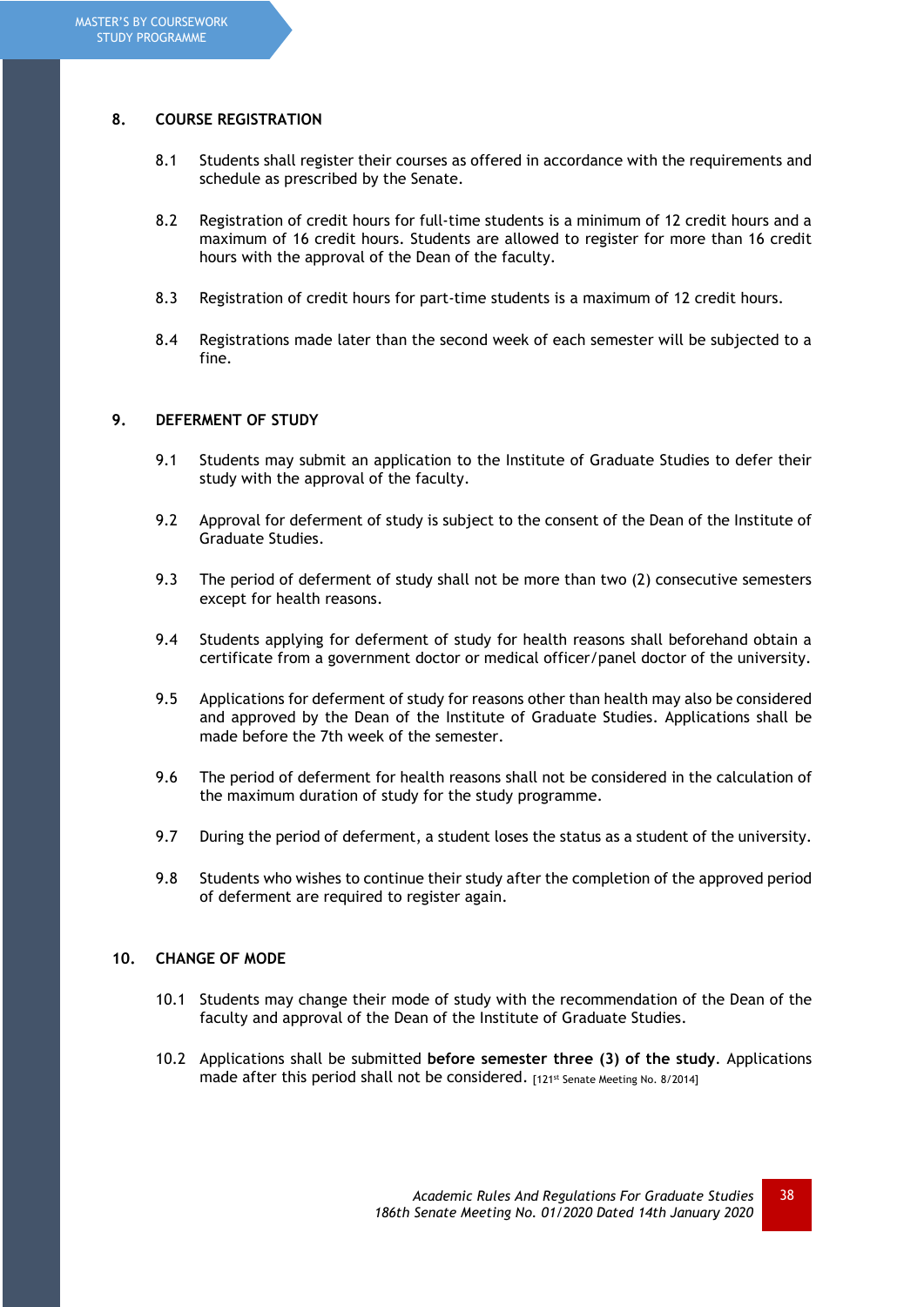# **8. COURSE REGISTRATION**

- 8.1 Students shall register their courses as offered in accordance with the requirements and schedule as prescribed by the Senate.
- 8.2 Registration of credit hours for full-time students is a minimum of 12 credit hours and a maximum of 16 credit hours. Students are allowed to register for more than 16 credit hours with the approval of the Dean of the faculty.
- 8.3 Registration of credit hours for part-time students is a maximum of 12 credit hours.
- 8.4 Registrations made later than the second week of each semester will be subjected to a fine.

# **9. DEFERMENT OF STUDY**

- 9.1 Students may submit an application to the Institute of Graduate Studies to defer their study with the approval of the faculty.
- 9.2 Approval for deferment of study is subject to the consent of the Dean of the Institute of Graduate Studies.
- 9.3 The period of deferment of study shall not be more than two (2) consecutive semesters except for health reasons.
- 9.4 Students applying for deferment of study for health reasons shall beforehand obtain a certificate from a government doctor or medical officer/panel doctor of the university.
- 9.5 Applications for deferment of study for reasons other than health may also be considered and approved by the Dean of the Institute of Graduate Studies. Applications shall be made before the 7th week of the semester.
- 9.6 The period of deferment for health reasons shall not be considered in the calculation of the maximum duration of study for the study programme.
- 9.7 During the period of deferment, a student loses the status as a student of the university.
- 9.8 Students who wishes to continue their study after the completion of the approved period of deferment are required to register again.

### **10. CHANGE OF MODE**

- 10.1 Students may change their mode of study with the recommendation of the Dean of the faculty and approval of the Dean of the Institute of Graduate Studies.
- 10.2 Applications shall be submitted **before semester three (3) of the study**. Applications made after this period shall not be considered. [121st Senate Meeting No. 8/2014]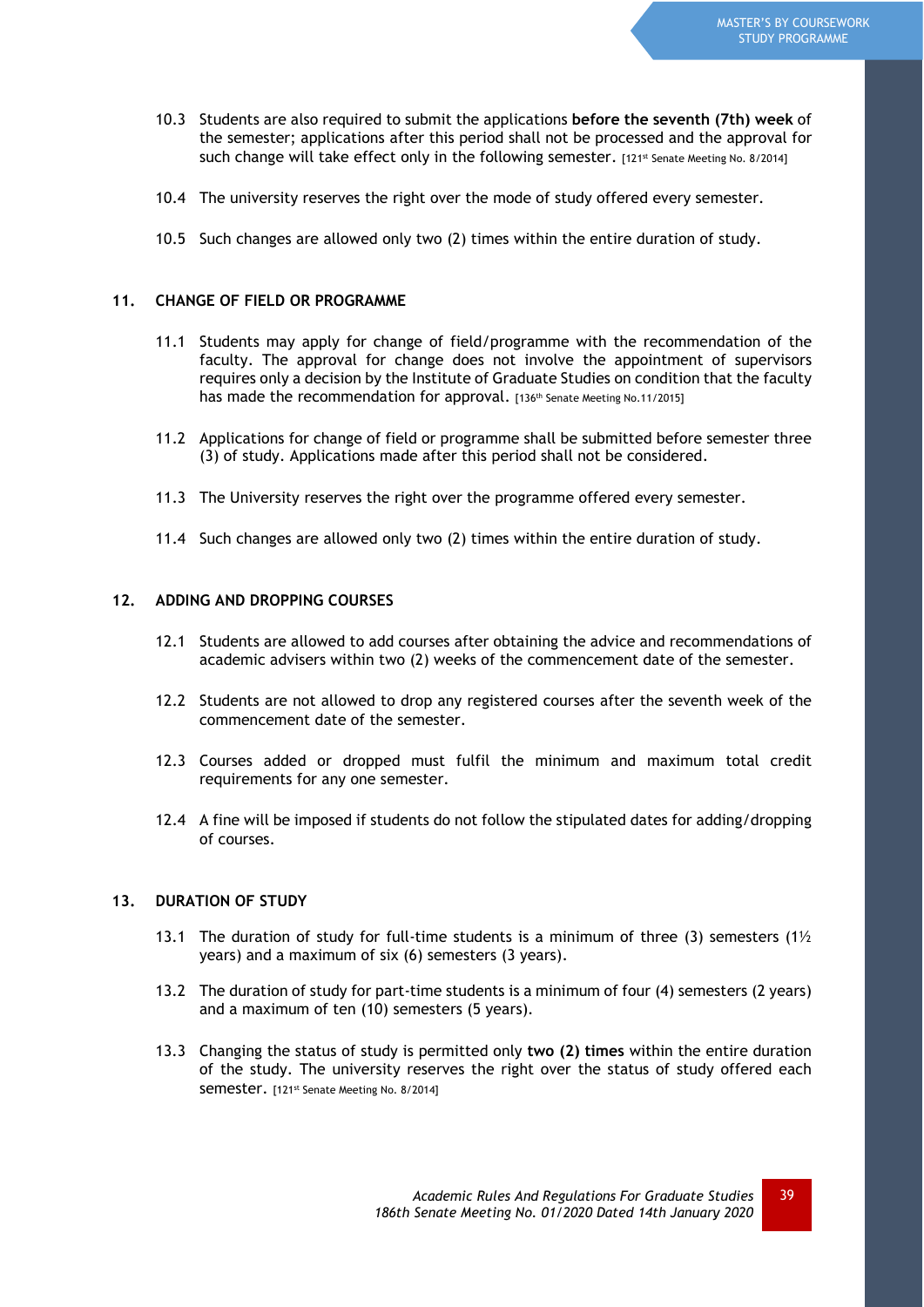- 10.3 Students are also required to submit the applications **before the seventh (7th) week** of the semester; applications after this period shall not be processed and the approval for such change will take effect only in the following semester. [121<sup>st</sup> Senate Meeting No. 8/2014]
- 10.4 The university reserves the right over the mode of study offered every semester.
- 10.5 Such changes are allowed only two (2) times within the entire duration of study.

### **11. CHANGE OF FIELD OR PROGRAMME**

- 11.1 Students may apply for change of field/programme with the recommendation of the faculty. The approval for change does not involve the appointment of supervisors requires only a decision by the Institute of Graduate Studies on condition that the faculty has made the recommendation for approval. [136<sup>th</sup> Senate Meeting No.11/2015]
- 11.2 Applications for change of field or programme shall be submitted before semester three (3) of study. Applications made after this period shall not be considered.
- 11.3 The University reserves the right over the programme offered every semester.
- 11.4 Such changes are allowed only two (2) times within the entire duration of study.

### **12. ADDING AND DROPPING COURSES**

- 12.1 Students are allowed to add courses after obtaining the advice and recommendations of academic advisers within two (2) weeks of the commencement date of the semester.
- 12.2 Students are not allowed to drop any registered courses after the seventh week of the commencement date of the semester.
- 12.3 Courses added or dropped must fulfil the minimum and maximum total credit requirements for any one semester.
- 12.4 A fine will be imposed if students do not follow the stipulated dates for adding/dropping of courses.

#### **13. DURATION OF STUDY**

- 13.1 The duration of study for full-time students is a minimum of three (3) semesters (1 $\frac{1}{2}$ years) and a maximum of six (6) semesters (3 years).
- 13.2 The duration of study for part-time students is a minimum of four (4) semesters (2 years) and a maximum of ten (10) semesters (5 years).
- 13.3 Changing the status of study is permitted only **two (2) times** within the entire duration of the study. The university reserves the right over the status of study offered each Semester. [121st Senate Meeting No. 8/2014]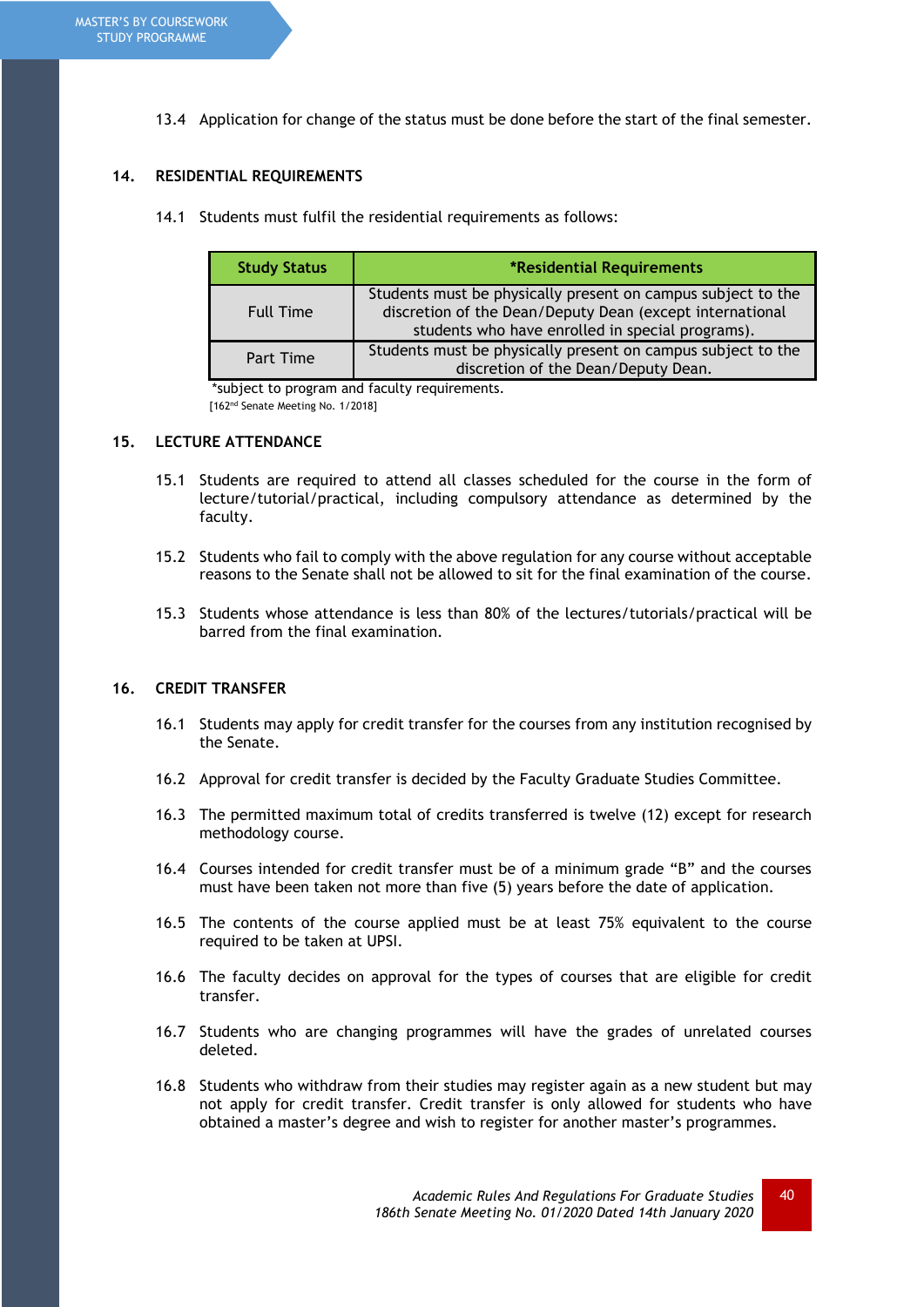13.4 Application for change of the status must be done before the start of the final semester.

### **14. RESIDENTIAL REQUIREMENTS**

14.1 Students must fulfil the residential requirements as follows:

| <b>Study Status</b> | *Residential Requirements                                                                                                                                                    |
|---------------------|------------------------------------------------------------------------------------------------------------------------------------------------------------------------------|
| <b>Full Time</b>    | Students must be physically present on campus subject to the<br>discretion of the Dean/Deputy Dean (except international<br>students who have enrolled in special programs). |
| Part Time           | Students must be physically present on campus subject to the<br>discretion of the Dean/Deputy Dean.                                                                          |

 \*subject to program and faculty requirements. [162nd Senate Meeting No. 1/2018]

#### **15. LECTURE ATTENDANCE**

- 15.1 Students are required to attend all classes scheduled for the course in the form of lecture/tutorial/practical, including compulsory attendance as determined by the faculty.
- 15.2 Students who fail to comply with the above regulation for any course without acceptable reasons to the Senate shall not be allowed to sit for the final examination of the course.
- 15.3 Students whose attendance is less than 80% of the lectures/tutorials/practical will be barred from the final examination.

### **16. CREDIT TRANSFER**

- 16.1 Students may apply for credit transfer for the courses from any institution recognised by the Senate.
- 16.2 Approval for credit transfer is decided by the Faculty Graduate Studies Committee.
- 16.3 The permitted maximum total of credits transferred is twelve (12) except for research methodology course.
- 16.4 Courses intended for credit transfer must be of a minimum grade "B" and the courses must have been taken not more than five (5) years before the date of application.
- 16.5 The contents of the course applied must be at least 75% equivalent to the course required to be taken at UPSI.
- 16.6 The faculty decides on approval for the types of courses that are eligible for credit transfer.
- 16.7 Students who are changing programmes will have the grades of unrelated courses deleted.
- 16.8 Students who withdraw from their studies may register again as a new student but may not apply for credit transfer. Credit transfer is only allowed for students who have obtained a master's degree and wish to register for another master's programmes.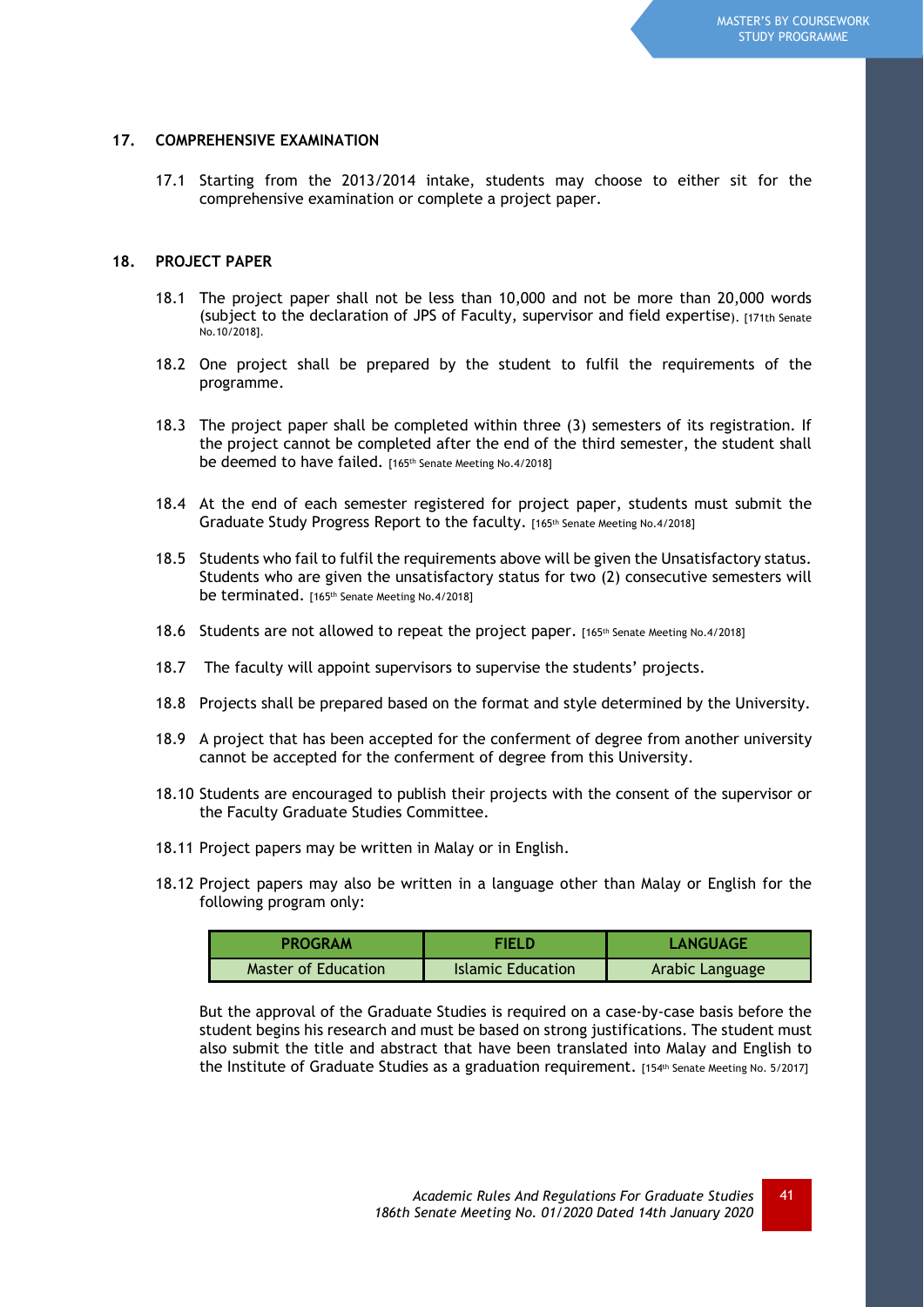#### **17. COMPREHENSIVE EXAMINATION**

17.1 Starting from the 2013/2014 intake, students may choose to either sit for the comprehensive examination or complete a project paper.

#### **18. PROJECT PAPER**

- 18.1 The project paper shall not be less than 10,000 and not be more than 20,000 words (subject to the declaration of JPS of Faculty, supervisor and field expertise). [171th Senate No.10/2018].
- 18.2 One project shall be prepared by the student to fulfil the requirements of the programme.
- 18.3 The project paper shall be completed within three (3) semesters of its registration. If the project cannot be completed after the end of the third semester, the student shall be deemed to have failed. [165th Senate Meeting No.4/2018]
- 18.4 At the end of each semester registered for project paper, students must submit the Graduate Study Progress Report to the faculty. [165th Senate Meeting No.4/2018]
- 18.5 Students who fail to fulfil the requirements above will be given the Unsatisfactory status. Students who are given the unsatisfactory status for two (2) consecutive semesters will be terminated. [165<sup>th</sup> Senate Meeting No.4/2018]
- 18.6 Students are not allowed to repeat the project paper.  $1165$ <sup>th</sup> Senate Meeting No.4/2018]
- 18.7 The faculty will appoint supervisors to supervise the students' projects.
- 18.8 Projects shall be prepared based on the format and style determined by the University.
- 18.9 A project that has been accepted for the conferment of degree from another university cannot be accepted for the conferment of degree from this University.
- 18.10 Students are encouraged to publish their projects with the consent of the supervisor or the Faculty Graduate Studies Committee.
- 18.11 Project papers may be written in Malay or in English.
- 18.12 Project papers may also be written in a language other than Malay or English for the following program only:

| <b>PROGRAM</b>      | FIFI D            | LANGUAGE        |
|---------------------|-------------------|-----------------|
| Master of Education | Islamic Education | Arabic Language |

But the approval of the Graduate Studies is required on a case-by-case basis before the student begins his research and must be based on strong justifications. The student must also submit the title and abstract that have been translated into Malay and English to the Institute of Graduate Studies as a graduation requirement. [154th Senate Meeting No. 5/2017]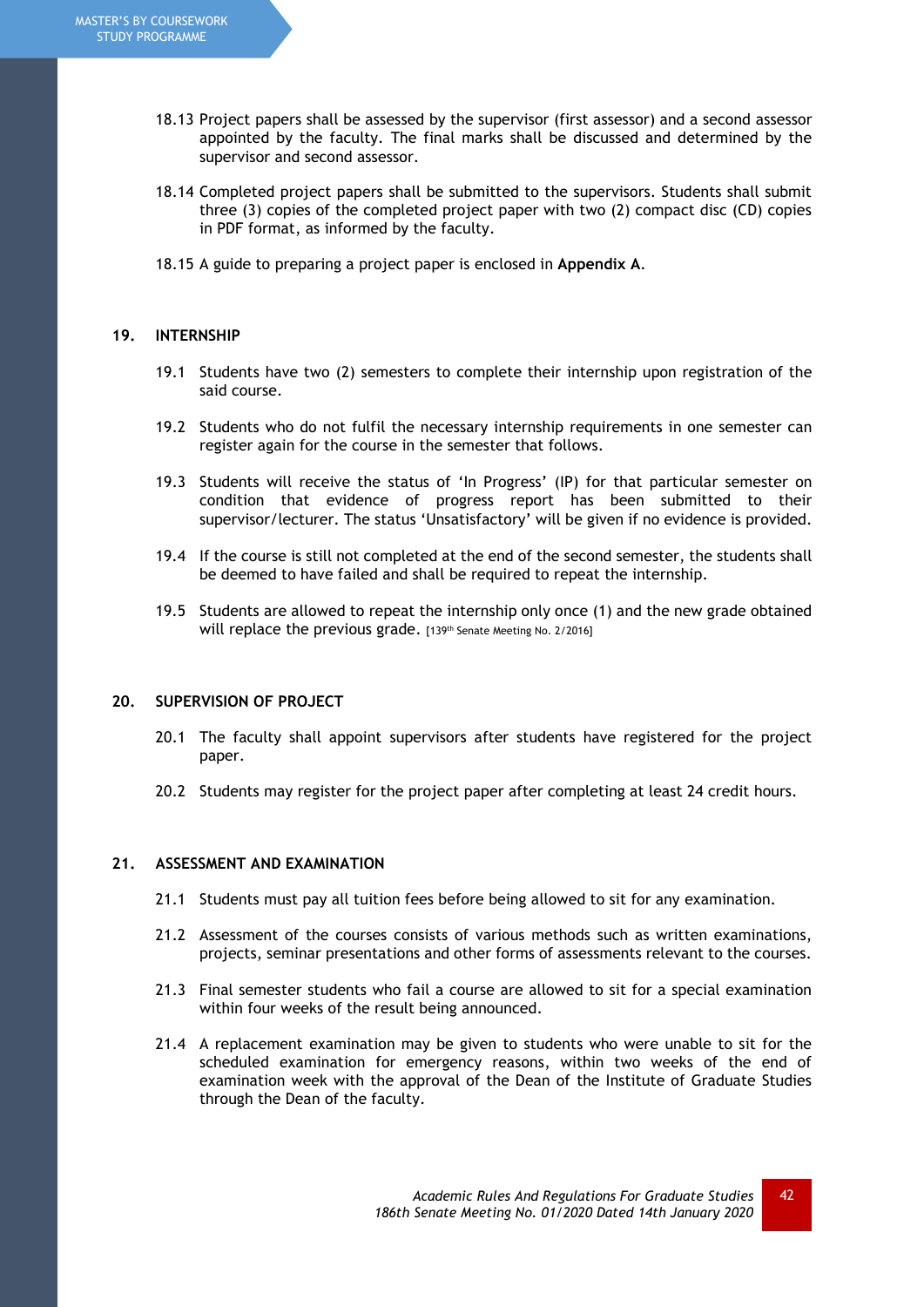- 18.13 Project papers shall be assessed by the supervisor (first assessor) and a second assessor appointed by the faculty. The final marks shall be discussed and determined by the supervisor and second assessor.
- 18.14 Completed project papers shall be submitted to the supervisors. Students shall submit three (3) copies of the completed project paper with two (2) compact disc (CD) copies in PDF format, as informed by the faculty.
- 18.15 A guide to preparing a project paper is enclosed in **Appendix A**.

#### **19. INTERNSHIP**

- 19.1 Students have two (2) semesters to complete their internship upon registration of the said course.
- 19.2 Students who do not fulfil the necessary internship requirements in one semester can register again for the course in the semester that follows.
- 19.3 Students will receive the status of 'In Progress' (IP) for that particular semester on condition that evidence of progress report has been submitted to their supervisor/lecturer. The status 'Unsatisfactory' will be given if no evidence is provided.
- 19.4 If the course is still not completed at the end of the second semester, the students shall be deemed to have failed and shall be required to repeat the internship.
- 19.5 Students are allowed to repeat the internship only once (1) and the new grade obtained will replace the previous grade. [139th Senate Meeting No. 2/2016]

#### **20. SUPERVISION OF PROJECT**

- 20.1 The faculty shall appoint supervisors after students have registered for the project paper.
- 20.2 Students may register for the project paper after completing at least 24 credit hours.

## **21. ASSESSMENT AND EXAMINATION**

- 21.1 Students must pay all tuition fees before being allowed to sit for any examination.
- 21.2 Assessment of the courses consists of various methods such as written examinations, projects, seminar presentations and other forms of assessments relevant to the courses.
- 21.3 Final semester students who fail a course are allowed to sit for a special examination within four weeks of the result being announced.
- 21.4 A replacement examination may be given to students who were unable to sit for the scheduled examination for emergency reasons, within two weeks of the end of examination week with the approval of the Dean of the Institute of Graduate Studies through the Dean of the faculty.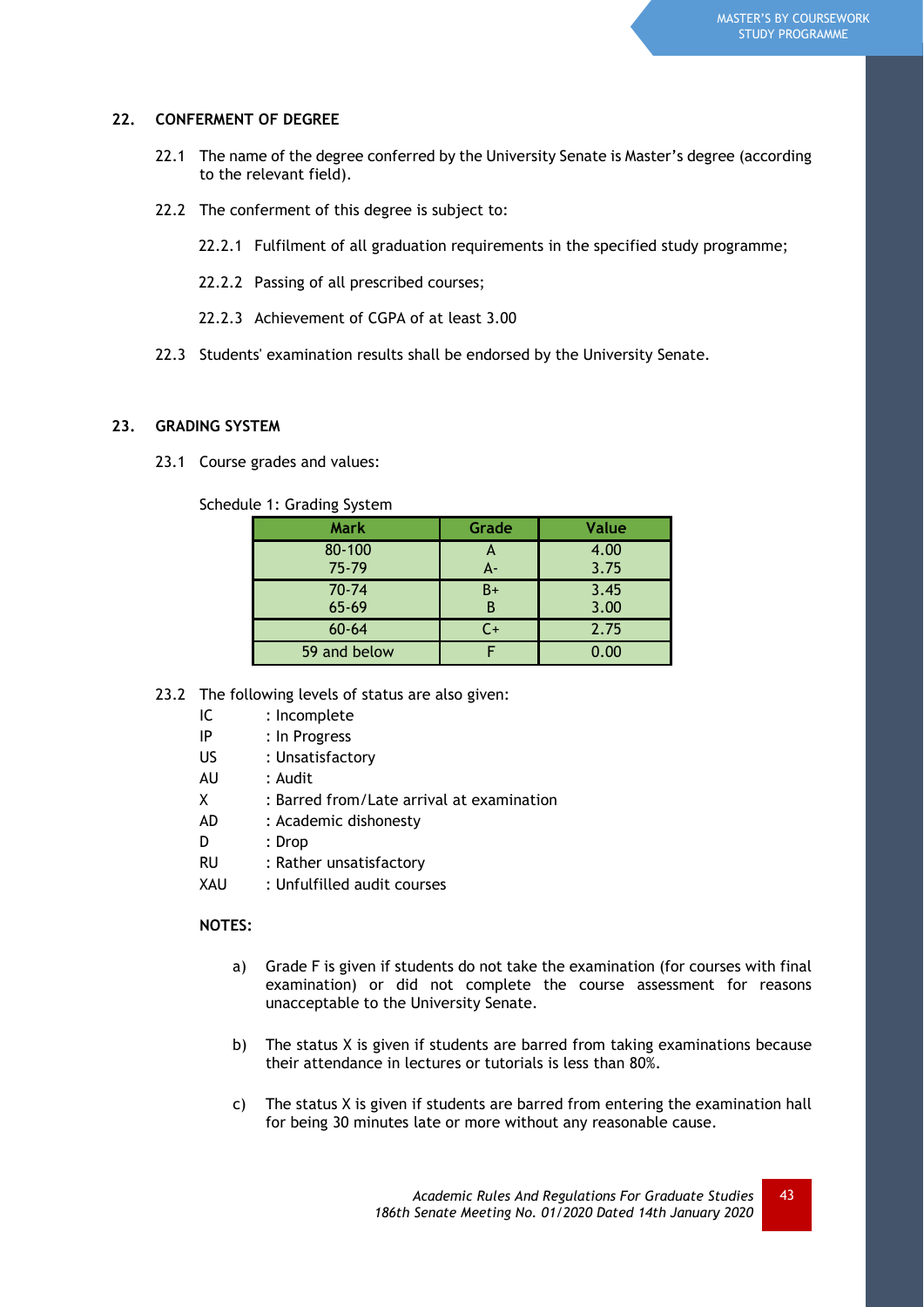# **22. CONFERMENT OF DEGREE**

- 22.1 The name of the degree conferred by the University Senate is Master's degree (according to the relevant field).
- 22.2 The conferment of this degree is subject to:
	- 22.2.1 Fulfilment of all graduation requirements in the specified study programme;
	- 22.2.2 Passing of all prescribed courses;
	- 22.2.3 Achievement of CGPA of at least 3.00
- 22.3 Students' examination results shall be endorsed by the University Senate.

#### **23. GRADING SYSTEM**

23.1 Course grades and values:

Schedule 1: Grading System

| <b>Mark</b>  | Grade | <b>Value</b> |
|--------------|-------|--------------|
| 80-100       | A     | 4.00         |
| $75 - 79$    | $A -$ | 3.75         |
| 70-74        | $B+$  | 3.45         |
| 65-69        | B     | 3.00         |
| $60 - 64$    | $C+$  | 2.75         |
| 59 and below |       | 0.00         |

#### 23.2 The following levels of status are also given:

- IC : Incomplete
- IP : In Progress
- US : Unsatisfactory
- AU : Audit
- X : Barred from/Late arrival at examination
- AD : Academic dishonesty
- D : Drop
- RU : Rather unsatisfactory
- XAU : Unfulfilled audit courses

#### **NOTES:**

- a) Grade F is given if students do not take the examination (for courses with final examination) or did not complete the course assessment for reasons unacceptable to the University Senate.
- b) The status X is given if students are barred from taking examinations because their attendance in lectures or tutorials is less than 80%.
- c) The status X is given if students are barred from entering the examination hall for being 30 minutes late or more without any reasonable cause.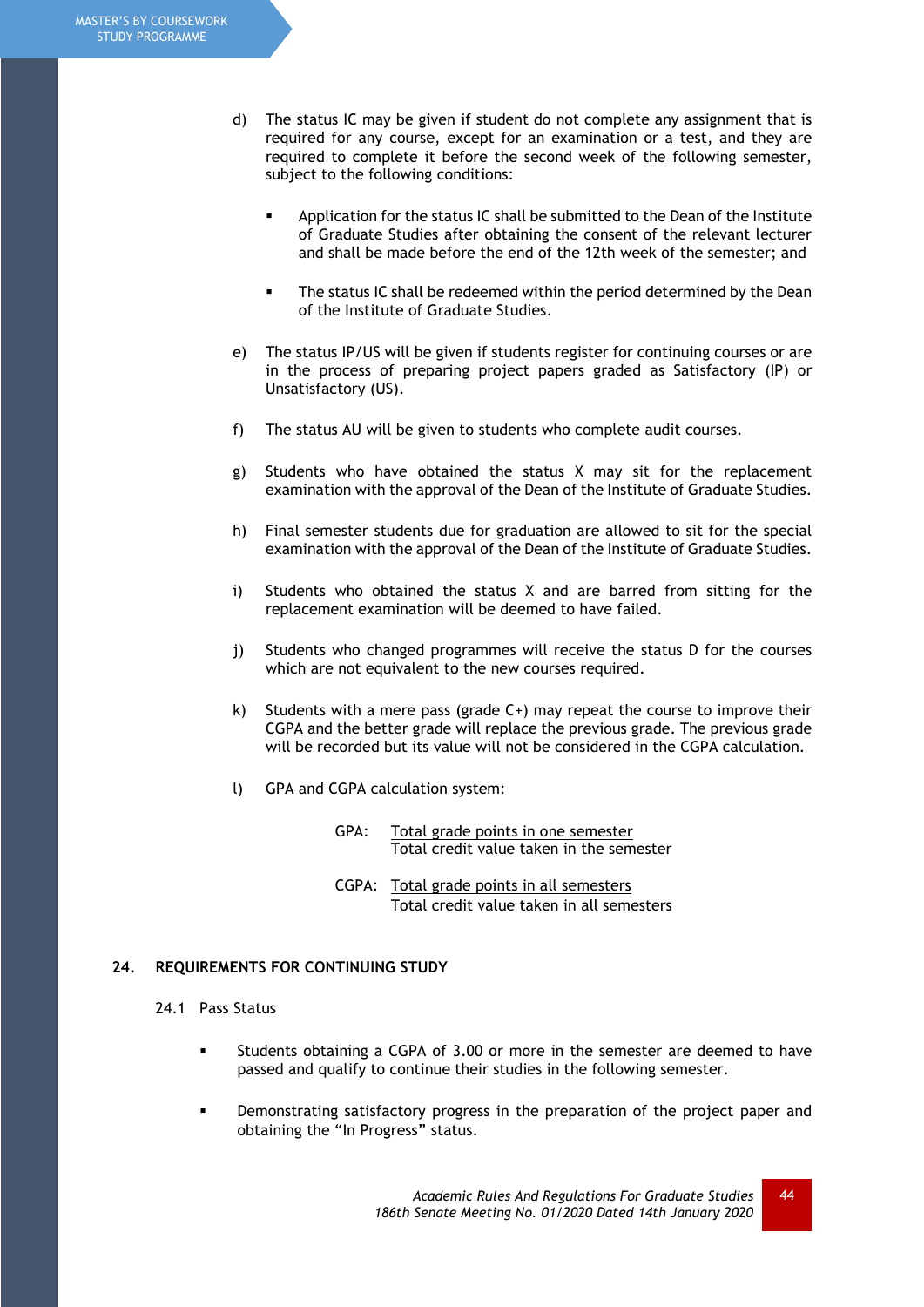- d) The status IC may be given if student do not complete any assignment that is required for any course, except for an examination or a test, and they are required to complete it before the second week of the following semester, subject to the following conditions:
	- Application for the status IC shall be submitted to the Dean of the Institute of Graduate Studies after obtaining the consent of the relevant lecturer and shall be made before the end of the 12th week of the semester; and
	- The status IC shall be redeemed within the period determined by the Dean of the Institute of Graduate Studies.
- e) The status IP/US will be given if students register for continuing courses or are in the process of preparing project papers graded as Satisfactory (IP) or Unsatisfactory (US).
- f) The status AU will be given to students who complete audit courses.
- g) Students who have obtained the status X may sit for the replacement examination with the approval of the Dean of the Institute of Graduate Studies.
- h) Final semester students due for graduation are allowed to sit for the special examination with the approval of the Dean of the Institute of Graduate Studies.
- i) Students who obtained the status X and are barred from sitting for the replacement examination will be deemed to have failed.
- j) Students who changed programmes will receive the status D for the courses which are not equivalent to the new courses required.
- k) Students with a mere pass (grade C+) may repeat the course to improve their CGPA and the better grade will replace the previous grade. The previous grade will be recorded but its value will not be considered in the CGPA calculation.
- l) GPA and CGPA calculation system:
	- GPA: Total grade points in one semester Total credit value taken in the semester
	- CGPA: Total grade points in all semesters Total credit value taken in all semesters

# **24. REQUIREMENTS FOR CONTINUING STUDY**

- 24.1 Pass Status
	- Students obtaining a CGPA of 3.00 or more in the semester are deemed to have passed and qualify to continue their studies in the following semester.
	- Demonstrating satisfactory progress in the preparation of the project paper and obtaining the "In Progress" status.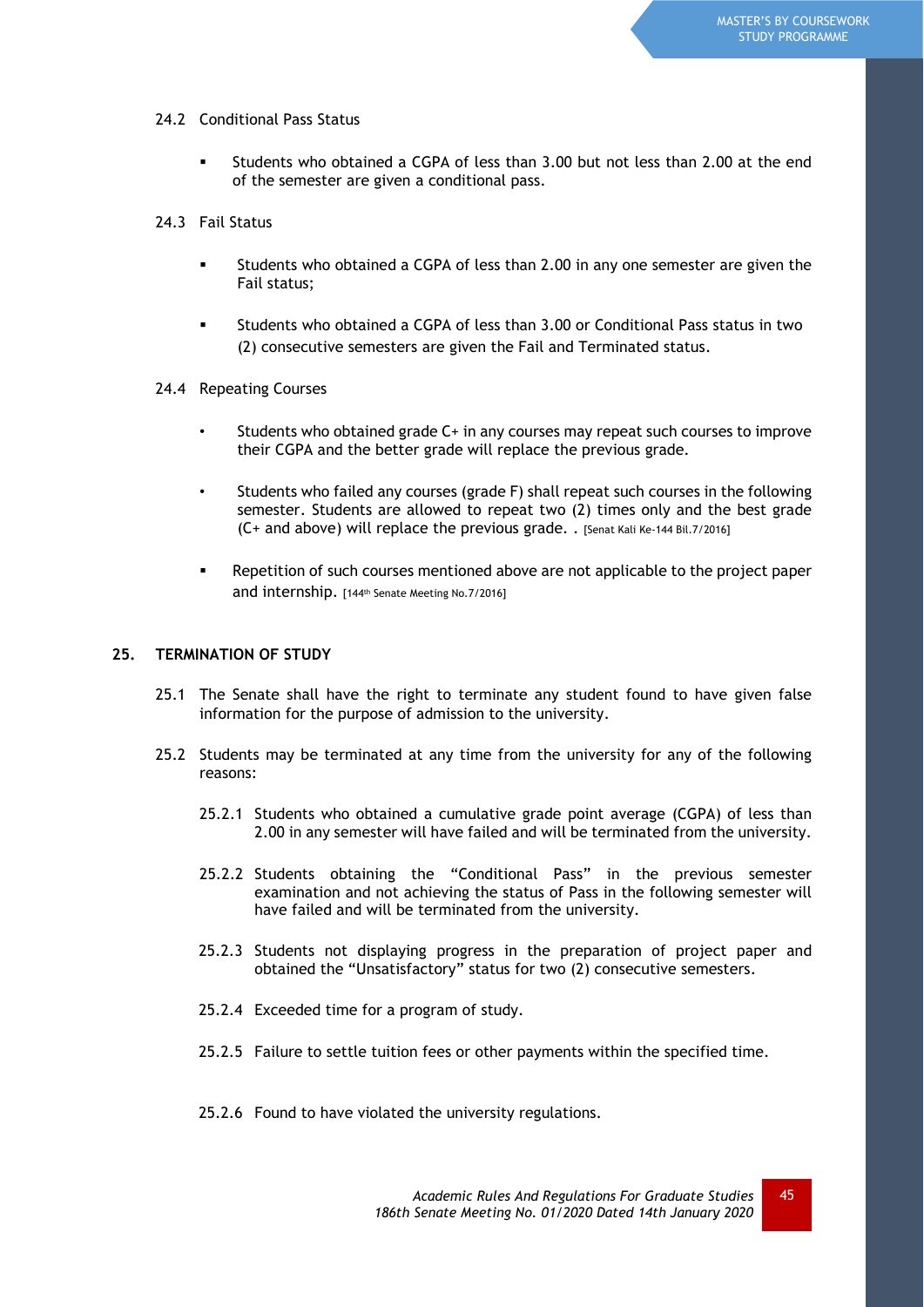### 24.2 Conditional Pass Status

- Students who obtained a CGPA of less than 3.00 but not less than 2.00 at the end of the semester are given a conditional pass.
- 24.3 Fail Status
	- Students who obtained a CGPA of less than 2.00 in any one semester are given the Fail status;
	- Students who obtained a CGPA of less than 3.00 or Conditional Pass status in two (2) consecutive semesters are given the Fail and Terminated status.
- 24.4 Repeating Courses
	- Students who obtained grade C+ in any courses may repeat such courses to improve their CGPA and the better grade will replace the previous grade.
	- Students who failed any courses (grade F) shall repeat such courses in the following semester. Students are allowed to repeat two (2) times only and the best grade (C+ and above) will replace the previous grade. . [Senat Kali Ke-144 Bil.7/2016]
	- Repetition of such courses mentioned above are not applicable to the project paper and internship. [144<sup>th</sup> Senate Meeting No.7/2016]

#### **25. TERMINATION OF STUDY**

- 25.1 The Senate shall have the right to terminate any student found to have given false information for the purpose of admission to the university.
- 25.2 Students may be terminated at any time from the university for any of the following reasons:
	- 25.2.1 Students who obtained a cumulative grade point average (CGPA) of less than 2.00 in any semester will have failed and will be terminated from the university.
	- 25.2.2 Students obtaining the "Conditional Pass" in the previous semester examination and not achieving the status of Pass in the following semester will have failed and will be terminated from the university.
	- 25.2.3 Students not displaying progress in the preparation of project paper and obtained the "Unsatisfactory" status for two (2) consecutive semesters.
	- 25.2.4 Exceeded time for a program of study.
	- 25.2.5 Failure to settle tuition fees or other payments within the specified time.
	- 25.2.6 Found to have violated the university regulations.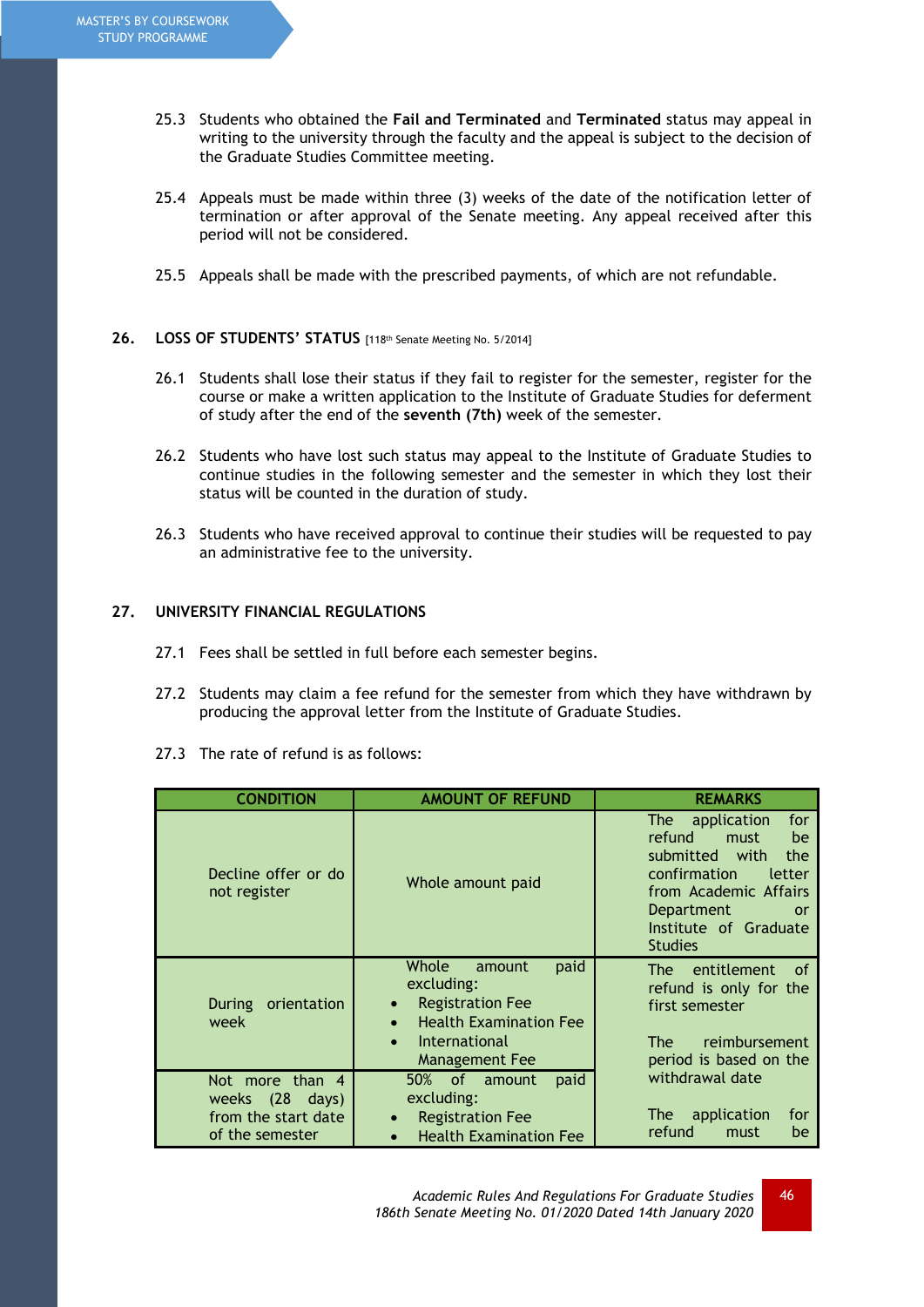- 25.3 Students who obtained the **Fail and Terminated** and **Terminated** status may appeal in writing to the university through the faculty and the appeal is subject to the decision of the Graduate Studies Committee meeting.
- 25.4 Appeals must be made within three (3) weeks of the date of the notification letter of termination or after approval of the Senate meeting. Any appeal received after this period will not be considered.
- 25.5 Appeals shall be made with the prescribed payments, of which are not refundable.

### **26. LOSS OF STUDENTS' STATUS** [118th Senate Meeting No. 5/2014]

- 26.1 Students shall lose their status if they fail to register for the semester, register for the course or make a written application to the Institute of Graduate Studies for deferment of study after the end of the **seventh (7th)** week of the semester.
- 26.2 Students who have lost such status may appeal to the Institute of Graduate Studies to continue studies in the following semester and the semester in which they lost their status will be counted in the duration of study.
- 26.3 Students who have received approval to continue their studies will be requested to pay an administrative fee to the university.

### **27. UNIVERSITY FINANCIAL REGULATIONS**

- 27.1 Fees shall be settled in full before each semester begins.
- 27.2 Students may claim a fee refund for the semester from which they have withdrawn by producing the approval letter from the Institute of Graduate Studies.
- 27.3 The rate of refund is as follows:

| <b>CONDITION</b>                                                             | <b>AMOUNT OF REFUND</b>                                                                                                                                                     | <b>REMARKS</b>                                                                                                                                                                                 |
|------------------------------------------------------------------------------|-----------------------------------------------------------------------------------------------------------------------------------------------------------------------------|------------------------------------------------------------------------------------------------------------------------------------------------------------------------------------------------|
| Decline offer or do<br>not register                                          | Whole amount paid                                                                                                                                                           | application<br>for<br>The l<br>refund<br>be<br>must<br>submitted with<br>the<br>confirmation<br>letter<br>from Academic Affairs<br>Department<br>or<br>Institute of Graduate<br><b>Studies</b> |
| During orientation<br>week                                                   | Whole<br>paid<br>amount<br>excluding:<br><b>Registration Fee</b><br>$\bullet$<br><b>Health Examination Fee</b><br>$\bullet$<br>International<br>$\bullet$<br>Management Fee | entitlement<br>The l<br>-of<br>refund is only for the<br>first semester<br>reimbursement<br>The l<br>period is based on the                                                                    |
| Not more than 4<br>weeks (28 days)<br>from the start date<br>of the semester | 50% of amount<br>paid<br>excluding:<br><b>Registration Fee</b><br>$\bullet$<br><b>Health Examination Fee</b><br>$\bullet$                                                   | withdrawal date<br>application<br>for<br>The:<br>refund<br>must<br>be                                                                                                                          |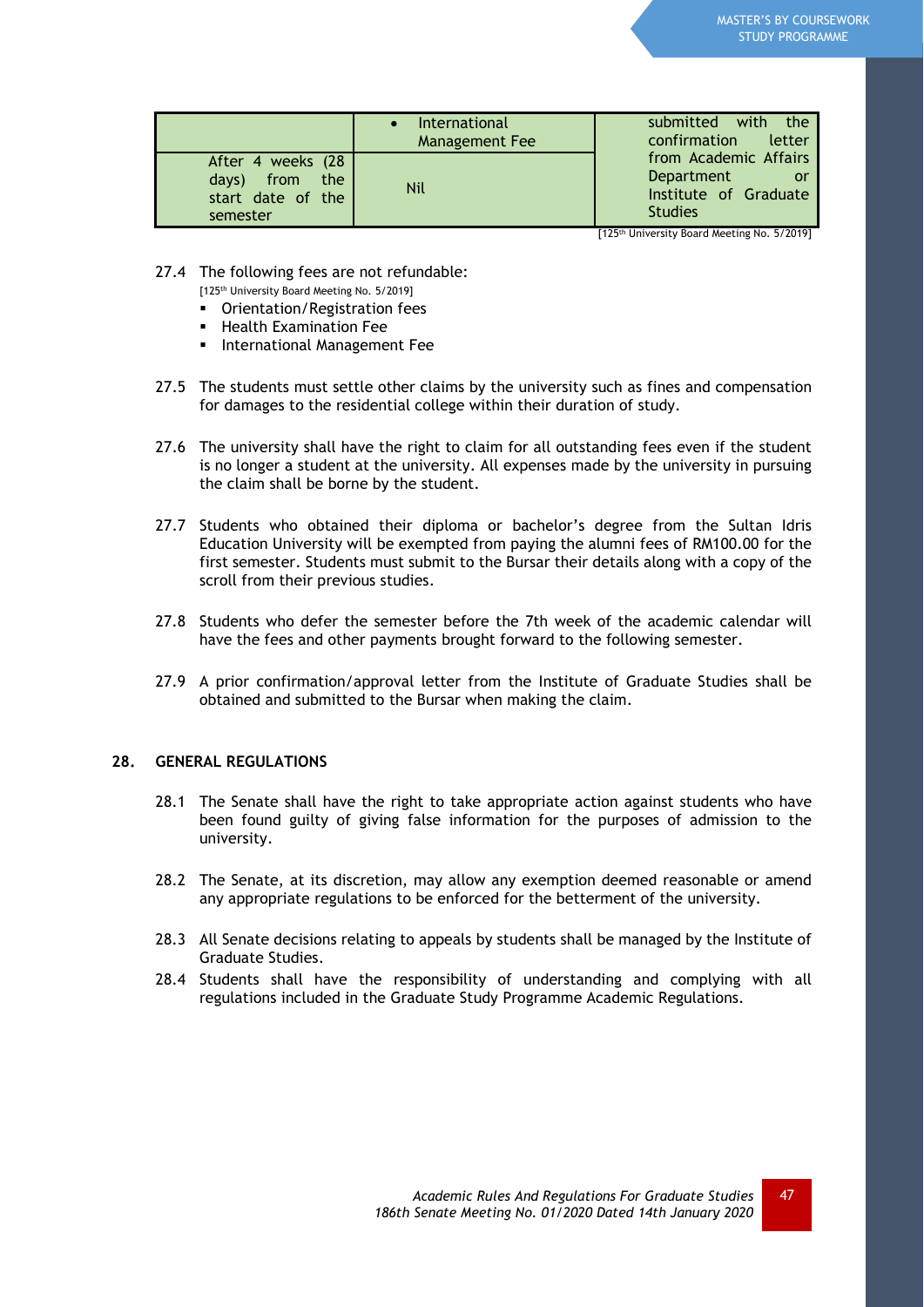|                                                                         | International<br>Management Fee | submitted with the<br>confirmation letter                                              |
|-------------------------------------------------------------------------|---------------------------------|----------------------------------------------------------------------------------------|
| After 4 weeks (28<br>days) from<br>the<br>start date of the<br>semester | Nil                             | from Academic Affairs<br>Department<br>or o<br>Institute of Graduate<br><b>Studies</b> |

[125th University Board Meeting No. 5/2019]

- 27.4 The following fees are not refundable:
	- [125th University Board Meeting No. 5/2019]
	- **•** Orientation/Registration fees
	- **Health Examination Fee**
	- **International Management Fee**
- 27.5 The students must settle other claims by the university such as fines and compensation for damages to the residential college within their duration of study.
- 27.6 The university shall have the right to claim for all outstanding fees even if the student is no longer a student at the university. All expenses made by the university in pursuing the claim shall be borne by the student.
- 27.7 Students who obtained their diploma or bachelor's degree from the Sultan Idris Education University will be exempted from paying the alumni fees of RM100.00 for the first semester. Students must submit to the Bursar their details along with a copy of the scroll from their previous studies.
- 27.8 Students who defer the semester before the 7th week of the academic calendar will have the fees and other payments brought forward to the following semester.
- 27.9 A prior confirmation/approval letter from the Institute of Graduate Studies shall be obtained and submitted to the Bursar when making the claim.

### **28. GENERAL REGULATIONS**

- 28.1 The Senate shall have the right to take appropriate action against students who have been found guilty of giving false information for the purposes of admission to the university.
- 28.2 The Senate, at its discretion, may allow any exemption deemed reasonable or amend any appropriate regulations to be enforced for the betterment of the university.
- 28.3 All Senate decisions relating to appeals by students shall be managed by the Institute of Graduate Studies.
- 28.4 Students shall have the responsibility of understanding and complying with all regulations included in the Graduate Study Programme Academic Regulations.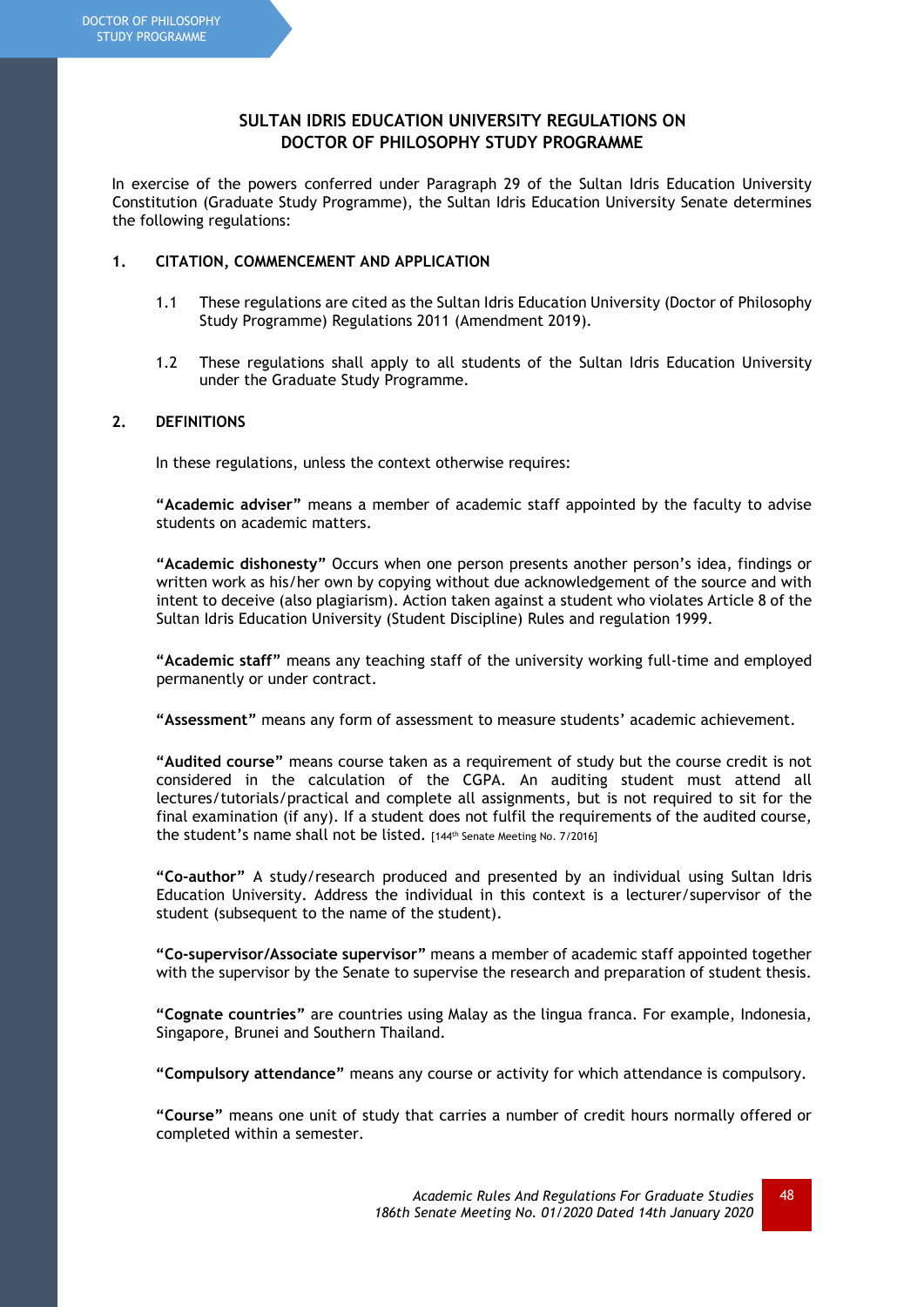# **SULTAN IDRIS EDUCATION UNIVERSITY REGULATIONS ON DOCTOR OF PHILOSOPHY STUDY PROGRAMME**

In exercise of the powers conferred under Paragraph 29 of the Sultan Idris Education University Constitution (Graduate Study Programme), the Sultan Idris Education University Senate determines the following regulations:

## **1. CITATION, COMMENCEMENT AND APPLICATION**

- 1.1 These regulations are cited as the Sultan Idris Education University (Doctor of Philosophy Study Programme) Regulations 2011 (Amendment 2019).
- 1.2 These regulations shall apply to all students of the Sultan Idris Education University under the Graduate Study Programme.

### **2. DEFINITIONS**

In these regulations, unless the context otherwise requires:

**"Academic adviser"** means a member of academic staff appointed by the faculty to advise students on academic matters.

**"Academic dishonesty"** Occurs when one person presents another person's idea, findings or written work as his/her own by copying without due acknowledgement of the source and with intent to deceive (also plagiarism). Action taken against a student who violates Article 8 of the Sultan Idris Education University (Student Discipline) Rules and regulation 1999.

**"Academic staff"** means any teaching staff of the university working full-time and employed permanently or under contract.

**"Assessment"** means any form of assessment to measure students' academic achievement.

**"Audited course"** means course taken as a requirement of study but the course credit is not considered in the calculation of the CGPA. An auditing student must attend all lectures/tutorials/practical and complete all assignments, but is not required to sit for the final examination (if any). If a student does not fulfil the requirements of the audited course, the student's name shall not be listed. [144th Senate Meeting No. 7/2016]

**"Co-author"** A study/research produced and presented by an individual using Sultan Idris Education University. Address the individual in this context is a lecturer/supervisor of the student (subsequent to the name of the student).

**"Co-supervisor/Associate supervisor"** means a member of academic staff appointed together with the supervisor by the Senate to supervise the research and preparation of student thesis.

**"Cognate countries"** are countries using Malay as the lingua franca. For example, Indonesia, Singapore, Brunei and Southern Thailand.

**"Compulsory attendance"** means any course or activity for which attendance is compulsory.

**"Course"** means one unit of study that carries a number of credit hours normally offered or completed within a semester.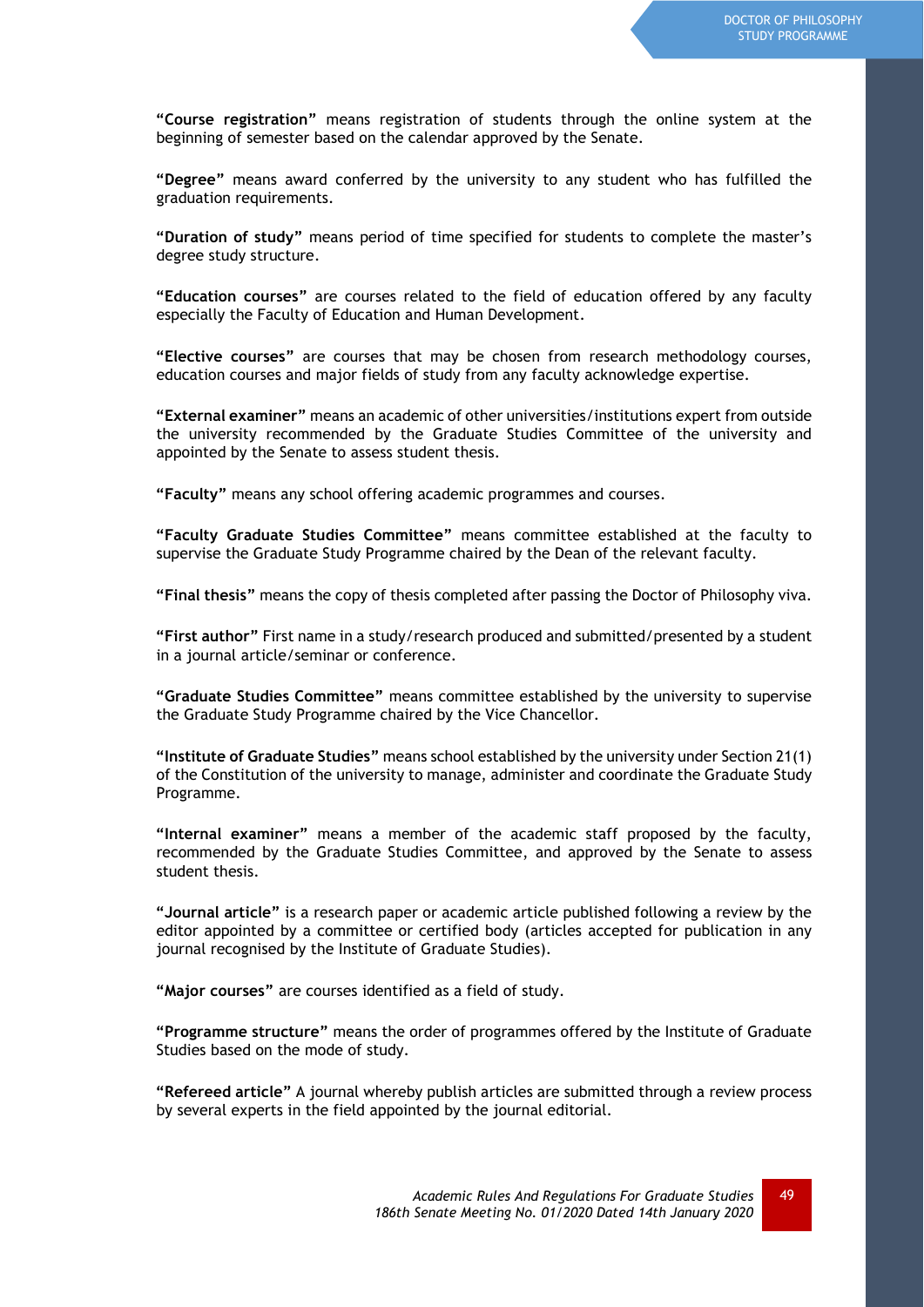**"Course registration"** means registration of students through the online system at the beginning of semester based on the calendar approved by the Senate.

**"Degree"** means award conferred by the university to any student who has fulfilled the graduation requirements.

**"Duration of study"** means period of time specified for students to complete the master's degree study structure.

**"Education courses"** are courses related to the field of education offered by any faculty especially the Faculty of Education and Human Development.

**"Elective courses"** are courses that may be chosen from research methodology courses, education courses and major fields of study from any faculty acknowledge expertise.

**"External examiner"** means an academic of other universities/institutions expert from outside the university recommended by the Graduate Studies Committee of the university and appointed by the Senate to assess student thesis.

**"Faculty"** means any school offering academic programmes and courses.

**"Faculty Graduate Studies Committee"** means committee established at the faculty to supervise the Graduate Study Programme chaired by the Dean of the relevant faculty.

**"Final thesis"** means the copy of thesis completed after passing the Doctor of Philosophy viva.

**"First author"** First name in a study/research produced and submitted/presented by a student in a journal article/seminar or conference.

**"Graduate Studies Committee"** means committee established by the university to supervise the Graduate Study Programme chaired by the Vice Chancellor.

**"Institute of Graduate Studies"** means school established by the university under Section 21(1) of the Constitution of the university to manage, administer and coordinate the Graduate Study Programme.

**"Internal examiner"** means a member of the academic staff proposed by the faculty, recommended by the Graduate Studies Committee, and approved by the Senate to assess student thesis.

**"Journal article"** is a research paper or academic article published following a review by the editor appointed by a committee or certified body (articles accepted for publication in any journal recognised by the Institute of Graduate Studies).

**"Major courses"** are courses identified as a field of study.

**"Programme structure"** means the order of programmes offered by the Institute of Graduate Studies based on the mode of study.

**"Refereed article"** A journal whereby publish articles are submitted through a review process by several experts in the field appointed by the journal editorial.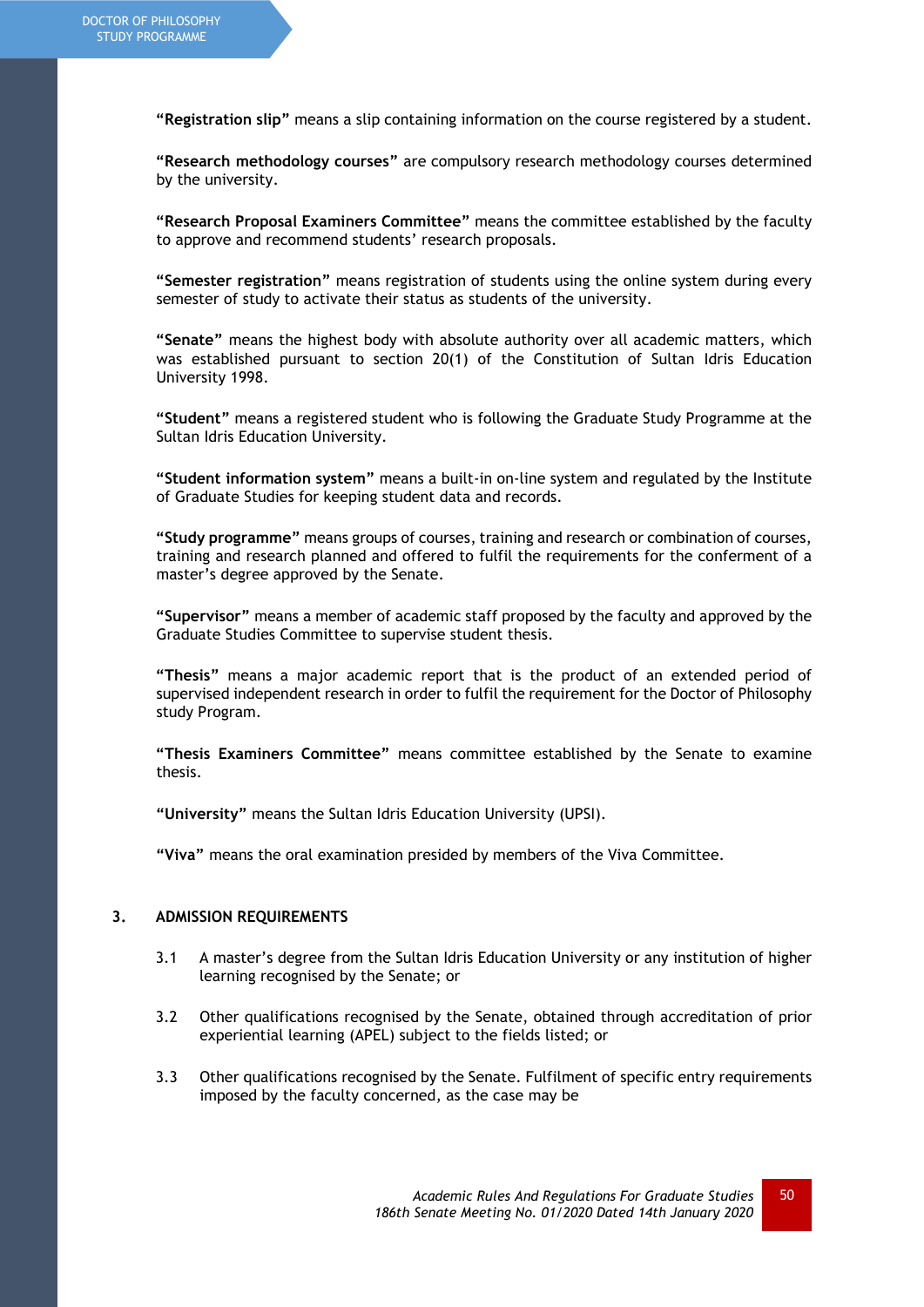**"Registration slip"** means a slip containing information on the course registered by a student.

**"Research methodology courses"** are compulsory research methodology courses determined by the university.

**"Research Proposal Examiners Committee"** means the committee established by the faculty to approve and recommend students' research proposals.

**"Semester registration"** means registration of students using the online system during every semester of study to activate their status as students of the university.

**"Senate"** means the highest body with absolute authority over all academic matters, which was established pursuant to section 20(1) of the Constitution of Sultan Idris Education University 1998.

**"Student"** means a registered student who is following the Graduate Study Programme at the Sultan Idris Education University.

**"Student information system"** means a built-in on-line system and regulated by the Institute of Graduate Studies for keeping student data and records.

**"Study programme"** means groups of courses, training and research or combination of courses, training and research planned and offered to fulfil the requirements for the conferment of a master's degree approved by the Senate.

**"Supervisor"** means a member of academic staff proposed by the faculty and approved by the Graduate Studies Committee to supervise student thesis.

**"Thesis"** means a major academic report that is the product of an extended period of supervised independent research in order to fulfil the requirement for the Doctor of Philosophy study Program.

**"Thesis Examiners Committee"** means committee established by the Senate to examine thesis.

**"University"** means the Sultan Idris Education University (UPSI).

**"Viva"** means the oral examination presided by members of the Viva Committee.

## **3. ADMISSION REQUIREMENTS**

- 3.1 A master's degree from the Sultan Idris Education University or any institution of higher learning recognised by the Senate; or
- 3.2 Other qualifications recognised by the Senate, obtained through accreditation of prior experiential learning (APEL) subject to the fields listed; or
- 3.3 Other qualifications recognised by the Senate. Fulfilment of specific entry requirements imposed by the faculty concerned, as the case may be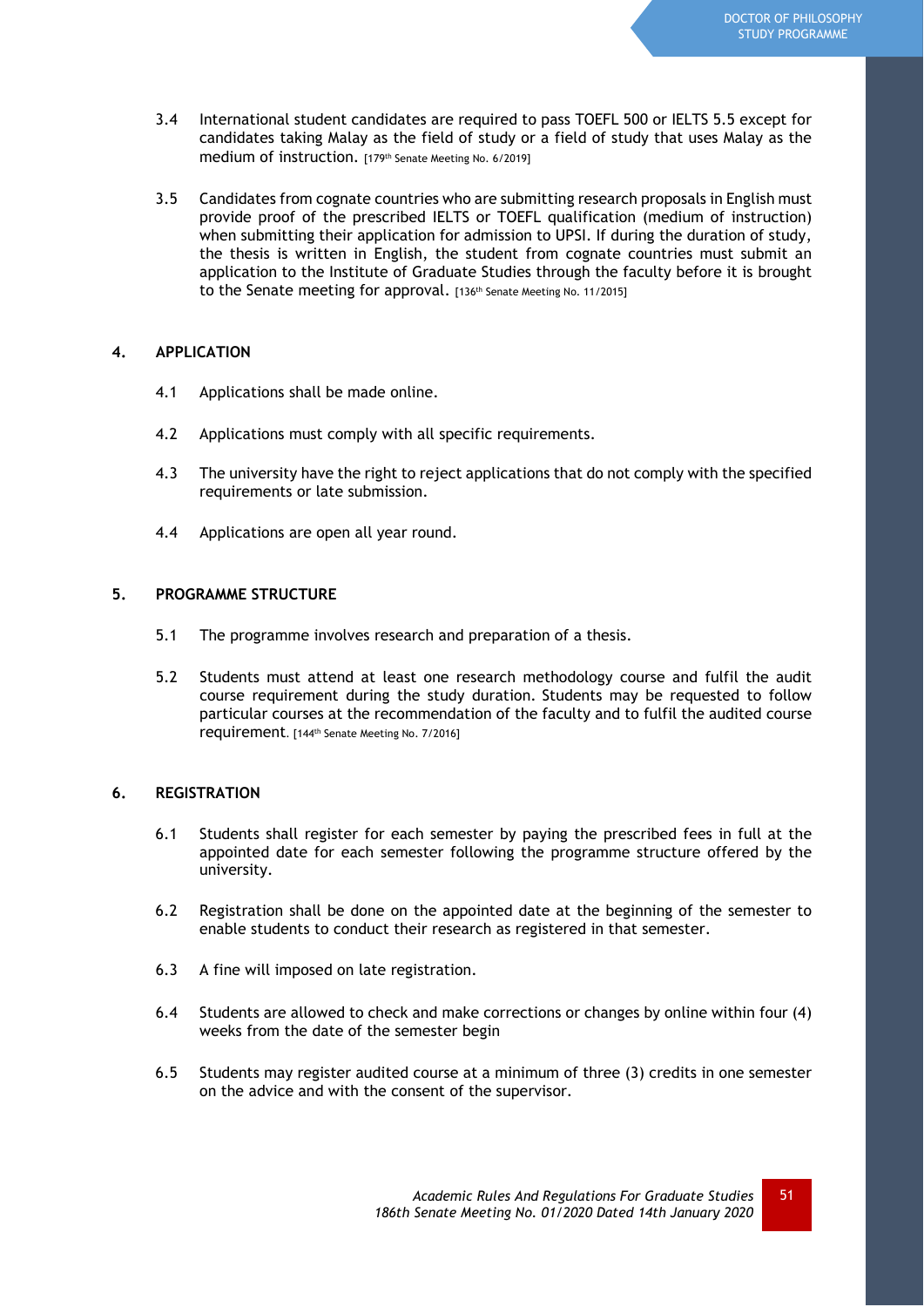- 3.4 International student candidates are required to pass TOEFL 500 or IELTS 5.5 except for candidates taking Malay as the field of study or a field of study that uses Malay as the medium of instruction. [179th Senate Meeting No. 6/2019]
- 3.5 Candidates from cognate countries who are submitting research proposals in English must provide proof of the prescribed IELTS or TOEFL qualification (medium of instruction) when submitting their application for admission to UPSI. If during the duration of study, the thesis is written in English, the student from cognate countries must submit an application to the Institute of Graduate Studies through the faculty before it is brought to the Senate meeting for approval. [136th Senate Meeting No. 11/2015]

# **4. APPLICATION**

- 4.1 Applications shall be made online.
- 4.2 Applications must comply with all specific requirements.
- 4.3 The university have the right to reject applications that do not comply with the specified requirements or late submission.
- 4.4 Applications are open all year round.

### **5. PROGRAMME STRUCTURE**

- 5.1 The programme involves research and preparation of a thesis.
- 5.2 Students must attend at least one research methodology course and fulfil the audit course requirement during the study duration. Students may be requested to follow particular courses at the recommendation of the faculty and to fulfil the audited course requirement. [144th Senate Meeting No. 7/2016]

# **6. REGISTRATION**

- 6.1 Students shall register for each semester by paying the prescribed fees in full at the appointed date for each semester following the programme structure offered by the university.
- 6.2 Registration shall be done on the appointed date at the beginning of the semester to enable students to conduct their research as registered in that semester.
- 6.3 A fine will imposed on late registration.
- 6.4 Students are allowed to check and make corrections or changes by online within four (4) weeks from the date of the semester begin
- 6.5 Students may register audited course at a minimum of three (3) credits in one semester on the advice and with the consent of the supervisor.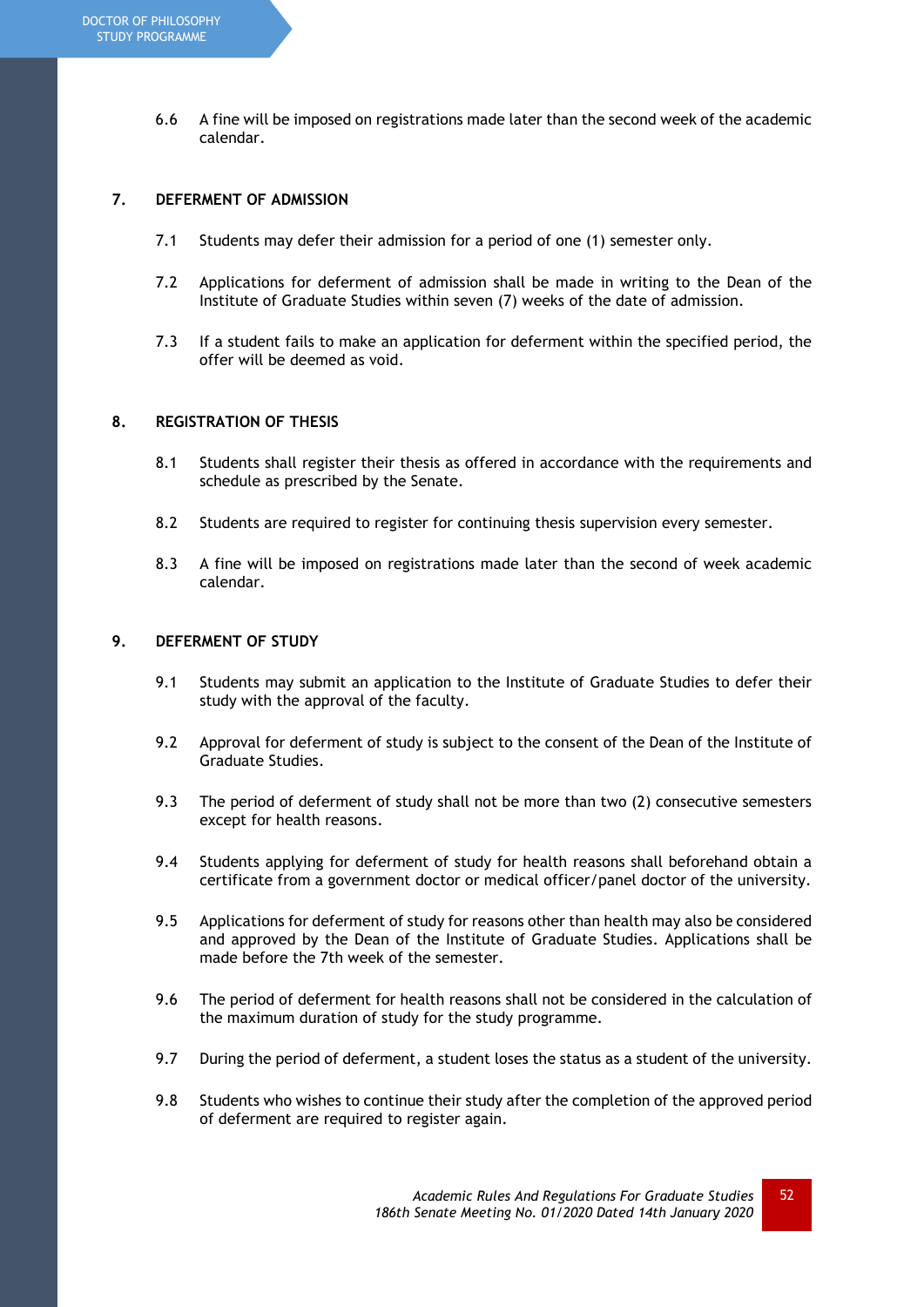6.6 A fine will be imposed on registrations made later than the second week of the academic calendar.

# **7. DEFERMENT OF ADMISSION**

- 7.1 Students may defer their admission for a period of one (1) semester only.
- 7.2 Applications for deferment of admission shall be made in writing to the Dean of the Institute of Graduate Studies within seven (7) weeks of the date of admission.
- 7.3 If a student fails to make an application for deferment within the specified period, the offer will be deemed as void.

### **8. REGISTRATION OF THESIS**

- 8.1 Students shall register their thesis as offered in accordance with the requirements and schedule as prescribed by the Senate.
- 8.2 Students are required to register for continuing thesis supervision every semester.
- 8.3 A fine will be imposed on registrations made later than the second of week academic calendar.

#### **9. DEFERMENT OF STUDY**

- 9.1 Students may submit an application to the Institute of Graduate Studies to defer their study with the approval of the faculty.
- 9.2 Approval for deferment of study is subject to the consent of the Dean of the Institute of Graduate Studies.
- 9.3 The period of deferment of study shall not be more than two (2) consecutive semesters except for health reasons.
- 9.4 Students applying for deferment of study for health reasons shall beforehand obtain a certificate from a government doctor or medical officer/panel doctor of the university.
- 9.5 Applications for deferment of study for reasons other than health may also be considered and approved by the Dean of the Institute of Graduate Studies. Applications shall be made before the 7th week of the semester.
- 9.6 The period of deferment for health reasons shall not be considered in the calculation of the maximum duration of study for the study programme.
- 9.7 During the period of deferment, a student loses the status as a student of the university.
- 9.8 Students who wishes to continue their study after the completion of the approved period of deferment are required to register again.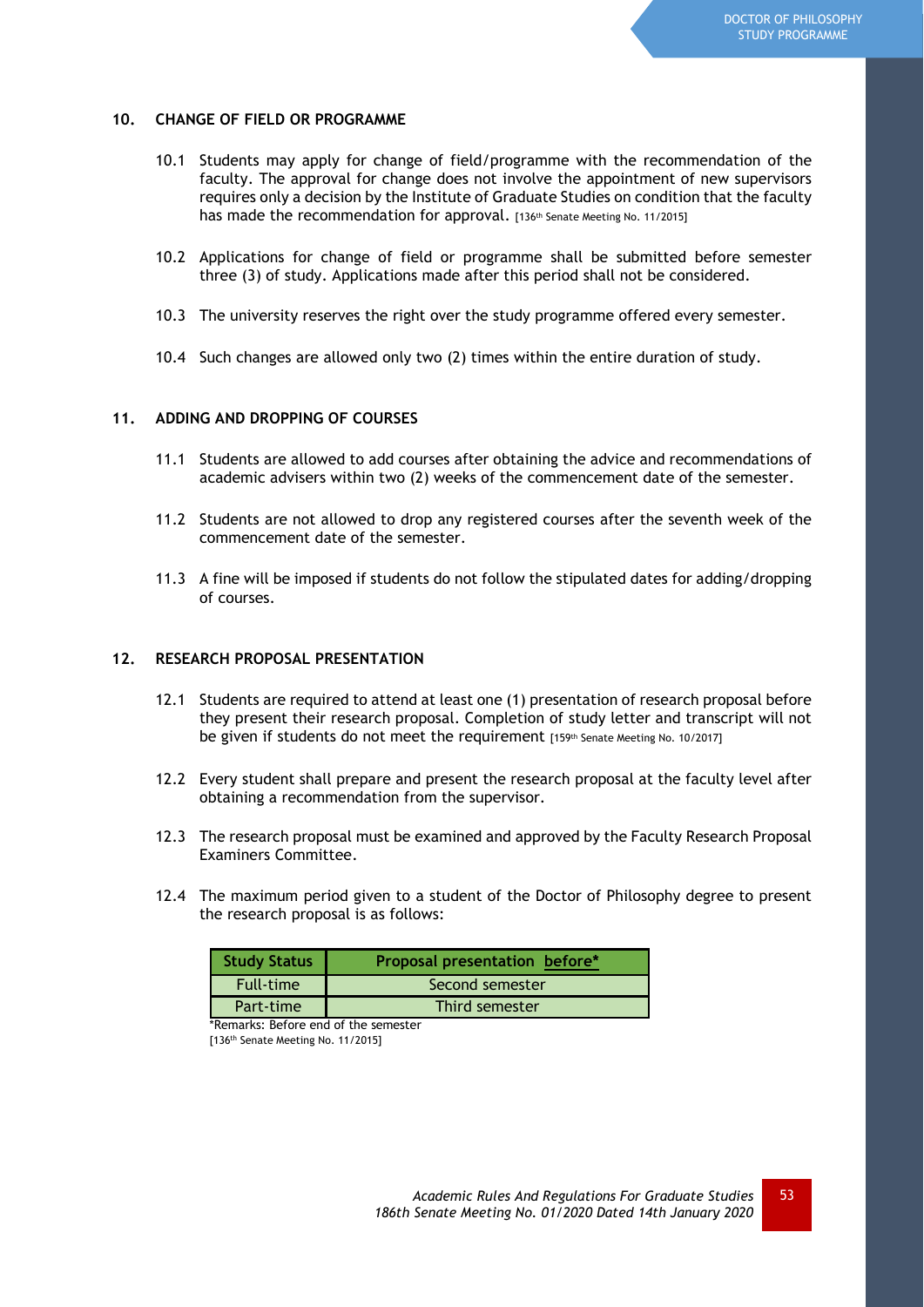# **10. CHANGE OF FIELD OR PROGRAMME**

- 10.1 Students may apply for change of field/programme with the recommendation of the faculty. The approval for change does not involve the appointment of new supervisors requires only a decision by the Institute of Graduate Studies on condition that the faculty has made the recommendation for approval. [136<sup>th</sup> Senate Meeting No. 11/2015]
- 10.2 Applications for change of field or programme shall be submitted before semester three (3) of study. Applications made after this period shall not be considered.
- 10.3 The university reserves the right over the study programme offered every semester.
- 10.4 Such changes are allowed only two (2) times within the entire duration of study.

#### **11. ADDING AND DROPPING OF COURSES**

- 11.1 Students are allowed to add courses after obtaining the advice and recommendations of academic advisers within two (2) weeks of the commencement date of the semester.
- 11.2 Students are not allowed to drop any registered courses after the seventh week of the commencement date of the semester.
- 11.3 A fine will be imposed if students do not follow the stipulated dates for adding/dropping of courses.

# **12. RESEARCH PROPOSAL PRESENTATION**

- 12.1 Students are required to attend at least one (1) presentation of research proposal before they present their research proposal. Completion of study letter and transcript will not be given if students do not meet the requirement [159th Senate Meeting No. 10/2017]
- 12.2 Every student shall prepare and present the research proposal at the faculty level after obtaining a recommendation from the supervisor.
- 12.3 The research proposal must be examined and approved by the Faculty Research Proposal Examiners Committee.
- 12.4 The maximum period given to a student of the Doctor of Philosophy degree to present the research proposal is as follows:

| <b>Study Status</b>                  | Proposal presentation before* |  |
|--------------------------------------|-------------------------------|--|
| Full-time                            | Second semester               |  |
| Part-time                            | Third semester                |  |
| *Remarks: Before end of the semester |                               |  |

[136<sup>th</sup> Senate Meeting No. 11/2015]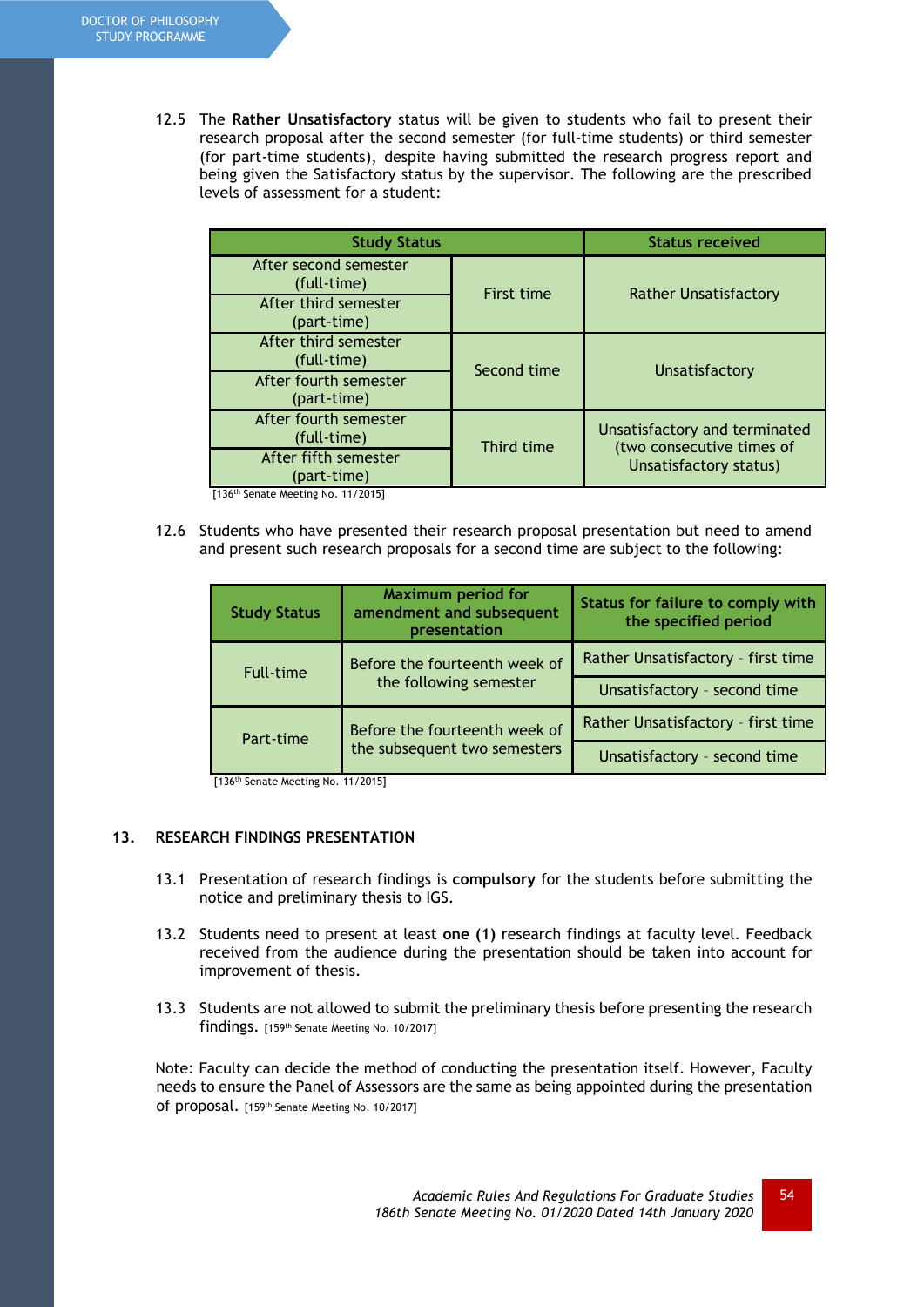12.5 The **Rather Unsatisfactory** status will be given to students who fail to present their research proposal after the second semester (for full-time students) or third semester (for part-time students), despite having submitted the research progress report and being given the Satisfactory status by the supervisor. The following are the prescribed levels of assessment for a student:

| <b>Study Status</b>                  |             | <b>Status received</b>                                     |
|--------------------------------------|-------------|------------------------------------------------------------|
| After second semester<br>(full-time) | First time  |                                                            |
| After third semester<br>(part-time)  |             | <b>Rather Unsatisfactory</b>                               |
| After third semester<br>(full-time)  | Second time | Unsatisfactory                                             |
| After fourth semester<br>(part-time) |             |                                                            |
| After fourth semester<br>(full-time) | Third time  | Unsatisfactory and terminated<br>(two consecutive times of |
| After fifth semester<br>(part-time)  |             | Unsatisfactory status)                                     |

[136th Senate Meeting No. 11/2015]

12.6 Students who have presented their research proposal presentation but need to amend and present such research proposals for a second time are subject to the following:

| <b>Study Status</b> | <b>Maximum period for</b><br>amendment and subsequent<br>presentation | Status for failure to comply with<br>the specified period |
|---------------------|-----------------------------------------------------------------------|-----------------------------------------------------------|
| <b>Full-time</b>    | Before the fourteenth week of                                         | Rather Unsatisfactory - first time                        |
|                     | the following semester                                                | Unsatisfactory - second time                              |
| Part-time           | Before the fourteenth week of                                         | Rather Unsatisfactory - first time                        |
|                     | the subsequent two semesters                                          | Unsatisfactory - second time                              |

[136<sup>th</sup> Senate Meeting No. 11/2015]

# **13. RESEARCH FINDINGS PRESENTATION**

- 13.1 Presentation of research findings is **compulsory** for the students before submitting the notice and preliminary thesis to IGS.
- 13.2 Students need to present at least **one (1)** research findings at faculty level. Feedback received from the audience during the presentation should be taken into account for improvement of thesis.
- 13.3 Students are not allowed to submit the preliminary thesis before presenting the research findings. [159th Senate Meeting No. 10/2017]

Note: Faculty can decide the method of conducting the presentation itself. However, Faculty needs to ensure the Panel of Assessors are the same as being appointed during the presentation of proposal. [159th Senate Meeting No. 10/2017]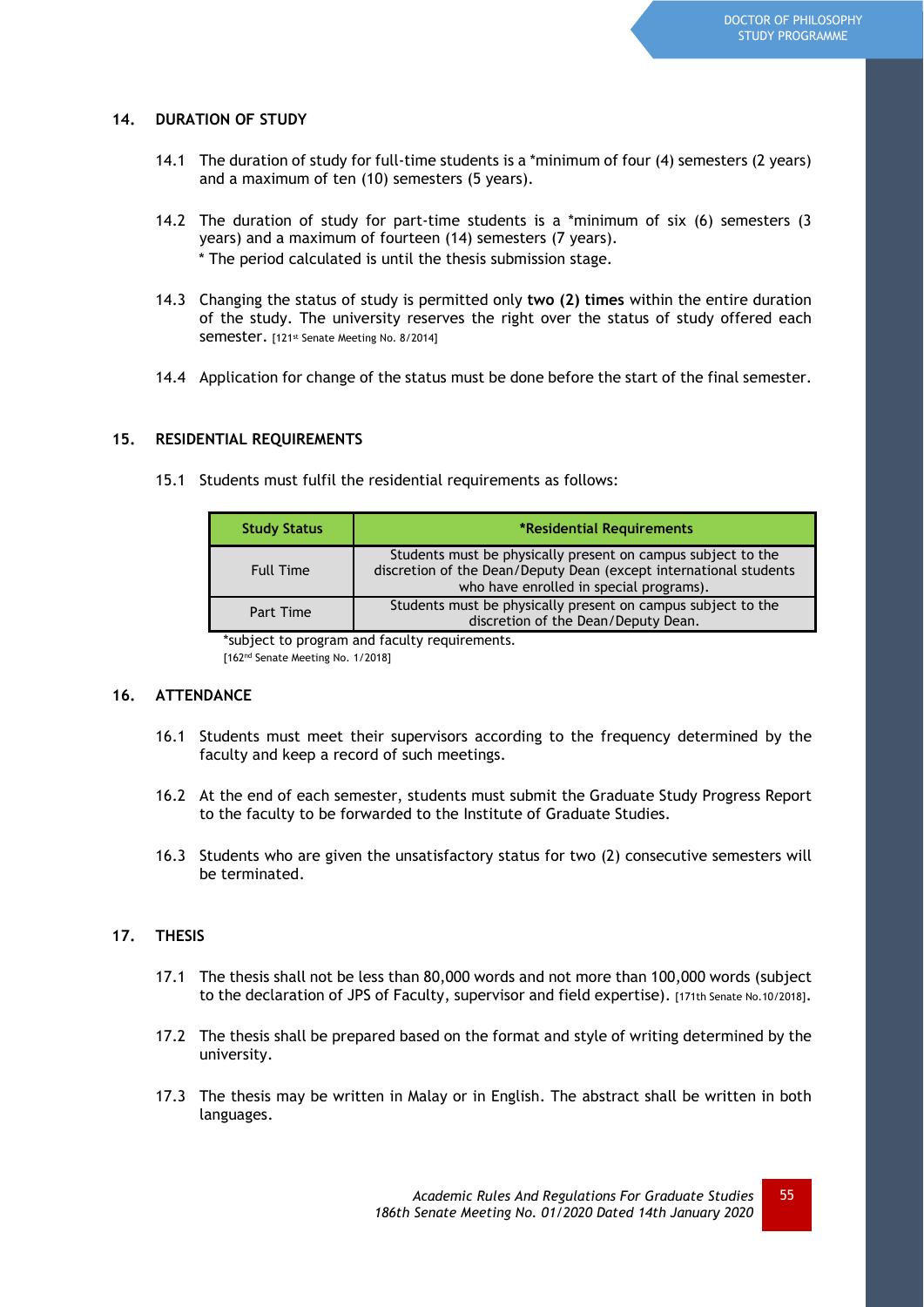# **14. DURATION OF STUDY**

- 14.1 The duration of study for full-time students is a \*minimum of four (4) semesters (2 years) and a maximum of ten (10) semesters (5 years).
- 14.2 The duration of study for part-time students is a \*minimum of six (6) semesters (3 years) and a maximum of fourteen (14) semesters (7 years). \* The period calculated is until the thesis submission stage.
- 14.3 Changing the status of study is permitted only **two (2) times** within the entire duration of the study. The university reserves the right over the status of study offered each semester. [121st Senate Meeting No. 8/2014]
- 14.4 Application for change of the status must be done before the start of the final semester.

### **15. RESIDENTIAL REQUIREMENTS**

15.1 Students must fulfil the residential requirements as follows:

| <b>Study Status</b> | *Residential Requirements                                                                                                                                                    |
|---------------------|------------------------------------------------------------------------------------------------------------------------------------------------------------------------------|
| <b>Full Time</b>    | Students must be physically present on campus subject to the<br>discretion of the Dean/Deputy Dean (except international students<br>who have enrolled in special programs). |
| Part Time           | Students must be physically present on campus subject to the<br>discretion of the Dean/Deputy Dean.                                                                          |

\*subject to program and faculty requirements. [162nd Senate Meeting No. 1/2018]

# **16. ATTENDANCE**

- 16.1 Students must meet their supervisors according to the frequency determined by the faculty and keep a record of such meetings.
- 16.2 At the end of each semester, students must submit the Graduate Study Progress Report to the faculty to be forwarded to the Institute of Graduate Studies.
- 16.3 Students who are given the unsatisfactory status for two (2) consecutive semesters will be terminated.

### **17. THESIS**

- 17.1 The thesis shall not be less than 80,000 words and not more than 100,000 words (subject to the declaration of JPS of Faculty, supervisor and field expertise). [171th Senate No.10/2018].
- 17.2 The thesis shall be prepared based on the format and style of writing determined by the university.
- 17.3 The thesis may be written in Malay or in English. The abstract shall be written in both languages.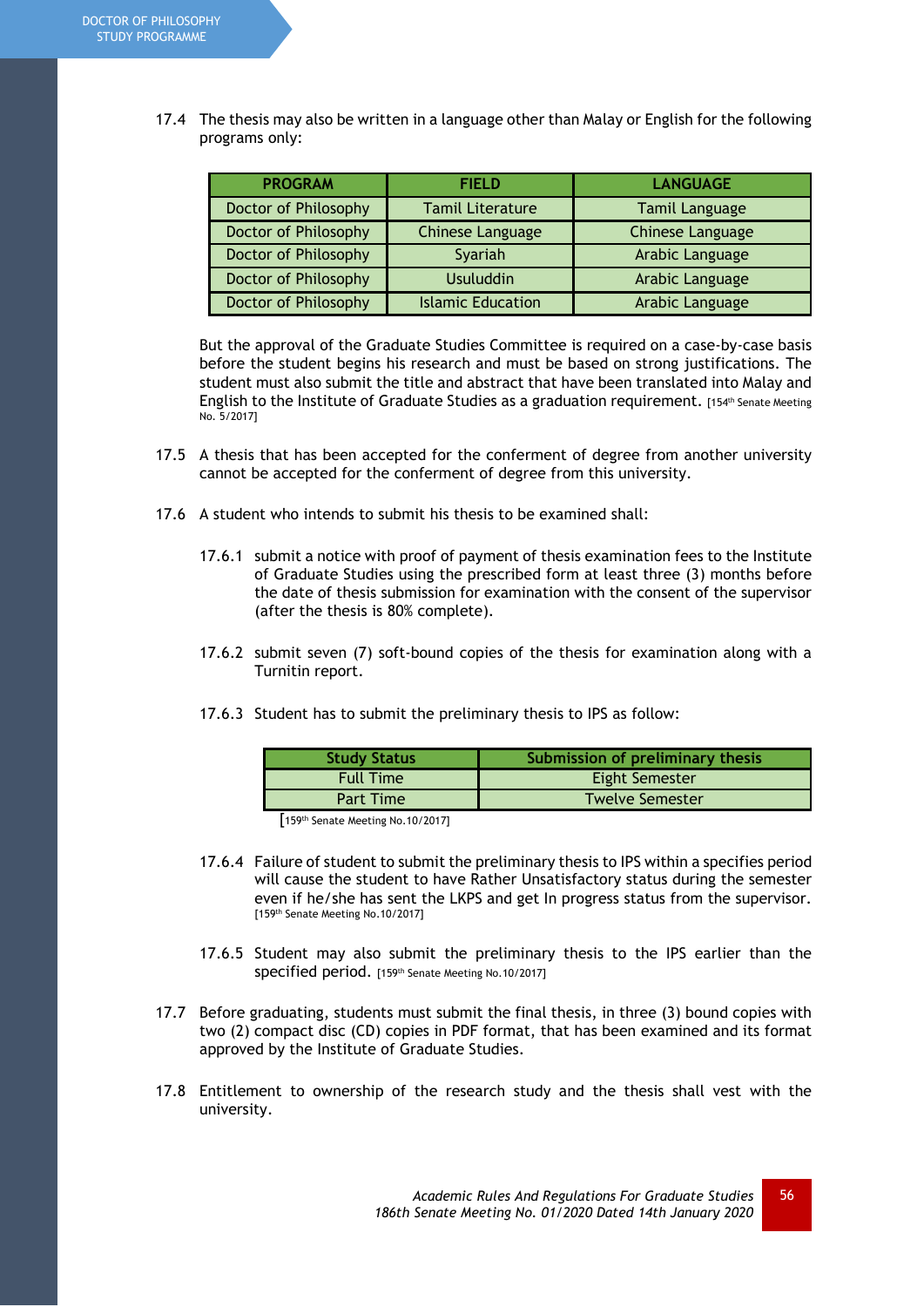17.4 The thesis may also be written in a language other than Malay or English for the following programs only:

| <b>PROGRAM</b>       | <b>FIELD</b>             | <b>LANGUAGE</b>         |
|----------------------|--------------------------|-------------------------|
| Doctor of Philosophy | <b>Tamil Literature</b>  | <b>Tamil Language</b>   |
| Doctor of Philosophy | Chinese Language         | <b>Chinese Language</b> |
| Doctor of Philosophy | Syariah                  | Arabic Language         |
| Doctor of Philosophy | <b>Usuluddin</b>         | Arabic Language         |
| Doctor of Philosophy | <b>Islamic Education</b> | Arabic Language         |

But the approval of the Graduate Studies Committee is required on a case-by-case basis before the student begins his research and must be based on strong justifications. The student must also submit the title and abstract that have been translated into Malay and English to the Institute of Graduate Studies as a graduation requirement. [154<sup>th</sup> Senate Meeting] No. 5/2017]

- 17.5 A thesis that has been accepted for the conferment of degree from another university cannot be accepted for the conferment of degree from this university.
- 17.6 A student who intends to submit his thesis to be examined shall:
	- 17.6.1 submit a notice with proof of payment of thesis examination fees to the Institute of Graduate Studies using the prescribed form at least three (3) months before the date of thesis submission for examination with the consent of the supervisor (after the thesis is 80% complete).
	- 17.6.2 submit seven (7) soft-bound copies of the thesis for examination along with a Turnitin report.
	- 17.6.3 Student has to submit the preliminary thesis to IPS as follow:

| <b>Study Status</b> | Submission of preliminary thesis |
|---------------------|----------------------------------|
| <b>Full Time</b>    | <b>Eight Semester</b>            |
| Part Time           | <b>Twelve Semester</b>           |

[159th Senate Meeting No.10/2017]

- 17.6.4 Failure of student to submit the preliminary thesis to IPS within a specifies period will cause the student to have Rather Unsatisfactory status during the semester even if he/she has sent the LKPS and get In progress status from the supervisor. [159th Senate Meeting No.10/2017]
- 17.6.5 Student may also submit the preliminary thesis to the IPS earlier than the specified period. [159th Senate Meeting No.10/2017]
- 17.7 Before graduating, students must submit the final thesis, in three (3) bound copies with two (2) compact disc (CD) copies in PDF format, that has been examined and its format approved by the Institute of Graduate Studies.
- 17.8 Entitlement to ownership of the research study and the thesis shall vest with the university.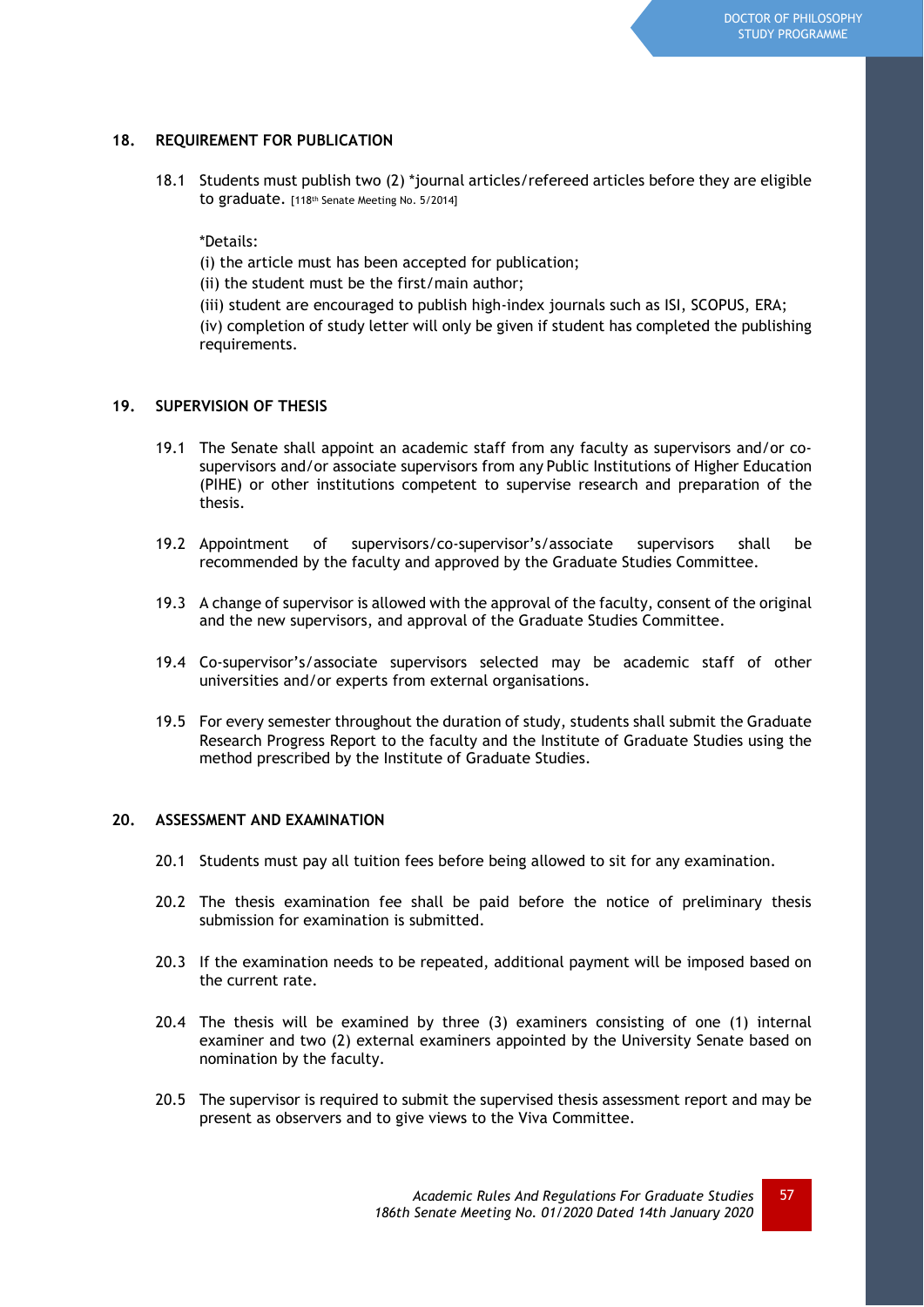# **18. REQUIREMENT FOR PUBLICATION**

18.1 Students must publish two (2) \*journal articles/refereed articles before they are eligible to graduate. [118th Senate Meeting No. 5/2014]

\*Details:

(i) the article must has been accepted for publication;

(ii) the student must be the first/main author;

(iii) student are encouraged to publish high-index journals such as ISI, SCOPUS, ERA;

(iv) completion of study letter will only be given if student has completed the publishing requirements.

# **19. SUPERVISION OF THESIS**

- 19.1 The Senate shall appoint an academic staff from any faculty as supervisors and/or cosupervisors and/or associate supervisors from any Public Institutions of Higher Education (PIHE) or other institutions competent to supervise research and preparation of the thesis.
- 19.2 Appointment of supervisors/co-supervisor's/associate supervisors shall be recommended by the faculty and approved by the Graduate Studies Committee.
- 19.3 A change of supervisor is allowed with the approval of the faculty, consent of the original and the new supervisors, and approval of the Graduate Studies Committee.
- 19.4 Co-supervisor's/associate supervisors selected may be academic staff of other universities and/or experts from external organisations.
- 19.5 For every semester throughout the duration of study, students shall submit the Graduate Research Progress Report to the faculty and the Institute of Graduate Studies using the method prescribed by the Institute of Graduate Studies.

#### **20. ASSESSMENT AND EXAMINATION**

- 20.1 Students must pay all tuition fees before being allowed to sit for any examination.
- 20.2 The thesis examination fee shall be paid before the notice of preliminary thesis submission for examination is submitted.
- 20.3 If the examination needs to be repeated, additional payment will be imposed based on the current rate.
- 20.4 The thesis will be examined by three (3) examiners consisting of one (1) internal examiner and two (2) external examiners appointed by the University Senate based on nomination by the faculty.
- 20.5 The supervisor is required to submit the supervised thesis assessment report and may be present as observers and to give views to the Viva Committee.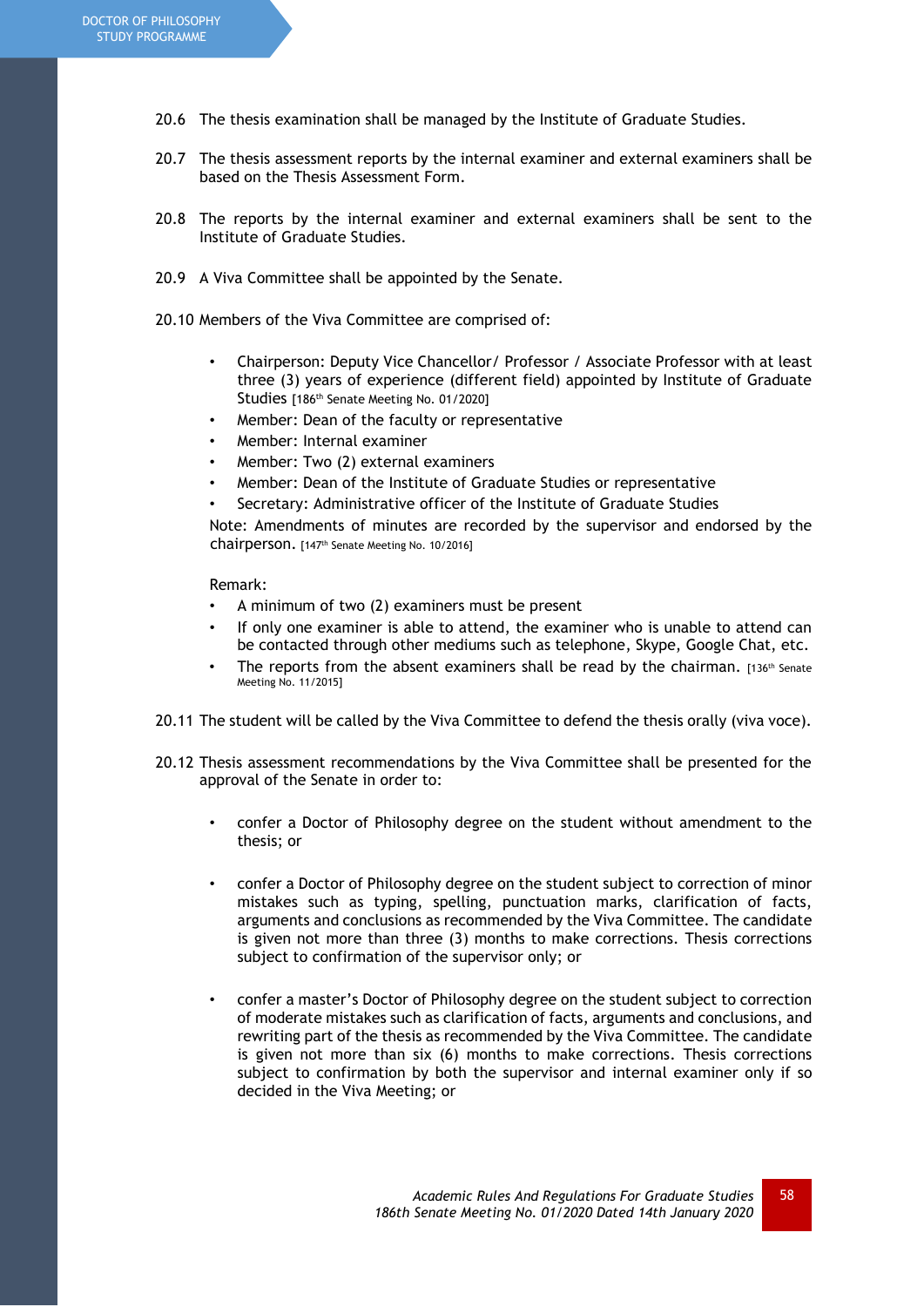- 20.6 The thesis examination shall be managed by the Institute of Graduate Studies.
- 20.7 The thesis assessment reports by the internal examiner and external examiners shall be based on the Thesis Assessment Form.
- 20.8 The reports by the internal examiner and external examiners shall be sent to the Institute of Graduate Studies.
- 20.9 A Viva Committee shall be appointed by the Senate.
- 20.10 Members of the Viva Committee are comprised of:
	- Chairperson: Deputy Vice Chancellor/ Professor / Associate Professor with at least three (3) years of experience (different field) appointed by Institute of Graduate Studies [186<sup>th</sup> Senate Meeting No. 01/2020]
	- Member: Dean of the faculty or representative
	- Member: Internal examiner
	- Member: Two (2) external examiners
	- Member: Dean of the Institute of Graduate Studies or representative
	- Secretary: Administrative officer of the Institute of Graduate Studies

Note: Amendments of minutes are recorded by the supervisor and endorsed by the chairperson. [147th Senate Meeting No. 10/2016]

Remark:

- A minimum of two (2) examiners must be present
- If only one examiner is able to attend, the examiner who is unable to attend can be contacted through other mediums such as telephone, Skype, Google Chat, etc.
- The reports from the absent examiners shall be read by the chairman.  $1136th$  Senate Meeting No. 11/2015]
- 20.11 The student will be called by the Viva Committee to defend the thesis orally (viva voce).
- 20.12 Thesis assessment recommendations by the Viva Committee shall be presented for the approval of the Senate in order to:
	- confer a Doctor of Philosophy degree on the student without amendment to the thesis; or
	- confer a Doctor of Philosophy degree on the student subject to correction of minor mistakes such as typing, spelling, punctuation marks, clarification of facts, arguments and conclusions as recommended by the Viva Committee. The candidate is given not more than three (3) months to make corrections. Thesis corrections subject to confirmation of the supervisor only; or
	- confer a master's Doctor of Philosophy degree on the student subject to correction of moderate mistakes such as clarification of facts, arguments and conclusions, and rewriting part of the thesis as recommended by the Viva Committee. The candidate is given not more than six (6) months to make corrections. Thesis corrections subject to confirmation by both the supervisor and internal examiner only if so decided in the Viva Meeting; or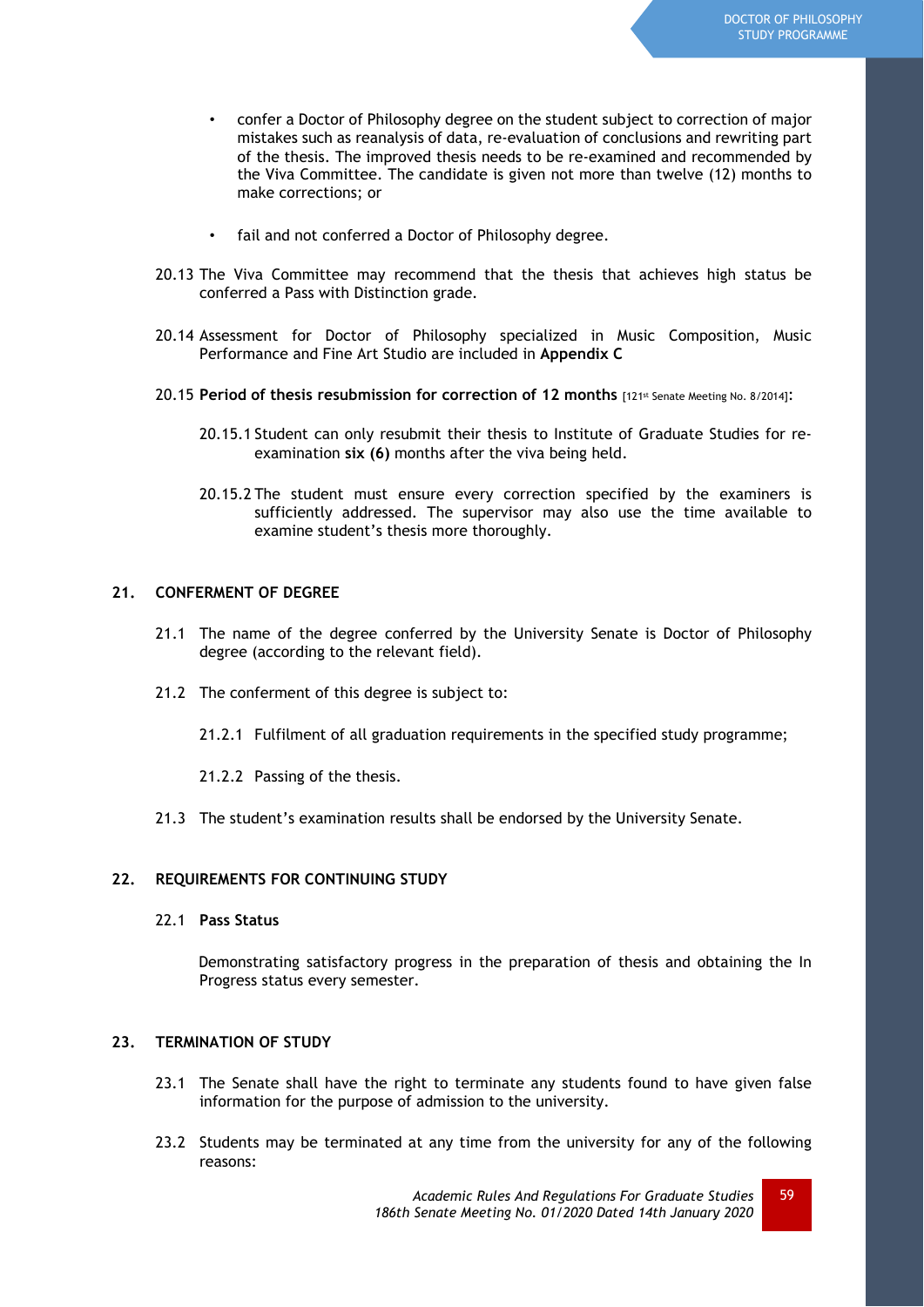- confer a Doctor of Philosophy degree on the student subject to correction of major mistakes such as reanalysis of data, re-evaluation of conclusions and rewriting part of the thesis. The improved thesis needs to be re-examined and recommended by the Viva Committee. The candidate is given not more than twelve (12) months to make corrections; or
- fail and not conferred a Doctor of Philosophy degree.
- 20.13 The Viva Committee may recommend that the thesis that achieves high status be conferred a Pass with Distinction grade.
- 20.14 Assessment for Doctor of Philosophy specialized in Music Composition, Music Performance and Fine Art Studio are included in **Appendix C**
- 20.15 **Period of thesis resubmission for correction of 12 months** [121st Senate Meeting No. 8/2014]:
	- 20.15.1 Student can only resubmit their thesis to Institute of Graduate Studies for reexamination **six (6)** months after the viva being held.
	- 20.15.2 The student must ensure every correction specified by the examiners is sufficiently addressed. The supervisor may also use the time available to examine student's thesis more thoroughly.

#### **21. CONFERMENT OF DEGREE**

- 21.1 The name of the degree conferred by the University Senate is Doctor of Philosophy degree (according to the relevant field).
- 21.2 The conferment of this degree is subject to:
	- 21.2.1 Fulfilment of all graduation requirements in the specified study programme;
	- 21.2.2 Passing of the thesis.
- 21.3 The student's examination results shall be endorsed by the University Senate.

#### **22. REQUIREMENTS FOR CONTINUING STUDY**

#### 22.1 **Pass Status**

Demonstrating satisfactory progress in the preparation of thesis and obtaining the In Progress status every semester.

### **23. TERMINATION OF STUDY**

- 23.1 The Senate shall have the right to terminate any students found to have given false information for the purpose of admission to the university.
- 23.2 Students may be terminated at any time from the university for any of the following reasons:

*Academic Rules And Regulations For Graduate Studies 186th Senate Meeting No. 01/2020 Dated 14th January 2020*

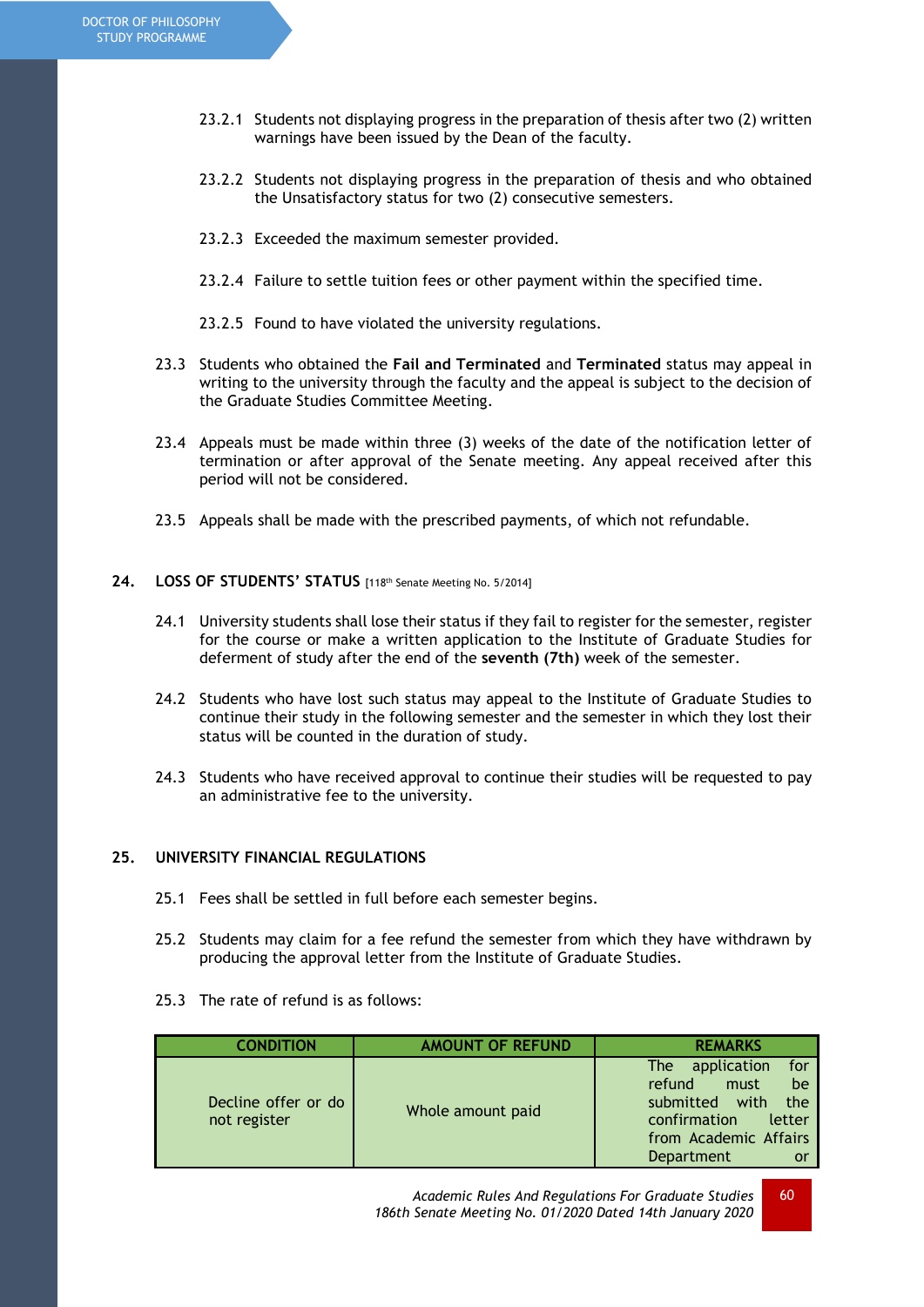- 23.2.1 Students not displaying progress in the preparation of thesis after two (2) written warnings have been issued by the Dean of the faculty.
- 23.2.2 Students not displaying progress in the preparation of thesis and who obtained the Unsatisfactory status for two (2) consecutive semesters.
- 23.2.3 Exceeded the maximum semester provided.
- 23.2.4 Failure to settle tuition fees or other payment within the specified time.
- 23.2.5 Found to have violated the university regulations.
- 23.3 Students who obtained the **Fail and Terminated** and **Terminated** status may appeal in writing to the university through the faculty and the appeal is subject to the decision of the Graduate Studies Committee Meeting.
- 23.4 Appeals must be made within three (3) weeks of the date of the notification letter of termination or after approval of the Senate meeting. Any appeal received after this period will not be considered.
- 23.5 Appeals shall be made with the prescribed payments, of which not refundable.
- **24. LOSS OF STUDENTS' STATUS** [118th Senate Meeting No. 5/2014]
	- 24.1 University students shall lose their status if they fail to register for the semester, register for the course or make a written application to the Institute of Graduate Studies for deferment of study after the end of the **seventh (7th)** week of the semester.
	- 24.2 Students who have lost such status may appeal to the Institute of Graduate Studies to continue their study in the following semester and the semester in which they lost their status will be counted in the duration of study.
	- 24.3 Students who have received approval to continue their studies will be requested to pay an administrative fee to the university.

# **25. UNIVERSITY FINANCIAL REGULATIONS**

- 25.1 Fees shall be settled in full before each semester begins.
- 25.2 Students may claim for a fee refund the semester from which they have withdrawn by producing the approval letter from the Institute of Graduate Studies.
- 25.3 The rate of refund is as follows:

| <b>CONDITION</b>                    | <b>AMOUNT OF REFUND</b> | <b>REMARKS</b>                                                                                                                                       |
|-------------------------------------|-------------------------|------------------------------------------------------------------------------------------------------------------------------------------------------|
| Decline offer or do<br>not register | Whole amount paid       | The application<br>for <b>f</b><br>refund must<br>be<br>the<br>submitted with<br>confirmation<br>letter<br>from Academic Affairs<br>Department<br>or |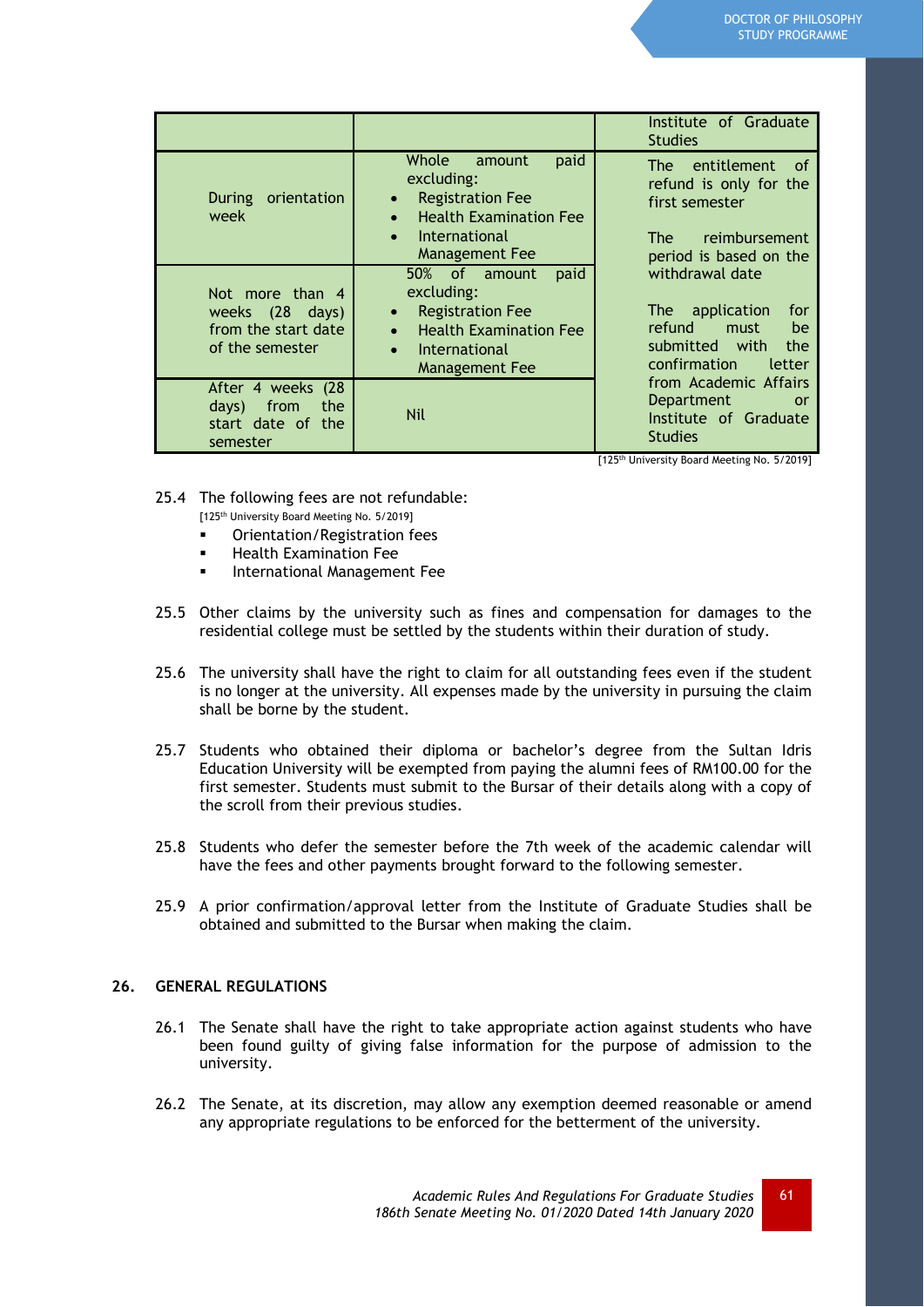|                                                                              |                                                                                                                                                                                    | Institute of Graduate<br><b>Studies</b>                                                                               |
|------------------------------------------------------------------------------|------------------------------------------------------------------------------------------------------------------------------------------------------------------------------------|-----------------------------------------------------------------------------------------------------------------------|
| During orientation<br>week                                                   | Whole<br>paid<br>amount<br>excluding:<br><b>Registration Fee</b><br>$\bullet$<br><b>Health Examination Fee</b><br>$\bullet$<br>International<br>$\bullet$<br><b>Management Fee</b> | entitlement<br>The l<br>of<br>refund is only for the<br>first semester<br>The reimbursement<br>period is based on the |
| Not more than 4<br>weeks (28 days)<br>from the start date<br>of the semester | 50% of amount<br>paid<br>excluding:<br><b>Registration Fee</b><br>$\bullet$<br><b>Health Examination Fee</b><br>$\bullet$<br>International<br>$\bullet$<br><b>Management Fee</b>   | withdrawal date<br>The application<br>for<br>refund<br>be<br>must<br>submitted with<br>the<br>confirmation<br>letter  |
| After 4 weeks (28<br>days)<br>from<br>the<br>start date of the<br>semester   | <b>Nil</b>                                                                                                                                                                         | from Academic Affairs<br>Department<br>or<br>Institute of Graduate<br><b>Studies</b>                                  |

[125th University Board Meeting No. 5/2019]

- 25.4 The following fees are not refundable: [125<sup>th</sup> University Board Meeting No. 5/2019]
	- Orientation/Registration fees
	- **Health Examination Fee**
	- International Management Fee
- 25.5 Other claims by the university such as fines and compensation for damages to the residential college must be settled by the students within their duration of study.
- 25.6 The university shall have the right to claim for all outstanding fees even if the student is no longer at the university. All expenses made by the university in pursuing the claim shall be borne by the student.
- 25.7 Students who obtained their diploma or bachelor's degree from the Sultan Idris Education University will be exempted from paying the alumni fees of RM100.00 for the first semester. Students must submit to the Bursar of their details along with a copy of the scroll from their previous studies.
- 25.8 Students who defer the semester before the 7th week of the academic calendar will have the fees and other payments brought forward to the following semester.
- 25.9 A prior confirmation/approval letter from the Institute of Graduate Studies shall be obtained and submitted to the Bursar when making the claim.

# **26. GENERAL REGULATIONS**

- 26.1 The Senate shall have the right to take appropriate action against students who have been found guilty of giving false information for the purpose of admission to the university.
- 26.2 The Senate, at its discretion, may allow any exemption deemed reasonable or amend any appropriate regulations to be enforced for the betterment of the university.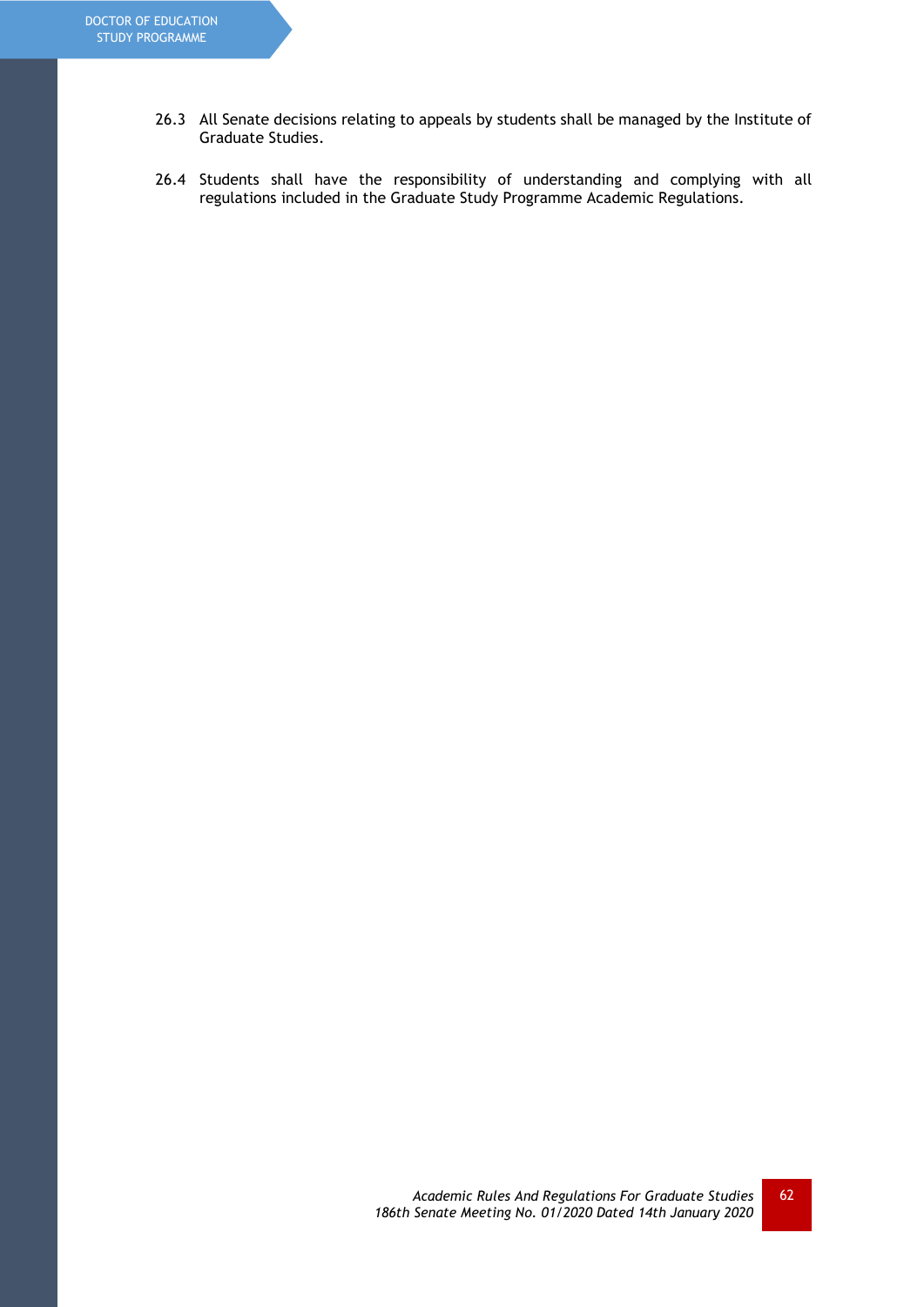- 26.3 All Senate decisions relating to appeals by students shall be managed by the Institute of Graduate Studies.
- 26.4 Students shall have the responsibility of understanding and complying with all regulations included in the Graduate Study Programme Academic Regulations.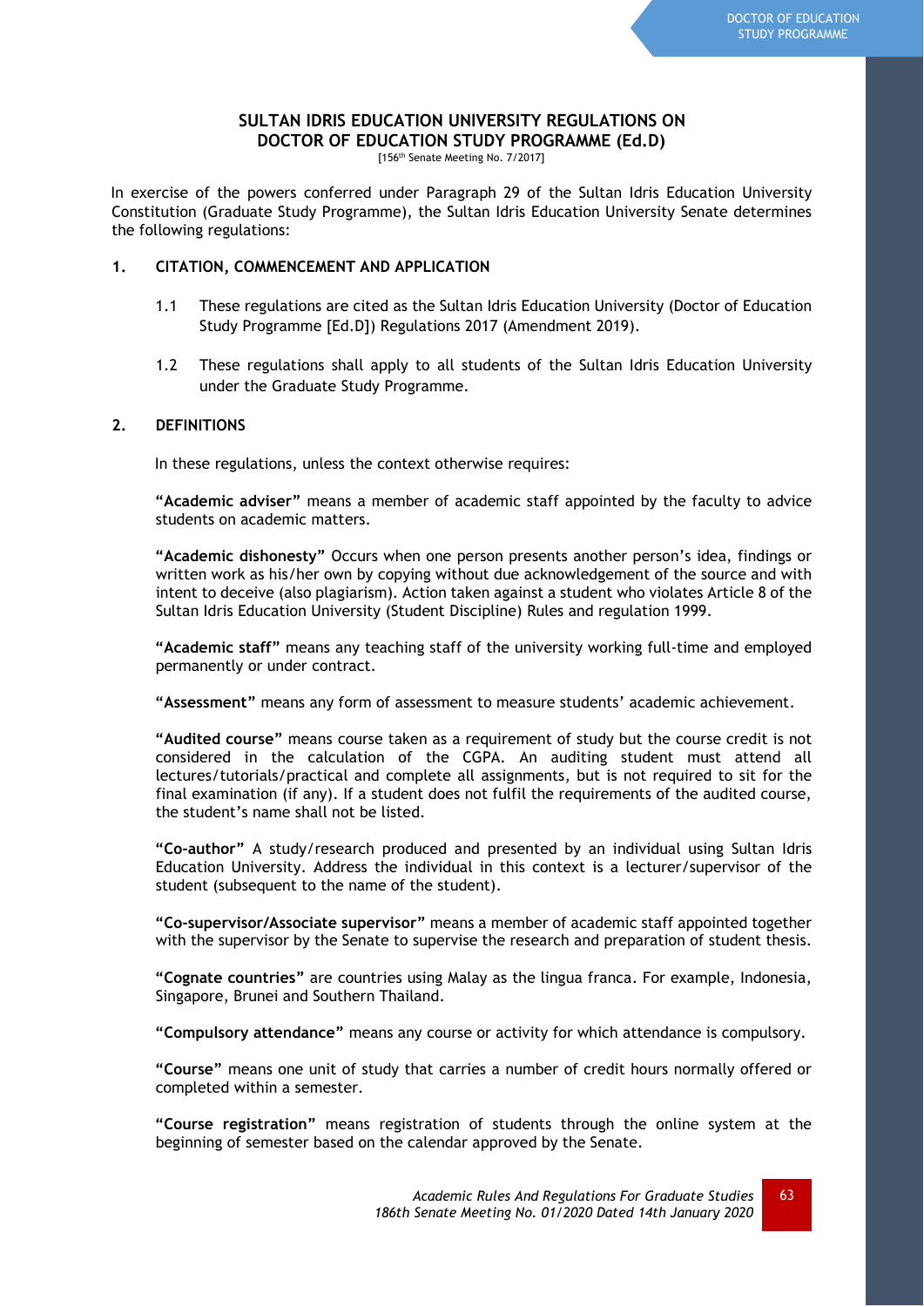### **SULTAN IDRIS EDUCATION UNIVERSITY REGULATIONS ON DOCTOR OF EDUCATION STUDY PROGRAMME (Ed.D)**

[156th Senate Meeting No. 7/2017]

In exercise of the powers conferred under Paragraph 29 of the Sultan Idris Education University Constitution (Graduate Study Programme), the Sultan Idris Education University Senate determines the following regulations:

### **1. CITATION, COMMENCEMENT AND APPLICATION**

- 1.1 These regulations are cited as the Sultan Idris Education University (Doctor of Education Study Programme [Ed.D]) Regulations 2017 (Amendment 2019).
- 1.2 These regulations shall apply to all students of the Sultan Idris Education University under the Graduate Study Programme.

### **2. DEFINITIONS**

In these regulations, unless the context otherwise requires:

**"Academic adviser"** means a member of academic staff appointed by the faculty to advice students on academic matters.

**"Academic dishonesty"** Occurs when one person presents another person's idea, findings or written work as his/her own by copying without due acknowledgement of the source and with intent to deceive (also plagiarism). Action taken against a student who violates Article 8 of the Sultan Idris Education University (Student Discipline) Rules and regulation 1999.

**"Academic staff"** means any teaching staff of the university working full-time and employed permanently or under contract.

**"Assessment"** means any form of assessment to measure students' academic achievement.

**"Audited course"** means course taken as a requirement of study but the course credit is not considered in the calculation of the CGPA. An auditing student must attend all lectures/tutorials/practical and complete all assignments, but is not required to sit for the final examination (if any). If a student does not fulfil the requirements of the audited course, the student's name shall not be listed.

**"Co-author"** A study/research produced and presented by an individual using Sultan Idris Education University. Address the individual in this context is a lecturer/supervisor of the student (subsequent to the name of the student).

**"Co-supervisor/Associate supervisor"** means a member of academic staff appointed together with the supervisor by the Senate to supervise the research and preparation of student thesis.

**"Cognate countries"** are countries using Malay as the lingua franca. For example, Indonesia, Singapore, Brunei and Southern Thailand.

**"Compulsory attendance"** means any course or activity for which attendance is compulsory.

**"Course"** means one unit of study that carries a number of credit hours normally offered or completed within a semester.

**"Course registration"** means registration of students through the online system at the beginning of semester based on the calendar approved by the Senate.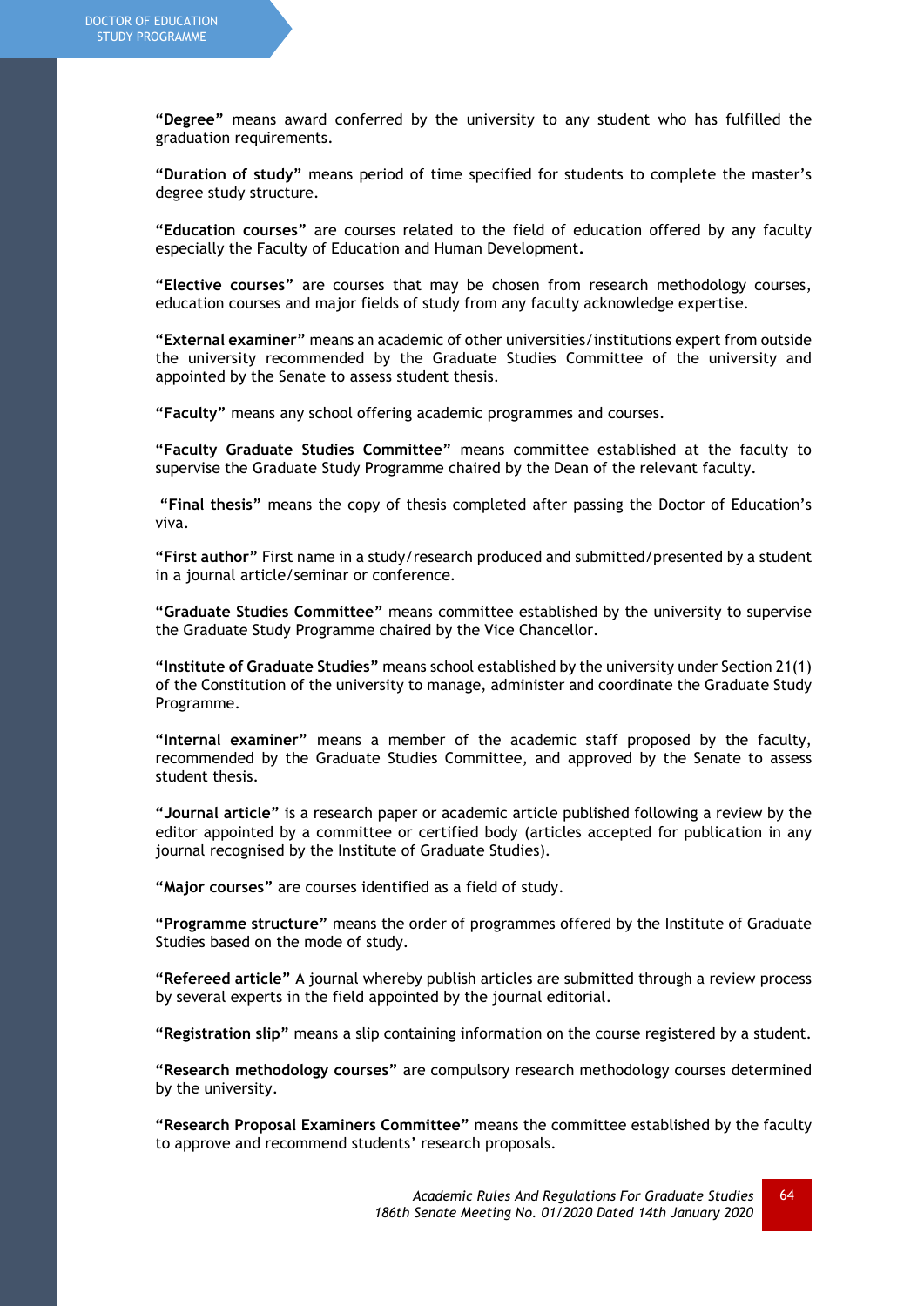**"Degree"** means award conferred by the university to any student who has fulfilled the graduation requirements.

**"Duration of study"** means period of time specified for students to complete the master's degree study structure.

**"Education courses"** are courses related to the field of education offered by any faculty especially the Faculty of Education and Human Development**.** 

**"Elective courses"** are courses that may be chosen from research methodology courses, education courses and major fields of study from any faculty acknowledge expertise.

**"External examiner"** means an academic of other universities/institutions expert from outside the university recommended by the Graduate Studies Committee of the university and appointed by the Senate to assess student thesis.

**"Faculty"** means any school offering academic programmes and courses.

**"Faculty Graduate Studies Committee"** means committee established at the faculty to supervise the Graduate Study Programme chaired by the Dean of the relevant faculty.

**"Final thesis"** means the copy of thesis completed after passing the Doctor of Education's viva.

**"First author"** First name in a study/research produced and submitted/presented by a student in a journal article/seminar or conference.

**"Graduate Studies Committee"** means committee established by the university to supervise the Graduate Study Programme chaired by the Vice Chancellor.

**"Institute of Graduate Studies"** means school established by the university under Section 21(1) of the Constitution of the university to manage, administer and coordinate the Graduate Study Programme.

**"Internal examiner"** means a member of the academic staff proposed by the faculty, recommended by the Graduate Studies Committee, and approved by the Senate to assess student thesis.

**"Journal article"** is a research paper or academic article published following a review by the editor appointed by a committee or certified body (articles accepted for publication in any journal recognised by the Institute of Graduate Studies).

**"Major courses"** are courses identified as a field of study.

**"Programme structure"** means the order of programmes offered by the Institute of Graduate Studies based on the mode of study.

**"Refereed article"** A journal whereby publish articles are submitted through a review process by several experts in the field appointed by the journal editorial.

**"Registration slip"** means a slip containing information on the course registered by a student.

**"Research methodology courses"** are compulsory research methodology courses determined by the university.

**"Research Proposal Examiners Committee"** means the committee established by the faculty to approve and recommend students' research proposals.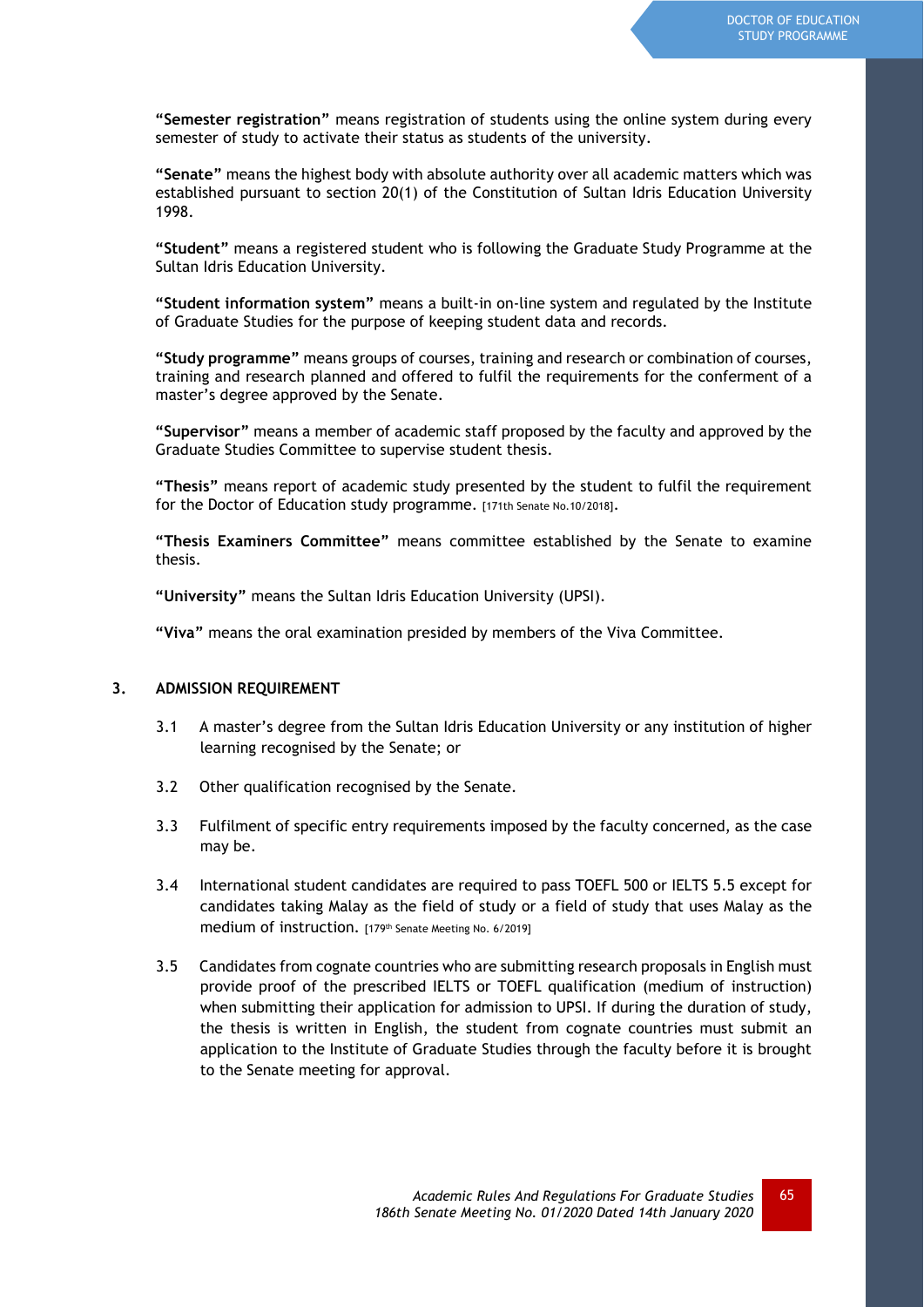**"Semester registration"** means registration of students using the online system during every semester of study to activate their status as students of the university.

**"Senate"** means the highest body with absolute authority over all academic matters which was established pursuant to section 20(1) of the Constitution of Sultan Idris Education University 1998.

**"Student"** means a registered student who is following the Graduate Study Programme at the Sultan Idris Education University.

**"Student information system"** means a built-in on-line system and regulated by the Institute of Graduate Studies for the purpose of keeping student data and records.

**"Study programme"** means groups of courses, training and research or combination of courses, training and research planned and offered to fulfil the requirements for the conferment of a master's degree approved by the Senate.

**"Supervisor"** means a member of academic staff proposed by the faculty and approved by the Graduate Studies Committee to supervise student thesis.

**"Thesis"** means report of academic study presented by the student to fulfil the requirement for the Doctor of Education study programme. [171th Senate No.10/2018].

**"Thesis Examiners Committee"** means committee established by the Senate to examine thesis.

**"University"** means the Sultan Idris Education University (UPSI).

**"Viva"** means the oral examination presided by members of the Viva Committee.

#### **3. ADMISSION REQUIREMENT**

- 3.1 A master's degree from the Sultan Idris Education University or any institution of higher learning recognised by the Senate; or
- 3.2 Other qualification recognised by the Senate.
- 3.3 Fulfilment of specific entry requirements imposed by the faculty concerned, as the case may be.
- 3.4 International student candidates are required to pass TOEFL 500 or IELTS 5.5 except for candidates taking Malay as the field of study or a field of study that uses Malay as the medium of instruction. [179th Senate Meeting No. 6/2019]
- 3.5 Candidates from cognate countries who are submitting research proposals in English must provide proof of the prescribed IELTS or TOEFL qualification (medium of instruction) when submitting their application for admission to UPSI. If during the duration of study, the thesis is written in English, the student from cognate countries must submit an application to the Institute of Graduate Studies through the faculty before it is brought to the Senate meeting for approval.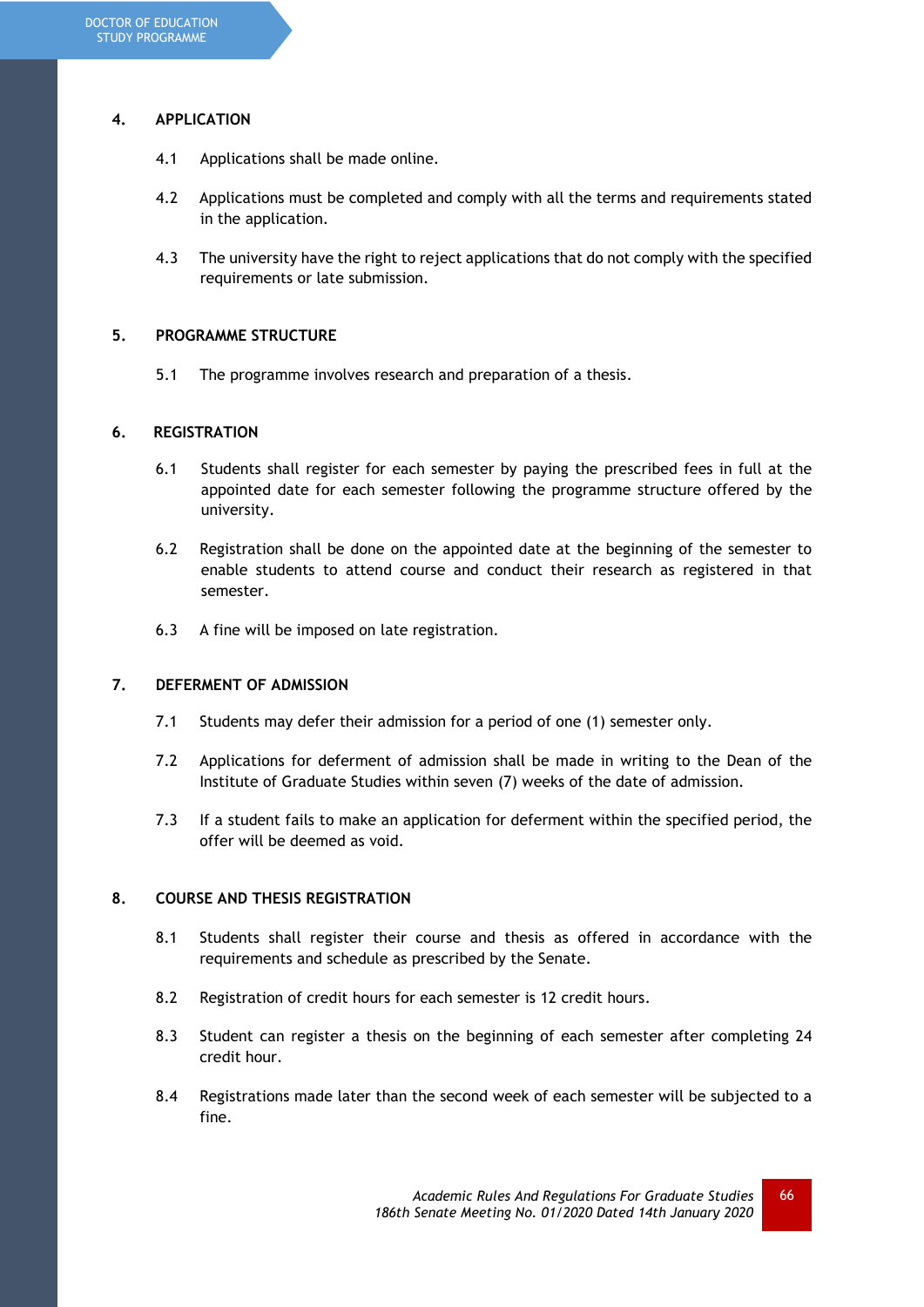# **4. APPLICATION**

- 4.1 Applications shall be made online.
- 4.2 Applications must be completed and comply with all the terms and requirements stated in the application.
- 4.3 The university have the right to reject applications that do not comply with the specified requirements or late submission.

# **5. PROGRAMME STRUCTURE**

5.1 The programme involves research and preparation of a thesis.

# **6. REGISTRATION**

- 6.1 Students shall register for each semester by paying the prescribed fees in full at the appointed date for each semester following the programme structure offered by the university.
- 6.2 Registration shall be done on the appointed date at the beginning of the semester to enable students to attend course and conduct their research as registered in that semester.
- 6.3 A fine will be imposed on late registration.

# **7. DEFERMENT OF ADMISSION**

- 7.1 Students may defer their admission for a period of one (1) semester only.
- 7.2 Applications for deferment of admission shall be made in writing to the Dean of the Institute of Graduate Studies within seven (7) weeks of the date of admission.
- 7.3 If a student fails to make an application for deferment within the specified period, the offer will be deemed as void.

# **8. COURSE AND THESIS REGISTRATION**

- 8.1 Students shall register their course and thesis as offered in accordance with the requirements and schedule as prescribed by the Senate.
- 8.2 Registration of credit hours for each semester is 12 credit hours.
- 8.3 Student can register a thesis on the beginning of each semester after completing 24 credit hour.
- 8.4 Registrations made later than the second week of each semester will be subjected to a fine.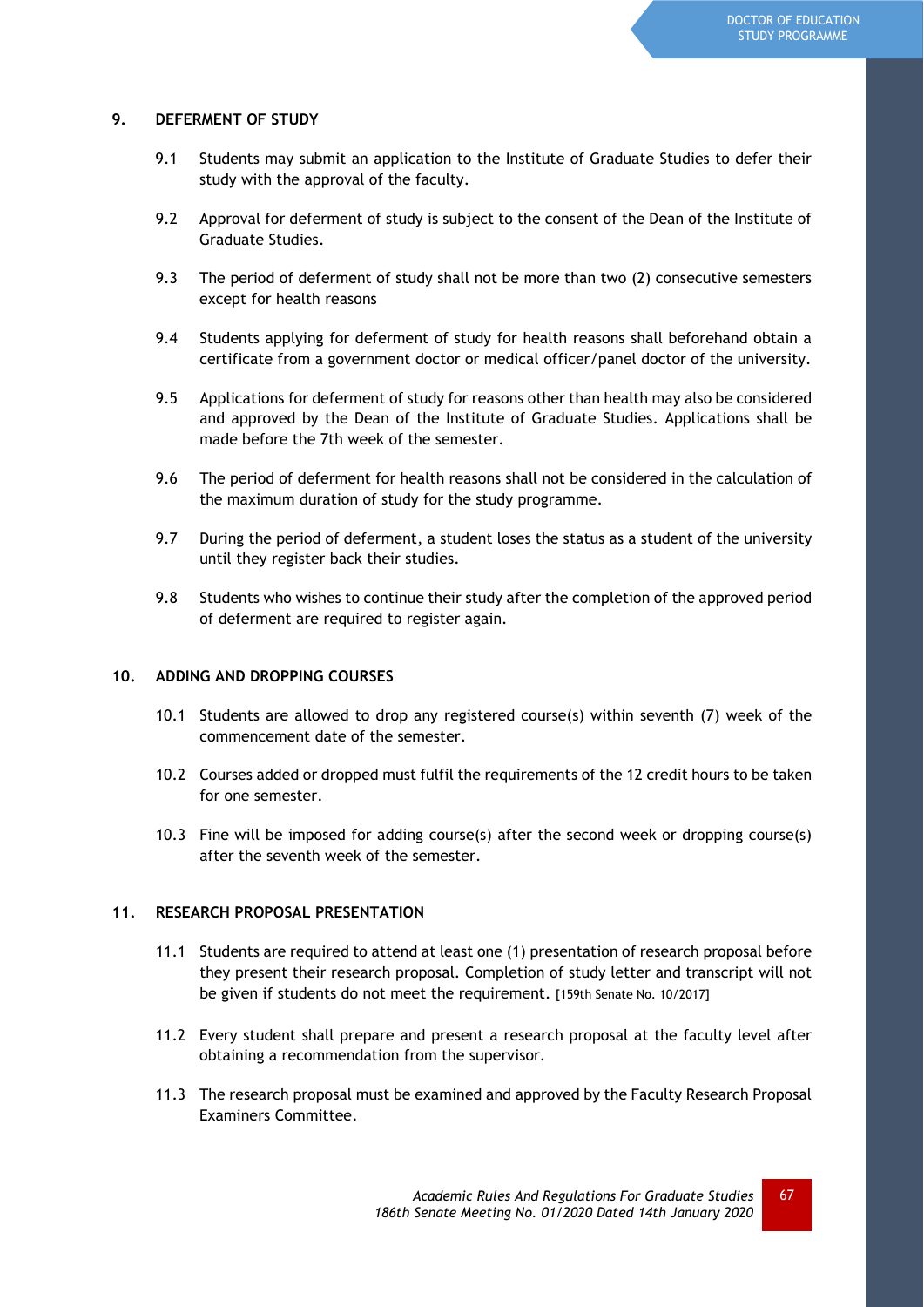# **9. DEFERMENT OF STUDY**

- 9.1 Students may submit an application to the Institute of Graduate Studies to defer their study with the approval of the faculty.
- 9.2 Approval for deferment of study is subject to the consent of the Dean of the Institute of Graduate Studies.
- 9.3 The period of deferment of study shall not be more than two (2) consecutive semesters except for health reasons
- 9.4 Students applying for deferment of study for health reasons shall beforehand obtain a certificate from a government doctor or medical officer/panel doctor of the university.
- 9.5 Applications for deferment of study for reasons other than health may also be considered and approved by the Dean of the Institute of Graduate Studies. Applications shall be made before the 7th week of the semester.
- 9.6 The period of deferment for health reasons shall not be considered in the calculation of the maximum duration of study for the study programme.
- 9.7 During the period of deferment, a student loses the status as a student of the university until they register back their studies.
- 9.8 Students who wishes to continue their study after the completion of the approved period of deferment are required to register again.

### **10. ADDING AND DROPPING COURSES**

- 10.1 Students are allowed to drop any registered course(s) within seventh (7) week of the commencement date of the semester.
- 10.2 Courses added or dropped must fulfil the requirements of the 12 credit hours to be taken for one semester.
- 10.3 Fine will be imposed for adding course(s) after the second week or dropping course(s) after the seventh week of the semester.

### **11. RESEARCH PROPOSAL PRESENTATION**

- 11.1 Students are required to attend at least one (1) presentation of research proposal before they present their research proposal. Completion of study letter and transcript will not be given if students do not meet the requirement. [159th Senate No. 10/2017]
- 11.2 Every student shall prepare and present a research proposal at the faculty level after obtaining a recommendation from the supervisor.
- 11.3 The research proposal must be examined and approved by the Faculty Research Proposal Examiners Committee.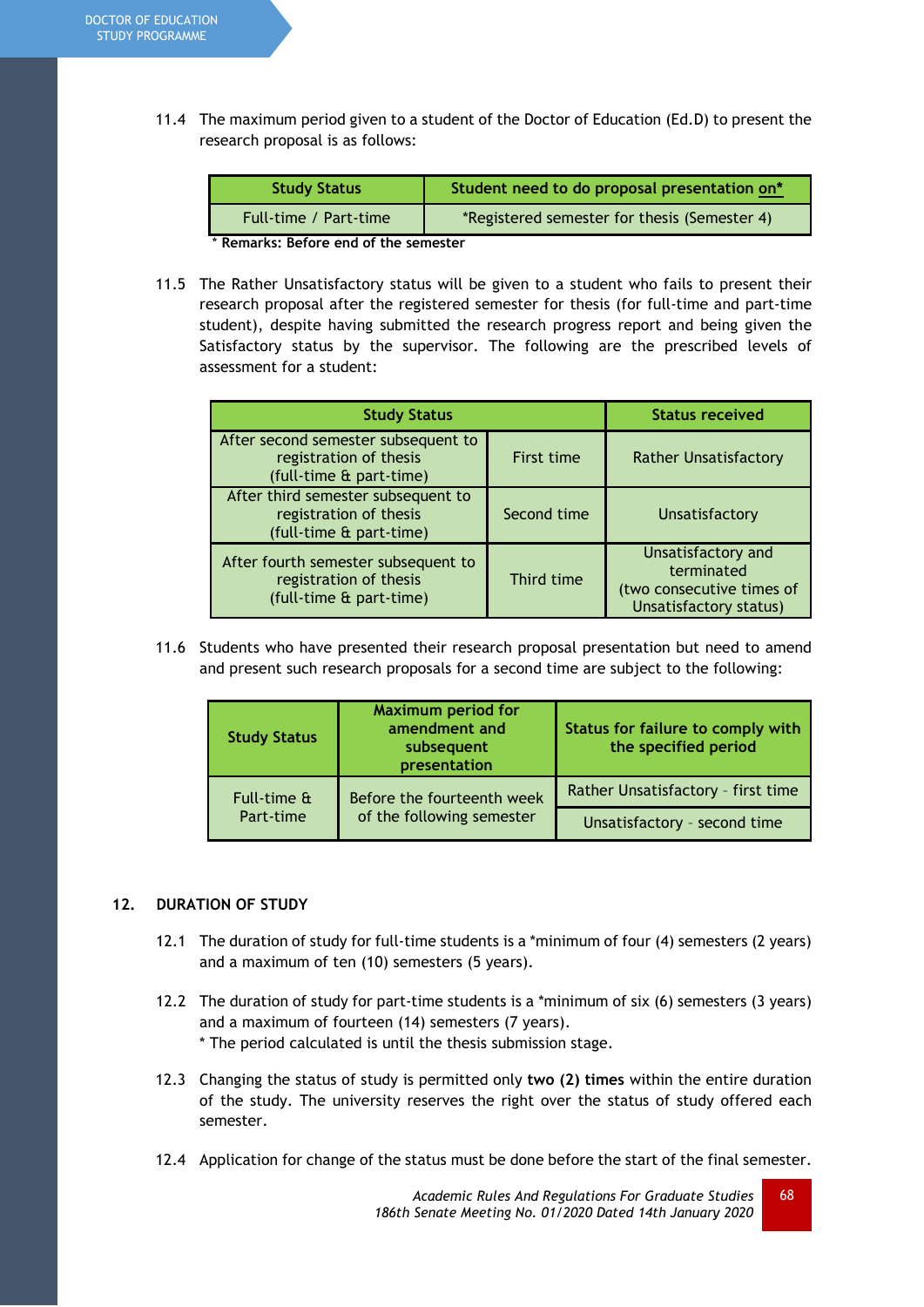11.4 The maximum period given to a student of the Doctor of Education (Ed.D) to present the research proposal is as follows:

| <b>Study Status</b>   | Student need to do proposal presentation on* |
|-----------------------|----------------------------------------------|
| Full-time / Part-time | *Registered semester for thesis (Semester 4) |

\* **Remarks: Before end of the semester**

11.5 The Rather Unsatisfactory status will be given to a student who fails to present their research proposal after the registered semester for thesis (for full-time and part-time student), despite having submitted the research progress report and being given the Satisfactory status by the supervisor. The following are the prescribed levels of assessment for a student:

| <b>Study Status</b>                                                                      |                   | <b>Status received</b>                                                                  |
|------------------------------------------------------------------------------------------|-------------------|-----------------------------------------------------------------------------------------|
| After second semester subsequent to<br>registration of thesis<br>(full-time & part-time) | <b>First time</b> | <b>Rather Unsatisfactory</b>                                                            |
| After third semester subsequent to<br>registration of thesis<br>(full-time & part-time)  | Second time       | Unsatisfactory                                                                          |
| After fourth semester subsequent to<br>registration of thesis<br>(full-time & part-time) | Third time        | Unsatisfactory and<br>terminated<br>(two consecutive times of<br>Unsatisfactory status) |

11.6 Students who have presented their research proposal presentation but need to amend and present such research proposals for a second time are subject to the following:

| <b>Study Status</b>          | <b>Maximum period for</b><br>amendment and<br>subsequent<br>presentation | Status for failure to comply with<br>the specified period |
|------------------------------|--------------------------------------------------------------------------|-----------------------------------------------------------|
| Full-time $\mathbf{\hat{a}}$ | Before the fourteenth week                                               | Rather Unsatisfactory - first time                        |
| Part-time                    | of the following semester                                                | Unsatisfactory - second time                              |

# **12. DURATION OF STUDY**

- 12.1 The duration of study for full-time students is a \*minimum of four (4) semesters (2 years) and a maximum of ten (10) semesters (5 years).
- 12.2 The duration of study for part-time students is a \*minimum of six (6) semesters (3 years) and a maximum of fourteen (14) semesters (7 years). \* The period calculated is until the thesis submission stage.
- 12.3 Changing the status of study is permitted only **two (2) times** within the entire duration of the study. The university reserves the right over the status of study offered each semester.
- 12.4 Application for change of the status must be done before the start of the final semester.

*Academic Rules And Regulations For Graduate Studies 186th Senate Meeting No. 01/2020 Dated 14th January 2020*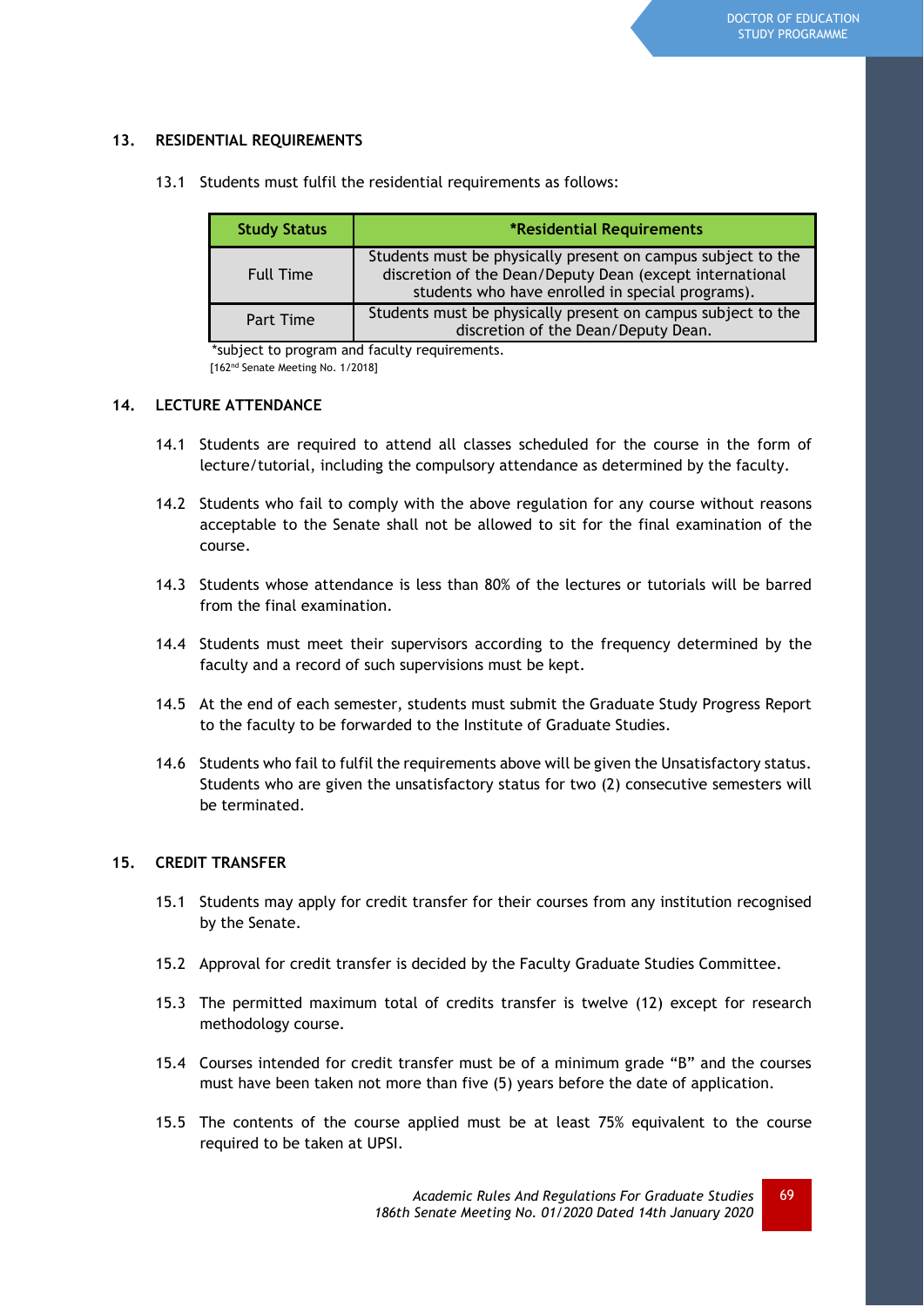# **13. RESIDENTIAL REQUIREMENTS**

13.1 Students must fulfil the residential requirements as follows:

| <b>Study Status</b> | *Residential Requirements                                                                                                                                                    |  |
|---------------------|------------------------------------------------------------------------------------------------------------------------------------------------------------------------------|--|
| <b>Full Time</b>    | Students must be physically present on campus subject to the<br>discretion of the Dean/Deputy Dean (except international<br>students who have enrolled in special programs). |  |
| Part Time           | Students must be physically present on campus subject to the<br>discretion of the Dean/Deputy Dean.                                                                          |  |

\*subject to program and faculty requirements.

[162nd Senate Meeting No. 1/2018]

### **14. LECTURE ATTENDANCE**

- 14.1 Students are required to attend all classes scheduled for the course in the form of lecture/tutorial, including the compulsory attendance as determined by the faculty.
- 14.2 Students who fail to comply with the above regulation for any course without reasons acceptable to the Senate shall not be allowed to sit for the final examination of the course.
- 14.3 Students whose attendance is less than 80% of the lectures or tutorials will be barred from the final examination.
- 14.4 Students must meet their supervisors according to the frequency determined by the faculty and a record of such supervisions must be kept.
- 14.5 At the end of each semester, students must submit the Graduate Study Progress Report to the faculty to be forwarded to the Institute of Graduate Studies.
- 14.6 Students who fail to fulfil the requirements above will be given the Unsatisfactory status. Students who are given the unsatisfactory status for two (2) consecutive semesters will be terminated.

# **15. CREDIT TRANSFER**

- 15.1 Students may apply for credit transfer for their courses from any institution recognised by the Senate.
- 15.2 Approval for credit transfer is decided by the Faculty Graduate Studies Committee.
- 15.3 The permitted maximum total of credits transfer is twelve (12) except for research methodology course.
- 15.4 Courses intended for credit transfer must be of a minimum grade "B" and the courses must have been taken not more than five (5) years before the date of application.
- 15.5 The contents of the course applied must be at least 75% equivalent to the course required to be taken at UPSI.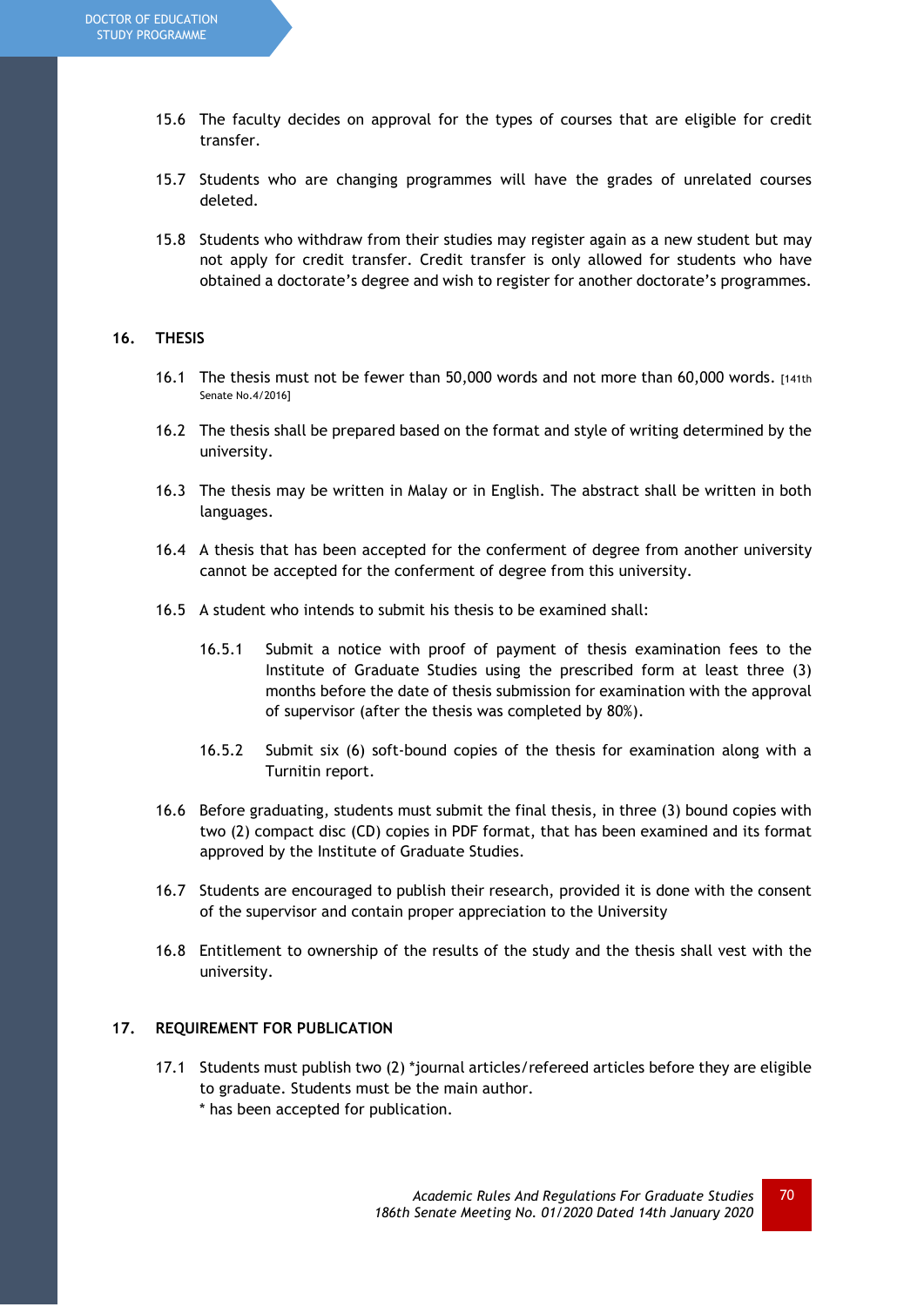- 15.6 The faculty decides on approval for the types of courses that are eligible for credit transfer.
- 15.7 Students who are changing programmes will have the grades of unrelated courses deleted.
- 15.8 Students who withdraw from their studies may register again as a new student but may not apply for credit transfer. Credit transfer is only allowed for students who have obtained a doctorate's degree and wish to register for another doctorate's programmes.

# **16. THESIS**

- 16.1 The thesis must not be fewer than 50,000 words and not more than 60,000 words. [141th Senate No.4/2016]
- 16.2 The thesis shall be prepared based on the format and style of writing determined by the university.
- 16.3 The thesis may be written in Malay or in English. The abstract shall be written in both languages.
- 16.4 A thesis that has been accepted for the conferment of degree from another university cannot be accepted for the conferment of degree from this university.
- 16.5 A student who intends to submit his thesis to be examined shall:
	- 16.5.1 Submit a notice with proof of payment of thesis examination fees to the Institute of Graduate Studies using the prescribed form at least three (3) months before the date of thesis submission for examination with the approval of supervisor (after the thesis was completed by 80%).
	- 16.5.2 Submit six (6) soft-bound copies of the thesis for examination along with a Turnitin report.
- 16.6 Before graduating, students must submit the final thesis, in three (3) bound copies with two (2) compact disc (CD) copies in PDF format, that has been examined and its format approved by the Institute of Graduate Studies.
- 16.7 Students are encouraged to publish their research, provided it is done with the consent of the supervisor and contain proper appreciation to the University
- 16.8 Entitlement to ownership of the results of the study and the thesis shall vest with the university.

#### **17. REQUIREMENT FOR PUBLICATION**

17.1 Students must publish two (2) \*journal articles/refereed articles before they are eligible to graduate. Students must be the main author. \* has been accepted for publication.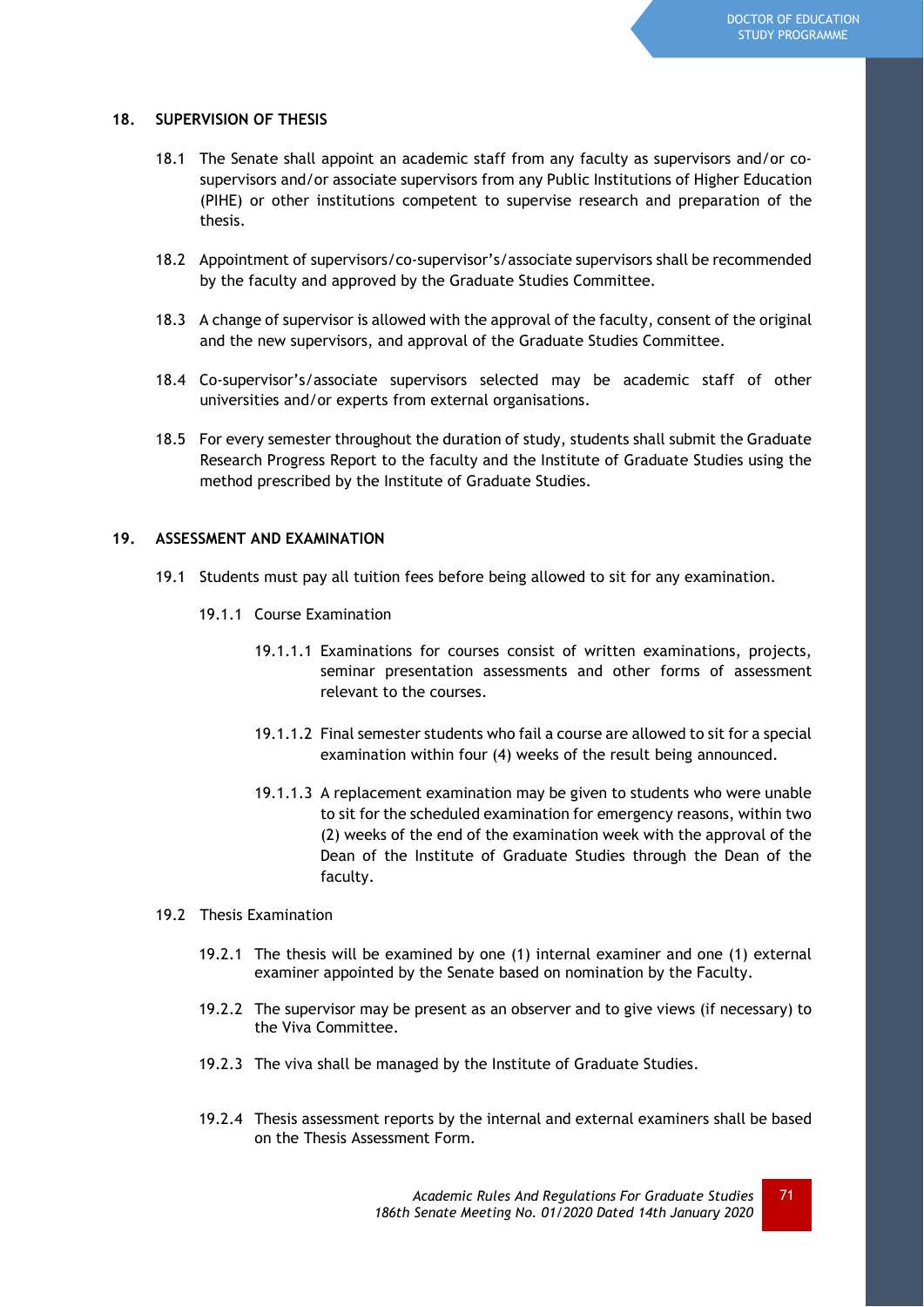## **18. SUPERVISION OF THESIS**

- 18.1 The Senate shall appoint an academic staff from any faculty as supervisors and/or cosupervisors and/or associate supervisors from any Public Institutions of Higher Education (PIHE) or other institutions competent to supervise research and preparation of the thesis.
- 18.2 Appointment of supervisors/co-supervisor's/associate supervisors shall be recommended by the faculty and approved by the Graduate Studies Committee.
- 18.3 A change of supervisor is allowed with the approval of the faculty, consent of the original and the new supervisors, and approval of the Graduate Studies Committee.
- 18.4 Co-supervisor's/associate supervisors selected may be academic staff of other universities and/or experts from external organisations.
- 18.5 For every semester throughout the duration of study, students shall submit the Graduate Research Progress Report to the faculty and the Institute of Graduate Studies using the method prescribed by the Institute of Graduate Studies.

### **19. ASSESSMENT AND EXAMINATION**

- 19.1 Students must pay all tuition fees before being allowed to sit for any examination.
	- 19.1.1 Course Examination
		- 19.1.1.1 Examinations for courses consist of written examinations, projects, seminar presentation assessments and other forms of assessment relevant to the courses.
		- 19.1.1.2 Final semester students who fail a course are allowed to sit for a special examination within four (4) weeks of the result being announced.
		- 19.1.1.3 A replacement examination may be given to students who were unable to sit for the scheduled examination for emergency reasons, within two (2) weeks of the end of the examination week with the approval of the Dean of the Institute of Graduate Studies through the Dean of the faculty.

#### 19.2 Thesis Examination

- 19.2.1 The thesis will be examined by one (1) internal examiner and one (1) external examiner appointed by the Senate based on nomination by the Faculty.
- 19.2.2 The supervisor may be present as an observer and to give views (if necessary) to the Viva Committee.
- 19.2.3 The viva shall be managed by the Institute of Graduate Studies.
- 19.2.4 Thesis assessment reports by the internal and external examiners shall be based on the Thesis Assessment Form.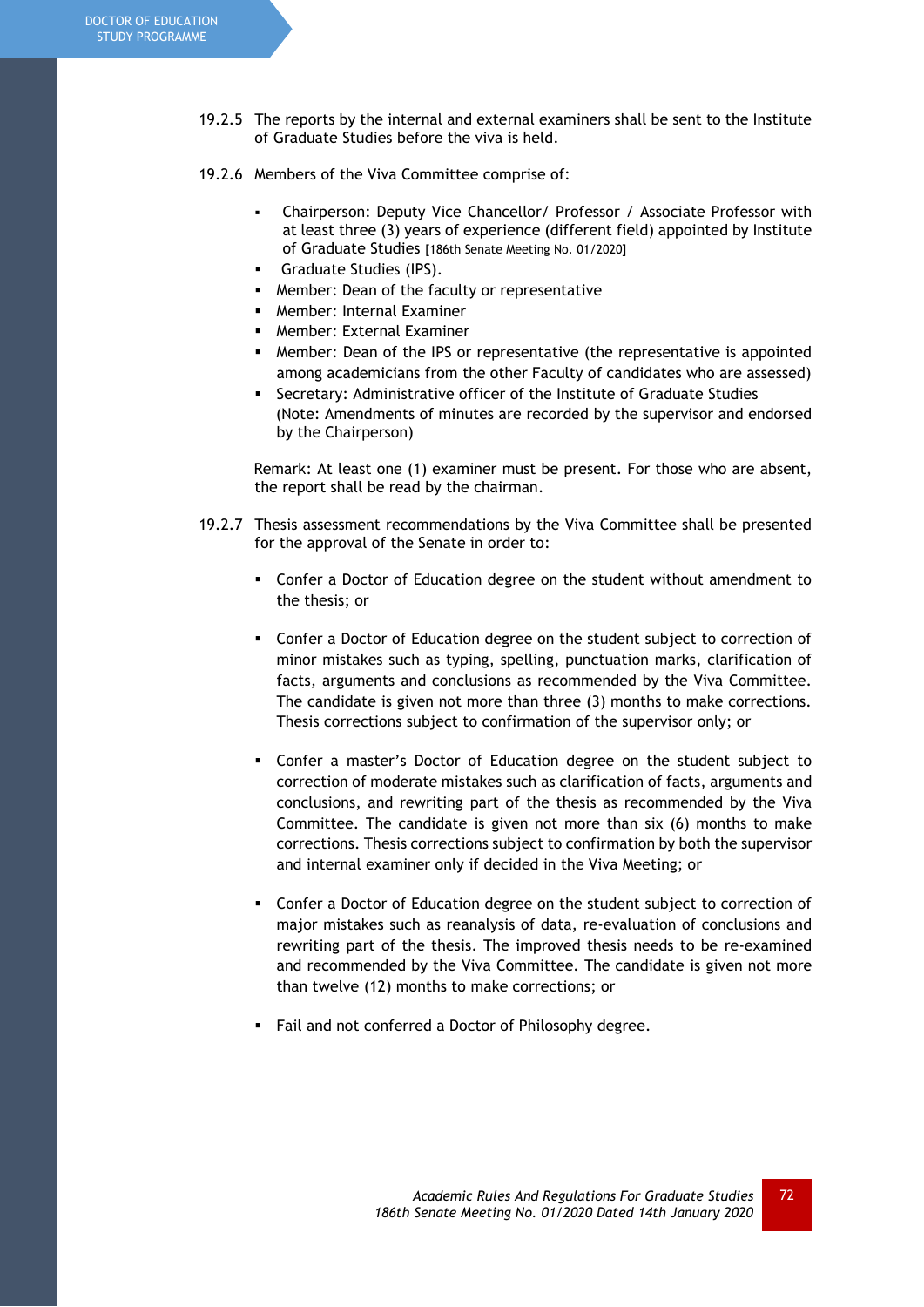- 19.2.5 The reports by the internal and external examiners shall be sent to the Institute of Graduate Studies before the viva is held.
- 19.2.6 Members of the Viva Committee comprise of:
	- Chairperson: Deputy Vice Chancellor/ Professor / Associate Professor with at least three (3) years of experience (different field) appointed by Institute of Graduate Studies [186th Senate Meeting No. 01/2020]
	- Graduate Studies (IPS).
	- Member: Dean of the faculty or representative
	- **Member: Internal Examiner**
	- Member: External Examiner
	- Member: Dean of the IPS or representative (the representative is appointed among academicians from the other Faculty of candidates who are assessed)
	- Secretary: Administrative officer of the Institute of Graduate Studies (Note: Amendments of minutes are recorded by the supervisor and endorsed by the Chairperson)

Remark: At least one (1) examiner must be present. For those who are absent, the report shall be read by the chairman.

- 19.2.7 Thesis assessment recommendations by the Viva Committee shall be presented for the approval of the Senate in order to:
	- Confer a Doctor of Education degree on the student without amendment to the thesis; or
	- Confer a Doctor of Education degree on the student subject to correction of minor mistakes such as typing, spelling, punctuation marks, clarification of facts, arguments and conclusions as recommended by the Viva Committee. The candidate is given not more than three (3) months to make corrections. Thesis corrections subject to confirmation of the supervisor only; or
	- Confer a master's Doctor of Education degree on the student subject to correction of moderate mistakes such as clarification of facts, arguments and conclusions, and rewriting part of the thesis as recommended by the Viva Committee. The candidate is given not more than six (6) months to make corrections. Thesis corrections subject to confirmation by both the supervisor and internal examiner only if decided in the Viva Meeting; or
	- Confer a Doctor of Education degree on the student subject to correction of major mistakes such as reanalysis of data, re-evaluation of conclusions and rewriting part of the thesis. The improved thesis needs to be re-examined and recommended by the Viva Committee. The candidate is given not more than twelve (12) months to make corrections; or
	- Fail and not conferred a Doctor of Philosophy degree.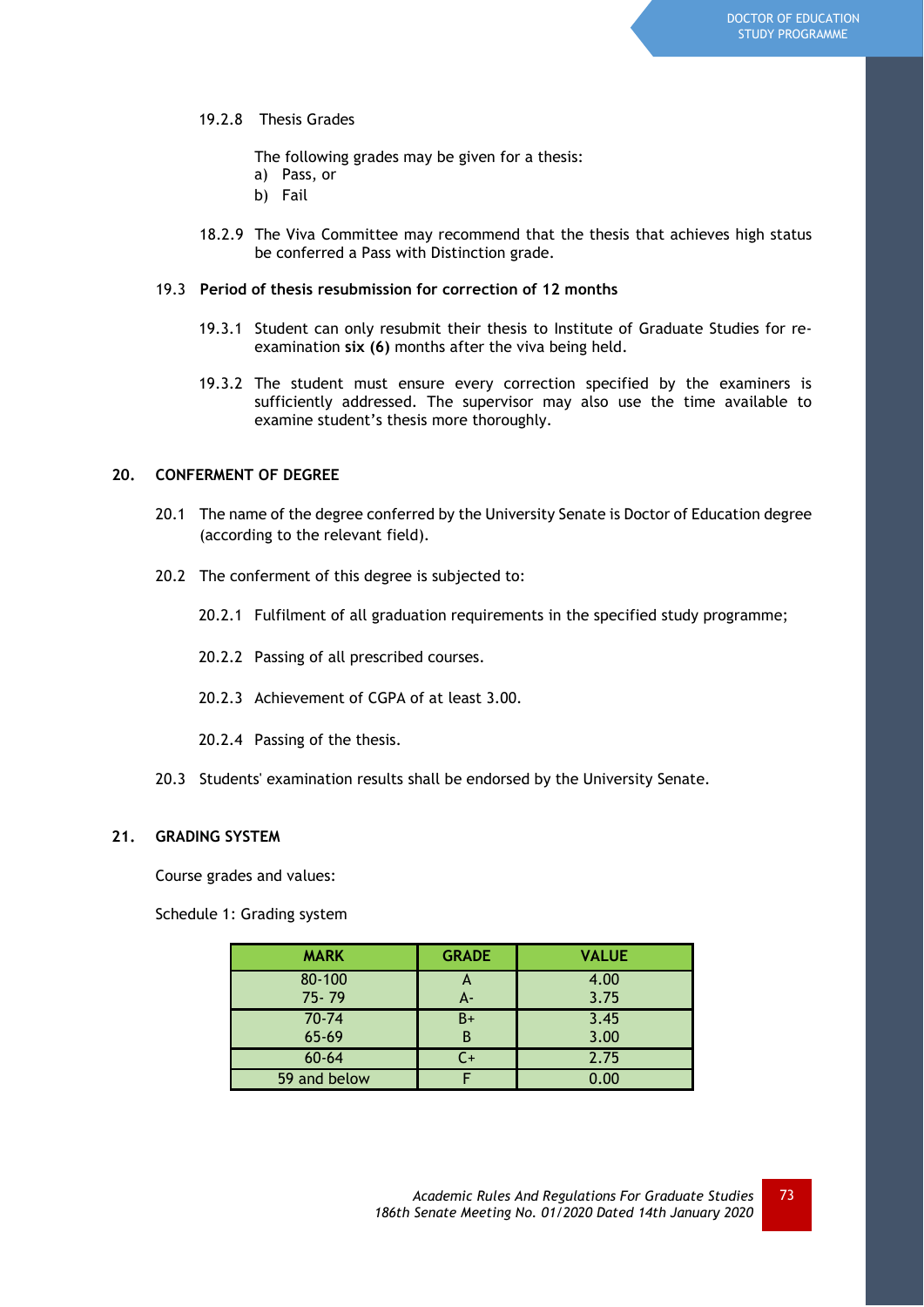## 19.2.8 Thesis Grades

The following grades may be given for a thesis:

- a) Pass, or
- b) Fail
- 18.2.9 The Viva Committee may recommend that the thesis that achieves high status be conferred a Pass with Distinction grade.

## 19.3 **Period of thesis resubmission for correction of 12 months**

- 19.3.1 Student can only resubmit their thesis to Institute of Graduate Studies for reexamination **six (6)** months after the viva being held.
- 19.3.2 The student must ensure every correction specified by the examiners is sufficiently addressed. The supervisor may also use the time available to examine student's thesis more thoroughly.

## **20. CONFERMENT OF DEGREE**

- 20.1 The name of the degree conferred by the University Senate is Doctor of Education degree (according to the relevant field).
- 20.2 The conferment of this degree is subjected to:
	- 20.2.1 Fulfilment of all graduation requirements in the specified study programme;
	- 20.2.2 Passing of all prescribed courses.
	- 20.2.3 Achievement of CGPA of at least 3.00.
	- 20.2.4 Passing of the thesis.
- 20.3 Students' examination results shall be endorsed by the University Senate.

### **21. GRADING SYSTEM**

Course grades and values:

Schedule 1: Grading system

| <b>MARK</b>  | <b>GRADE</b>    | <b>VALUE</b> |
|--------------|-----------------|--------------|
| 80-100       | A               | 4.00         |
| $75 - 79$    | A-              | 3.75         |
| 70-74        | $\overline{B+}$ | 3.45         |
| 65-69        | B               | 3.00         |
| $60 - 64$    | C+              | 2.75         |
| 59 and below |                 | 0.00         |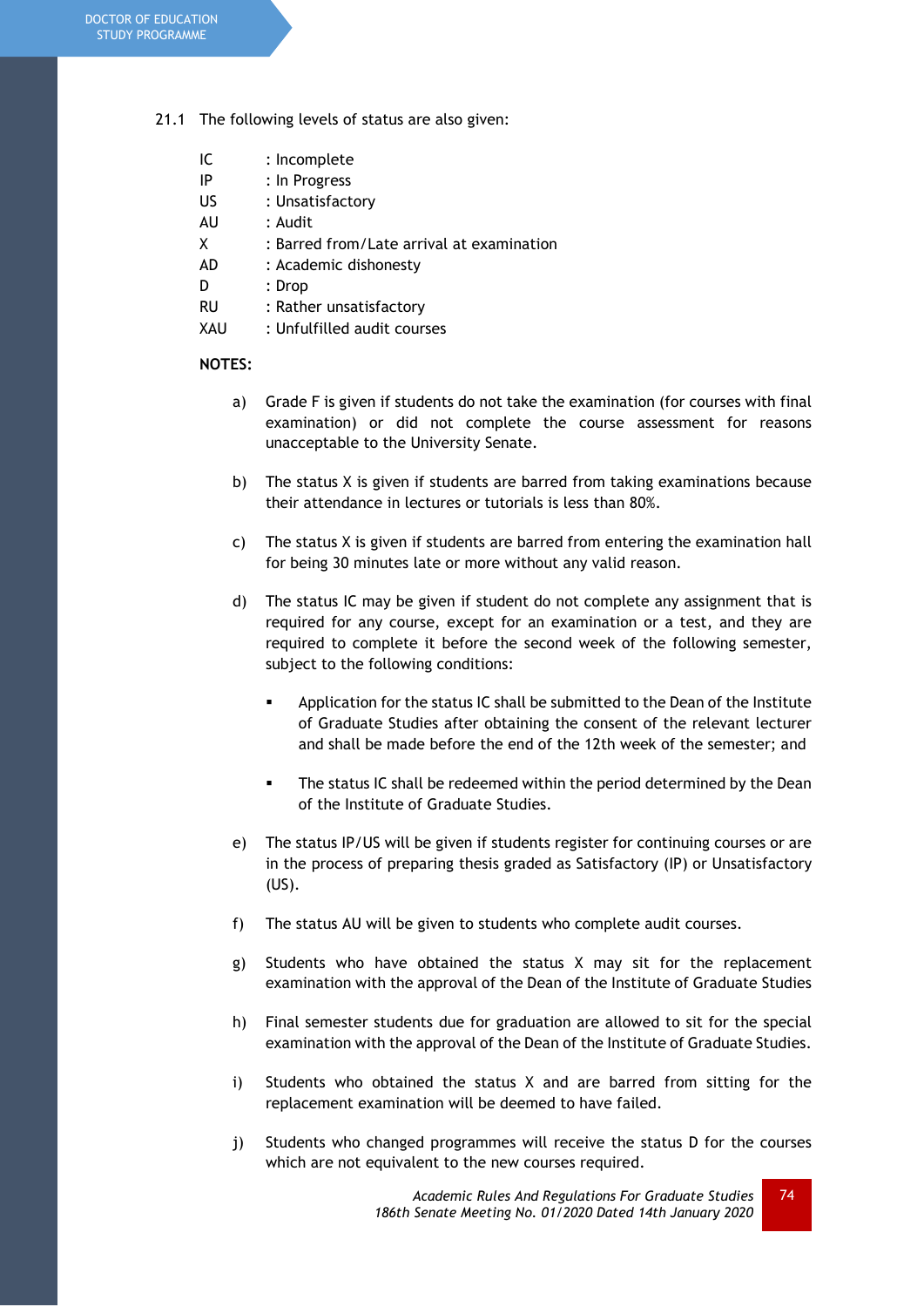### 21.1 The following levels of status are also given:

- IC : Incomplete IP : In Progress US : Unsatisfactory AU : Audit X : Barred from/Late arrival at examination AD : Academic dishonesty
	- D : Drop
	- RU : Rather unsatisfactory
	- XAU : Unfulfilled audit courses

## **NOTES:**

- a) Grade F is given if students do not take the examination (for courses with final examination) or did not complete the course assessment for reasons unacceptable to the University Senate.
- b) The status X is given if students are barred from taking examinations because their attendance in lectures or tutorials is less than 80%.
- c) The status X is given if students are barred from entering the examination hall for being 30 minutes late or more without any valid reason.
- d) The status IC may be given if student do not complete any assignment that is required for any course, except for an examination or a test, and they are required to complete it before the second week of the following semester, subject to the following conditions:
	- **Application for the status IC shall be submitted to the Dean of the Institute** of Graduate Studies after obtaining the consent of the relevant lecturer and shall be made before the end of the 12th week of the semester; and
	- The status IC shall be redeemed within the period determined by the Dean of the Institute of Graduate Studies.
- e) The status IP/US will be given if students register for continuing courses or are in the process of preparing thesis graded as Satisfactory (IP) or Unsatisfactory (US).
- f) The status AU will be given to students who complete audit courses.
- g) Students who have obtained the status X may sit for the replacement examination with the approval of the Dean of the Institute of Graduate Studies
- h) Final semester students due for graduation are allowed to sit for the special examination with the approval of the Dean of the Institute of Graduate Studies.
- i) Students who obtained the status X and are barred from sitting for the replacement examination will be deemed to have failed.
- j) Students who changed programmes will receive the status D for the courses which are not equivalent to the new courses required.

*Academic Rules And Regulations For Graduate Studies 186th Senate Meeting No. 01/2020 Dated 14th January 2020*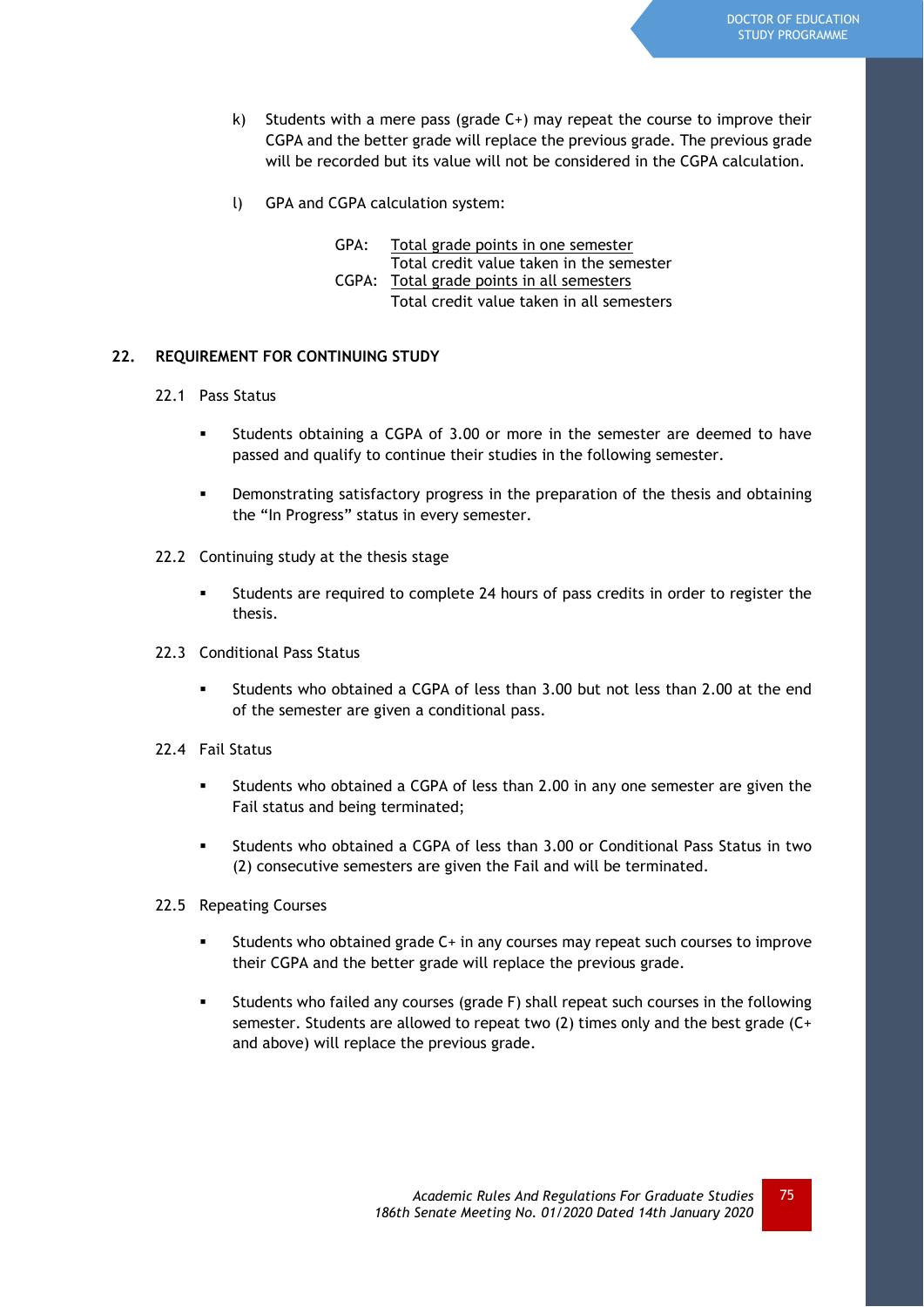- k) Students with a mere pass (grade C+) may repeat the course to improve their CGPA and the better grade will replace the previous grade. The previous grade will be recorded but its value will not be considered in the CGPA calculation.
- l) GPA and CGPA calculation system:
	- GPA: Total grade points in one semester Total credit value taken in the semester CGPA: Total grade points in all semesters Total credit value taken in all semesters

## **22. REQUIREMENT FOR CONTINUING STUDY**

- 22.1 Pass Status
	- Students obtaining a CGPA of 3.00 or more in the semester are deemed to have passed and qualify to continue their studies in the following semester.
	- Demonstrating satisfactory progress in the preparation of the thesis and obtaining the "In Progress" status in every semester.
- 22.2 Continuing study at the thesis stage
	- Students are required to complete 24 hours of pass credits in order to register the thesis.
- 22.3 Conditional Pass Status
	- Students who obtained a CGPA of less than 3.00 but not less than 2.00 at the end of the semester are given a conditional pass.
- 22.4 Fail Status
	- Students who obtained a CGPA of less than 2.00 in any one semester are given the Fail status and being terminated;
	- Students who obtained a CGPA of less than 3.00 or Conditional Pass Status in two (2) consecutive semesters are given the Fail and will be terminated.
- 22.5 Repeating Courses
	- Students who obtained grade C+ in any courses may repeat such courses to improve their CGPA and the better grade will replace the previous grade.
	- Students who failed any courses (grade F) shall repeat such courses in the following semester. Students are allowed to repeat two (2) times only and the best grade (C+ and above) will replace the previous grade.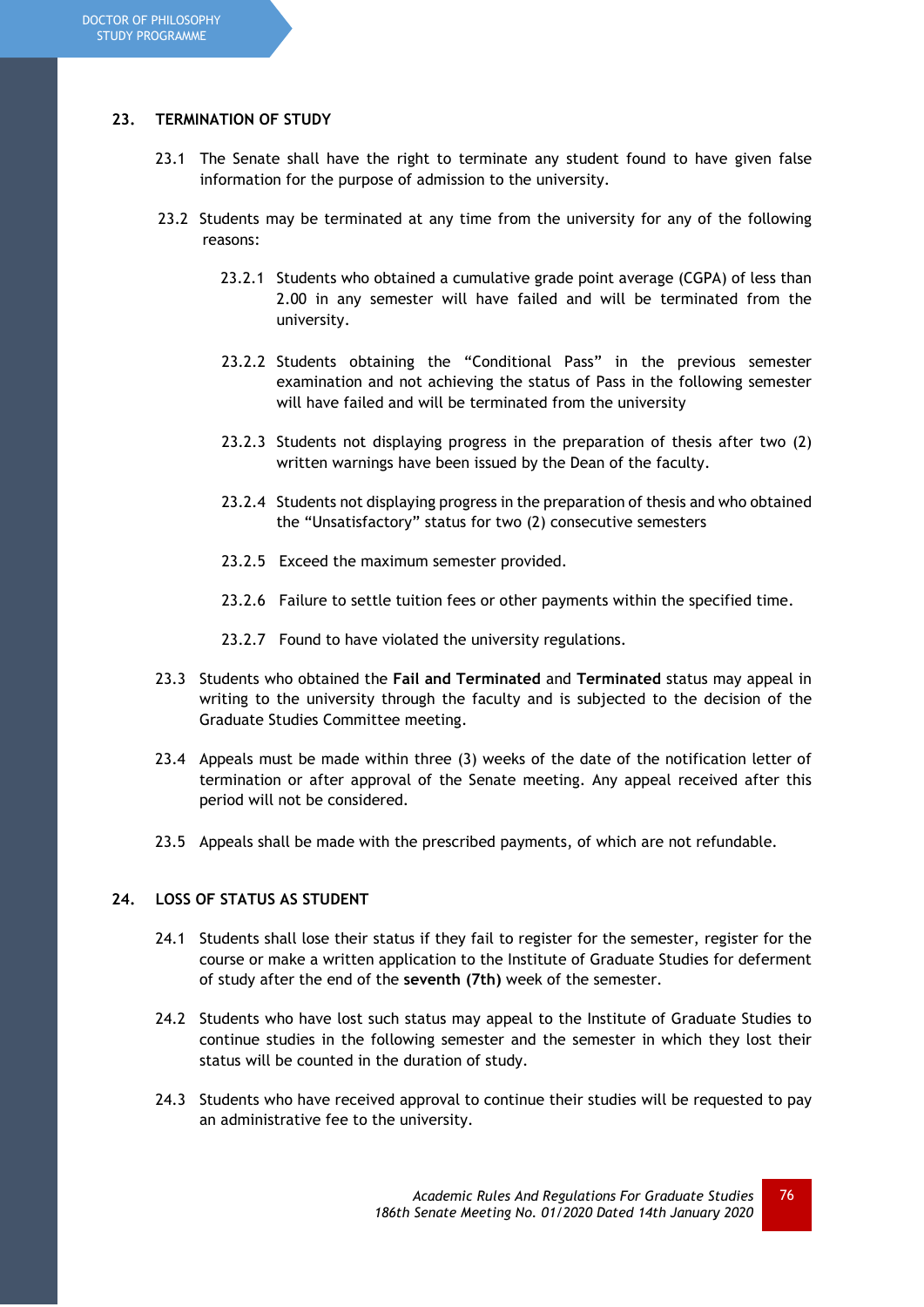## **23. TERMINATION OF STUDY**

- 23.1 The Senate shall have the right to terminate any student found to have given false information for the purpose of admission to the university.
- 23.2 Students may be terminated at any time from the university for any of the following reasons:
	- 23.2.1 Students who obtained a cumulative grade point average (CGPA) of less than 2.00 in any semester will have failed and will be terminated from the university.
	- 23.2.2 Students obtaining the "Conditional Pass" in the previous semester examination and not achieving the status of Pass in the following semester will have failed and will be terminated from the university
	- 23.2.3 Students not displaying progress in the preparation of thesis after two (2) written warnings have been issued by the Dean of the faculty.
	- 23.2.4 Students not displaying progress in the preparation of thesis and who obtained the "Unsatisfactory" status for two (2) consecutive semesters
	- 23.2.5 Exceed the maximum semester provided.
	- 23.2.6 Failure to settle tuition fees or other payments within the specified time.
	- 23.2.7 Found to have violated the university regulations.
- 23.3 Students who obtained the **Fail and Terminated** and **Terminated** status may appeal in writing to the university through the faculty and is subjected to the decision of the Graduate Studies Committee meeting.
- 23.4 Appeals must be made within three (3) weeks of the date of the notification letter of termination or after approval of the Senate meeting. Any appeal received after this period will not be considered.
- 23.5 Appeals shall be made with the prescribed payments, of which are not refundable.

## **24. LOSS OF STATUS AS STUDENT**

- 24.1 Students shall lose their status if they fail to register for the semester, register for the course or make a written application to the Institute of Graduate Studies for deferment of study after the end of the **seventh (7th)** week of the semester.
- 24.2 Students who have lost such status may appeal to the Institute of Graduate Studies to continue studies in the following semester and the semester in which they lost their status will be counted in the duration of study.
- 24.3 Students who have received approval to continue their studies will be requested to pay an administrative fee to the university.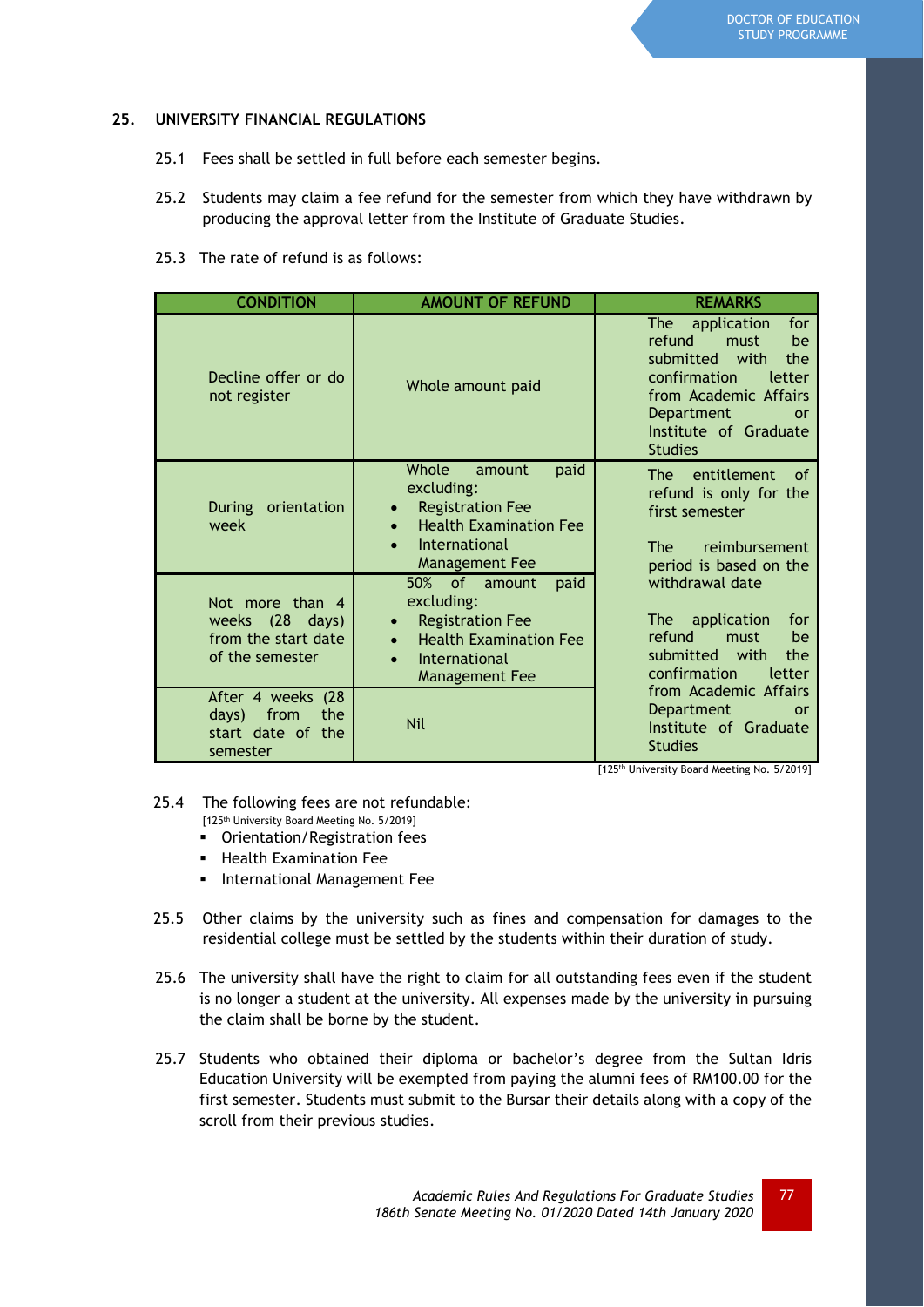## **25. UNIVERSITY FINANCIAL REGULATIONS**

- 25.1 Fees shall be settled in full before each semester begins.
- 25.2 Students may claim a fee refund for the semester from which they have withdrawn by producing the approval letter from the Institute of Graduate Studies.
- 25.3 The rate of refund is as follows:

| <b>CONDITION</b>                                                             | <b>AMOUNT OF REFUND</b>                                                                                                                                                            | <b>REMARKS</b>                                                                                                                                                                                 |
|------------------------------------------------------------------------------|------------------------------------------------------------------------------------------------------------------------------------------------------------------------------------|------------------------------------------------------------------------------------------------------------------------------------------------------------------------------------------------|
| Decline offer or do<br>not register                                          | Whole amount paid                                                                                                                                                                  | application<br>The l<br>for<br>refund<br>must<br>be<br>submitted with<br>the<br>confirmation<br>letter<br>from Academic Affairs<br>Department<br>or<br>Institute of Graduate<br><b>Studies</b> |
| During orientation<br>week                                                   | Whole<br>amount<br>paid<br>excluding:<br><b>Registration Fee</b><br>$\bullet$<br><b>Health Examination Fee</b><br>$\bullet$<br>International<br>$\bullet$<br><b>Management Fee</b> | entitlement<br>The l<br>of<br>refund is only for the<br>first semester<br>reimbursement<br>The I<br>period is based on the                                                                     |
| Not more than 4<br>weeks (28 days)<br>from the start date<br>of the semester | 50% of amount<br>paid<br>excluding:<br><b>Registration Fee</b><br><b>Health Examination Fee</b><br>$\bullet$<br>International<br>$\bullet$<br><b>Management Fee</b>                | withdrawal date<br>application<br>for<br>The:<br>refund<br>must<br>be<br>submitted with<br>the<br>confirmation<br>letter                                                                       |
| After 4 weeks (28<br>from<br>the<br>days)<br>start date of the<br>semester   | <b>Nil</b>                                                                                                                                                                         | from Academic Affairs<br>Department<br>or<br>Institute of Graduate<br><b>Studies</b>                                                                                                           |

[125th University Board Meeting No. 5/2019]

25.4 The following fees are not refundable:

- [125<sup>th</sup> University Board Meeting No. 5/2019]
- Orientation/Registration fees
- **Health Examination Fee**
- **International Management Fee**
- 25.5 Other claims by the university such as fines and compensation for damages to the residential college must be settled by the students within their duration of study.
- 25.6 The university shall have the right to claim for all outstanding fees even if the student is no longer a student at the university. All expenses made by the university in pursuing the claim shall be borne by the student.
- 25.7 Students who obtained their diploma or bachelor's degree from the Sultan Idris Education University will be exempted from paying the alumni fees of RM100.00 for the first semester. Students must submit to the Bursar their details along with a copy of the scroll from their previous studies.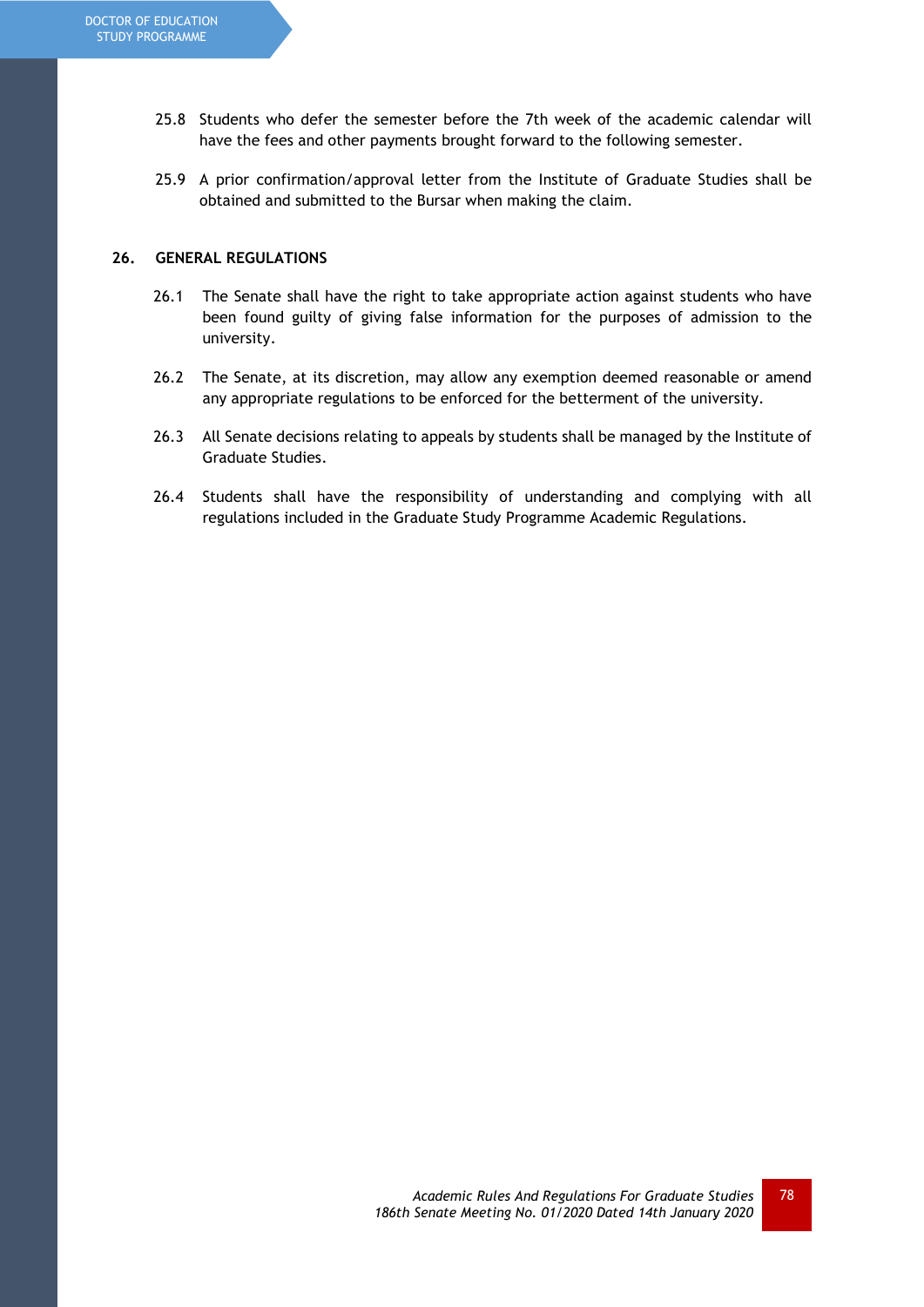- 25.8 Students who defer the semester before the 7th week of the academic calendar will have the fees and other payments brought forward to the following semester.
- 25.9 A prior confirmation/approval letter from the Institute of Graduate Studies shall be obtained and submitted to the Bursar when making the claim.

## **26. GENERAL REGULATIONS**

- 26.1 The Senate shall have the right to take appropriate action against students who have been found guilty of giving false information for the purposes of admission to the university.
- 26.2 The Senate, at its discretion, may allow any exemption deemed reasonable or amend any appropriate regulations to be enforced for the betterment of the university.
- 26.3 All Senate decisions relating to appeals by students shall be managed by the Institute of Graduate Studies.
- 26.4 Students shall have the responsibility of understanding and complying with all regulations included in the Graduate Study Programme Academic Regulations.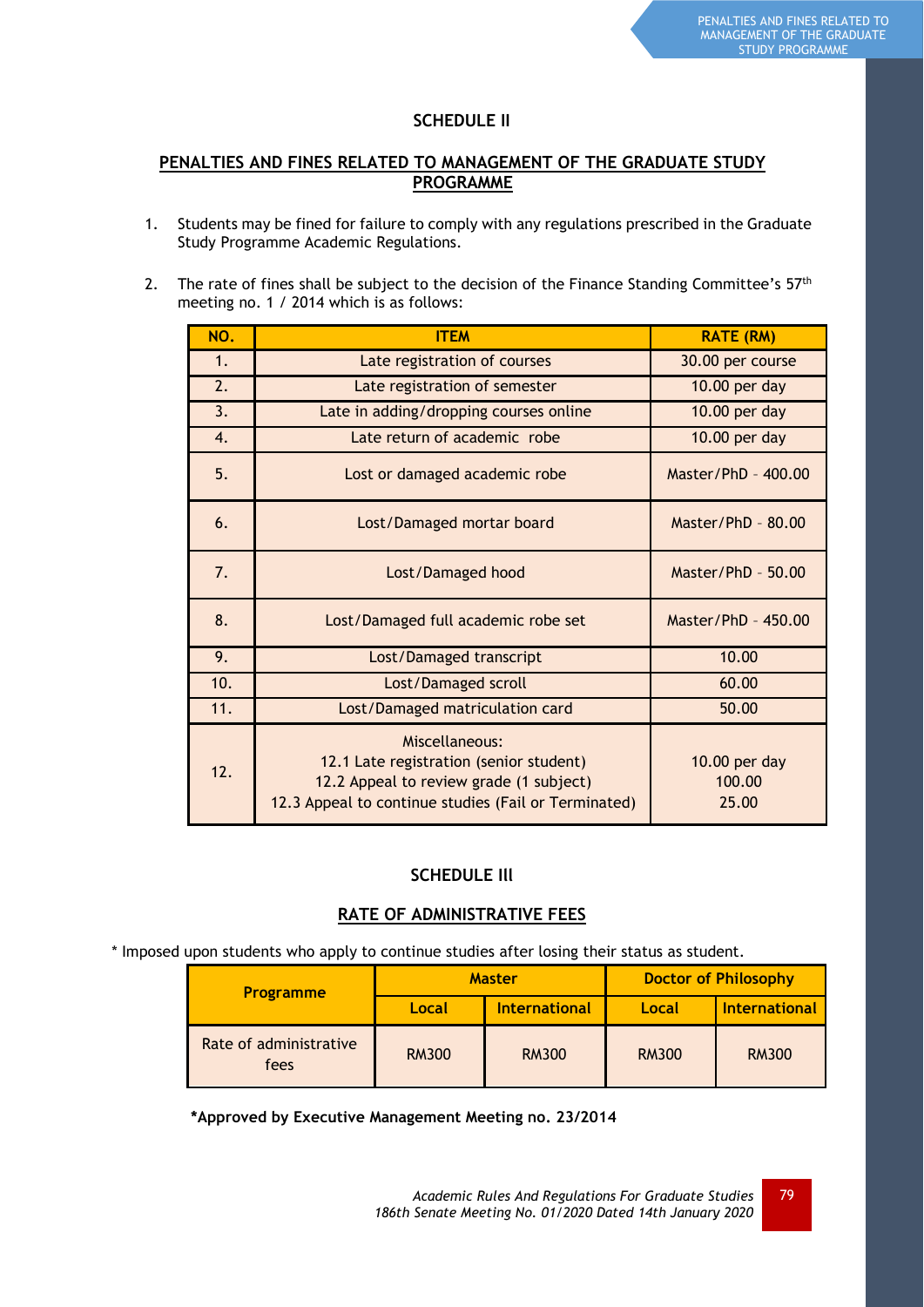# **SCHEDULE II**

# **PENALTIES AND FINES RELATED TO MANAGEMENT OF THE GRADUATE STUDY PROGRAMME**

- 1. Students may be fined for failure to comply with any regulations prescribed in the Graduate Study Programme Academic Regulations.
- 2. The rate of fines shall be subject to the decision of the Finance Standing Committee's  $57<sup>th</sup>$ meeting no. 1 / 2014 which is as follows:

| NO.            | <b>ITEM</b>                                                                                                                                                  | <b>RATE (RM)</b>                 |
|----------------|--------------------------------------------------------------------------------------------------------------------------------------------------------------|----------------------------------|
| 1 <sub>1</sub> | Late registration of courses                                                                                                                                 | 30.00 per course                 |
| 2.             | Late registration of semester                                                                                                                                | $10.00$ per day                  |
| 3.             | Late in adding/dropping courses online                                                                                                                       | $10.00$ per day                  |
| 4.             | Late return of academic robe                                                                                                                                 | 10.00 per day                    |
| 5.             | Lost or damaged academic robe                                                                                                                                | Master/PhD - 400.00              |
| 6.             | Lost/Damaged mortar board                                                                                                                                    | Master/PhD - 80.00               |
| 7.             | Lost/Damaged hood                                                                                                                                            | Master/PhD - 50.00               |
| 8.             | Lost/Damaged full academic robe set                                                                                                                          | Master/PhD - 450.00              |
| 9.             | Lost/Damaged transcript                                                                                                                                      | 10.00                            |
| 10.            | Lost/Damaged scroll                                                                                                                                          | 60.00                            |
| 11.            | Lost/Damaged matriculation card                                                                                                                              | 50.00                            |
| 12.            | Miscellaneous:<br>12.1 Late registration (senior student)<br>12.2 Appeal to review grade (1 subject)<br>12.3 Appeal to continue studies (Fail or Terminated) | 10.00 per day<br>100.00<br>25.00 |

# **SCHEDULE Ill**

# **RATE OF ADMINISTRATIVE FEES**

\* Imposed upon students who apply to continue studies after losing their status as student.

| <b>Programme</b>               | <b>Master</b> |                      | <b>Doctor of Philosophy</b> |                      |
|--------------------------------|---------------|----------------------|-----------------------------|----------------------|
|                                | Local         | <b>International</b> | Local                       | <b>International</b> |
| Rate of administrative<br>fees | <b>RM300</b>  | <b>RM300</b>         | <b>RM300</b>                | <b>RM300</b>         |

 **\*Approved by Executive Management Meeting no. 23/2014**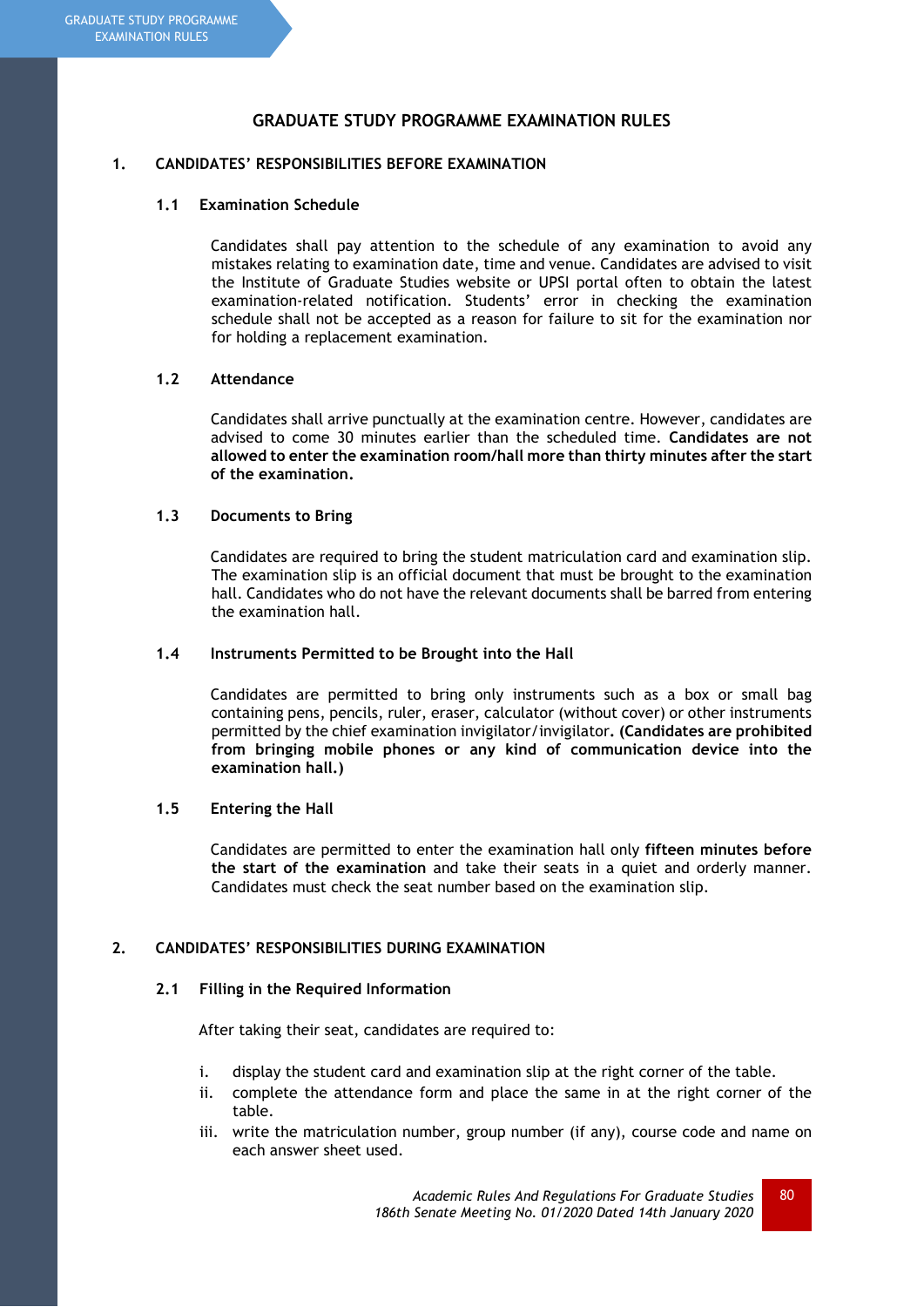## **GRADUATE STUDY PROGRAMME EXAMINATION RULES**

### **1. CANDIDATES' RESPONSIBILITIES BEFORE EXAMINATION**

#### **1.1 Examination Schedule**

Candidates shall pay attention to the schedule of any examination to avoid any mistakes relating to examination date, time and venue. Candidates are advised to visit the Institute of Graduate Studies website or UPSI portal often to obtain the latest examination-related notification. Students' error in checking the examination schedule shall not be accepted as a reason for failure to sit for the examination nor for holding a replacement examination.

#### **1.2 Attendance**

Candidates shall arrive punctually at the examination centre. However, candidates are advised to come 30 minutes earlier than the scheduled time. **Candidates are not allowed to enter the examination room/hall more than thirty minutes after the start of the examination.** 

#### **1.3 Documents to Bring**

Candidates are required to bring the student matriculation card and examination slip. The examination slip is an official document that must be brought to the examination hall. Candidates who do not have the relevant documents shall be barred from entering the examination hall.

#### **1.4 Instruments Permitted to be Brought into the Hall**

Candidates are permitted to bring only instruments such as a box or small bag containing pens, pencils, ruler, eraser, calculator (without cover) or other instruments permitted by the chief examination invigilator/invigilator**. (Candidates are prohibited from bringing mobile phones or any kind of communication device into the examination hall.)** 

## **1.5 Entering the Hall**

Candidates are permitted to enter the examination hall only **fifteen minutes before the start of the examination** and take their seats in a quiet and orderly manner. Candidates must check the seat number based on the examination slip.

### **2. CANDIDATES' RESPONSIBILITIES DURING EXAMINATION**

#### **2.1 Filling in the Required Information**

After taking their seat, candidates are required to:

- i. display the student card and examination slip at the right corner of the table.
- ii. complete the attendance form and place the same in at the right corner of the table.
- iii. write the matriculation number, group number (if any), course code and name on each answer sheet used.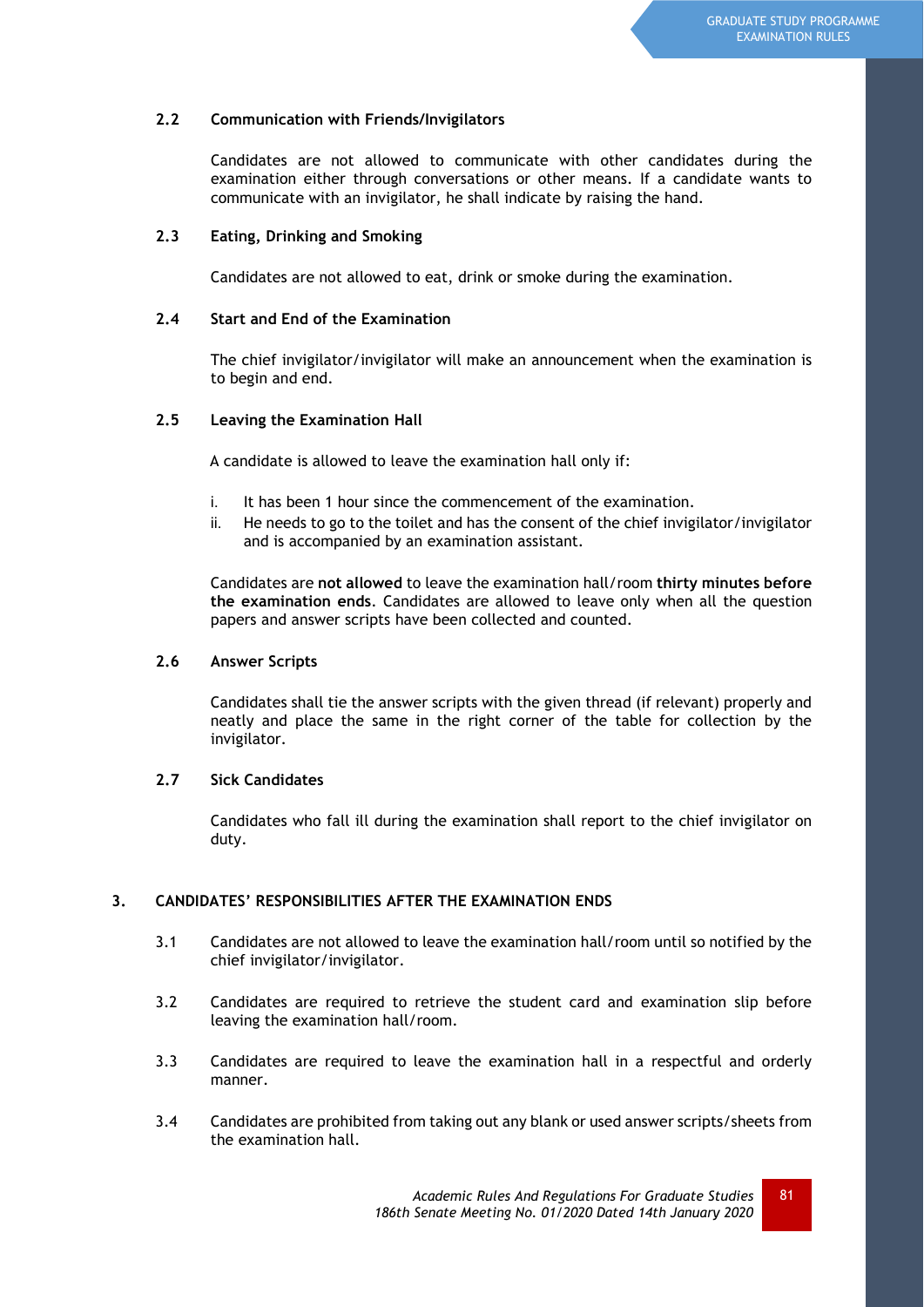## **2.2 Communication with Friends/Invigilators**

Candidates are not allowed to communicate with other candidates during the examination either through conversations or other means. If a candidate wants to communicate with an invigilator, he shall indicate by raising the hand.

## **2.3 Eating, Drinking and Smoking**

Candidates are not allowed to eat, drink or smoke during the examination.

## **2.4 Start and End of the Examination**

The chief invigilator/invigilator will make an announcement when the examination is to begin and end.

### **2.5 Leaving the Examination Hall**

A candidate is allowed to leave the examination hall only if:

- i. It has been 1 hour since the commencement of the examination.
- ii. He needs to go to the toilet and has the consent of the chief invigilator/invigilator and is accompanied by an examination assistant.

Candidates are **not allowed** to leave the examination hall/room **thirty minutes before the examination ends**. Candidates are allowed to leave only when all the question papers and answer scripts have been collected and counted.

### **2.6 Answer Scripts**

Candidates shall tie the answer scripts with the given thread (if relevant) properly and neatly and place the same in the right corner of the table for collection by the invigilator.

## **2.7 Sick Candidates**

Candidates who fall ill during the examination shall report to the chief invigilator on duty.

## **3. CANDIDATES' RESPONSIBILITIES AFTER THE EXAMINATION ENDS**

- 3.1 Candidates are not allowed to leave the examination hall/room until so notified by the chief invigilator/invigilator.
- 3.2 Candidates are required to retrieve the student card and examination slip before leaving the examination hall/room.
- 3.3 Candidates are required to leave the examination hall in a respectful and orderly manner.
- 3.4 Candidates are prohibited from taking out any blank or used answer scripts/sheets from the examination hall.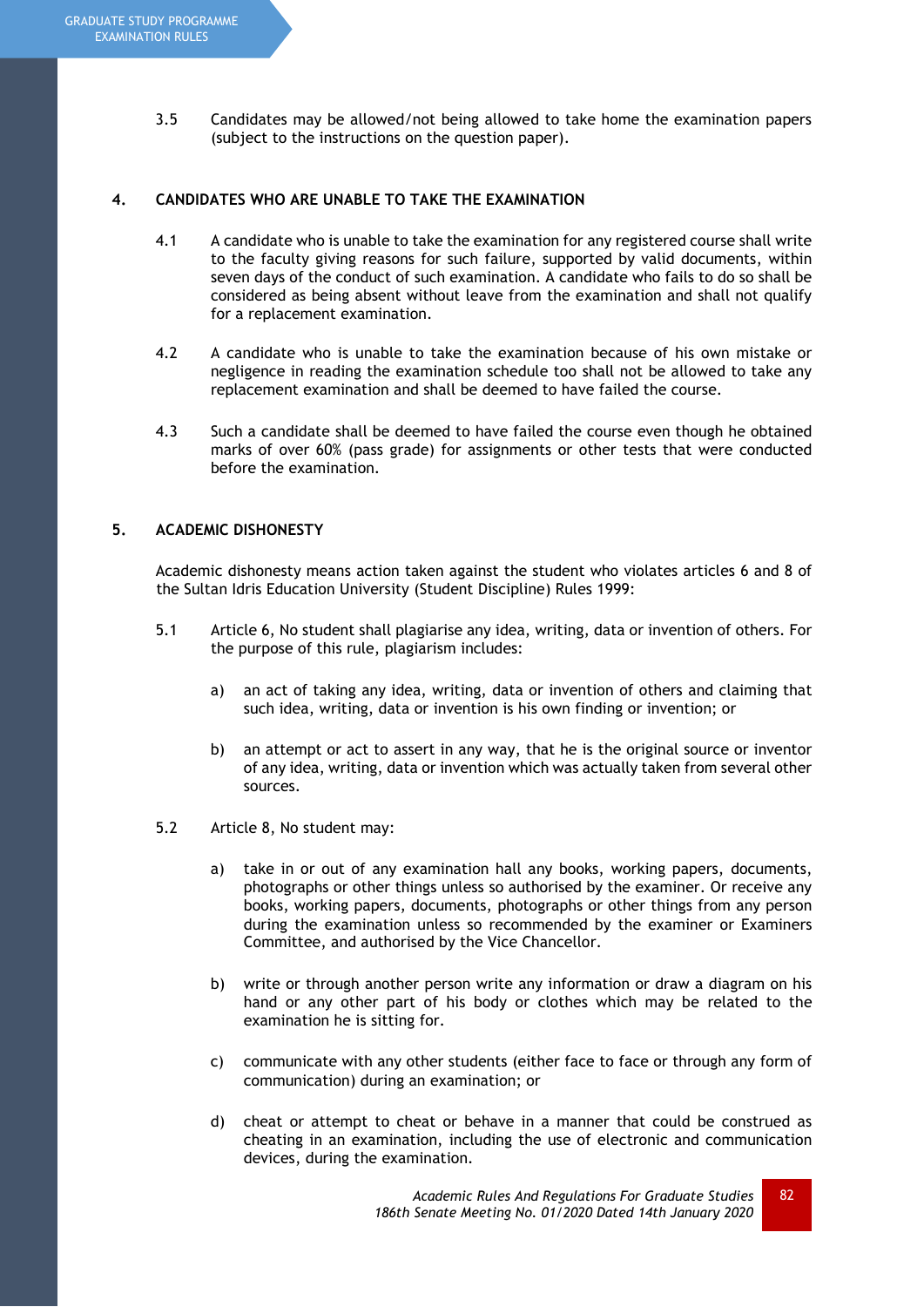3.5 Candidates may be allowed/not being allowed to take home the examination papers (subject to the instructions on the question paper).

## **4. CANDIDATES WHO ARE UNABLE TO TAKE THE EXAMINATION**

- 4.1 A candidate who is unable to take the examination for any registered course shall write to the faculty giving reasons for such failure, supported by valid documents, within seven days of the conduct of such examination. A candidate who fails to do so shall be considered as being absent without leave from the examination and shall not qualify for a replacement examination.
- 4.2 A candidate who is unable to take the examination because of his own mistake or negligence in reading the examination schedule too shall not be allowed to take any replacement examination and shall be deemed to have failed the course.
- 4.3 Such a candidate shall be deemed to have failed the course even though he obtained marks of over 60% (pass grade) for assignments or other tests that were conducted before the examination.

## **5. ACADEMIC DISHONESTY**

Academic dishonesty means action taken against the student who violates articles 6 and 8 of the Sultan Idris Education University (Student Discipline) Rules 1999:

- 5.1 Article 6, No student shall plagiarise any idea, writing, data or invention of others. For the purpose of this rule, plagiarism includes:
	- a) an act of taking any idea, writing, data or invention of others and claiming that such idea, writing, data or invention is his own finding or invention; or
	- b) an attempt or act to assert in any way, that he is the original source or inventor of any idea, writing, data or invention which was actually taken from several other sources.
- 5.2 Article 8, No student may:
	- a) take in or out of any examination hall any books, working papers, documents, photographs or other things unless so authorised by the examiner. Or receive any books, working papers, documents, photographs or other things from any person during the examination unless so recommended by the examiner or Examiners Committee, and authorised by the Vice Chancellor.
	- b) write or through another person write any information or draw a diagram on his hand or any other part of his body or clothes which may be related to the examination he is sitting for.
	- c) communicate with any other students (either face to face or through any form of communication) during an examination; or
	- d) cheat or attempt to cheat or behave in a manner that could be construed as cheating in an examination, including the use of electronic and communication devices, during the examination.

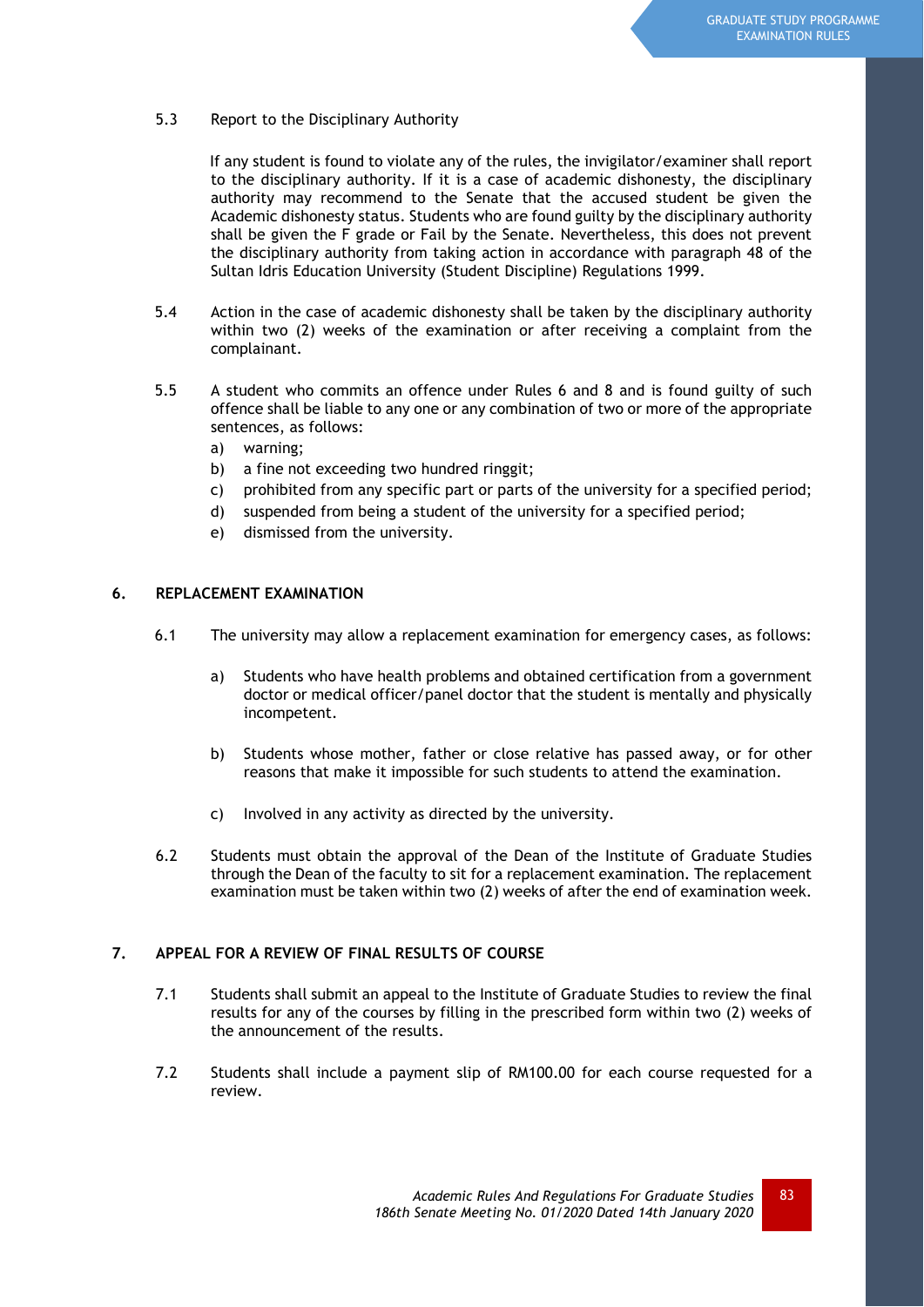## 5.3 Report to the Disciplinary Authority

If any student is found to violate any of the rules, the invigilator/examiner shall report to the disciplinary authority. If it is a case of academic dishonesty, the disciplinary authority may recommend to the Senate that the accused student be given the Academic dishonesty status. Students who are found guilty by the disciplinary authority shall be given the F grade or Fail by the Senate. Nevertheless, this does not prevent the disciplinary authority from taking action in accordance with paragraph 48 of the Sultan Idris Education University (Student Discipline) Regulations 1999.

- 5.4 Action in the case of academic dishonesty shall be taken by the disciplinary authority within two (2) weeks of the examination or after receiving a complaint from the complainant.
- 5.5 A student who commits an offence under Rules 6 and 8 and is found guilty of such offence shall be liable to any one or any combination of two or more of the appropriate sentences, as follows:
	- a) warning;
	- b) a fine not exceeding two hundred ringgit;
	- c) prohibited from any specific part or parts of the university for a specified period;
	- d) suspended from being a student of the university for a specified period;
	- e) dismissed from the university.

### **6. REPLACEMENT EXAMINATION**

- 6.1 The university may allow a replacement examination for emergency cases, as follows:
	- a) Students who have health problems and obtained certification from a government doctor or medical officer/panel doctor that the student is mentally and physically incompetent.
	- b) Students whose mother, father or close relative has passed away, or for other reasons that make it impossible for such students to attend the examination.
	- c) Involved in any activity as directed by the university.
- 6.2 Students must obtain the approval of the Dean of the Institute of Graduate Studies through the Dean of the faculty to sit for a replacement examination. The replacement examination must be taken within two (2) weeks of after the end of examination week.

## **7. APPEAL FOR A REVIEW OF FINAL RESULTS OF COURSE**

- 7.1 Students shall submit an appeal to the Institute of Graduate Studies to review the final results for any of the courses by filling in the prescribed form within two (2) weeks of the announcement of the results.
- 7.2 Students shall include a payment slip of RM100.00 for each course requested for a review.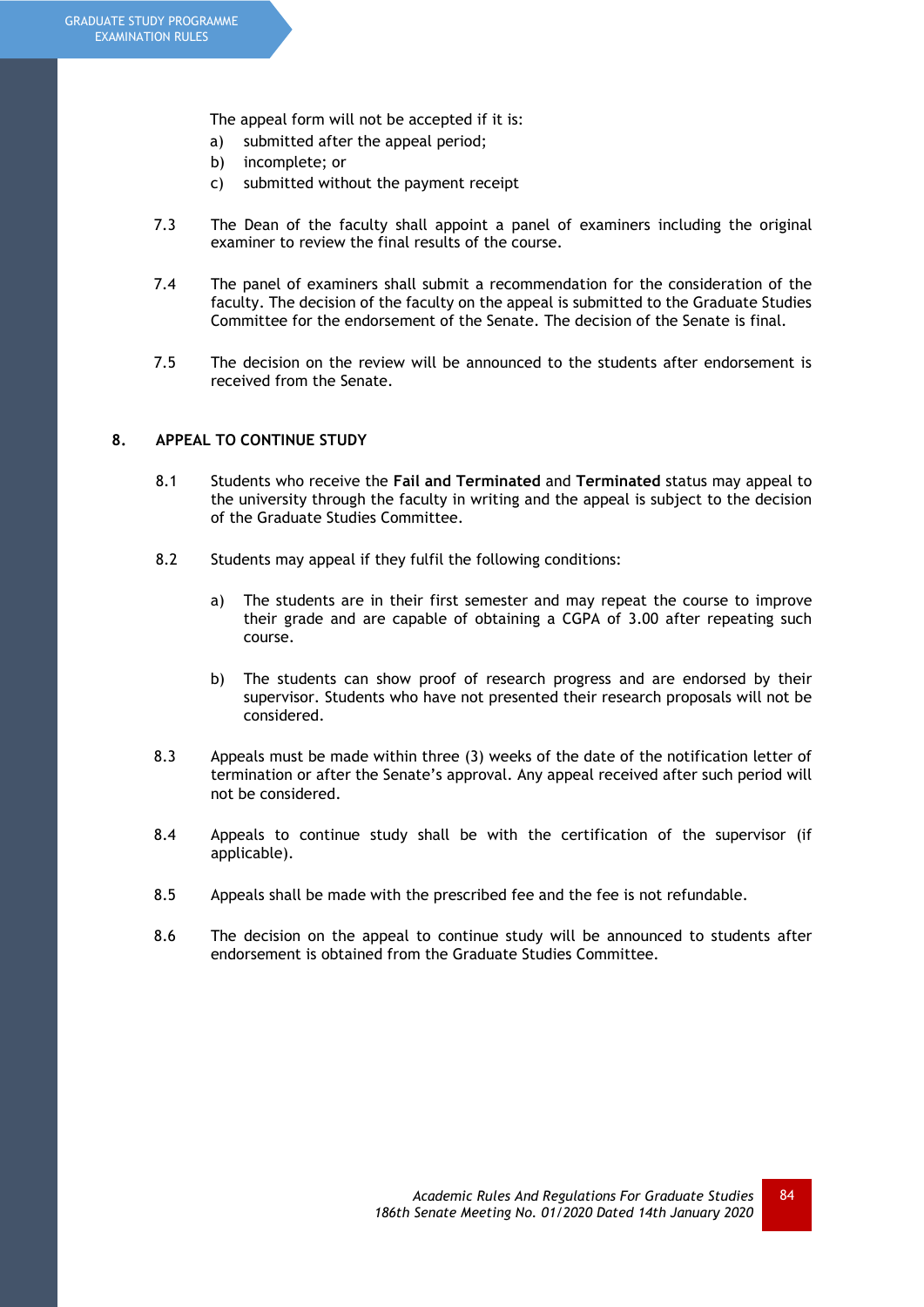The appeal form will not be accepted if it is:

- a) submitted after the appeal period;
- b) incomplete; or
- c) submitted without the payment receipt
- 7.3 The Dean of the faculty shall appoint a panel of examiners including the original examiner to review the final results of the course.
- 7.4 The panel of examiners shall submit a recommendation for the consideration of the faculty. The decision of the faculty on the appeal is submitted to the Graduate Studies Committee for the endorsement of the Senate. The decision of the Senate is final.
- 7.5 The decision on the review will be announced to the students after endorsement is received from the Senate.

## **8. APPEAL TO CONTINUE STUDY**

- 8.1 Students who receive the **Fail and Terminated** and **Terminated** status may appeal to the university through the faculty in writing and the appeal is subject to the decision of the Graduate Studies Committee.
- 8.2 Students may appeal if they fulfil the following conditions:
	- a) The students are in their first semester and may repeat the course to improve their grade and are capable of obtaining a CGPA of 3.00 after repeating such course.
	- b) The students can show proof of research progress and are endorsed by their supervisor. Students who have not presented their research proposals will not be considered.
- 8.3 Appeals must be made within three (3) weeks of the date of the notification letter of termination or after the Senate's approval. Any appeal received after such period will not be considered.
- 8.4 Appeals to continue study shall be with the certification of the supervisor (if applicable).
- 8.5 Appeals shall be made with the prescribed fee and the fee is not refundable.
- 8.6 The decision on the appeal to continue study will be announced to students after endorsement is obtained from the Graduate Studies Committee.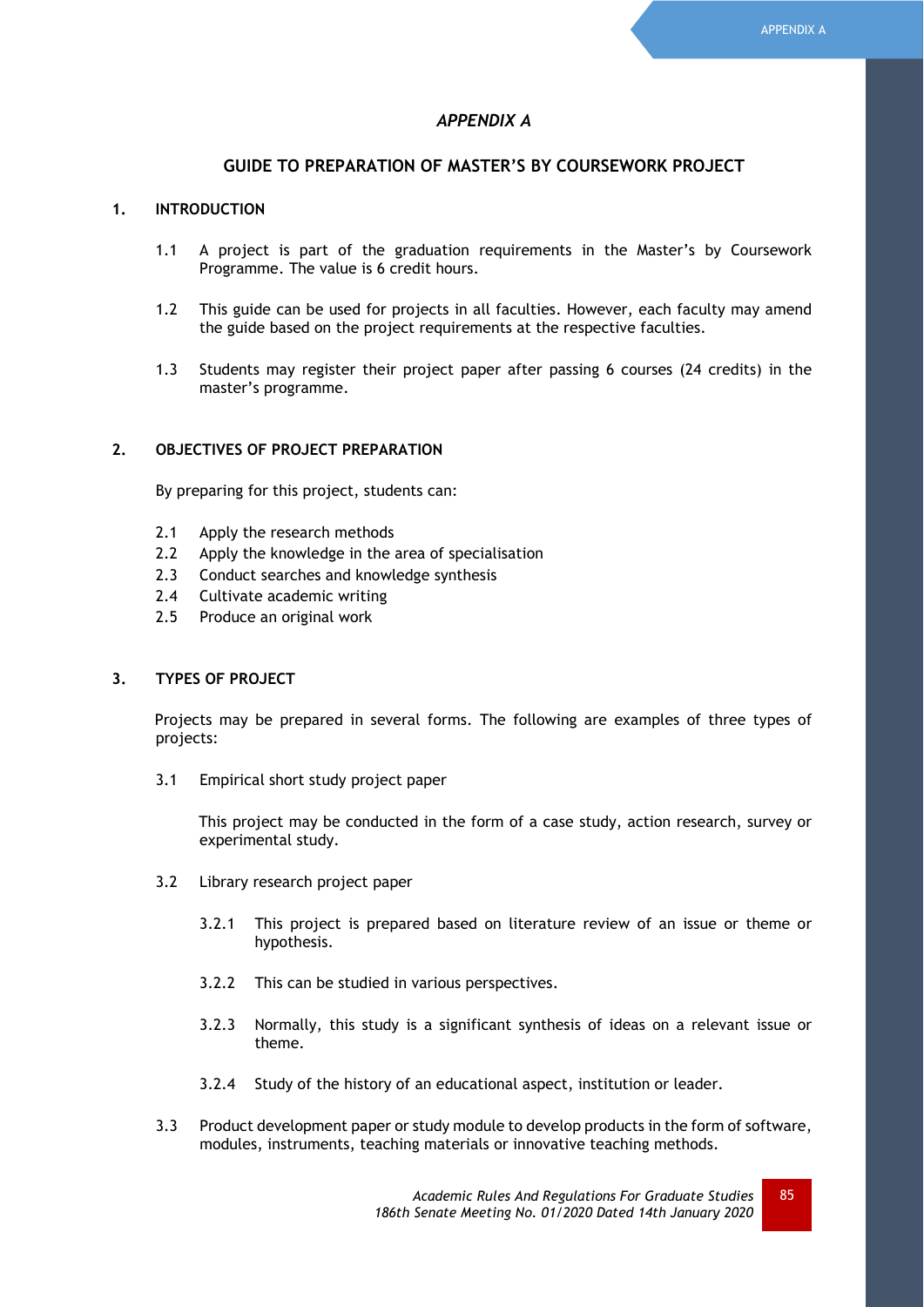## *APPENDIX A*

## **GUIDE TO PREPARATION OF MASTER'S BY COURSEWORK PROJECT**

### **1. INTRODUCTION**

- 1.1 A project is part of the graduation requirements in the Master's by Coursework Programme. The value is 6 credit hours.
- 1.2 This guide can be used for projects in all faculties. However, each faculty may amend the guide based on the project requirements at the respective faculties.
- 1.3 Students may register their project paper after passing 6 courses (24 credits) in the master's programme.

### **2. OBJECTIVES OF PROJECT PREPARATION**

By preparing for this project, students can:

- 2.1 Apply the research methods
- 2.2 Apply the knowledge in the area of specialisation
- 2.3 Conduct searches and knowledge synthesis
- 2.4 Cultivate academic writing
- 2.5 Produce an original work

### **3. TYPES OF PROJECT**

Projects may be prepared in several forms. The following are examples of three types of projects:

3.1 Empirical short study project paper

This project may be conducted in the form of a case study, action research, survey or experimental study.

- 3.2 Library research project paper
	- 3.2.1 This project is prepared based on literature review of an issue or theme or hypothesis.
	- 3.2.2 This can be studied in various perspectives.
	- 3.2.3 Normally, this study is a significant synthesis of ideas on a relevant issue or theme.
	- 3.2.4 Study of the history of an educational aspect, institution or leader.
- 3.3 Product development paper or study module to develop products in the form of software, modules, instruments, teaching materials or innovative teaching methods.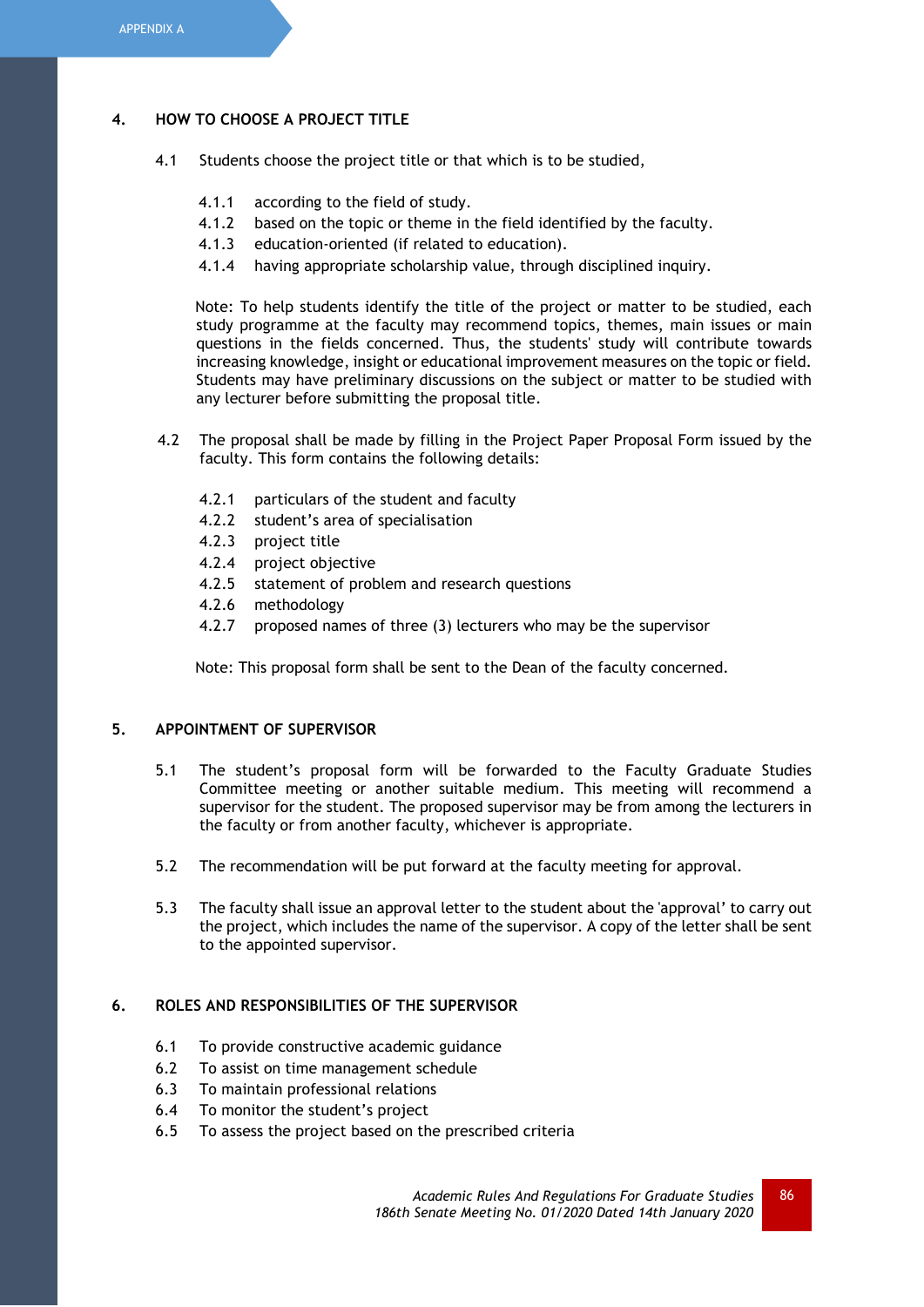## **4. HOW TO CHOOSE A PROJECT TITLE**

- 4.1 Students choose the project title or that which is to be studied,
	- 4.1.1 according to the field of study.
	- 4.1.2 based on the topic or theme in the field identified by the faculty.
	- 4.1.3 education-oriented (if related to education).
	- 4.1.4 having appropriate scholarship value, through disciplined inquiry.

Note: To help students identify the title of the project or matter to be studied, each study programme at the faculty may recommend topics, themes, main issues or main questions in the fields concerned. Thus, the students' study will contribute towards increasing knowledge, insight or educational improvement measures on the topic or field. Students may have preliminary discussions on the subject or matter to be studied with any lecturer before submitting the proposal title.

- 4.2 The proposal shall be made by filling in the Project Paper Proposal Form issued by the faculty. This form contains the following details:
	- 4.2.1 particulars of the student and faculty
	- 4.2.2 student's area of specialisation
	- 4.2.3 project title
	- 4.2.4 project objective
	- 4.2.5 statement of problem and research questions
	- 4.2.6 methodology
	- 4.2.7 proposed names of three (3) lecturers who may be the supervisor

Note: This proposal form shall be sent to the Dean of the faculty concerned.

## **5. APPOINTMENT OF SUPERVISOR**

- 5.1 The student's proposal form will be forwarded to the Faculty Graduate Studies Committee meeting or another suitable medium. This meeting will recommend a supervisor for the student. The proposed supervisor may be from among the lecturers in the faculty or from another faculty, whichever is appropriate.
- 5.2 The recommendation will be put forward at the faculty meeting for approval.
- 5.3 The faculty shall issue an approval letter to the student about the 'approval' to carry out the project, which includes the name of the supervisor. A copy of the letter shall be sent to the appointed supervisor.

#### **6. ROLES AND RESPONSIBILITIES OF THE SUPERVISOR**

- 6.1 To provide constructive academic guidance
- 6.2 To assist on time management schedule
- 6.3 To maintain professional relations
- 6.4 To monitor the student's project
- 6.5 To assess the project based on the prescribed criteria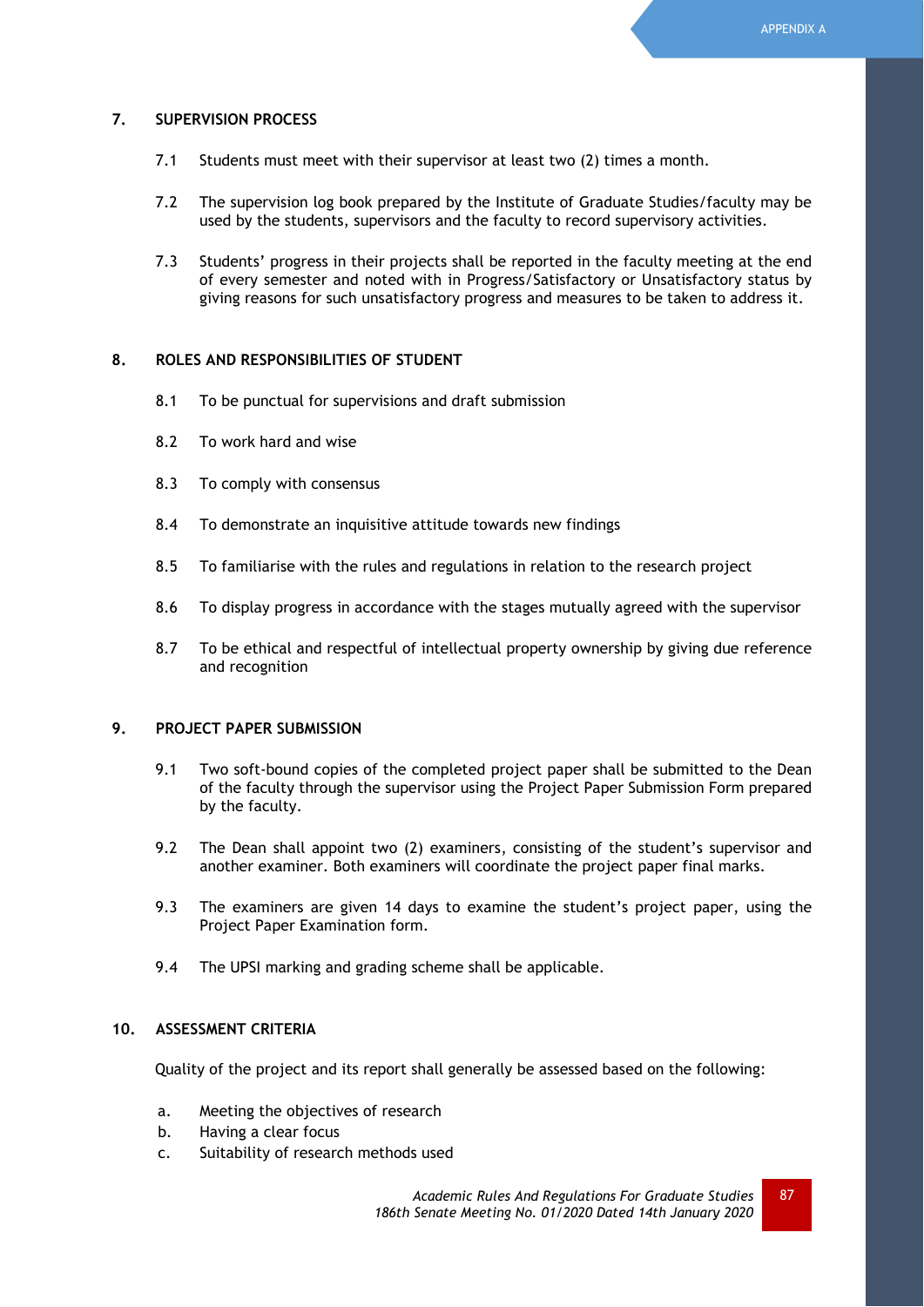## **7. SUPERVISION PROCESS**

- 7.1 Students must meet with their supervisor at least two (2) times a month.
- 7.2 The supervision log book prepared by the Institute of Graduate Studies/faculty may be used by the students, supervisors and the faculty to record supervisory activities.
- 7.3 Students' progress in their projects shall be reported in the faculty meeting at the end of every semester and noted with in Progress/Satisfactory or Unsatisfactory status by giving reasons for such unsatisfactory progress and measures to be taken to address it.

### **8. ROLES AND RESPONSIBILITIES OF STUDENT**

- 8.1 To be punctual for supervisions and draft submission
- 8.2 To work hard and wise
- 8.3 To comply with consensus
- 8.4 To demonstrate an inquisitive attitude towards new findings
- 8.5 To familiarise with the rules and regulations in relation to the research project
- 8.6 To display progress in accordance with the stages mutually agreed with the supervisor
- 8.7 To be ethical and respectful of intellectual property ownership by giving due reference and recognition

#### **9. PROJECT PAPER SUBMISSION**

- 9.1 Two soft-bound copies of the completed project paper shall be submitted to the Dean of the faculty through the supervisor using the Project Paper Submission Form prepared by the faculty.
- 9.2 The Dean shall appoint two (2) examiners, consisting of the student's supervisor and another examiner. Both examiners will coordinate the project paper final marks.
- 9.3 The examiners are given 14 days to examine the student's project paper, using the Project Paper Examination form.
- 9.4 The UPSI marking and grading scheme shall be applicable.

## **10. ASSESSMENT CRITERIA**

Quality of the project and its report shall generally be assessed based on the following:

- a. Meeting the objectives of research
- b. Having a clear focus
- c. Suitability of research methods used

*Academic Rules And Regulations For Graduate Studies 186th Senate Meeting No. 01/2020 Dated 14th January 2020*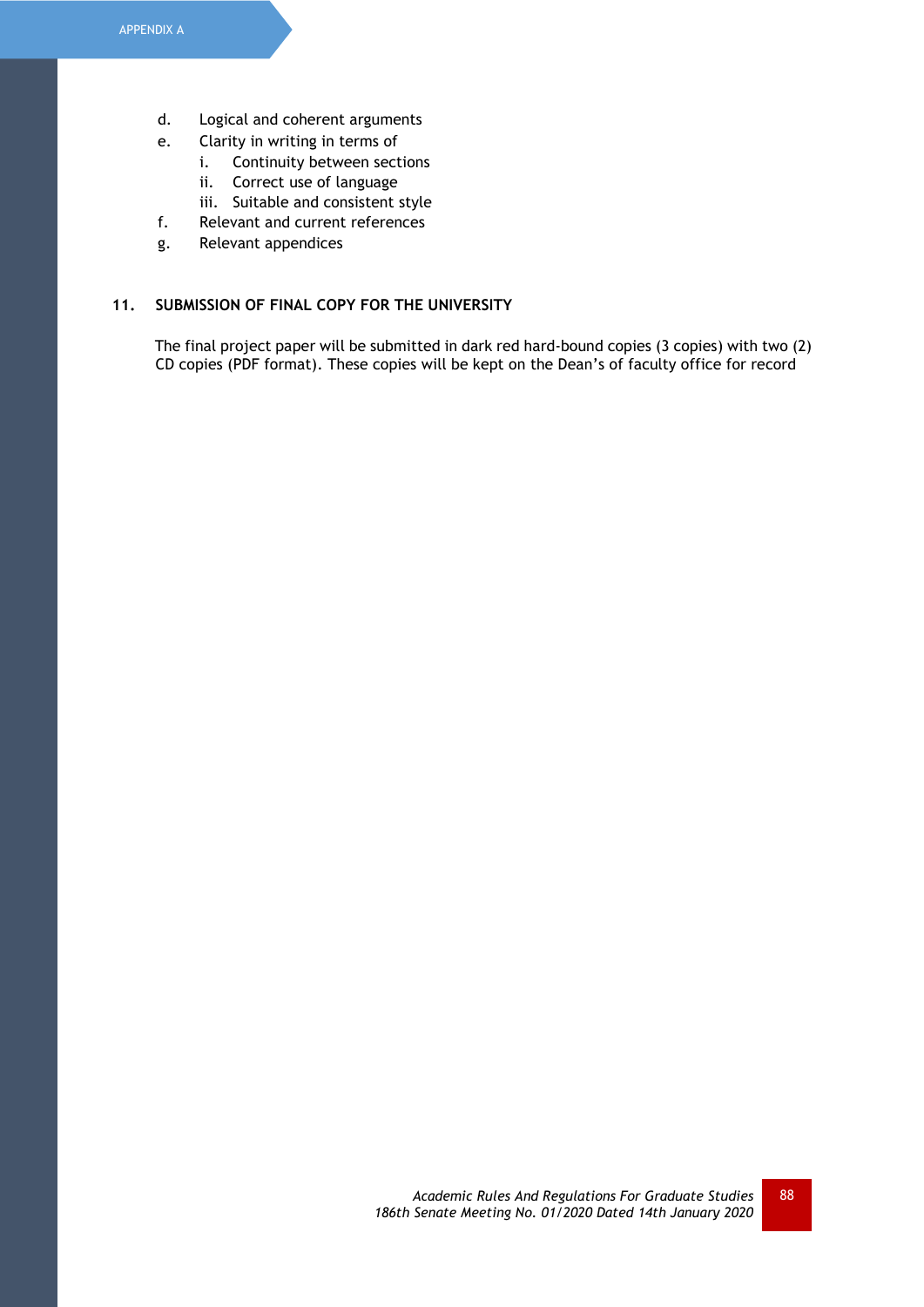- d. Logical and coherent arguments
- e. Clarity in writing in terms of
	- i. Continuity between sections
	- ii. Correct use of language
	- iii. Suitable and consistent style
- f. Relevant and current references
- g. Relevant appendices

## **11. SUBMISSION OF FINAL COPY FOR THE UNIVERSITY**

The final project paper will be submitted in dark red hard-bound copies (3 copies) with two (2) CD copies (PDF format). These copies will be kept on the Dean's of faculty office for record

88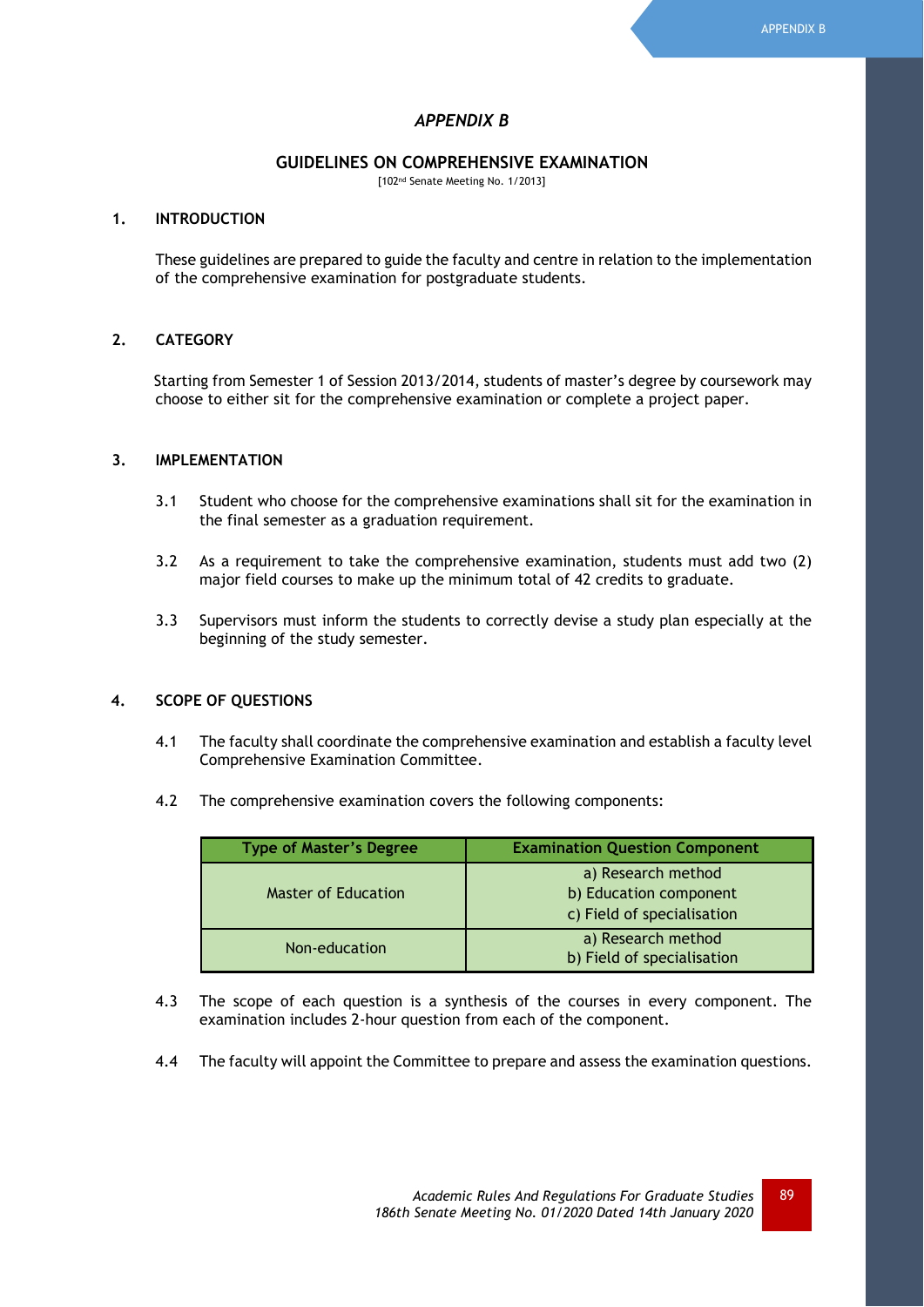## *APPENDIX B*

## **GUIDELINES ON COMPREHENSIVE EXAMINATION**

[102nd Senate Meeting No. 1/2013]

#### **1. INTRODUCTION**

These guidelines are prepared to guide the faculty and centre in relation to the implementation of the comprehensive examination for postgraduate students.

### **2. CATEGORY**

Starting from Semester 1 of Session 2013/2014, students of master's degree by coursework may choose to either sit for the comprehensive examination or complete a project paper.

## **3. IMPLEMENTATION**

- 3.1 Student who choose for the comprehensive examinations shall sit for the examination in the final semester as a graduation requirement.
- 3.2 As a requirement to take the comprehensive examination, students must add two (2) major field courses to make up the minimum total of 42 credits to graduate.
- 3.3 Supervisors must inform the students to correctly devise a study plan especially at the beginning of the study semester.

#### **4. SCOPE OF QUESTIONS**

- 4.1 The faculty shall coordinate the comprehensive examination and establish a faculty level Comprehensive Examination Committee.
- 4.2 The comprehensive examination covers the following components:

| <b>Type of Master's Degree</b> | <b>Examination Question Component</b>                                      |
|--------------------------------|----------------------------------------------------------------------------|
| <b>Master of Education</b>     | a) Research method<br>b) Education component<br>c) Field of specialisation |
| Non-education                  | a) Research method<br>b) Field of specialisation                           |

- 4.3 The scope of each question is a synthesis of the courses in every component. The examination includes 2-hour question from each of the component.
- 4.4 The faculty will appoint the Committee to prepare and assess the examination questions.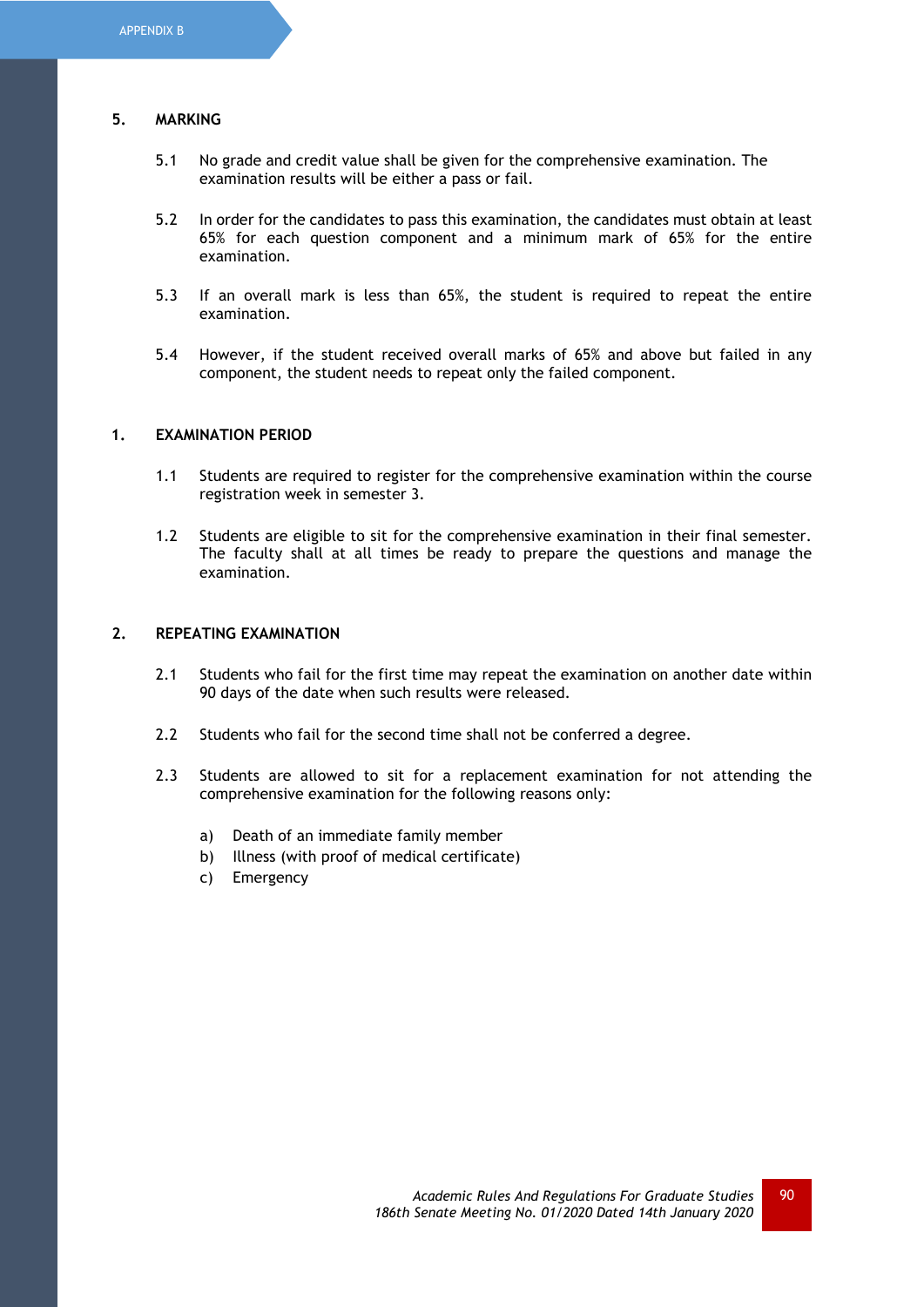## **5. MARKING**

- 5.1 No grade and credit value shall be given for the comprehensive examination. The examination results will be either a pass or fail.
- 5.2 In order for the candidates to pass this examination, the candidates must obtain at least 65% for each question component and a minimum mark of 65% for the entire examination.
- 5.3 If an overall mark is less than 65%, the student is required to repeat the entire examination.
- 5.4 However, if the student received overall marks of 65% and above but failed in any component, the student needs to repeat only the failed component.

## **1. EXAMINATION PERIOD**

- 1.1 Students are required to register for the comprehensive examination within the course registration week in semester 3.
- 1.2 Students are eligible to sit for the comprehensive examination in their final semester. The faculty shall at all times be ready to prepare the questions and manage the examination.

## **2. REPEATING EXAMINATION**

- 2.1 Students who fail for the first time may repeat the examination on another date within 90 days of the date when such results were released.
- 2.2 Students who fail for the second time shall not be conferred a degree.
- 2.3 Students are allowed to sit for a replacement examination for not attending the comprehensive examination for the following reasons only:
	- a) Death of an immediate family member
	- b) Illness (with proof of medical certificate)
	- c) Emergency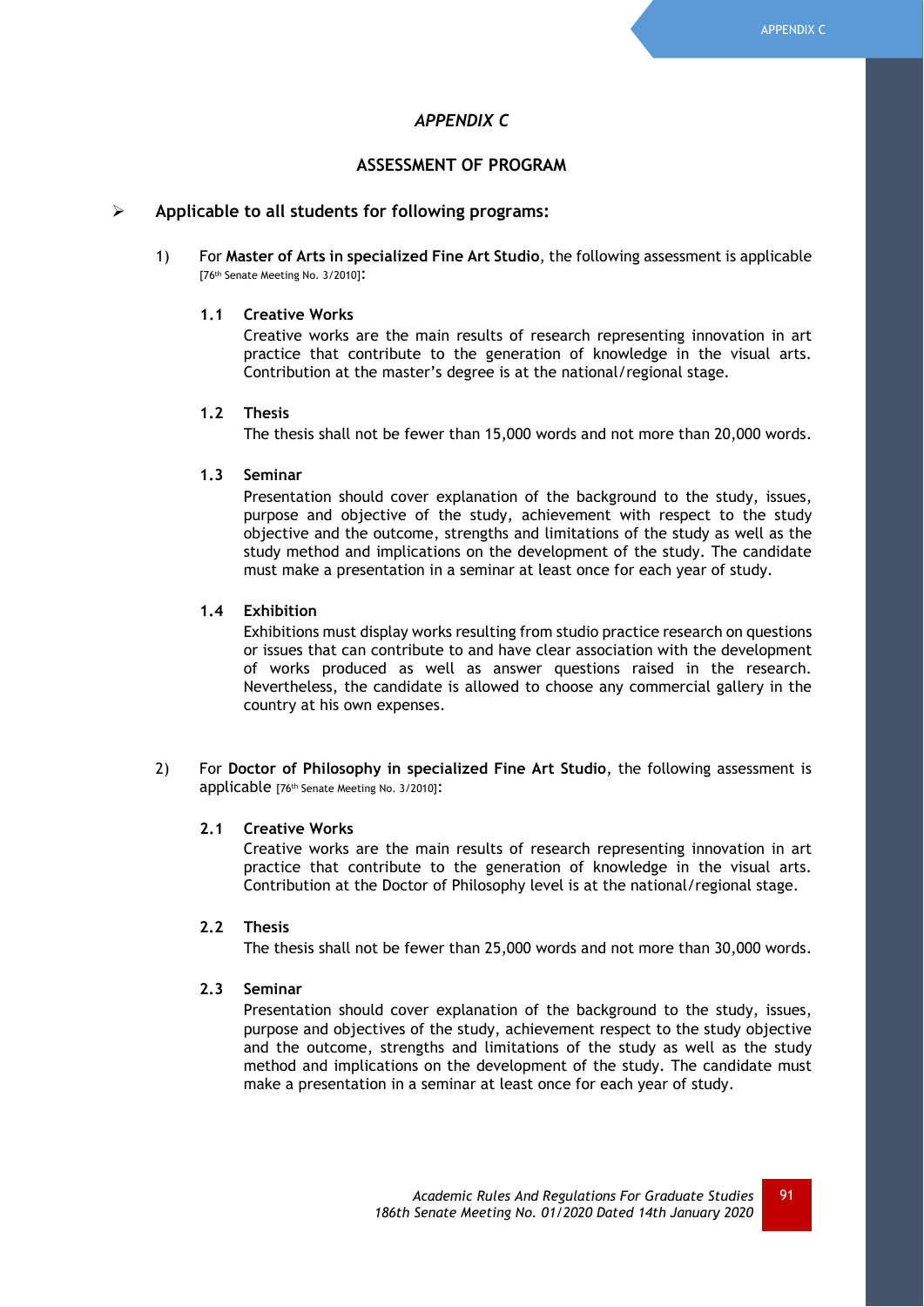## *APPENDIX C*

# **ASSESSMENT OF PROGRAM**

#### **Applicable to all students for following programs:**

1) For **Master of Arts in specialized Fine Art Studio**, the following assessment is applicable [76th Senate Meeting No. 3/2010]:

#### **1.1 Creative Works**

Creative works are the main results of research representing innovation in art practice that contribute to the generation of knowledge in the visual arts. Contribution at the master's degree is at the national/regional stage.

#### **1.2 Thesis**

The thesis shall not be fewer than 15,000 words and not more than 20,000 words.

### **1.3 Seminar**

Presentation should cover explanation of the background to the study, issues, purpose and objective of the study, achievement with respect to the study objective and the outcome, strengths and limitations of the study as well as the study method and implications on the development of the study. The candidate must make a presentation in a seminar at least once for each year of study.

#### **1.4 Exhibition**

Exhibitions must display works resulting from studio practice research on questions or issues that can contribute to and have clear association with the development of works produced as well as answer questions raised in the research. Nevertheless, the candidate is allowed to choose any commercial gallery in the country at his own expenses.

2) For **Doctor of Philosophy in specialized Fine Art Studio**, the following assessment is applicable [76th Senate Meeting No. 3/2010]:

#### **2.1 Creative Works**

Creative works are the main results of research representing innovation in art practice that contribute to the generation of knowledge in the visual arts. Contribution at the Doctor of Philosophy level is at the national/regional stage.

### **2.2 Thesis**

The thesis shall not be fewer than 25,000 words and not more than 30,000 words.

#### **2.3 Seminar**

Presentation should cover explanation of the background to the study, issues, purpose and objectives of the study, achievement respect to the study objective and the outcome, strengths and limitations of the study as well as the study method and implications on the development of the study. The candidate must make a presentation in a seminar at least once for each year of study.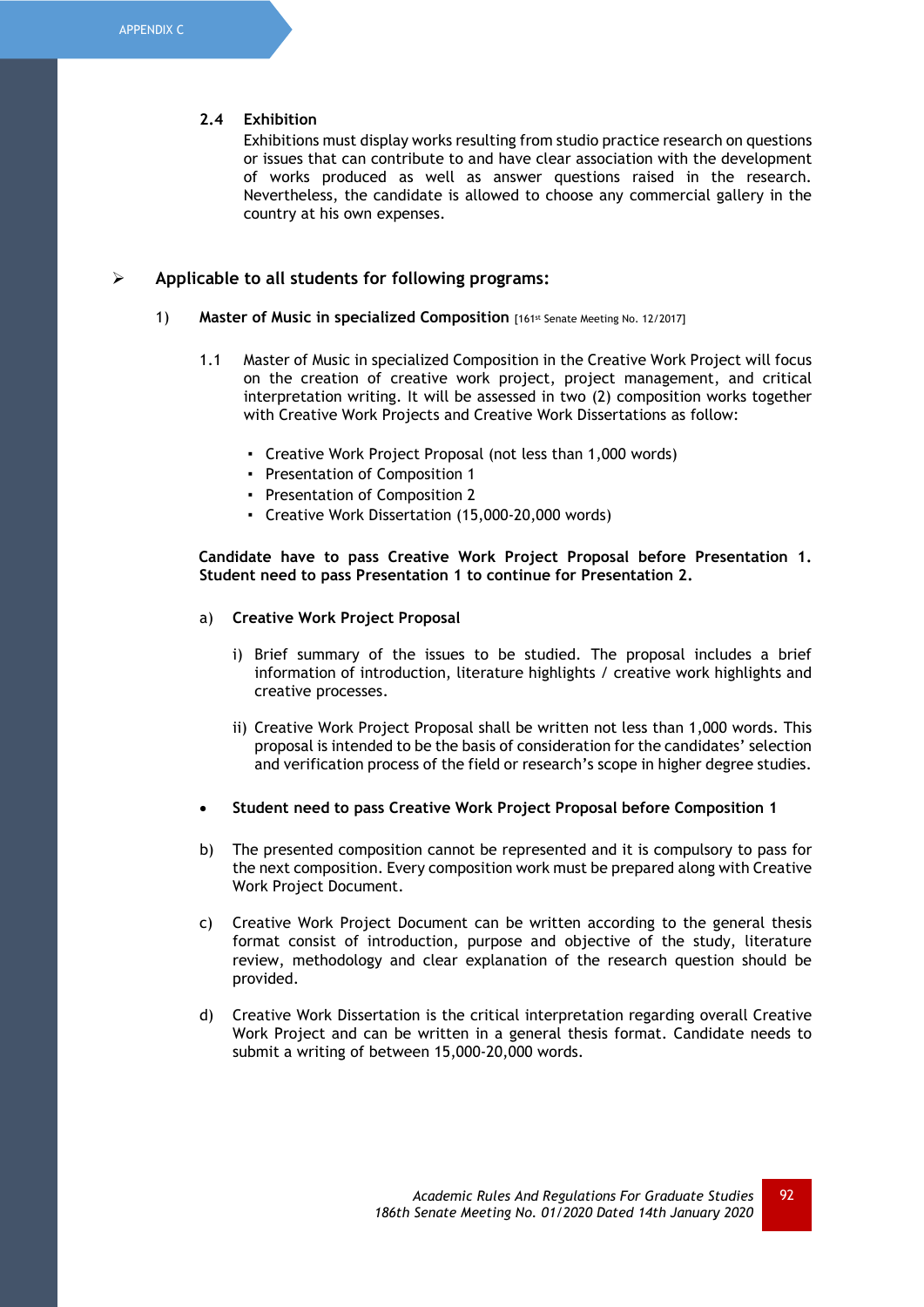#### **2.4 Exhibition**

Exhibitions must display works resulting from studio practice research on questions or issues that can contribute to and have clear association with the development of works produced as well as answer questions raised in the research. Nevertheless, the candidate is allowed to choose any commercial gallery in the country at his own expenses.

#### **Applicable to all students for following programs:**

#### 1) **Master of Music in specialized Composition** [161st Senate Meeting No. 12/2017]

- 1.1 Master of Music in specialized Composition in the Creative Work Project will focus on the creation of creative work project, project management, and critical interpretation writing. It will be assessed in two (2) composition works together with Creative Work Projects and Creative Work Dissertations as follow:
	- Creative Work Project Proposal (not less than 1,000 words)
	- Presentation of Composition 1
	- Presentation of Composition 2
	- Creative Work Dissertation (15,000-20,000 words)

**Candidate have to pass Creative Work Project Proposal before Presentation 1. Student need to pass Presentation 1 to continue for Presentation 2.** 

- a) **Creative Work Project Proposal**
	- i) Brief summary of the issues to be studied. The proposal includes a brief information of introduction, literature highlights / creative work highlights and creative processes.
	- ii) Creative Work Project Proposal shall be written not less than 1,000 words. This proposal is intended to be the basis of consideration for the candidates' selection and verification process of the field or research's scope in higher degree studies.
- **Student need to pass Creative Work Project Proposal before Composition 1**
- b) The presented composition cannot be represented and it is compulsory to pass for the next composition. Every composition work must be prepared along with Creative Work Project Document.
- c) Creative Work Project Document can be written according to the general thesis format consist of introduction, purpose and objective of the study, literature review, methodology and clear explanation of the research question should be provided.
- d) Creative Work Dissertation is the critical interpretation regarding overall Creative Work Project and can be written in a general thesis format. Candidate needs to submit a writing of between 15,000-20,000 words.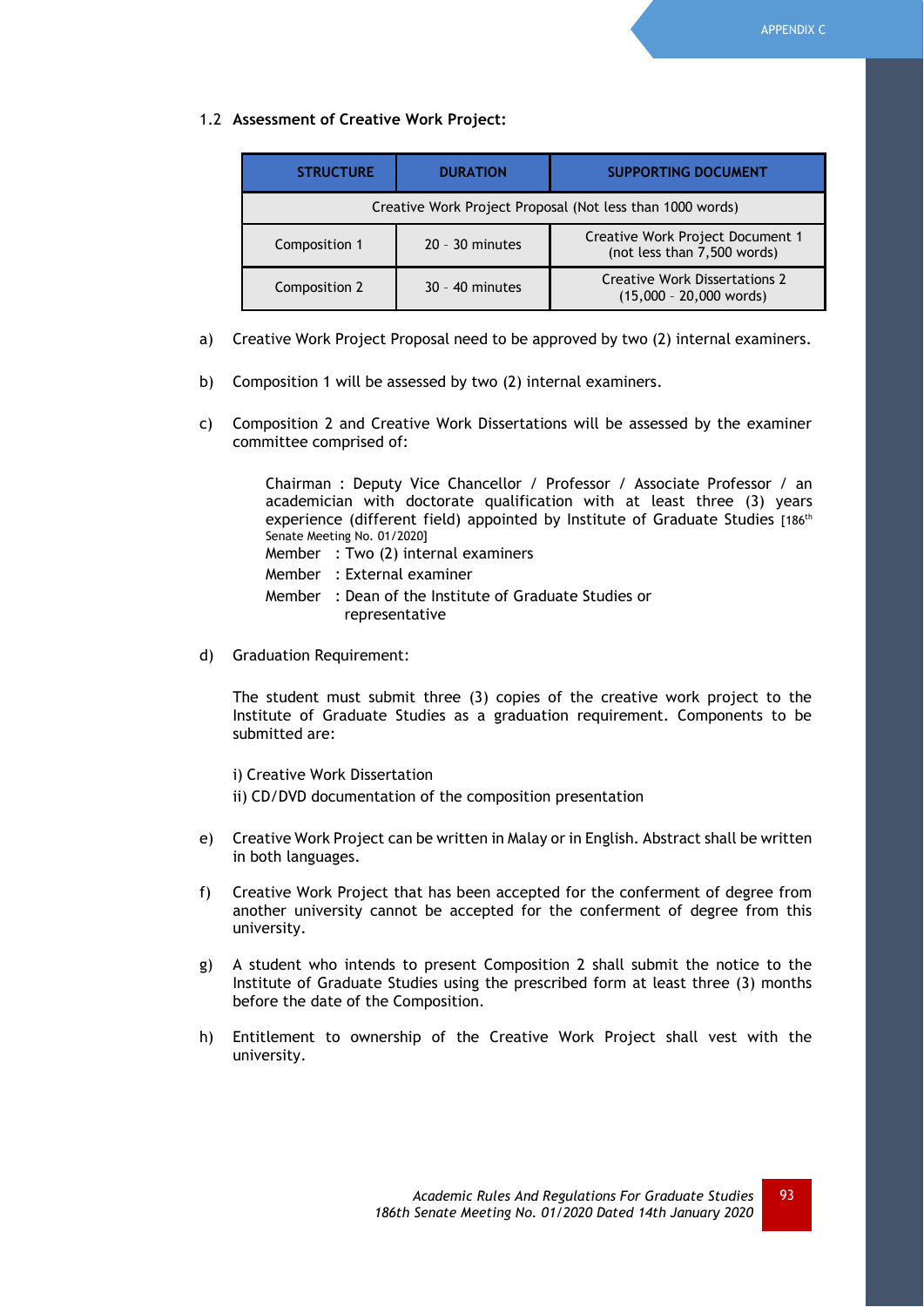#### 1.2 **Assessment of Creative Work Project:**

| <b>STRUCTURE</b> | <b>DURATION</b>                                           | <b>SUPPORTING DOCUMENT</b>                                        |
|------------------|-----------------------------------------------------------|-------------------------------------------------------------------|
|                  | Creative Work Project Proposal (Not less than 1000 words) |                                                                   |
| Composition 1    | $20 - 30$ minutes                                         | Creative Work Project Document 1<br>(not less than 7,500 words)   |
| Composition 2    | $30 - 40$ minutes                                         | <b>Creative Work Dissertations 2</b><br>$(15,000 - 20,000$ words) |

- a) Creative Work Project Proposal need to be approved by two (2) internal examiners.
- b) Composition 1 will be assessed by two (2) internal examiners.
- c) Composition 2 and Creative Work Dissertations will be assessed by the examiner committee comprised of:

Chairman : Deputy Vice Chancellor / Professor / Associate Professor / an academician with doctorate qualification with at least three (3) years experience (different field) appointed by Institute of Graduate Studies [186<sup>th</sup>] Senate Meeting No. 01/2020]

- Member : Two (2) internal examiners
- Member : External examiner
- Member : Dean of the Institute of Graduate Studies or representative
- d) Graduation Requirement:

The student must submit three (3) copies of the creative work project to the Institute of Graduate Studies as a graduation requirement. Components to be submitted are:

i) Creative Work Dissertation

ii) CD/DVD documentation of the composition presentation

- e) Creative Work Project can be written in Malay or in English. Abstract shall be written in both languages.
- f) Creative Work Project that has been accepted for the conferment of degree from another university cannot be accepted for the conferment of degree from this university.
- g) A student who intends to present Composition 2 shall submit the notice to the Institute of Graduate Studies using the prescribed form at least three (3) months before the date of the Composition.
- h) Entitlement to ownership of the Creative Work Project shall vest with the university.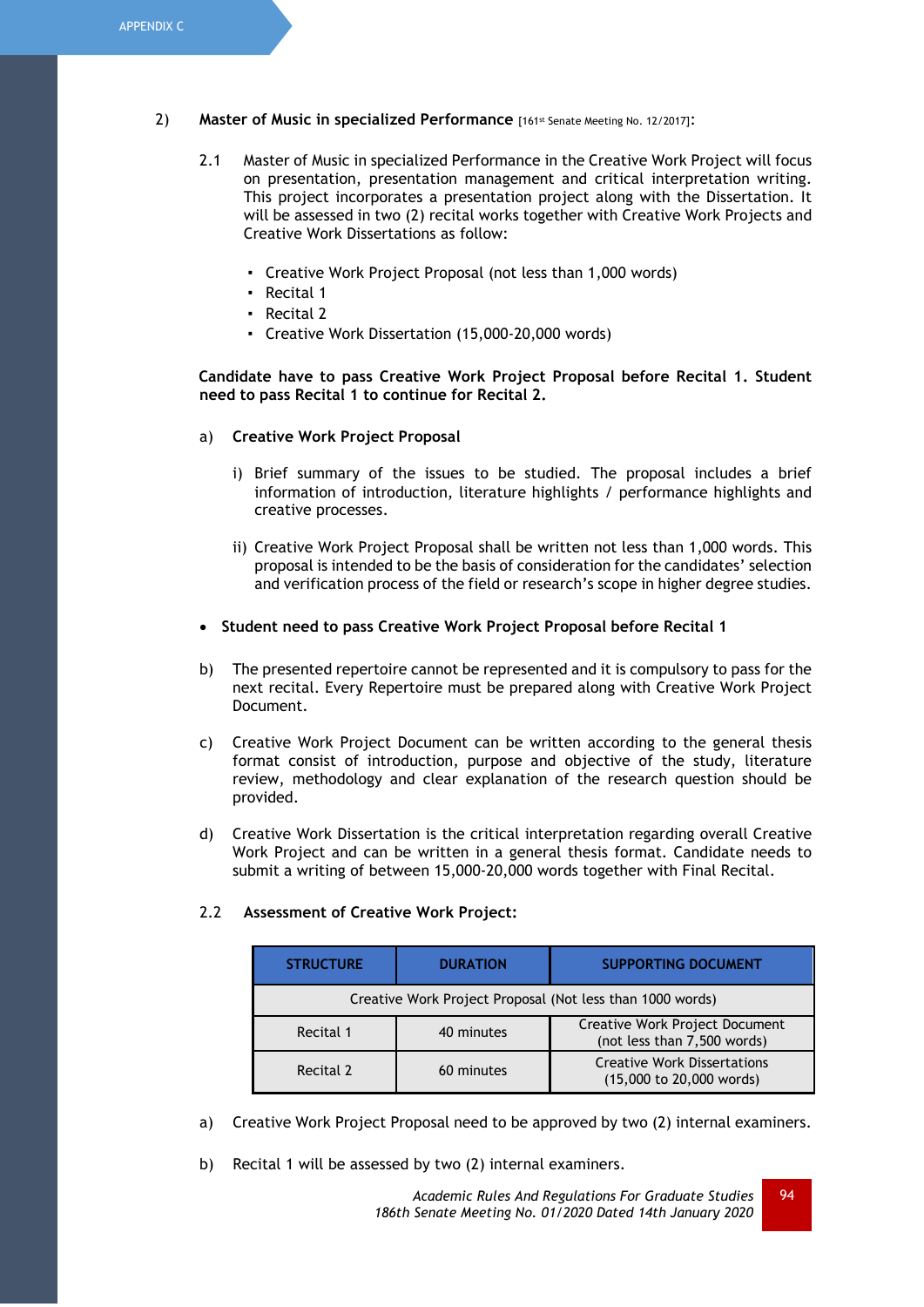### 2) **Master of Music in specialized Performance** [161st Senate Meeting No. 12/2017]:

- 2.1 Master of Music in specialized Performance in the Creative Work Project will focus on presentation, presentation management and critical interpretation writing. This project incorporates a presentation project along with the Dissertation. It will be assessed in two (2) recital works together with Creative Work Projects and Creative Work Dissertations as follow:
	- Creative Work Project Proposal (not less than 1,000 words)
	- Recital 1
	- Recital 2
	- Creative Work Dissertation (15,000-20,000 words)

**Candidate have to pass Creative Work Project Proposal before Recital 1. Student need to pass Recital 1 to continue for Recital 2.** 

- a) **Creative Work Project Proposal**
	- i) Brief summary of the issues to be studied. The proposal includes a brief information of introduction, literature highlights / performance highlights and creative processes.
	- ii) Creative Work Project Proposal shall be written not less than 1,000 words. This proposal is intended to be the basis of consideration for the candidates' selection and verification process of the field or research's scope in higher degree studies.
- **Student need to pass Creative Work Project Proposal before Recital 1**
- b) The presented repertoire cannot be represented and it is compulsory to pass for the next recital. Every Repertoire must be prepared along with Creative Work Project Document.
- c) Creative Work Project Document can be written according to the general thesis format consist of introduction, purpose and objective of the study, literature review, methodology and clear explanation of the research question should be provided.
- d) Creative Work Dissertation is the critical interpretation regarding overall Creative Work Project and can be written in a general thesis format. Candidate needs to submit a writing of between 15,000-20,000 words together with Final Recital.

| <b>STRUCTURE</b>                                          | <b>DURATION</b> | <b>SUPPORTING DOCUMENT</b>                                     |
|-----------------------------------------------------------|-----------------|----------------------------------------------------------------|
| Creative Work Project Proposal (Not less than 1000 words) |                 |                                                                |
| Recital 1                                                 | 40 minutes      | Creative Work Project Document<br>(not less than 7,500 words)  |
| Recital 2                                                 | 60 minutes      | <b>Creative Work Dissertations</b><br>(15,000 to 20,000 words) |

#### 2.2 **Assessment of Creative Work Project:**

a) Creative Work Project Proposal need to be approved by two (2) internal examiners.

b) Recital 1 will be assessed by two (2) internal examiners.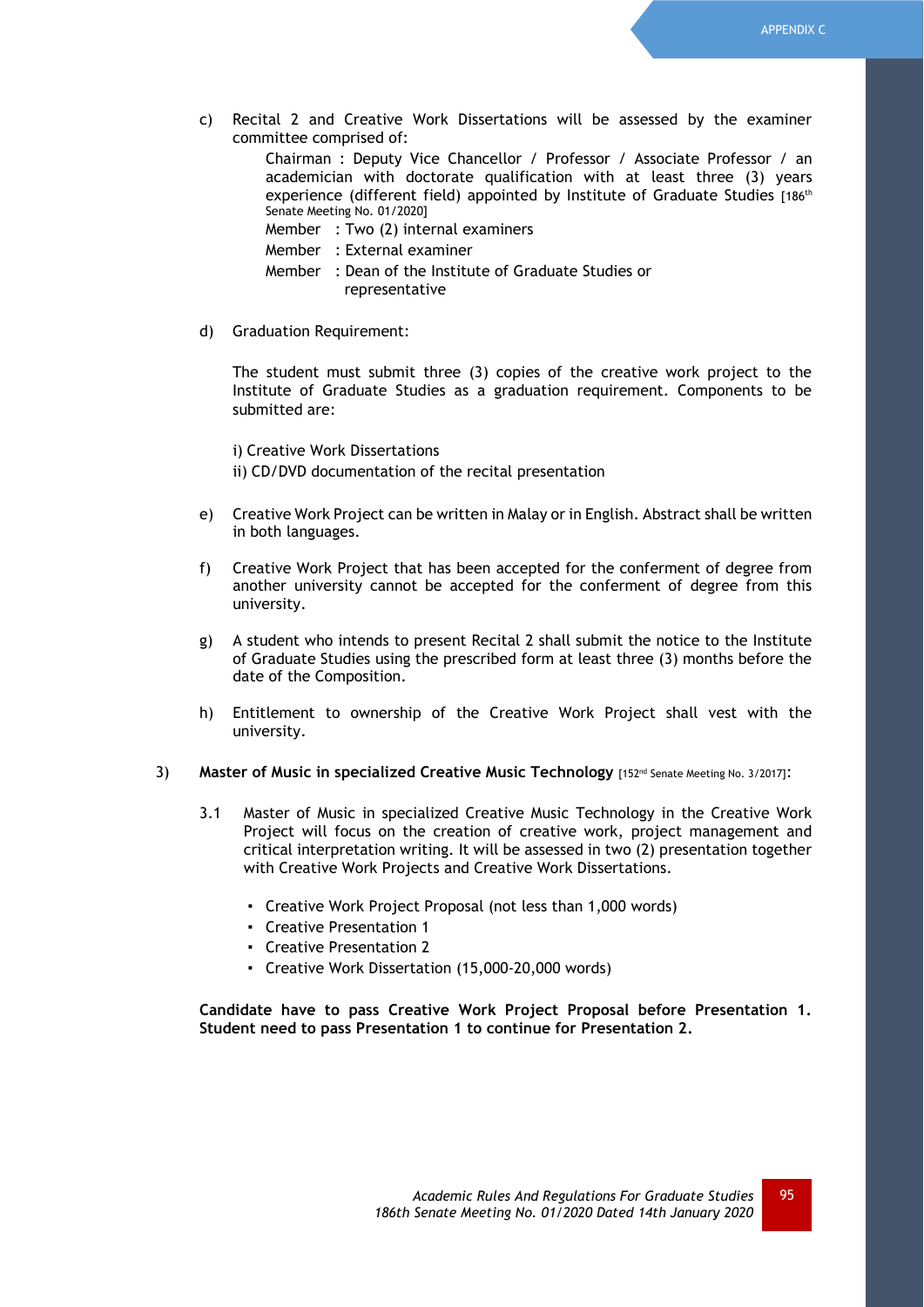c) Recital 2 and Creative Work Dissertations will be assessed by the examiner committee comprised of:

> Chairman : Deputy Vice Chancellor / Professor / Associate Professor / an academician with doctorate qualification with at least three (3) years experience (different field) appointed by Institute of Graduate Studies [186<sup>th</sup> Senate Meeting No. 01/2020]

- Member : Two (2) internal examiners
- Member : External examiner
- Member : Dean of the Institute of Graduate Studies or representative
- d) Graduation Requirement:

The student must submit three (3) copies of the creative work project to the Institute of Graduate Studies as a graduation requirement. Components to be submitted are:

i) Creative Work Dissertations

- ii) CD/DVD documentation of the recital presentation
- e) Creative Work Project can be written in Malay or in English. Abstract shall be written in both languages.
- f) Creative Work Project that has been accepted for the conferment of degree from another university cannot be accepted for the conferment of degree from this university.
- g) A student who intends to present Recital 2 shall submit the notice to the Institute of Graduate Studies using the prescribed form at least three (3) months before the date of the Composition.
- h) Entitlement to ownership of the Creative Work Project shall vest with the university.
- 3) Master of Music in specialized Creative Music Technology [152<sup>nd</sup> Senate Meeting No. 3/2017]:
	- 3.1 Master of Music in specialized Creative Music Technology in the Creative Work Project will focus on the creation of creative work, project management and critical interpretation writing. It will be assessed in two (2) presentation together with Creative Work Projects and Creative Work Dissertations.
		- Creative Work Project Proposal (not less than 1,000 words)
		- Creative Presentation 1
		- Creative Presentation 2
		- Creative Work Dissertation (15,000-20,000 words)

**Candidate have to pass Creative Work Project Proposal before Presentation 1. Student need to pass Presentation 1 to continue for Presentation 2.**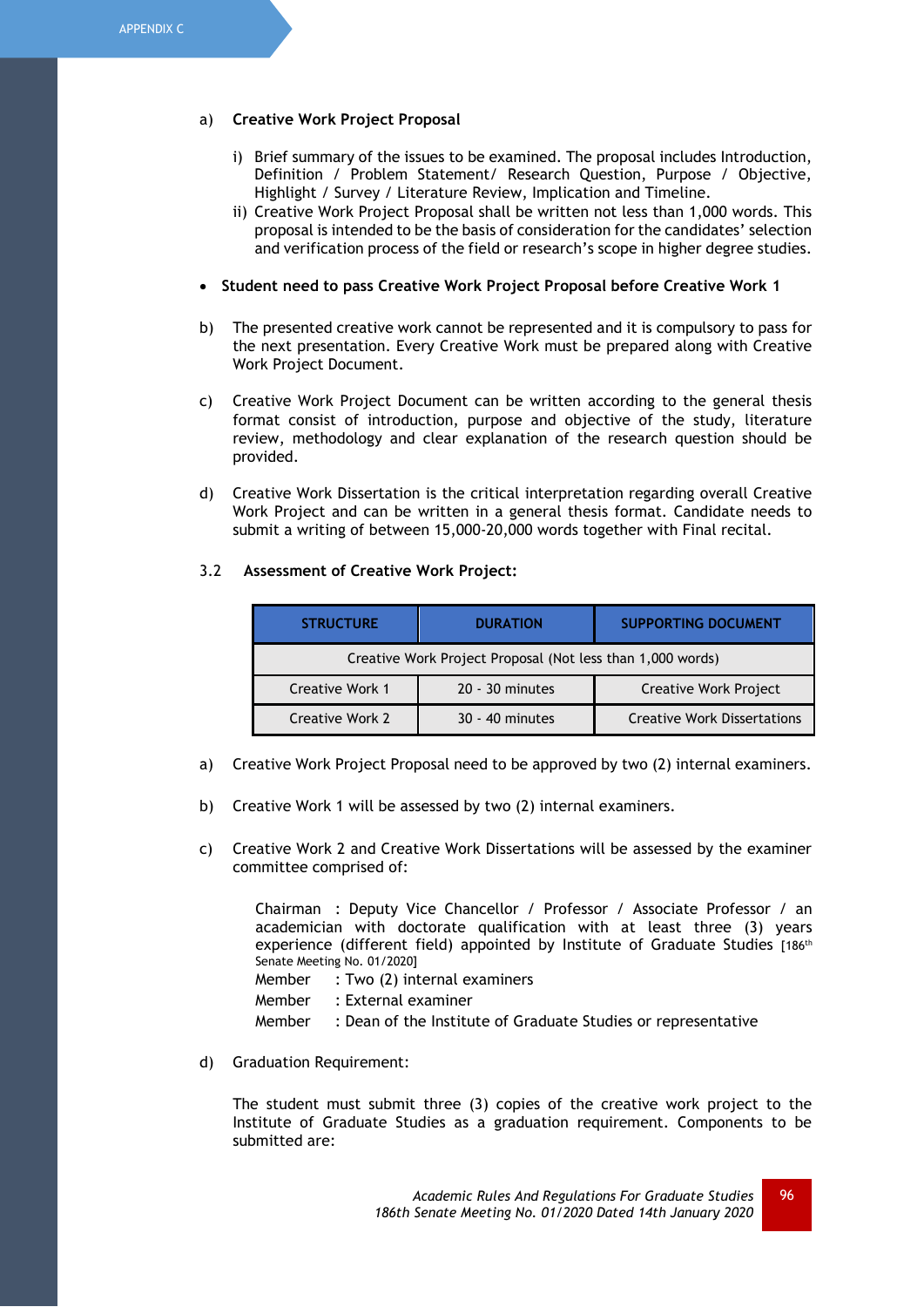## a) **Creative Work Project Proposal**

- i) Brief summary of the issues to be examined. The proposal includes Introduction, Definition / Problem Statement/ Research Question, Purpose / Objective, Highlight / Survey / Literature Review, Implication and Timeline.
- ii) Creative Work Project Proposal shall be written not less than 1,000 words. This proposal is intended to be the basis of consideration for the candidates' selection and verification process of the field or research's scope in higher degree studies.
- **Student need to pass Creative Work Project Proposal before Creative Work 1**
- b) The presented creative work cannot be represented and it is compulsory to pass for the next presentation. Every Creative Work must be prepared along with Creative Work Project Document.
- c) Creative Work Project Document can be written according to the general thesis format consist of introduction, purpose and objective of the study, literature review, methodology and clear explanation of the research question should be provided.
- d) Creative Work Dissertation is the critical interpretation regarding overall Creative Work Project and can be written in a general thesis format. Candidate needs to submit a writing of between 15,000-20,000 words together with Final recital.

#### 3.2 **Assessment of Creative Work Project:**

| <b>STRUCTURE</b>                                           | <b>DURATION</b> | <b>SUPPORTING DOCUMENT</b>         |
|------------------------------------------------------------|-----------------|------------------------------------|
| Creative Work Project Proposal (Not less than 1,000 words) |                 |                                    |
| Creative Work 1                                            | 20 - 30 minutes | Creative Work Project              |
| Creative Work 2                                            | 30 - 40 minutes | <b>Creative Work Dissertations</b> |

- a) Creative Work Project Proposal need to be approved by two (2) internal examiners.
- b) Creative Work 1 will be assessed by two (2) internal examiners.
- c) Creative Work 2 and Creative Work Dissertations will be assessed by the examiner committee comprised of:

Chairman : Deputy Vice Chancellor / Professor / Associate Professor / an academician with doctorate qualification with at least three (3) years experience (different field) appointed by Institute of Graduate Studies [186<sup>th</sup> Senate Meeting No. 01/2020]

- Member : Two (2) internal examiners
- Member : External examiner
- Member : Dean of the Institute of Graduate Studies or representative
- d) Graduation Requirement:

The student must submit three (3) copies of the creative work project to the Institute of Graduate Studies as a graduation requirement. Components to be submitted are: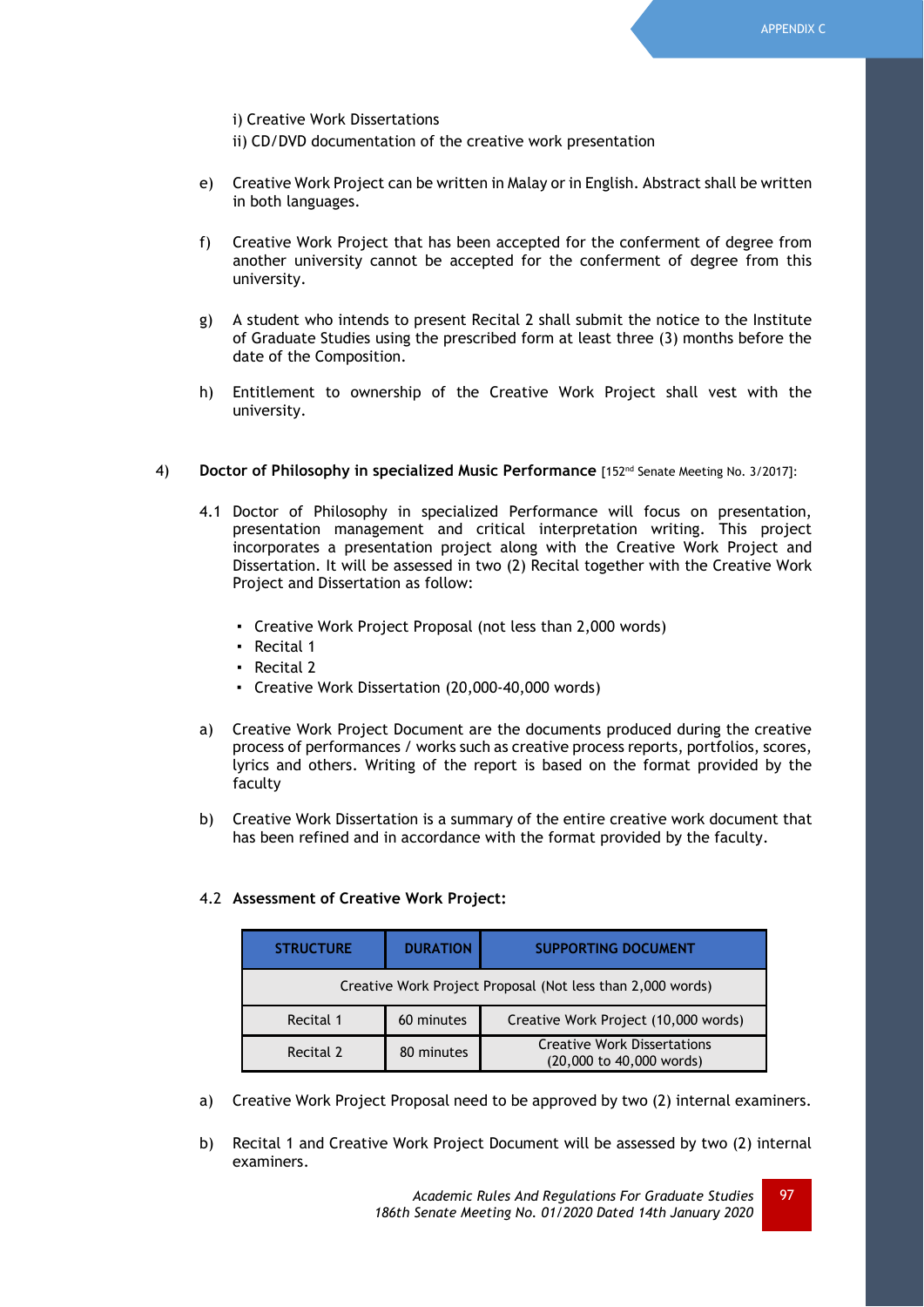i) Creative Work Dissertations

ii) CD/DVD documentation of the creative work presentation

- e) Creative Work Project can be written in Malay or in English. Abstract shall be written in both languages.
- f) Creative Work Project that has been accepted for the conferment of degree from another university cannot be accepted for the conferment of degree from this university.
- g) A student who intends to present Recital 2 shall submit the notice to the Institute of Graduate Studies using the prescribed form at least three (3) months before the date of the Composition.
- h) Entitlement to ownership of the Creative Work Project shall vest with the university.

#### 4) **Doctor of Philosophy in specialized Music Performance** [152nd Senate Meeting No. 3/2017]:

- 4.1 Doctor of Philosophy in specialized Performance will focus on presentation, presentation management and critical interpretation writing. This project incorporates a presentation project along with the Creative Work Project and Dissertation. It will be assessed in two (2) Recital together with the Creative Work Project and Dissertation as follow:
	- Creative Work Project Proposal (not less than 2,000 words)
	- Recital 1
	- Recital 2
	- Creative Work Dissertation (20,000-40,000 words)
- a) Creative Work Project Document are the documents produced during the creative process of performances / works such as creative process reports, portfolios, scores, lyrics and others. Writing of the report is based on the format provided by the faculty
- b) Creative Work Dissertation is a summary of the entire creative work document that has been refined and in accordance with the format provided by the faculty.

| <b>STRUCTURE</b> | <b>DURATION</b> | <b>SUPPORTING DOCUMENT</b>                                     |
|------------------|-----------------|----------------------------------------------------------------|
|                  |                 | Creative Work Project Proposal (Not less than 2,000 words)     |
| Recital 1        | 60 minutes      | Creative Work Project (10,000 words)                           |
| Recital 2        | 80 minutes      | <b>Creative Work Dissertations</b><br>(20,000 to 40,000 words) |

#### 4.2 **Assessment of Creative Work Project:**

- a) Creative Work Project Proposal need to be approved by two (2) internal examiners.
- b) Recital 1 and Creative Work Project Document will be assessed by two (2) internal examiners.

*Academic Rules And Regulations For Graduate Studies 186th Senate Meeting No. 01/2020 Dated 14th January 2020*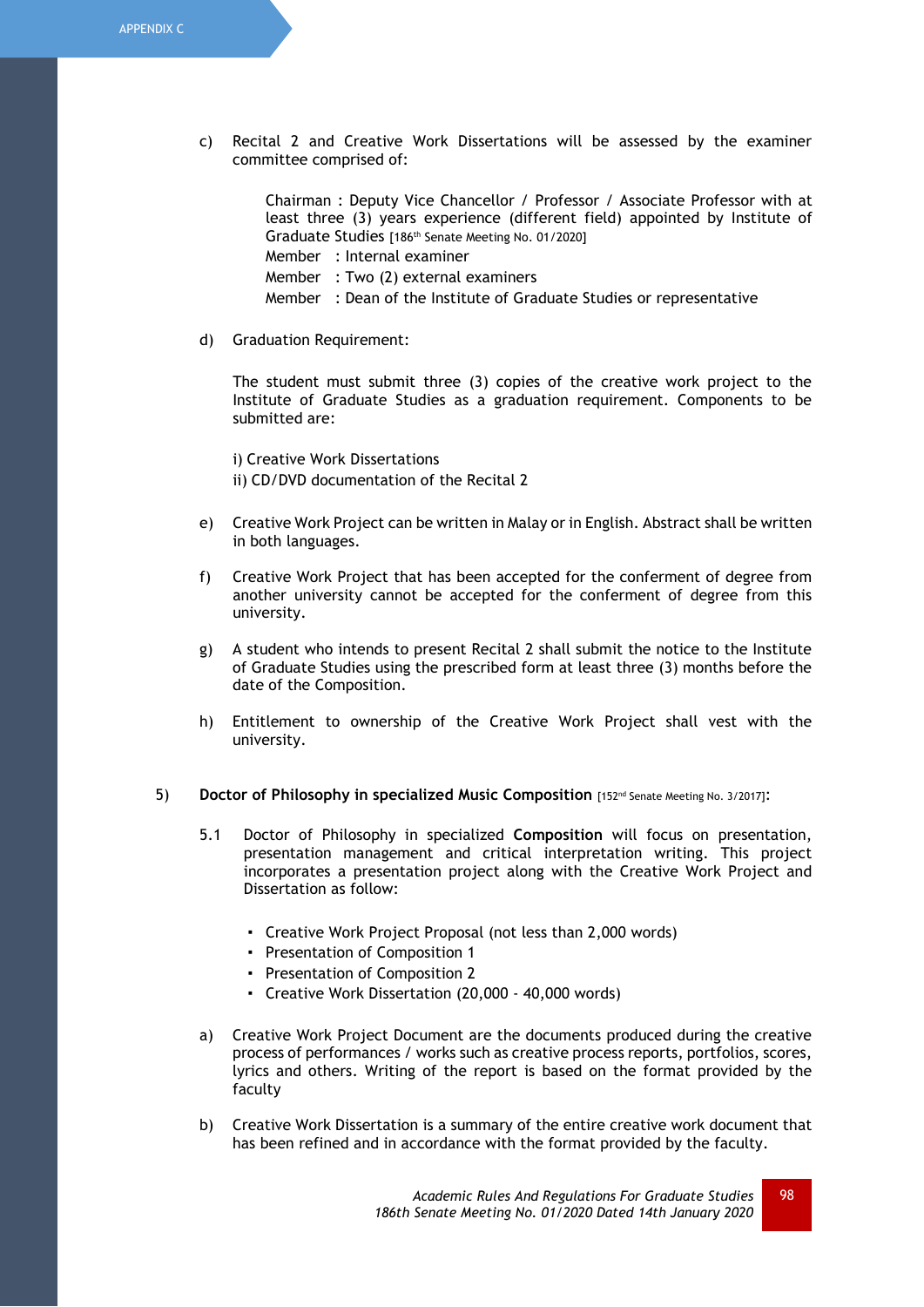c) Recital 2 and Creative Work Dissertations will be assessed by the examiner committee comprised of:

> Chairman : Deputy Vice Chancellor / Professor / Associate Professor with at least three (3) years experience (different field) appointed by Institute of Graduate Studies [186th Senate Meeting No. 01/2020]

Member : Internal examiner

Member : Two (2) external examiners

- Member : Dean of the Institute of Graduate Studies or representative
- d) Graduation Requirement:

The student must submit three (3) copies of the creative work project to the Institute of Graduate Studies as a graduation requirement. Components to be submitted are:

i) Creative Work Dissertations ii) CD/DVD documentation of the Recital 2

- e) Creative Work Project can be written in Malay or in English. Abstract shall be written in both languages.
- f) Creative Work Project that has been accepted for the conferment of degree from another university cannot be accepted for the conferment of degree from this university.
- g) A student who intends to present Recital 2 shall submit the notice to the Institute of Graduate Studies using the prescribed form at least three (3) months before the date of the Composition.
- h) Entitlement to ownership of the Creative Work Project shall vest with the university.
- 5) **Doctor of Philosophy in specialized Music Composition** [152<sup>nd</sup> Senate Meeting No. 3/2017]:
	- 5.1 Doctor of Philosophy in specialized **Composition** will focus on presentation, presentation management and critical interpretation writing. This project incorporates a presentation project along with the Creative Work Project and Dissertation as follow:
		- Creative Work Project Proposal (not less than 2,000 words)
		- Presentation of Composition 1
		- Presentation of Composition 2
		- Creative Work Dissertation (20,000 40,000 words)
	- a) Creative Work Project Document are the documents produced during the creative process of performances / works such as creative process reports, portfolios, scores, lyrics and others. Writing of the report is based on the format provided by the faculty
	- b) Creative Work Dissertation is a summary of the entire creative work document that has been refined and in accordance with the format provided by the faculty.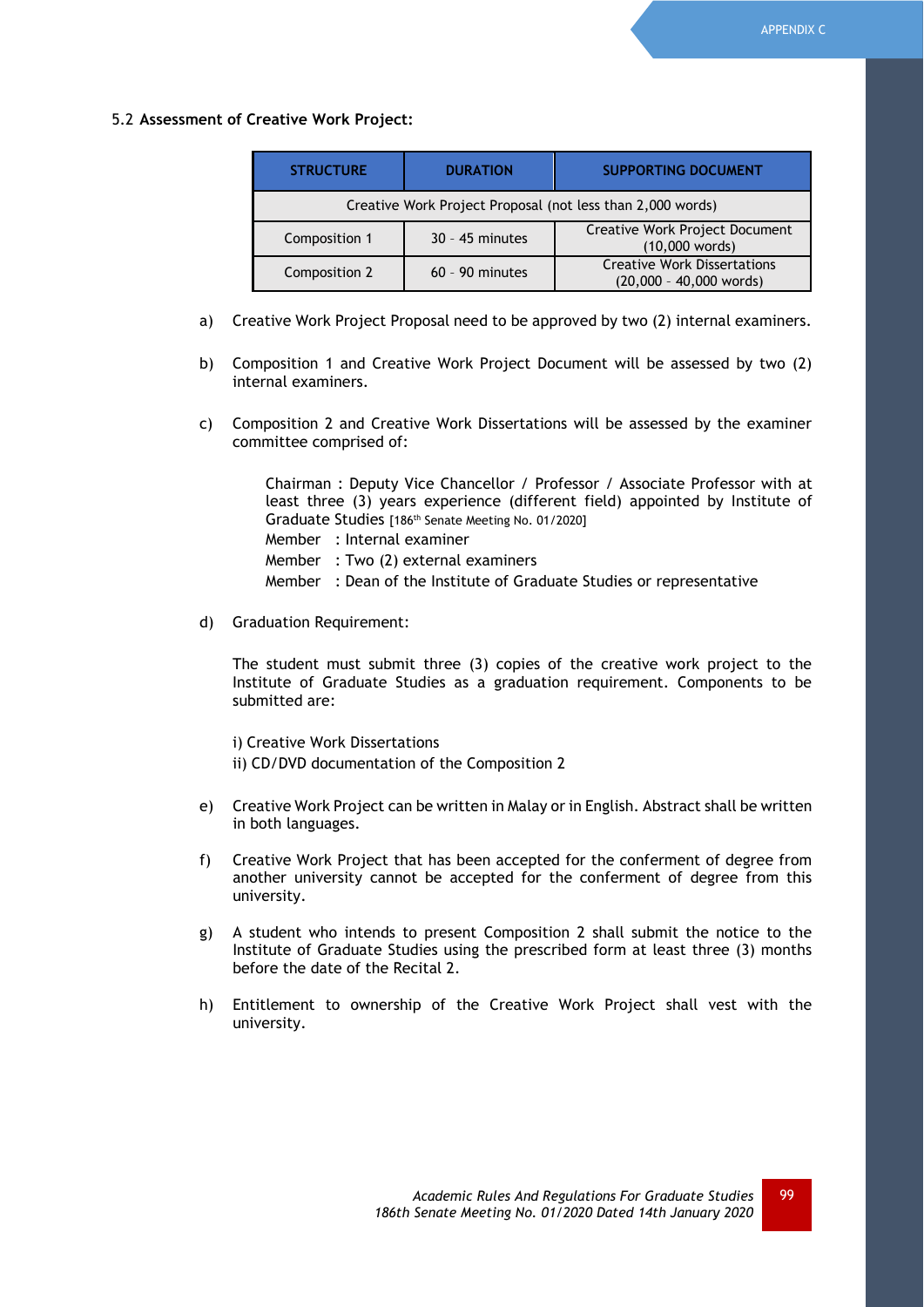#### 5.2 **Assessment of Creative Work Project:**

| <b>STRUCTURE</b>                                           | <b>DURATION</b>   | <b>SUPPORTING DOCUMENT</b>                                      |
|------------------------------------------------------------|-------------------|-----------------------------------------------------------------|
| Creative Work Project Proposal (not less than 2,000 words) |                   |                                                                 |
| Composition 1                                              | $30 - 45$ minutes | Creative Work Project Document<br>(10,000 words)                |
| Composition 2                                              | $60 - 90$ minutes | <b>Creative Work Dissertations</b><br>$(20,000 - 40,000$ words) |

- a) Creative Work Project Proposal need to be approved by two (2) internal examiners.
- b) Composition 1 and Creative Work Project Document will be assessed by two (2) internal examiners.
- c) Composition 2 and Creative Work Dissertations will be assessed by the examiner committee comprised of:

Chairman : Deputy Vice Chancellor / Professor / Associate Professor with at least three (3) years experience (different field) appointed by Institute of Graduate Studies [186th Senate Meeting No. 01/2020] Member : Internal examiner Member : Two (2) external examiners Member : Dean of the Institute of Graduate Studies or representative

d) Graduation Requirement:

The student must submit three (3) copies of the creative work project to the Institute of Graduate Studies as a graduation requirement. Components to be submitted are:

i) Creative Work Dissertations ii) CD/DVD documentation of the Composition 2

- e) Creative Work Project can be written in Malay or in English. Abstract shall be written in both languages.
- f) Creative Work Project that has been accepted for the conferment of degree from another university cannot be accepted for the conferment of degree from this university.
- g) A student who intends to present Composition 2 shall submit the notice to the Institute of Graduate Studies using the prescribed form at least three (3) months before the date of the Recital 2.
- h) Entitlement to ownership of the Creative Work Project shall vest with the university.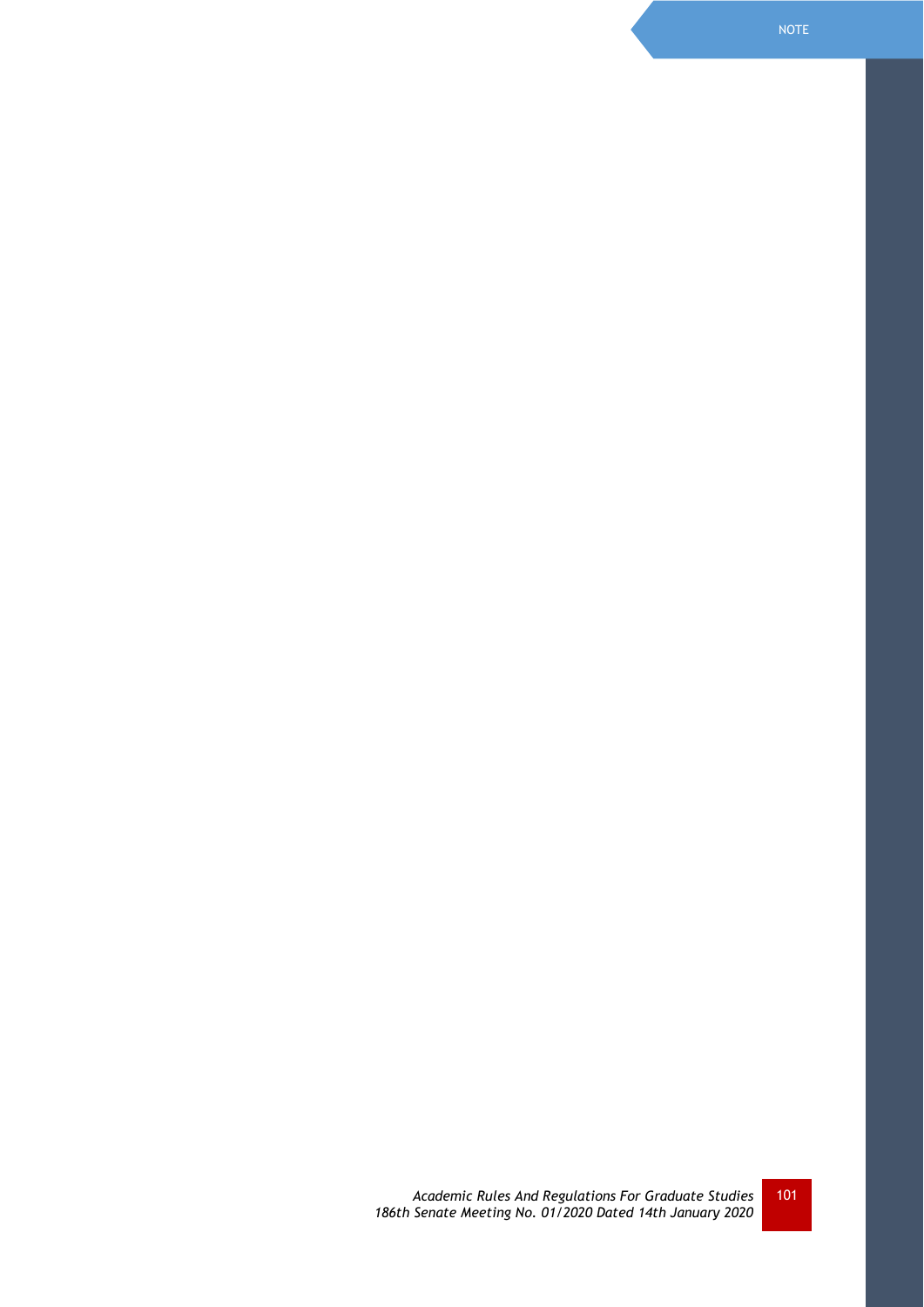*Academic Rules And Regulations For Graduate Studies 186th Senate Meeting No. 01/2020 Dated 14th January 2020*

# 101